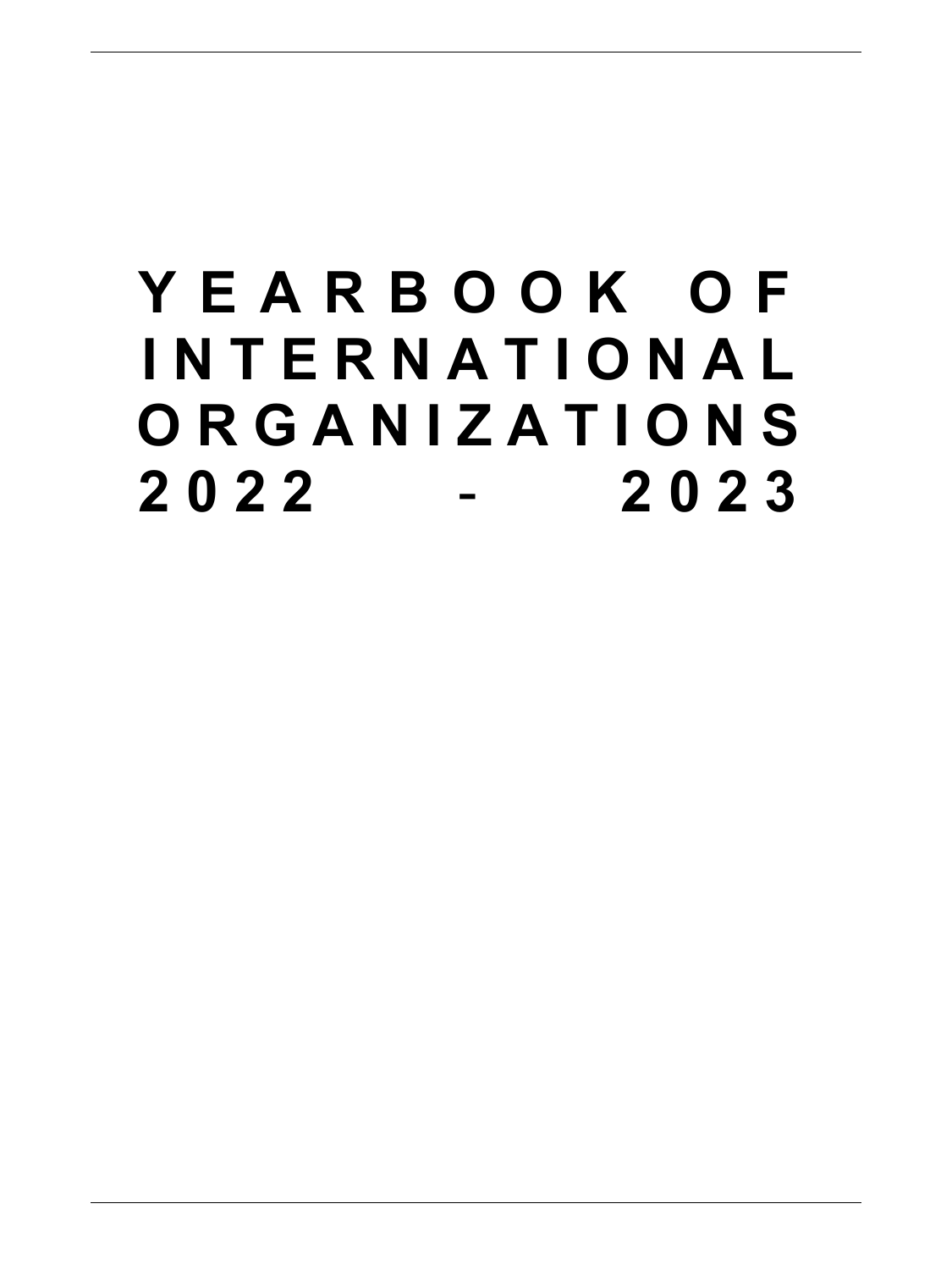# **YEARBOOK OF INTERNATIONAL ORGANIZATIONS 2 0 2 2** - **2 0 2 3**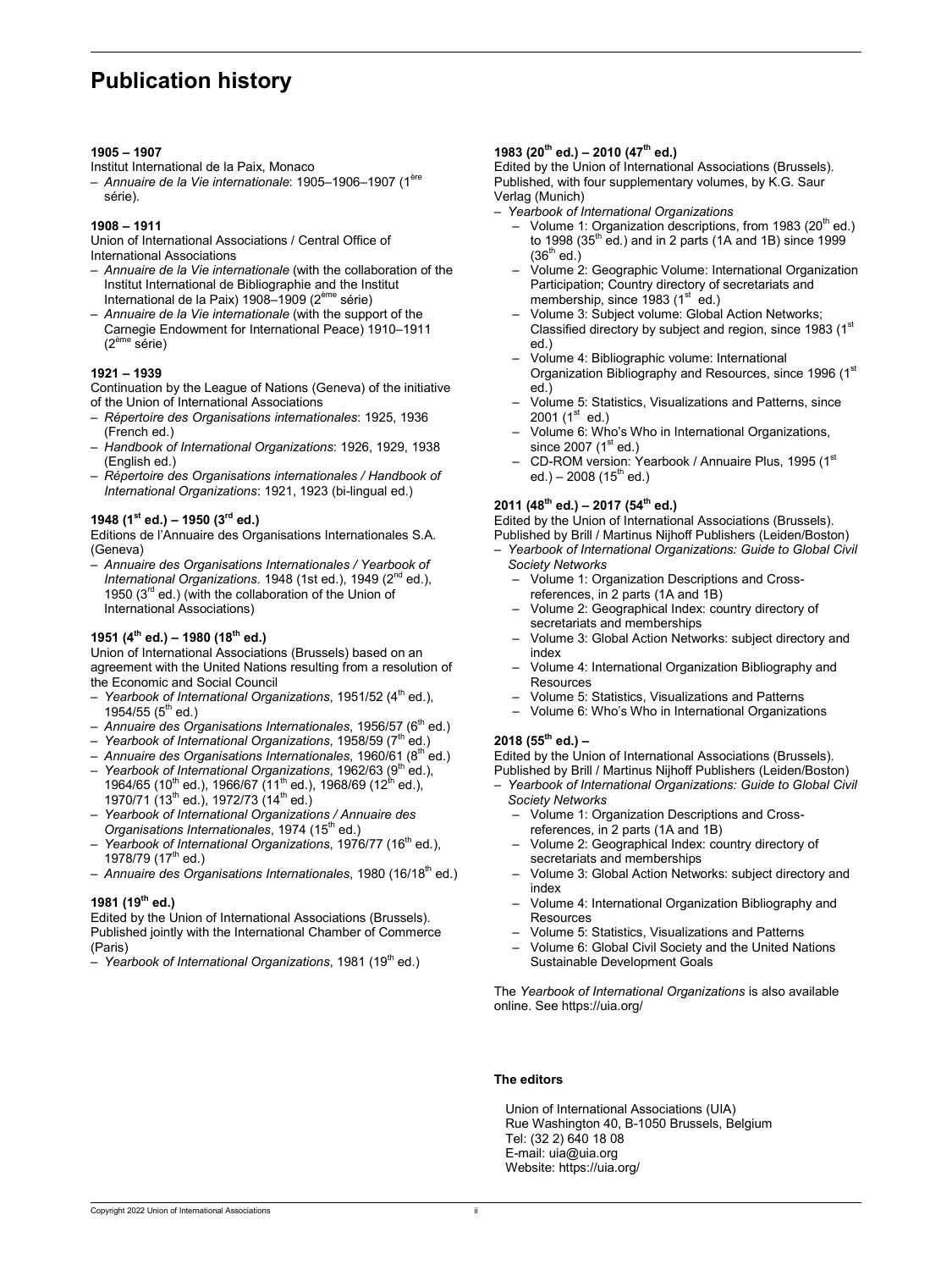## **Publication history**

#### **1905 – 1907**

Institut International de la Paix, Monaco

– *Annuaire de la Vie internationale*: 1905–1906–1907 (1ère série).

#### **1908 – 1911**

Union of International Associations / Central Office of International Associations

- *Annuaire de la Vie internationale* (with the collaboration of the Institut International de Bibliographie and the Institut International de la Paix) 1908–1909 (2ème série)
- *Annuaire de la Vie internationale* (with the support of the Carnegie Endowment for International Peace) 1910–1911 (2ème série)

#### **1921 – 1939**

Continuation by the League of Nations (Geneva) of the initiative of the Union of International Associations

- *Répertoire des Organisations internationales*: 1925, 1936 (French ed.)
- *Handbook of International Organizations*: 1926, 1929, 1938 (English ed.)
- *Répertoire des Organisations internationales / Handbook of International Organizations*: 1921, 1923 (bi-lingual ed.)

#### **1948 (1st ed.) – 1950 (3rd ed.)**

Editions de l'Annuaire des Organisations Internationales S.A. (Geneva)

– *Annuaire des Organisations Internationales / Yearbook of International Organizations.* 1948 (1st ed.), 1949 (2<sup>nd</sup> ed.), 1950 ( $3<sup>rd</sup>$  ed.) (with the collaboration of the Union of International Associations)

## **1951 (4th ed.) – 1980 (18th ed.)**

Union of International Associations (Brussels) based on an agreement with the United Nations resulting from a resolution of the Economic and Social Council

- *Yearbook of International Organizations*, 1951/52 (4<sup>th</sup> ed.), 1954/55  $(5^{th}$  ed.)
- *Annuaire des Organisations Internationales*, 1956/57 (6th ed.)
- Yearbook of International Organizations, 1958/59 (7<sup>th</sup> ed.)
- Annuaire des Organisations Internationales, 1960/61 (8<sup>th ed.)</sup> – *Yearbook of International Organizations*, 1962/63 (9th ed.),
- 1964/65 (10<sup>th</sup> ed.), 1966/67 (11<sup>th</sup> ed.), 1968/69 (12<sup>th</sup> ed.), 1970/71 (13<sup>th</sup> ed.), 1972/73 (14<sup>th</sup> ed.)
- *Yearbook of International Organizations / Annuaire des Organisations Internationales*, 1974 (15th ed.)
- Yearbook of International Organizations, 1976/77 (16<sup>th</sup> ed.), 1978/79 (17<sup>th</sup> ed.)
- Annuaire des Organisations Internationales, 1980 (16/18<sup>th</sup> ed.)

#### **1981 (19th ed.)**

Edited by the Union of International Associations (Brussels). Published jointly with the International Chamber of Commerce (Paris)

– *Yearbook of International Organizations*, 1981 (19th ed.)

#### **1983 (20th ed.) – 2010 (47th ed.)**

Edited by the Union of International Associations (Brussels). Published, with four supplementary volumes, by K.G. Saur Verlag (Munich)

– *Yearbook of International Organizations*

- Volume 1: Organization descriptions, from 1983 (20<sup>th</sup> ed.) to 1998  $(35<sup>th</sup>$  ed.) and in 2 parts (1A and 1B) since 1999  $(36<sup>th</sup>$  ed.)
- Volume 2: Geographic Volume: International Organization Participation; Country directory of secretariats and membership, since 1983 (1<sup>st</sup> ed.)
- Volume 3: Subject volume: Global Action Networks; Classified directory by subject and region, since 1983 ( $1<sup>st</sup>$ ed.)
- Volume 4: Bibliographic volume: International Organization Bibliography and Resources, since 1996 (1<sup>st</sup>) ed.)
- Volume 5: Statistics, Visualizations and Patterns, since  $2001 (1<sup>st</sup> ed.)$
- Volume 6: Who's Who in International Organizations, since  $2007(1<sup>st</sup>$  ed.)
- CD-ROM version: Yearbook / Annuaire Plus, 1995 (1st ed.) – 2008 (15<sup>th</sup> ed.)

#### **2011 (48th ed.) – 2017 (54th ed.)**

Edited by the Union of International Associations (Brussels).

Published by Brill / Martinus Nijhoff Publishers (Leiden/Boston) – *Yearbook of International Organizations: Guide to Global Civil*

- *Society Networks* – Volume 1: Organization Descriptions and Cross-
- references, in 2 parts (1A and 1B) – Volume 2: Geographical Index: country directory of
- secretariats and memberships
- Volume 3: Global Action Networks: subject directory and index
- Volume 4: International Organization Bibliography and Resources
- Volume 5: Statistics, Visualizations and Patterns
- Volume 6: Who's Who in International Organizations

#### **2018 (55th ed.) –**

Edited by the Union of International Associations (Brussels). Published by Brill / Martinus Nijhoff Publishers (Leiden/Boston)

- *Yearbook of International Organizations: Guide to Global Civil Society Networks*
	- Volume 1: Organization Descriptions and Crossreferences, in 2 parts (1A and 1B)
	- Volume 2: Geographical Index: country directory of secretariats and memberships
	- Volume 3: Global Action Networks: subject directory and index
	- Volume 4: International Organization Bibliography and **Resources**
	- Volume 5: Statistics, Visualizations and Patterns
	- Volume 6: Global Civil Society and the United Nations Sustainable Development Goals

The *Yearbook of International Organizations* is also available online. See https://uia.org/

#### **The editors**

Union of International Associations (UIA) Rue Washington 40, B-1050 Brussels, Belgium Tel: (32 2) 640 18 08 E-mail: uia@uia.org Website: https://uia.org/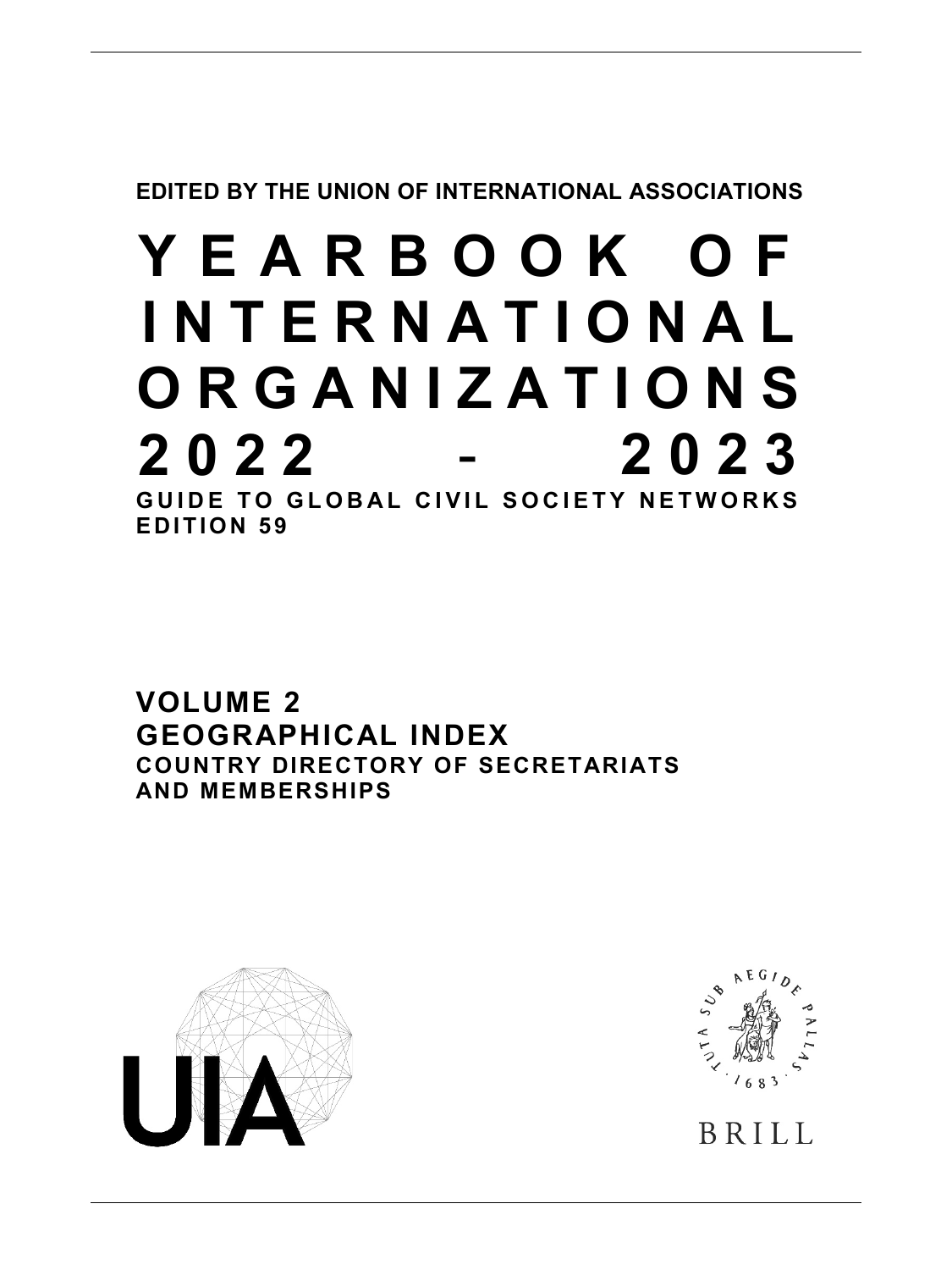**EDITED BY THE UNION OF INTERNATIONAL ASSOCIATIONS**

# **YEARBOOK OF INTERNATIONAL ORGANIZATIONS 2 0 2 2** - **2 0 2 3**

**GUIDE TO GLOBAL CIVIL SOCIETY NETWORKS EDITION 59** 

**VOLUME 2 GEOGRAPHICAL INDEX COUNTRY DIRECTORY OF SECRETARIATS AND MEMBERSHIPS**





BRILL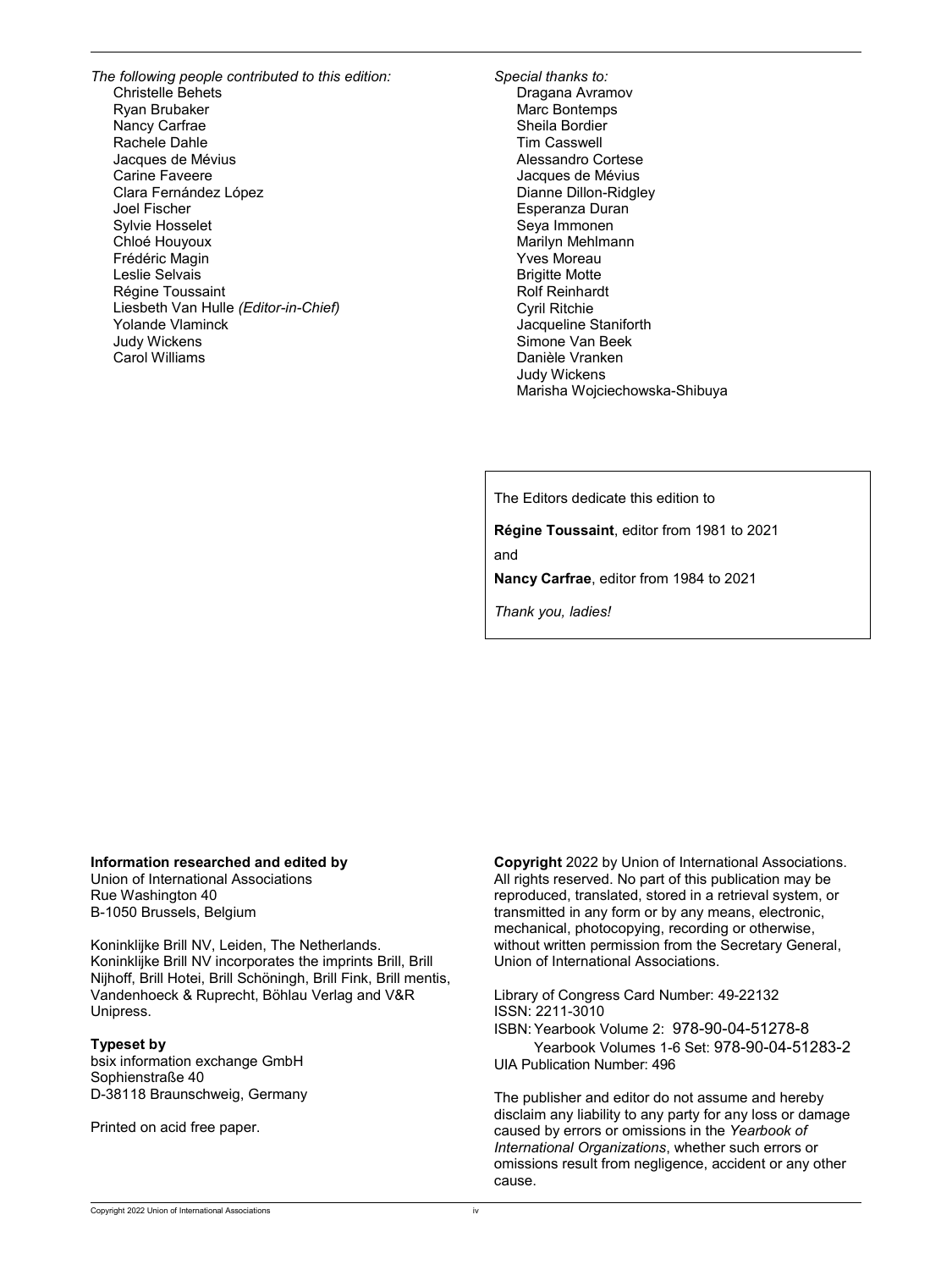*The following people contributed to this edition:* Christelle Behets Ryan Brubaker Nancy Carfrae Rachele Dahle Jacques de Mévius Carine Faveere Clara Fernández López Joel Fischer Sylvie Hosselet Chloé Houyoux Frédéric Magin Leslie Selvais Régine Toussaint Liesbeth Van Hulle *(Editor-in-Chief)* Yolande Vlaminck Judy Wickens Carol Williams

*Special thanks to:* Dragana Avramov Marc Bontemps Sheila Bordier Tim Casswell Alessandro Cortese Jacques de Mévius Dianne Dillon-Ridgley Esperanza Duran Seya Immonen Marilyn Mehlmann Yves Moreau **Brigitte Motte** Rolf Reinhardt Cyril Ritchie Jacqueline Staniforth Simone Van Beek Danièle Vranken Judy Wickens Marisha Wojciechowska-Shibuya

The Editors dedicate this edition to

**Régine Toussaint**, editor from 1981 to 2021 and

**Nancy Carfrae**, editor from 1984 to 2021

*Thank you, ladies!*

## **Information researched and edited by**

Union of International Associations Rue Washington 40 B-1050 Brussels, Belgium

Koninklijke Brill NV, Leiden, The Netherlands. Koninklijke Brill NV incorporates the imprints Brill, Brill Nijhoff, Brill Hotei, Brill Schöningh, Brill Fink, Brill mentis, Vandenhoeck & Ruprecht, Böhlau Verlag and V&R Unipress.

#### **Typeset by**

bsix information exchange GmbH Sophienstraße 40 D-38118 Braunschweig, Germany

Printed on acid free paper.

**Copyright** 2022 by Union of International Associations. All rights reserved. No part of this publication may be reproduced, translated, stored in a retrieval system, or transmitted in any form or by any means, electronic, mechanical, photocopying, recording or otherwise, without written permission from the Secretary General, Union of International Associations.

Library of Congress Card Number: 49-22132 ISSN: 2211-3010 ISBN: Yearbook Volume 2: 978-90-04-51278-8 Yearbook Volumes 1-6 Set: 978-90-04-51283-2 UIA Publication Number: 496

The publisher and editor do not assume and hereby disclaim any liability to any party for any loss or damage caused by errors or omissions in the *Yearbook of International Organizations*, whether such errors or omissions result from negligence, accident or any other cause.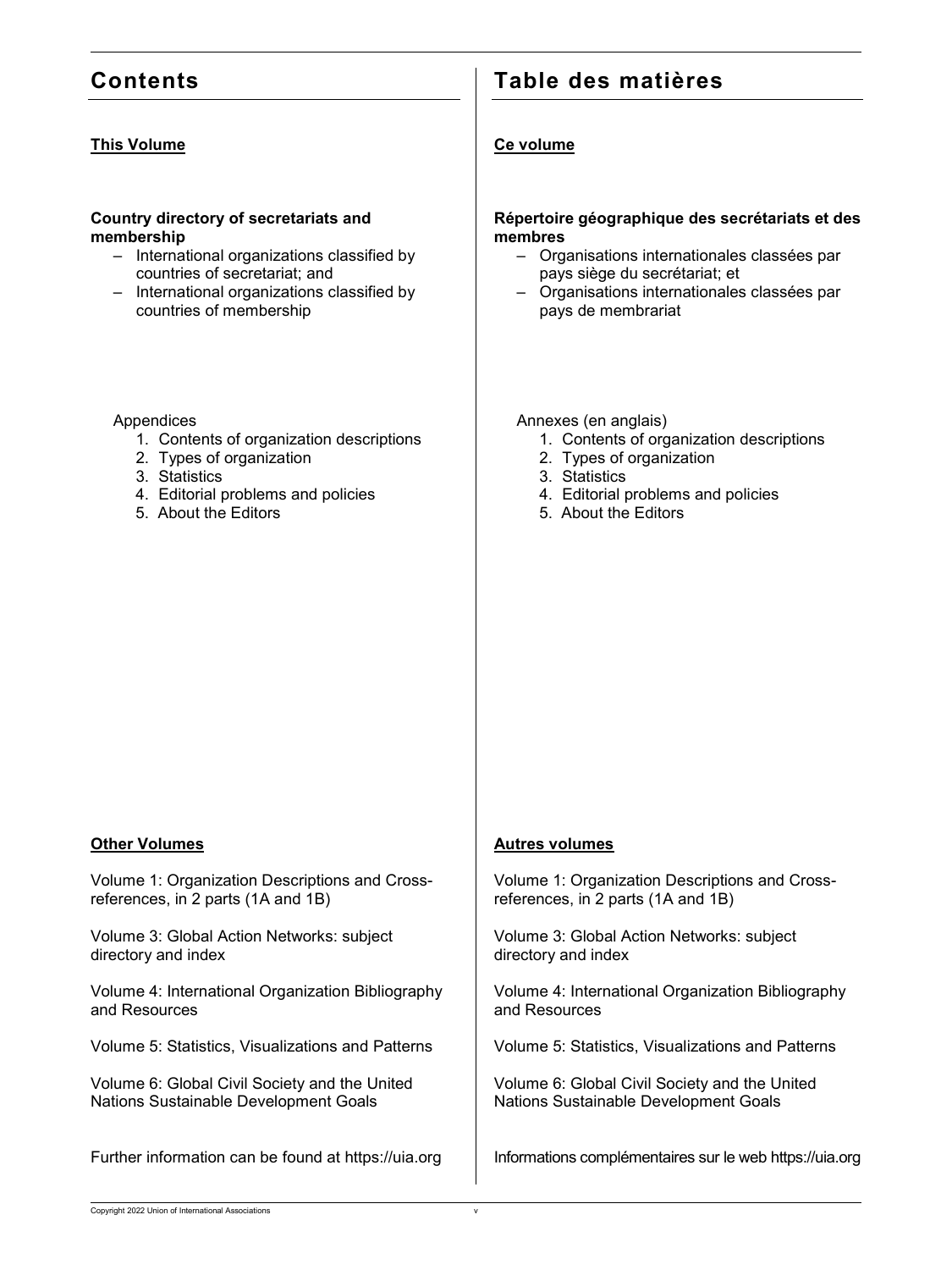## **Contents**

## **This Volume**

## **Country directory of secretariats and membership**

- International organizations classified by countries of secretariat; and
- International organizations classified by countries of membership

## Appendices

- 1. Contents of organization descriptions
- 2. Types of organization
- 3. Statistics
- 4. Editorial problems and policies
- 5. About the Editors

## **Table des matières**

## **Ce volume**

## **Répertoire géographique des secrétariats et des membres**

- Organisations internationales classées par pays siège du secrétariat; et
- Organisations internationales classées par pays de membrariat

Annexes (en anglais)

- 1. Contents of organization descriptions
- 2. Types of organization
- 3. Statistics
- 4. Editorial problems and policies
- 5. About the Editors

## **Other Volumes**

Volume 1: Organization Descriptions and Crossreferences, in 2 parts (1A and 1B)

Volume 3: Global Action Networks: subject directory and index

Volume 4: International Organization Bibliography and Resources

Volume 5: Statistics, Visualizations and Patterns

Volume 6: Global Civil Society and the United Nations Sustainable Development Goals

Further information can be found at https://uia.org

## **Autres volumes**

Volume 1: Organization Descriptions and Crossreferences, in 2 parts (1A and 1B)

Volume 3: Global Action Networks: subject directory and index

Volume 4: International Organization Bibliography and Resources

Volume 5: Statistics, Visualizations and Patterns

Volume 6: Global Civil Society and the United Nations Sustainable Development Goals

Informations complémentaires sur le web https://uia.org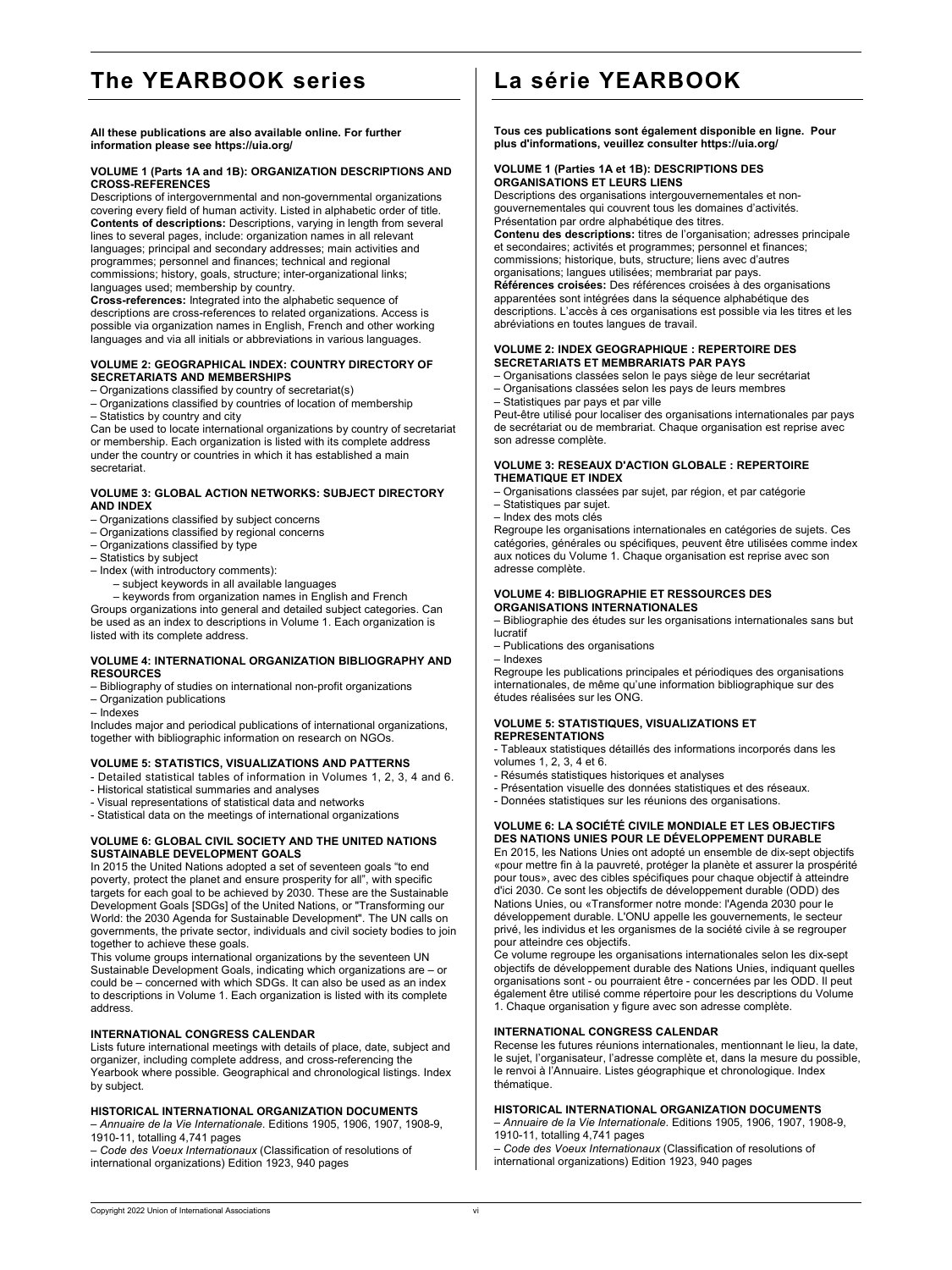## **The YEARBOOK series**

**All these publications are also available online. For further information please see https://uia.org/**

#### **VOLUME 1 (Parts 1A and 1B): ORGANIZATION DESCRIPTIONS AND CROSS-REFERENCES**

Descriptions of intergovernmental and non-governmental organizations covering every field of human activity. Listed in alphabetic order of title. **Contents of descriptions:** Descriptions, varying in length from several lines to several pages, include: organization names in all relevant languages; principal and secondary addresses; main activities and programmes; personnel and finances; technical and regional commissions; history, goals, structure; inter-organizational links; languages used; membership by country.

**Cross-references:** Integrated into the alphabetic sequence of descriptions are cross-references to related organizations. Access is possible via organization names in English, French and other working languages and via all initials or abbreviations in various languages.

#### **VOLUME 2: GEOGRAPHICAL INDEX: COUNTRY DIRECTORY OF SECRETARIATS AND MEMBERSHIPS**

- Organizations classified by country of secretariat(s)
- Organizations classified by countries of location of membership
- Statistics by country and city

Can be used to locate international organizations by country of secretariat or membership. Each organization is listed with its complete address under the country or countries in which it has established a main secretariat.

#### **VOLUME 3: GLOBAL ACTION NETWORKS: SUBJECT DIRECTORY AND INDEX**

- Organizations classified by subject concerns
- Organizations classified by regional concerns
- Organizations classified by type
- Statistics by subject
- Index (with introductory comments):
	- subject keywords in all available languages

– keywords from organization names in English and French Groups organizations into general and detailed subject categories. Can be used as an index to descriptions in Volume 1. Each organization is listed with its complete address.

#### **VOLUME 4: INTERNATIONAL ORGANIZATION BIBLIOGRAPHY AND RESOURCES**

- Bibliography of studies on international non-profit organizations
- Organization publications

– Indexes

Includes major and periodical publications of international organizations, together with bibliographic information on research on NGOs.

#### **VOLUME 5: STATISTICS, VISUALIZATIONS AND PATTERNS**

- Detailed statistical tables of information in Volumes 1, 2, 3, 4 and 6.
- Historical statistical summaries and analyses
- Visual representations of statistical data and networks

- Statistical data on the meetings of international organizations

#### **VOLUME 6: GLOBAL CIVIL SOCIETY AND THE UNITED NATIONS SUSTAINABLE DEVELOPMENT GOALS**

In 2015 the United Nations adopted a set of seventeen goals "to end poverty, protect the planet and ensure prosperity for all", with specific targets for each goal to be achieved by 2030. These are the Sustainable Development Goals [SDGs] of the United Nations, or "Transforming our World: the 2030 Agenda for Sustainable Development". The UN calls on governments, the private sector, individuals and civil society bodies to join together to achieve these goals.

This volume groups international organizations by the seventeen UN Sustainable Development Goals, indicating which organizations are – or could be – concerned with which SDGs. It can also be used as an index to descriptions in Volume 1. Each organization is listed with its complete address.

#### **INTERNATIONAL CONGRESS CALENDAR**

Lists future international meetings with details of place, date, subject and organizer, including complete address, and cross-referencing the Yearbook where possible. Geographical and chronological listings. Index by subject.

#### **HISTORICAL INTERNATIONAL ORGANIZATION DOCUMENTS**

– *Annuaire de la Vie Internationale*. Editions 1905, 1906, 1907, 1908-9, 1910-11, totalling 4,741 pages

– *Code des Voeux Internationaux* (Classification of resolutions of international organizations) Edition 1923, 940 pages

## **La série YEARBOOK**

**Tous ces publications sont également disponible en ligne. Pour plus d'informations, veuillez consulter https://uia.org/**

#### **VOLUME 1 (Parties 1A et 1B): DESCRIPTIONS DES ORGANISATIONS ET LEURS LIENS**

Descriptions des organisations intergouvernementales et nongouvernementales qui couvrent tous les domaines d'activités. Présentation par ordre alphabétique des titres. **Contenu des descriptions:** titres de l'organisation; adresses principale

et secondaires; activités et programmes; personnel et finances; commissions; historique, buts, structure; liens avec d'autres organisations; langues utilisées; membrariat par pays. **Références croisées:** Des références croisées à des organisations apparentées sont intégrées dans la séquence alphabétique des descriptions. L'accès à ces organisations est possible via les titres et les abréviations en toutes langues de travail.

#### **VOLUME 2: INDEX GEOGRAPHIQUE : REPERTOIRE DES SECRETARIATS ET MEMBRARIATS PAR PAYS**

- Organisations classées selon le pays siège de leur secrétariat – Organisations classées selon les pays de leurs membres
- Statistiques par pays et par ville

Peut-être utilisé pour localiser des organisations internationales par pays de secrétariat ou de membrariat. Chaque organisation est reprise avec son adresse complète.

#### **VOLUME 3: RESEAUX D'ACTION GLOBALE : REPERTOIRE THEMATIQUE ET INDEX**

- Organisations classées par sujet, par région, et par catégorie
- Statistiques par sujet.
- Index des mots clés

Regroupe les organisations internationales en catégories de sujets. Ces catégories, générales ou spécifiques, peuvent être utilisées comme index aux notices du Volume 1. Chaque organisation est reprise avec son adresse complète.

#### **VOLUME 4: BIBLIOGRAPHIE ET RESSOURCES DES ORGANISATIONS INTERNATIONALES**

– Bibliographie des études sur les organisations internationales sans but lucratif

- Publications des organisations
- Indexes

Regroupe les publications principales et périodiques des organisations internationales, de même qu'une information bibliographique sur des études réalisées sur les ONG.

#### **VOLUME 5: STATISTIQUES, VISUALIZATIONS ET REPRESENTATIONS**

- Tableaux statistiques détaillés des informations incorporés dans les volumes 1, 2, 3, 4 et 6.
- Résumés statistiques historiques et analyses
- Présentation visuelle des données statistiques et des réseaux.
- Données statistiques sur les réunions des organisations.

#### **VOLUME 6: LA SOCIÉTÉ CIVILE MONDIALE ET LES OBJECTIFS DES NATIONS UNIES POUR LE DÉVELOPPEMENT DURABLE**

En 2015, les Nations Unies ont adopté un ensemble de dix-sept objectifs «pour mettre fin à la pauvreté, protéger la planète et assurer la prospérité pour tous», avec des cibles spécifiques pour chaque objectif à atteindre d'ici 2030. Ce sont les objectifs de développement durable (ODD) des Nations Unies, ou «Transformer notre monde: l'Agenda 2030 pour le développement durable. L'ONU appelle les gouvernements, le secteur privé, les individus et les organismes de la société civile à se regrouper pour atteindre ces objectifs.

Ce volume regroupe les organisations internationales selon les dix-sept objectifs de développement durable des Nations Unies, indiquant quelles organisations sont - ou pourraient être - concernées par les ODD. Il peut également être utilisé comme répertoire pour les descriptions du Volume 1. Chaque organisation y figure avec son adresse complète.

#### **INTERNATIONAL CONGRESS CALENDAR**

Recense les futures réunions internationales, mentionnant le lieu, la date, le sujet, l'organisateur, l'adresse complète et, dans la mesure du possible, le renvoi à l'Annuaire. Listes géographique et chronologique. Index thématique.

#### **HISTORICAL INTERNATIONAL ORGANIZATION DOCUMENTS** – *Annuaire de la Vie Internationale*. Editions 1905, 1906, 1907, 1908-9, 1910-11, totalling 4,741 pages

– *Code des Voeux Internationaux* (Classification of resolutions of international organizations) Edition 1923, 940 pages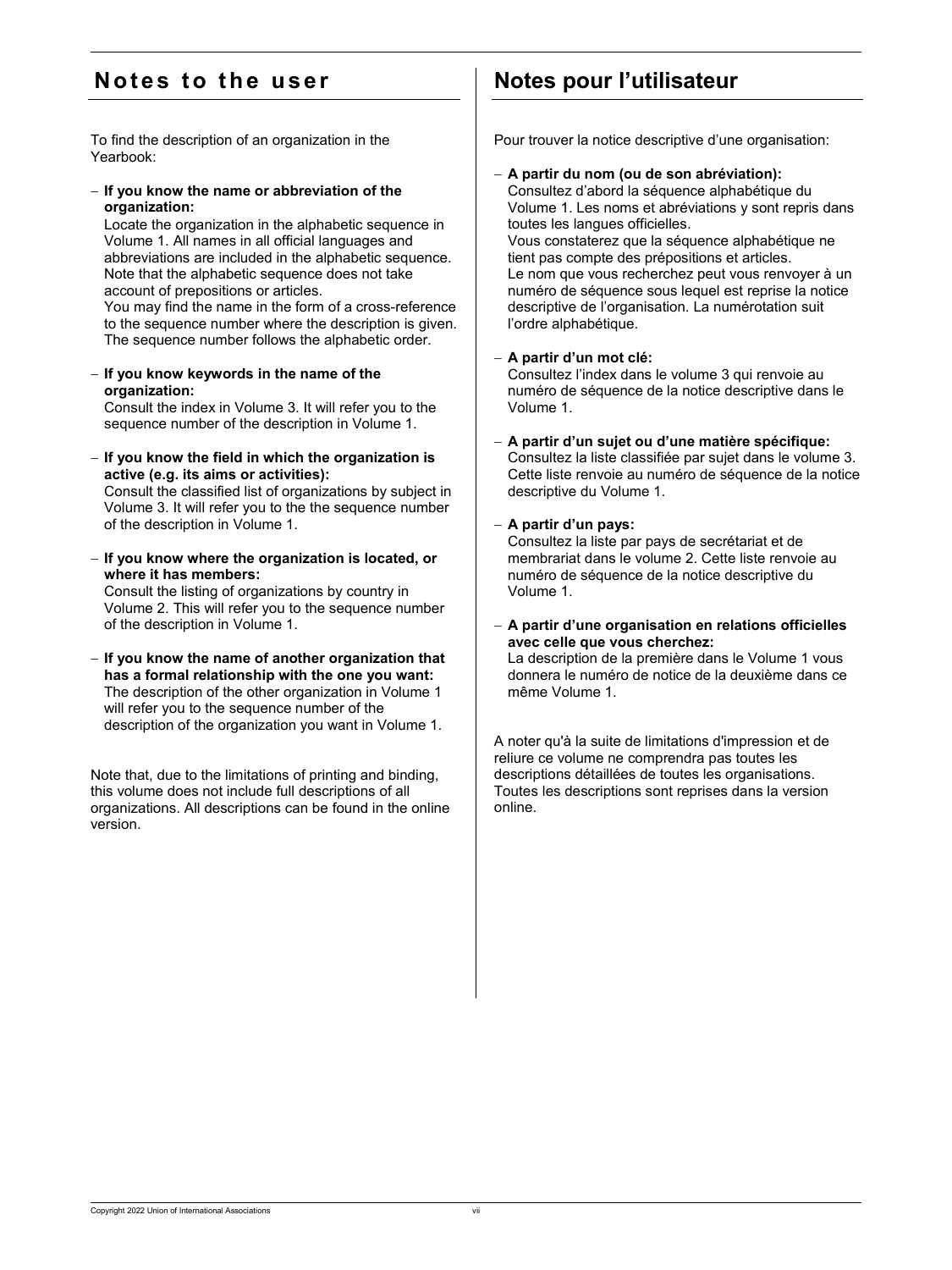## **Notes to the user**

To find the description of an organization in the Yearbook:

− **If you know the name or abbreviation of the organization:**

Locate the organization in the alphabetic sequence in Volume 1. All names in all official languages and abbreviations are included in the alphabetic sequence. Note that the alphabetic sequence does not take account of prepositions or articles.

You may find the name in the form of a cross-reference to the sequence number where the description is given. The sequence number follows the alphabetic order.

− **If you know keywords in the name of the organization:**

Consult the index in Volume 3. It will refer you to the sequence number of the description in Volume 1.

− **If you know the field in which the organization is active (e.g. its aims or activities):**

Consult the classified list of organizations by subject in Volume 3. It will refer you to the the sequence number of the description in Volume 1.

− **If you know where the organization is located, or where it has members:**

Consult the listing of organizations by country in Volume 2. This will refer you to the sequence number of the description in Volume 1.

− **If you know the name of another organization that has a formal relationship with the one you want:** The description of the other organization in Volume 1 will refer you to the sequence number of the description of the organization you want in Volume 1.

Note that, due to the limitations of printing and binding, this volume does not include full descriptions of all organizations. All descriptions can be found in the online version.

## **Notes pour l'utilisateur**

Pour trouver la notice descriptive d'une organisation:

## − **A partir du nom (ou de son abréviation):**

Consultez d'abord la séquence alphabétique du Volume 1. Les noms et abréviations y sont repris dans toutes les langues officielles.

Vous constaterez que la séquence alphabétique ne tient pas compte des prépositions et articles. Le nom que vous recherchez peut vous renvoyer à un numéro de séquence sous lequel est reprise la notice descriptive de l'organisation. La numérotation suit l'ordre alphabétique.

## − **A partir d'un mot clé:**

Consultez l'index dans le volume 3 qui renvoie au numéro de séquence de la notice descriptive dans le Volume 1.

− **A partir d'un sujet ou d'une matière spécifique:** Consultez la liste classifiée par sujet dans le volume 3. Cette liste renvoie au numéro de séquence de la notice

## − **A partir d'un pays:**

descriptive du Volume 1.

Consultez la liste par pays de secrétariat et de membrariat dans le volume 2. Cette liste renvoie au numéro de séquence de la notice descriptive du Volume 1.

#### − **A partir d'une organisation en relations officielles avec celle que vous cherchez:**

La description de la première dans le Volume 1 vous donnera le numéro de notice de la deuxième dans ce même Volume 1.

A noter qu'à la suite de limitations d'impression et de reliure ce volume ne comprendra pas toutes les descriptions détaillées de toutes les organisations. Toutes les descriptions sont reprises dans la version online.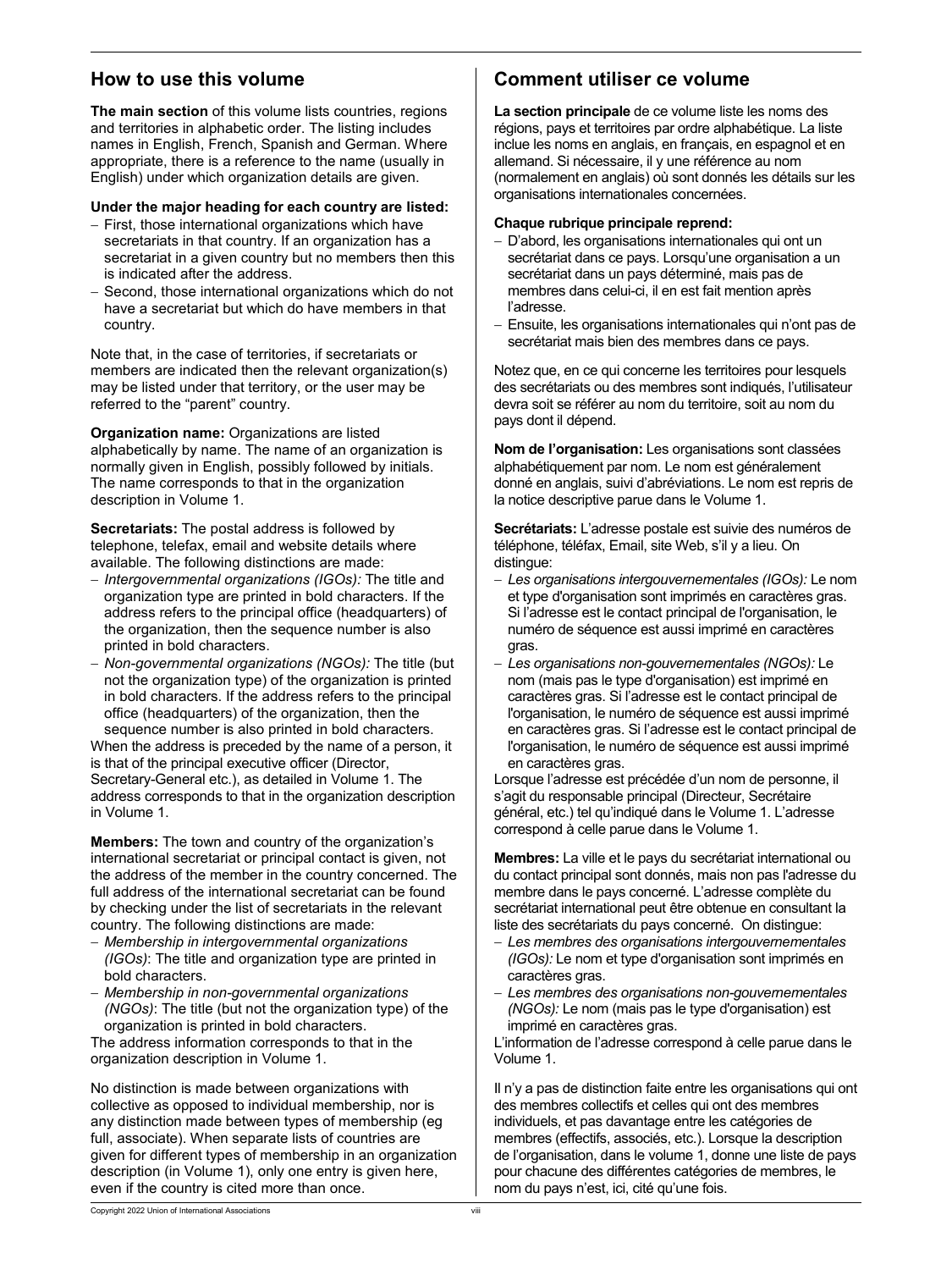## **How to use this volume**

**The main section** of this volume lists countries, regions and territories in alphabetic order. The listing includes names in English, French, Spanish and German. Where appropriate, there is a reference to the name (usually in English) under which organization details are given.

## **Under the major heading for each country are listed:**

- − First, those international organizations which have secretariats in that country. If an organization has a secretariat in a given country but no members then this is indicated after the address.
- − Second, those international organizations which do not have a secretariat but which do have members in that country.

Note that, in the case of territories, if secretariats or members are indicated then the relevant organization(s) may be listed under that territory, or the user may be referred to the "parent" country.

**Organization name:** Organizations are listed alphabetically by name. The name of an organization is normally given in English, possibly followed by initials. The name corresponds to that in the organization description in Volume 1.

**Secretariats:** The postal address is followed by telephone, telefax, email and website details where available. The following distinctions are made:

- − *Intergovernmental organizations (IGOs):* The title and organization type are printed in bold characters. If the address refers to the principal office (headquarters) of the organization, then the sequence number is also printed in bold characters.
- − *Non-governmental organizations (NGOs):* The title (but not the organization type) of the organization is printed in bold characters. If the address refers to the principal office (headquarters) of the organization, then the sequence number is also printed in bold characters.

When the address is preceded by the name of a person, it is that of the principal executive officer (Director, Secretary-General etc.), as detailed in Volume 1. The address corresponds to that in the organization description in Volume 1.

**Members:** The town and country of the organization's international secretariat or principal contact is given, not the address of the member in the country concerned. The full address of the international secretariat can be found by checking under the list of secretariats in the relevant country. The following distinctions are made:

- − *Membership in intergovernmental organizations (IGOs)*: The title and organization type are printed in bold characters.
- − *Membership in non-governmental organizations (NGOs)*: The title (but not the organization type) of the organization is printed in bold characters.

The address information corresponds to that in the organization description in Volume 1.

No distinction is made between organizations with collective as opposed to individual membership, nor is any distinction made between types of membership (eg full, associate). When separate lists of countries are given for different types of membership in an organization description (in Volume 1), only one entry is given here, even if the country is cited more than once.

## **Comment utiliser ce volume**

**La section principale** de ce volume liste les noms des régions, pays et territoires par ordre alphabétique. La liste inclue les noms en anglais, en français, en espagnol et en allemand. Si nécessaire, il y une référence au nom (normalement en anglais) où sont donnés les détails sur les organisations internationales concernées.

## **Chaque rubrique principale reprend:**

- − D'abord, les organisations internationales qui ont un secrétariat dans ce pays. Lorsqu'une organisation a un secrétariat dans un pays déterminé, mais pas de membres dans celui-ci, il en est fait mention après l'adresse.
- − Ensuite, les organisations internationales qui n'ont pas de secrétariat mais bien des membres dans ce pays.

Notez que, en ce qui concerne les territoires pour lesquels des secrétariats ou des membres sont indiqués, l'utilisateur devra soit se référer au nom du territoire, soit au nom du pays dont il dépend.

**Nom de l'organisation:** Les organisations sont classées alphabétiquement par nom. Le nom est généralement donné en anglais, suivi d'abréviations. Le nom est repris de la notice descriptive parue dans le Volume 1.

**Secrétariats:** L'adresse postale est suivie des numéros de téléphone, téléfax, Email, site Web, s'il y a lieu. On distingue:

- − *Les organisations intergouvernementales (IGOs):* Le nom et type d'organisation sont imprimés en caractères gras. Si l'adresse est le contact principal de l'organisation, le numéro de séquence est aussi imprimé en caractères gras.
- − *Les organisations non-gouvernementales (NGOs):* Le nom (mais pas le type d'organisation) est imprimé en caractères gras. Si l'adresse est le contact principal de l'organisation, le numéro de séquence est aussi imprimé en caractères gras. Si l'adresse est le contact principal de l'organisation, le numéro de séquence est aussi imprimé en caractères gras.

Lorsque l'adresse est précédée d'un nom de personne, il s'agit du responsable principal (Directeur, Secrétaire général, etc.) tel qu'indiqué dans le Volume 1. L'adresse correspond à celle parue dans le Volume 1.

**Membres:** La ville et le pays du secrétariat international ou du contact principal sont donnés, mais non pas l'adresse du membre dans le pays concerné. L'adresse complète du secrétariat international peut être obtenue en consultant la liste des secrétariats du pays concerné. On distingue:

- − *Les membres des organisations intergouvernementales (IGOs):* Le nom et type d'organisation sont imprimés en caractères gras.
- − *Les membres des organisations non-gouvernementales (NGOs):* Le nom (mais pas le type d'organisation) est imprimé en caractères gras.

L'information de l'adresse correspond à celle parue dans le Volume 1.

Il n'y a pas de distinction faite entre les organisations qui ont des membres collectifs et celles qui ont des membres individuels, et pas davantage entre les catégories de membres (effectifs, associés, etc.). Lorsque la description de l'organisation, dans le volume 1, donne une liste de pays pour chacune des différentes catégories de membres, le nom du pays n'est, ici, cité qu'une fois.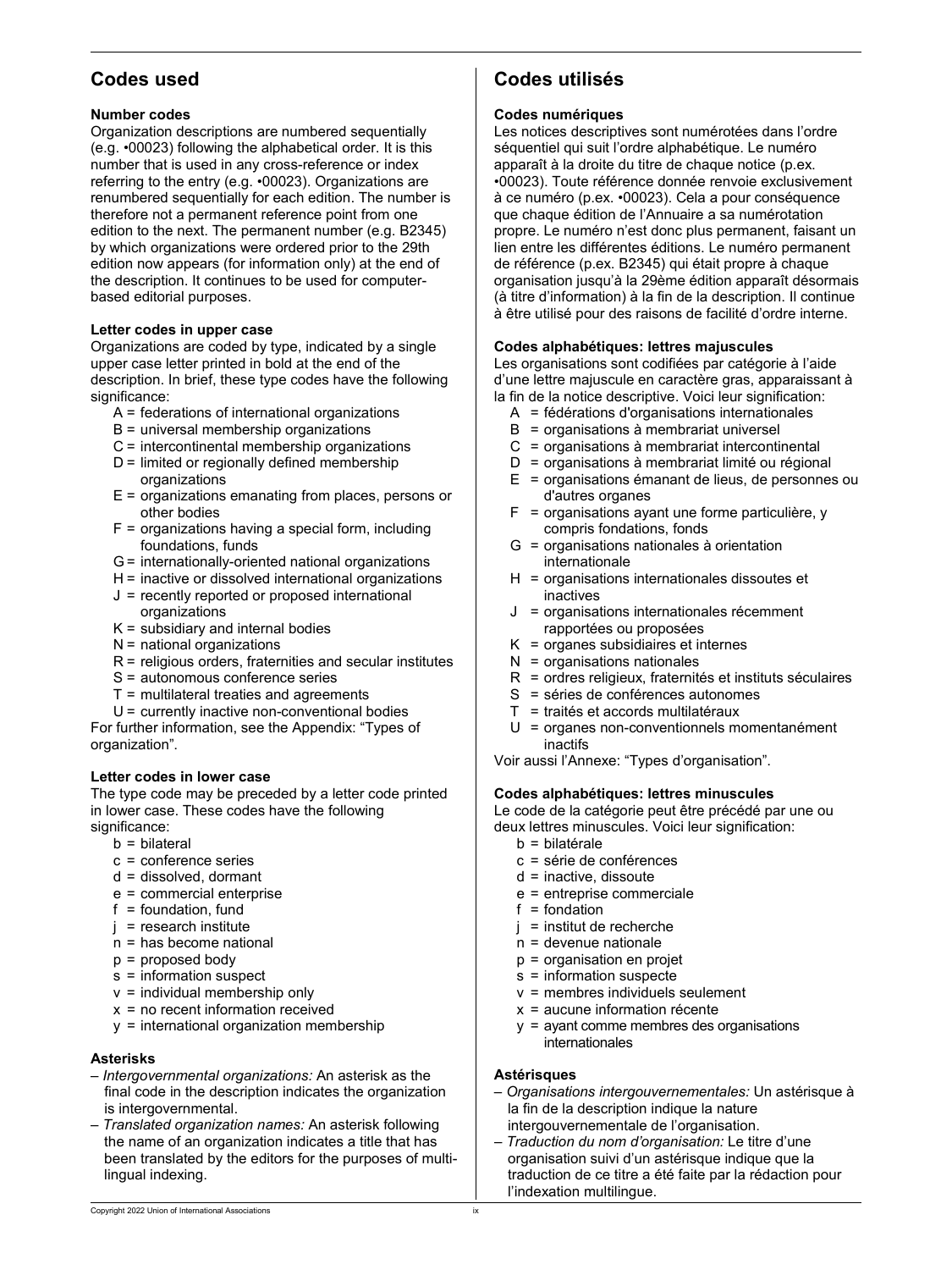## **Codes used**

## **Number codes**

Organization descriptions are numbered sequentially (e.g. •00023) following the alphabetical order. It is this number that is used in any cross-reference or index referring to the entry (e.g. •00023). Organizations are renumbered sequentially for each edition. The number is therefore not a permanent reference point from one edition to the next. The permanent number (e.g. B2345) by which organizations were ordered prior to the 29th edition now appears (for information only) at the end of the description. It continues to be used for computerbased editorial purposes.

## **Letter codes in upper case**

Organizations are coded by type, indicated by a single upper case letter printed in bold at the end of the description. In brief, these type codes have the following significance:

- A = federations of international organizations
- B = universal membership organizations
- C = intercontinental membership organizations
- D = limited or regionally defined membership organizations
- E = organizations emanating from places, persons or other bodies
- $F =$  organizations having a special form, including foundations, funds
- G = internationally-oriented national organizations
- H = inactive or dissolved international organizations J = recently reported or proposed international
- organizations  $K =$  subsidiary and internal bodies
- N = national organizations
- $R$  = religious orders, fraternities and secular institutes
- S = autonomous conference series
- T = multilateral treaties and agreements
- U = currently inactive non-conventional bodies

For further information, see the Appendix: "Types of organization".

## **Letter codes in lower case**

The type code may be preceded by a letter code printed in lower case. These codes have the following significance:

- b = bilateral
- c = conference series
- d = dissolved, dormant
- e = commercial enterprise
- $f =$  foundation, fund
- j = research institute
- n = has become national
- p = proposed body
- s = information suspect
- $v =$  individual membership only
- x = no recent information received
- y = international organization membership

## **Asterisks**

- *– Intergovernmental organizations:* An asterisk as the final code in the description indicates the organization is intergovernmental.
- *Translated organization names:* An asterisk following the name of an organization indicates a title that has been translated by the editors for the purposes of multilingual indexing.

## **Codes utilisés**

## **Codes numériques**

Les notices descriptives sont numérotées dans l'ordre séquentiel qui suit l'ordre alphabétique. Le numéro apparaît à la droite du titre de chaque notice (p.ex. •00023). Toute référence donnée renvoie exclusivement à ce numéro (p.ex. •00023). Cela a pour conséquence que chaque édition de l'Annuaire a sa numérotation propre. Le numéro n'est donc plus permanent, faisant un lien entre les différentes éditions. Le numéro permanent de référence (p.ex. B2345) qui était propre à chaque organisation jusqu'à la 29ème édition apparaît désormais (à titre d'information) à la fin de la description. Il continue à être utilisé pour des raisons de facilité d'ordre interne.

## **Codes alphabétiques: lettres majuscules**

Les organisations sont codifiées par catégorie à l'aide d'une lettre majuscule en caractère gras, apparaissant à la fin de la notice descriptive. Voici leur signification:

- $A = f$ édérations d'organisations internationales
- $B =$  organisations à membrariat universel
- C = organisations à membrariat intercontinental
- D = organisations à membrariat limité ou régional
- $E =$  organisations émanant de lieus, de personnes ou d'autres organes
- $F =$  organisations ayant une forme particulière, y compris fondations, fonds
- G = organisations nationales à orientation internationale
- H = organisations internationales dissoutes et inactives
- J = organisations internationales récemment rapportées ou proposées
- $K =$  organes subsidiaires et internes
- $N =$  organisations nationales
- R = ordres religieux, fraternités et instituts séculaires
- $S =$  séries de conférences autonomes<br> $T =$  traités et accords multilatéraux
- = traités et accords multilatéraux
- U = organes non-conventionnels momentanément inactifs

Voir aussi l'Annexe: "Types d'organisation".

## **Codes alphabétiques: lettres minuscules**

Le code de la catégorie peut être précédé par une ou deux lettres minuscules. Voici leur signification:

- b = bilatérale
- c = série de conférences
- d = inactive, dissoute
- e = entreprise commerciale
- $f =$  fondation
- $j =$  institut de recherche
- n = devenue nationale
- p = organisation en projet
- s = information suspecte
- $v =$  membres individuels seulement
- x = aucune information récente
- y = ayant comme membres des organisations internationales

## **Astérisques**

- *Organisations intergouvernementales:* Un astérisque à la fin de la description indique la nature intergouvernementale de l'organisation.
- *Traduction du nom d'organisation:* Le titre d'une organisation suivi d'un astérisque indique que la traduction de ce titre a été faite par la rédaction pour l'indexation multilingue.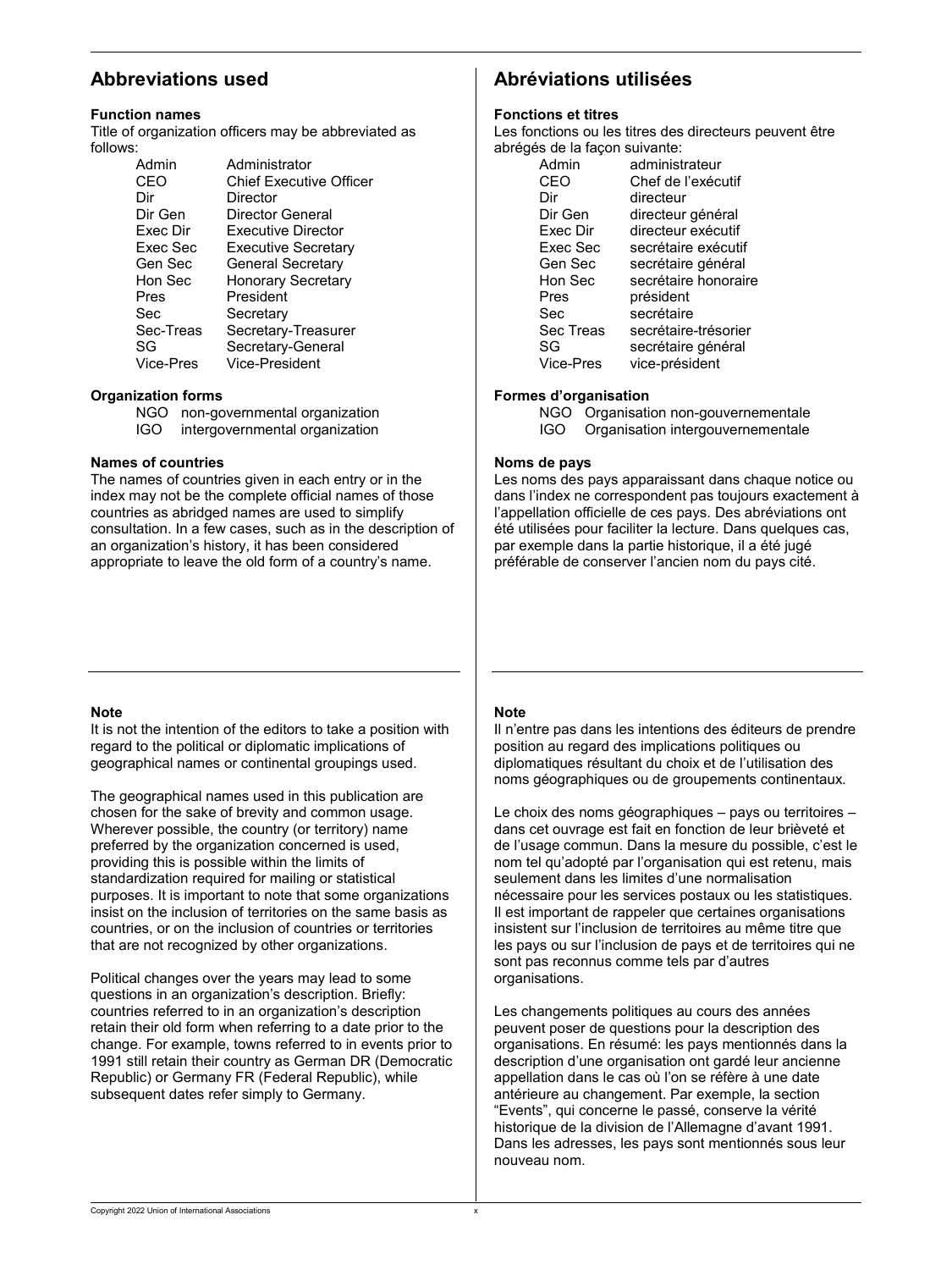## **Abbreviations used**

## **Function names**

Title of organization officers may be abbreviated as follows:

| Administrator                  |
|--------------------------------|
| <b>Chief Executive Officer</b> |
| Director                       |
| Director General               |
| <b>Executive Director</b>      |
| <b>Executive Secretary</b>     |
| <b>General Secretary</b>       |
| <b>Honorary Secretary</b>      |
| President                      |
| Secretary                      |
| Secretary-Treasurer            |
| Secretary-General              |
| Vice-President                 |
|                                |

## **Organization forms**

NGO non-governmental organization

IGO intergovernmental organization

## **Names of countries**

The names of countries given in each entry or in the index may not be the complete official names of those countries as abridged names are used to simplify consultation. In a few cases, such as in the description of an organization's history, it has been considered appropriate to leave the old form of a country's name.

## **Abréviations utilisées**

## **Fonctions et titres**

Les fonctions ou les titres des directeurs peuvent être abrégés de la façon suivante:

| Admin<br>CEO<br>Dir<br>Dir Gen<br>Exec Dir<br>Exec Sec<br>Gen Sec<br>Hon Sec<br>Pres<br>Sec<br>Sec Treas<br>SG | administrateur<br>Chef de l'exécutif<br>directeur<br>directeur général<br>directeur exécutif<br>secrétaire exécutif<br>secrétaire général<br>secrétaire honoraire<br>président<br>secrétaire<br>secrétaire-trésorier |
|----------------------------------------------------------------------------------------------------------------|----------------------------------------------------------------------------------------------------------------------------------------------------------------------------------------------------------------------|
|                                                                                                                | secrétaire général                                                                                                                                                                                                   |
| Vice-Pres                                                                                                      | vice-président                                                                                                                                                                                                       |
|                                                                                                                |                                                                                                                                                                                                                      |

## **Formes d'organisation**

NGO Organisation non-gouvernementale IGO Organisation intergouvernementale

## **Noms de pays**

Les noms des pays apparaissant dans chaque notice ou dans l'index ne correspondent pas toujours exactement à l'appellation officielle de ces pays. Des abréviations ont été utilisées pour faciliter la lecture. Dans quelques cas, par exemple dans la partie historique, il a été jugé préférable de conserver l'ancien nom du pays cité.

## **Note**

It is not the intention of the editors to take a position with regard to the political or diplomatic implications of geographical names or continental groupings used.

The geographical names used in this publication are chosen for the sake of brevity and common usage. Wherever possible, the country (or territory) name preferred by the organization concerned is used, providing this is possible within the limits of standardization required for mailing or statistical purposes. It is important to note that some organizations insist on the inclusion of territories on the same basis as countries, or on the inclusion of countries or territories that are not recognized by other organizations.

Political changes over the years may lead to some questions in an organization's description. Briefly: countries referred to in an organization's description retain their old form when referring to a date prior to the change. For example, towns referred to in events prior to 1991 still retain their country as German DR (Democratic Republic) or Germany FR (Federal Republic), while subsequent dates refer simply to Germany.

## **Note**

Il n'entre pas dans les intentions des éditeurs de prendre position au regard des implications politiques ou diplomatiques résultant du choix et de l'utilisation des noms géographiques ou de groupements continentaux.

Le choix des noms géographiques – pays ou territoires – dans cet ouvrage est fait en fonction de leur brièveté et de l'usage commun. Dans la mesure du possible, c'est le nom tel qu'adopté par l'organisation qui est retenu, mais seulement dans les limites d'une normalisation nécessaire pour les services postaux ou les statistiques. Il est important de rappeler que certaines organisations insistent sur l'inclusion de territoires au même titre que les pays ou sur l'inclusion de pays et de territoires qui ne sont pas reconnus comme tels par d'autres organisations.

Les changements politiques au cours des années peuvent poser de questions pour la description des organisations. En résumé: les pays mentionnés dans la description d'une organisation ont gardé leur ancienne appellation dans le cas où l'on se réfère à une date antérieure au changement. Par exemple, la section "Events", qui concerne le passé, conserve la vérité historique de la division de l'Allemagne d'avant 1991. Dans les adresses, les pays sont mentionnés sous leur nouveau nom.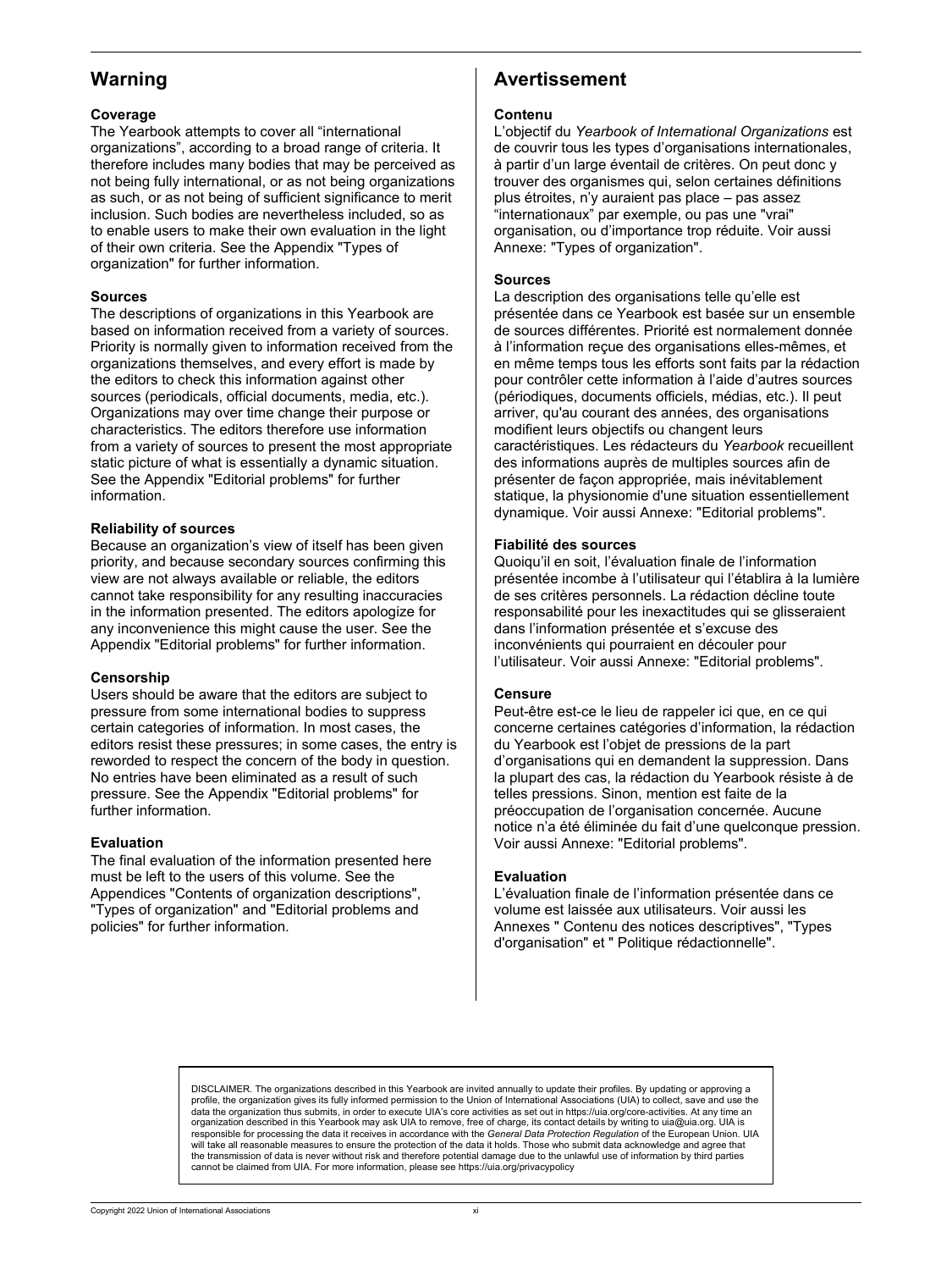## **Warning**

## **Coverage**

The Yearbook attempts to cover all "international organizations", according to a broad range of criteria. It therefore includes many bodies that may be perceived as not being fully international, or as not being organizations as such, or as not being of sufficient significance to merit inclusion. Such bodies are nevertheless included, so as to enable users to make their own evaluation in the light of their own criteria. See the Appendix "Types of organization" for further information.

## **Sources**

The descriptions of organizations in this Yearbook are based on information received from a variety of sources. Priority is normally given to information received from the organizations themselves, and every effort is made by the editors to check this information against other sources (periodicals, official documents, media, etc.). Organizations may over time change their purpose or characteristics. The editors therefore use information from a variety of sources to present the most appropriate static picture of what is essentially a dynamic situation. See the Appendix "Editorial problems" for further information.

## **Reliability of sources**

Because an organization's view of itself has been given priority, and because secondary sources confirming this view are not always available or reliable, the editors cannot take responsibility for any resulting inaccuracies in the information presented. The editors apologize for any inconvenience this might cause the user. See the Appendix "Editorial problems" for further information.

## **Censorship**

Users should be aware that the editors are subject to pressure from some international bodies to suppress certain categories of information. In most cases, the editors resist these pressures; in some cases, the entry is reworded to respect the concern of the body in question. No entries have been eliminated as a result of such pressure. See the Appendix "Editorial problems" for further information.

## **Evaluation**

The final evaluation of the information presented here must be left to the users of this volume. See the Appendices "Contents of organization descriptions", "Types of organization" and "Editorial problems and policies" for further information.

## **Avertissement**

## **Contenu**

L'objectif du *Yearbook of International Organizations* est de couvrir tous les types d'organisations internationales, à partir d'un large éventail de critères. On peut donc y trouver des organismes qui, selon certaines définitions plus étroites, n'y auraient pas place – pas assez "internationaux" par exemple, ou pas une "vrai" organisation, ou d'importance trop réduite. Voir aussi Annexe: "Types of organization".

## **Sources**

La description des organisations telle qu'elle est présentée dans ce Yearbook est basée sur un ensemble de sources différentes. Priorité est normalement donnée à l'information reçue des organisations elles-mêmes, et en même temps tous les efforts sont faits par la rédaction pour contrôler cette information à l'aide d'autres sources (périodiques, documents officiels, médias, etc.). Il peut arriver, qu'au courant des années, des organisations modifient leurs objectifs ou changent leurs caractéristiques. Les rédacteurs du *Yearbook* recueillent des informations auprès de multiples sources afin de présenter de façon appropriée, mais inévitablement statique, la physionomie d'une situation essentiellement dynamique. Voir aussi Annexe: "Editorial problems".

## **Fiabilité des sources**

Quoiqu'il en soit, l'évaluation finale de l'information présentée incombe à l'utilisateur qui l'établira à la lumière de ses critères personnels. La rédaction décline toute responsabilité pour les inexactitudes qui se glisseraient dans l'information présentée et s'excuse des inconvénients qui pourraient en découler pour l'utilisateur. Voir aussi Annexe: "Editorial problems".

## **Censure**

Peut-être est-ce le lieu de rappeler ici que, en ce qui concerne certaines catégories d'information, la rédaction du Yearbook est l'objet de pressions de la part d'organisations qui en demandent la suppression. Dans la plupart des cas, la rédaction du Yearbook résiste à de telles pressions. Sinon, mention est faite de la préoccupation de l'organisation concernée. Aucune notice n'a été éliminée du fait d'une quelconque pression. Voir aussi Annexe: "Editorial problems".

## **Evaluation**

L'évaluation finale de l'information présentée dans ce volume est laissée aux utilisateurs. Voir aussi les Annexes " Contenu des notices descriptives", "Types d'organisation" et " Politique rédactionnelle".

DISCLAIMER. The organizations described in this Yearbook are invited annually to update their profiles. By updating or approving a profile, the organization gives its fully informed permission to the Union of International Associations (UIA) to collect, save and use the data the organization thus submits, in order to execute UIA's core activities as set out in https://uia.org/core-activities. At any time an<br>organization described in this Yearbook may ask UIA to remove, free of charge, it responsible for processing the data it receives in accordance with the *General Data Protection Regulation* of the European Union. UIA will take all reasonable measures to ensure the protection of the data it holds. Those who submit data acknowledge and agree that the transmission of data is never without risk and therefore potential damage due to the unlawful use of information by third parties cannot be claimed from UIA. For more information, please see https://uia.org/privacypolicy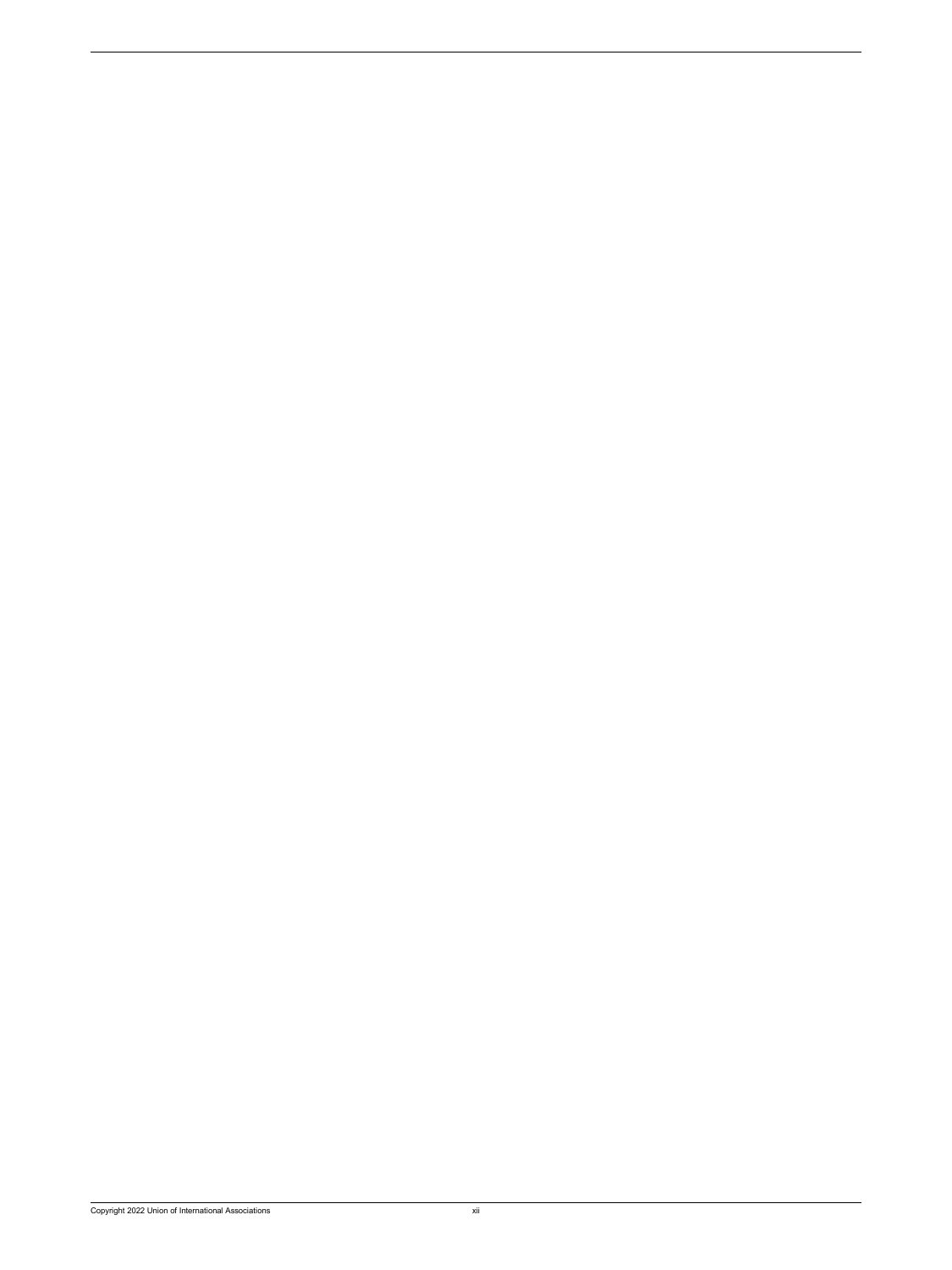#### Copyright 2022 Union of International Associations xii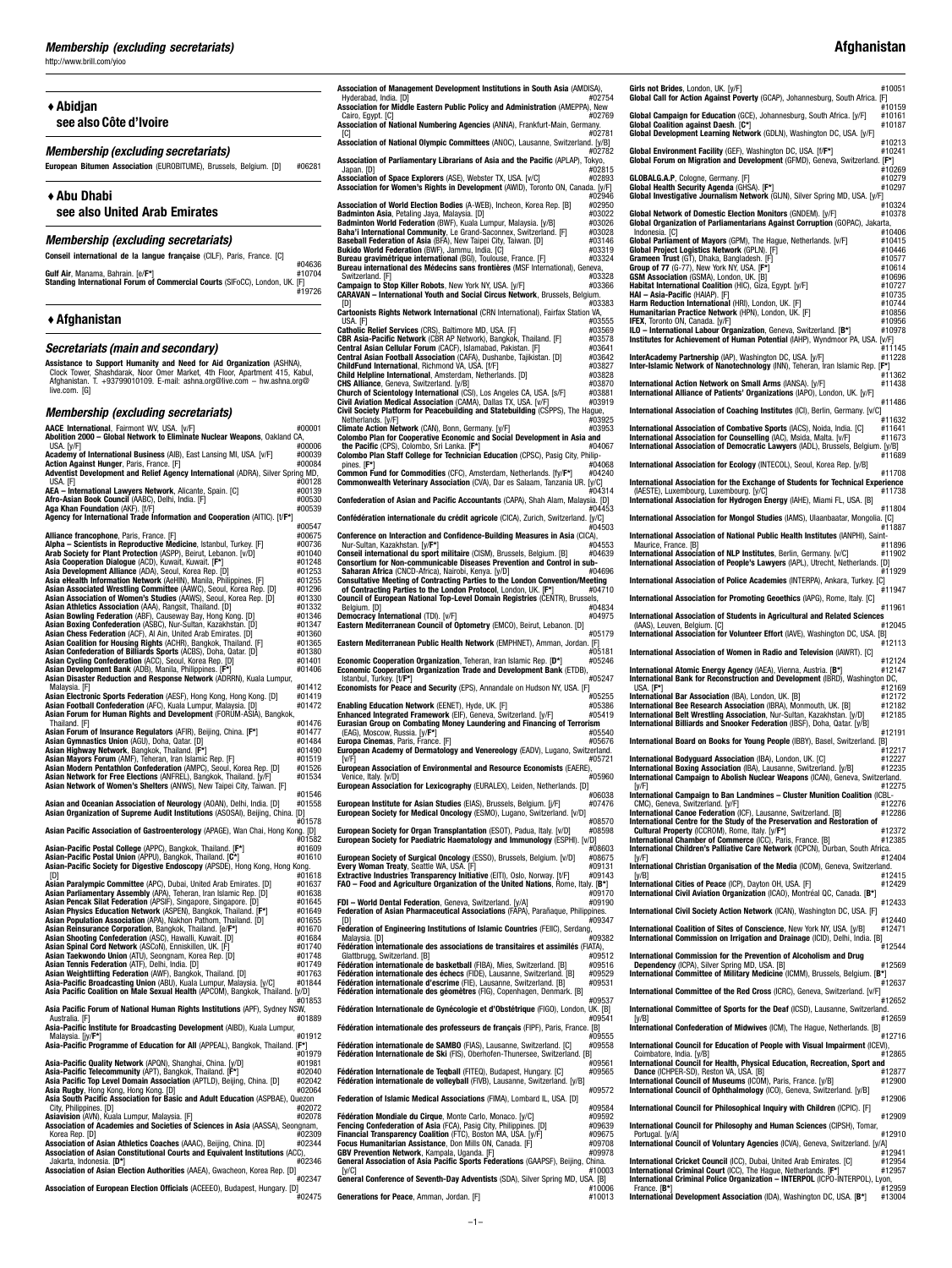| ◆ Abidjan<br>see also Côte d'Ivoire                                                                                                                                                                                                               |                            |
|---------------------------------------------------------------------------------------------------------------------------------------------------------------------------------------------------------------------------------------------------|----------------------------|
|                                                                                                                                                                                                                                                   |                            |
| <i><b>Membership (excluding secretariats)</b></i><br>European Bitumen Association (EUROBITUME), Brussels, Belgium. [D]                                                                                                                            | #06281                     |
| ◆ Abu Dhabi<br>see also United Arab Emirates                                                                                                                                                                                                      |                            |
| <i><b>Membership (excluding secretariats)</b></i><br>Conseil international de la langue française (CILF), Paris, France. [C]                                                                                                                      |                            |
| Gulf Air, Manama, Bahrain. [e/F*]<br>Standing International Forum of Commercial Courts (SIFoCC), London, UK. [F]                                                                                                                                  | #04636<br>#10704<br>#19726 |
| $\blacklozenge$ Afghanistan                                                                                                                                                                                                                       |                            |
| Secretariats (main and secondary)                                                                                                                                                                                                                 |                            |
| Assistance to Support Humanity and Need for Aid Organization (ASHNA),<br>Clock Tower, Shashdarak, Noor Omer Market, 4th Floor, Apartment 415, Kabul,<br>Afghanistan. T. +93799010109. E-mail: ashna.org@live.com – hw.ashna.org@<br>live.com. [G] |                            |
| <i><b>Membership (excluding secretariats)</b></i>                                                                                                                                                                                                 |                            |
| AACE International, Fairmont WV, USA. [v/F]<br>Abolition 2000 - Global Network to Eliminate Nuclear Weapons, Oakland CA,                                                                                                                          | #00001                     |
| USA. [y/F]                                                                                                                                                                                                                                        | #00006                     |
| Academy of International Business (AIB), East Lansing MI, USA. [v/F]<br>Action Against Hunger, Paris, France. [F]                                                                                                                                 | #00039<br>#00084           |
| Adventist Development and Relief Agency International (ADRA), Silver Spring MD,                                                                                                                                                                   |                            |
| usa. [F]<br><b>AEA – International Lawyers Network</b> , Alicante, Spain. [C]                                                                                                                                                                     | #00128<br>#00139           |
| Afro-Asian Book Council (AABC), Delhi, India. [F]                                                                                                                                                                                                 | #00530                     |
| Aga Khan Foundation (AKF). [f/F]<br>Agency for International Trade Information and Cooperation (AITIC). [t/F*]                                                                                                                                    | #00539                     |
|                                                                                                                                                                                                                                                   | #00547                     |
| Alliance francophone, Paris, France. [F]                                                                                                                                                                                                          | #00675                     |
| Alpha - Scientists in Reproductive Medicine, Istanbul, Turkey. [F]<br>Arab Society for Plant Protection (ASPP), Beirut, Lebanon. [v/D]                                                                                                            | #00736<br>#01040           |
| Asia Cooperation Dialogue (ACD), Kuwait, Kuwait. [F*]                                                                                                                                                                                             | #01248                     |
| Asia Development Alliance (ADA), Seoul, Korea Rep. [D]                                                                                                                                                                                            | #01253                     |
| Asia eHealth Information Network (AeHIN), Manila, Philippines. [F]<br>Asian Associated Wrestling Committee (AAWC), Seoul, Korea Rep. [D]                                                                                                          | #01255<br>#01296           |
| Asian Association of Women's Studies (AAWS), Seoul, Korea Rep. [D]                                                                                                                                                                                | #01330                     |
| Asian Athletics Association (AAA), Rangsit, Thailand. [D]                                                                                                                                                                                         | #01332                     |
| Asian Bowling Federation (ABF), Causeway Bay, Hong Kong. [D]                                                                                                                                                                                      | #01346<br>#01347           |
| Asian Boxing Confederation (ASBC), Nur-Sultan, Kazakhstan. [D]<br>Asian Chess Federation (ACF), Al Ain, United Arab Emirates. [D]                                                                                                                 | #01360                     |
| Asian Coalition for Housing Rights (ACHR), Bangkok, Thailand. [F]                                                                                                                                                                                 | #01365                     |
| Asian Confederation of Billiards Sports (ACBS), Doha, Qatar. [D]<br>Asian Cycling Confederation (ACC), Seoul, Korea Rep. [D]                                                                                                                      | #01380<br>#01401           |
| Asian Development Bank (ADB), Manila, Philippines. [F*]                                                                                                                                                                                           | #01406                     |
| Asian Disaster Reduction and Response Network (ADRRN), Kuala Lumpur,                                                                                                                                                                              |                            |
| Malaysia. [F]<br>Asian Electronic Sports Federation (AESF), Hong Kong, Hong Kong. [D]                                                                                                                                                             | #01412<br>#01419           |
| Asian Football Confederation (AFC), Kuala Lumpur, Malaysia. [D]                                                                                                                                                                                   | #01472                     |
| Asian Forum for Human Rights and Development (FORUM-ASIA), Bangkok,                                                                                                                                                                               | #01476                     |
| Thailand. [F]<br>Asian Forum of Insurance Regulators (AFIR), Beijing, China. [F*]                                                                                                                                                                 | #01477                     |
| Asian Gymnastics Union (AGU), Doha, Qatar. [D]                                                                                                                                                                                                    | #01484                     |
| Asian Highway Network, Bangkok, Thailand. [F*]<br>Asian Mayors Forum (AMF), Teheran, Iran Islamic Rep. [F]                                                                                                                                        | #01490<br>#01519           |
| Asian Modern Pentathlon Confederation (AMPC), Seoul, Korea Rep. [D]                                                                                                                                                                               | #01526                     |
| Asian Network for Free Elections (ANFREL), Bangkok, Thailand. [y/F]                                                                                                                                                                               | #01534                     |
| Asian Network of Women's Shelters (ANWS), New Taipei City, Taiwan. [F]                                                                                                                                                                            | #01546                     |
| Asian and Oceanian Association of Neurology (AOAN), Delhi, India. [D]                                                                                                                                                                             | #01558                     |
| Asian Organization of Supreme Audit Institutions (ASOSAI), Beijing, China. [D]                                                                                                                                                                    | #01578                     |
| Asian Pacific Association of Gastroenterology (APAGE), Wan Chai, Hong Kong. [D]                                                                                                                                                                   |                            |
|                                                                                                                                                                                                                                                   | #01582                     |
| Asian-Pacific Postal College (APPC), Bangkok, Thailand. [F*]<br>Asian-Pacific Postal Union (APPU), Bangkok, Thailand. [C*]                                                                                                                        | #01609<br>#01610           |
| Asian-Pacific Society for Digestive Endoscopy (APSDE), Hong Kong, Hong Kong.                                                                                                                                                                      |                            |
| $[D]$<br>Asian Paralympic Committee (APC), Dubai, United Arab Emirates. [D]                                                                                                                                                                       | #01618<br>#01637           |
|                                                                                                                                                                                                                                                   | #01638                     |
| Asian Parliamentary Assembly (APA), Teheran, Iran Islamic Rep. [D]<br>Asian Pencak Silat Federation (APSIF), Singapore, Singapore. [D]                                                                                                            | #01645                     |
| Asian Physics Education Network (ASPEN), Bangkok, Thailand. [F*]<br>Asian Population Association (APA), Nakhon Pathom, Thailand. [D]                                                                                                              | #01649<br>#01655           |
| Asian Reinsurance Corporation, Bangkok, Thailand. [e/F*]                                                                                                                                                                                          | #01670                     |
| Asian Shooting Confederation (ASC), Hawalli, Kuwait. [D]                                                                                                                                                                                          | #01684                     |
|                                                                                                                                                                                                                                                   | #01740                     |
| Asian Spinal Cord Network (ASCoN), Enniskillen, UK. [F]                                                                                                                                                                                           |                            |
| Asian Taekwondo Union (ATU), Seongnam, Korea Rep. [D]<br>Asian Tennis Federation (ATF), Delhi, India. [D]                                                                                                                                         | #01748<br>#01749           |
| Asian Weightlifting Federation (AWF), Bangkok, Thailand. [D]<br>Asia-Pacific Broadcasting Union (ABU), Kuala Lumpur, Malaysia. [y/C]                                                                                                              | #01763<br>#01844           |

#01853 **Asia Pacific Forum of National Human Rights Institutions** (APF), Sydney NSW, Australia. [F] #01889 **Asia-Pacific Institute for Broadcasting Development** (AIBD), Kuala Lumpur,

Malaysia. [jy/**F\***] #01912 **Asia-Pacific Programme of Education for All** (APPEAL), Bangkok, Thailand. [**F\***] #01979

**Asia-Pacific Quality Network** (APQN), Shanghai, China. [y/D] #01981 **Asia-Pacific Telecommunity** (APT), Bangkok, Thailand. [**F\***] #02040 **Asia Pacific Top Level Domain Association** (APTLD), Beijing, China. [D] #02042

**Asia Rugby**, Hong Kong, Hong Kong. [D] #02064 **Asia South Pacific Association for Basic and Adult Education** (ASPBAE), Quezon

Asia South Pacific Association for Basic and Adult Education (ASPBAE), Quezon<br>Etiy, Philippines. [D] #02072<br>http://www.fastavision (ANN), Kuala Lumpur, Malaysia. [F] #02078

**Asiavision** (AVN), Kuala Lumpur, Malaysia. [F]<br>**Association of Academies and Societies of Sciences in Asia** (AASSA), Seongnam,<br> Korea Rep. [D] **Association of Asian Athletics Coaches** (AAAC), Beijing, China. [D] #02344 **Association of Asian Constitutional Courts and Equivalent Institutions** (ACC),

Jakarta, Indonesia. [**D\***] #02346 **Association of Asian Election Authorities** (AAEA), Gwacheon, Korea Rep. [D]

#02347 **Association of European Election Officials** (ACEEEO), Budapest, Hungary. [D] #02475

**Association of Management Development Institutions in South Asia** (AMDISA), Hyderabad, India. [D] #02754 **Association for Middle Eastern Public Policy and Administration** (AMEPPA), New Cairo, Egypt. [C] #02769 **Association of National Numbering Agencies** (ANNA), Frankfurt-Main, Germany. [C] #02781 **Association of National Olympic Committees** (ANOC), Lausanne, Switzerland. [y/B] #02782 **Association of Parliamentary Librarians of Asia and the Pacific** (APLAP), Tokyo, Japan. [D] #02815 **Association of Space Explorers** (ASE), Webster TX, USA. [v/C] #02893 **Association for Women's Rights in Development** (AWID), Toronto ON, Canada. [y/F] #02946 Association of World Election Bodies (A-WEB), Incheon, Korea Rep. [B] #02950<br>Badminton Asia, Petaling Jaya, Malaysia. [D] metals of Badminton World Federation (BWF), Kuala Lumpur, Malaysia. [y/B] #03022<br>Batar'i Internation **Bureau gravimétrique international** (BGI), Toulouse, France. [F] #03324 **Bureau international des Médecins sans frontières** (MSF International), Geneva, Switzerland. [F] #03328 **Campaign to Stop Killer Robots**, New York NY, USA. [y/F] #03366 **CARAVAN – International Youth and Social Circus Network**, Brussels, Belgium.<br>CARAVAN – International Youth and Social Circus Network, Brussels, Belgium. [D] #03383 **Cartoonists Rights Network International** (CRN International), Fairfax Station VA, Cartoonists Rights Network International (CRN International), Fairfax Station VA,<br>USA. [F] #03555<br>Catholic Relief Services (CRS), Baltimore MD, USA. [F] #03559 **Catholic Relief Services** (CRS), Baltimore MD, USA. [F] #03569<br>**CBR Asia-Pacific Network** (CBR AP Network), Bangkok, Thailand. [F] #03579<br>**Central Asian Cellular Forum** (CACF), Islamabad, Pakistan. [F] #035741 **Central Asian Central Forum** (CACr), Islamabau, Fakistan. [r] #03641<br>**Central Asian Football Association** (CAFA), Dushanbe, Tajikistan. [D] #03642<br>ChildFund International Richmond VA IISA ff/FI ChildFund International, Richmond VA, USA.  $[bf]$ <br>
Child Helpline International, Amsterdam, Netherlands. [D]<br>
CHis Alliance, Geneva, Switzerland, [V/8]<br>
CHIS Alliance, Geneva, Switzerland, [V/8]<br>
Child Netherlands (SSI), L 93953# (CAN), Bonn, Germany. [y/F]<br>Colombo Plan for Cooperative Economic and Social Development in Asia and<br>the Pacific (CPS), Colombo, Sri Lanka. [F\*]<br>Colombo Plan Staff College for Technician Education (CPSC), Pasig Cit pines. [**F\***]<br>**Common Fund for Commodities** (CFC), Amsterdam, Netherlands. [fy/**F\***] #04240<br>**Commonwealth Veterinary Association** (CVA), Dar es Salaam, Tanzania UR. [y/C]  $^{19/9}$ <sub>#04314</sub> **Confederation of Asian and Pacific Accountants** (CAPA), Shah Alam, Malaysia. [D] #04453 **Confédération internationale du crédit agricole** (CICA), Zurich, Switzerland. [y/C] u"y<br>#04503 **Conference on Interaction and Confidence-Building Measures in Asia** (CICA), Nur-Sultan, Kazakhstan. [y/**F\***] #04553 **Conseil international du sport militaire** (CISM), Brussels, Belgium. [B] #04639 Consortium for Non-communicable Diseases Prevention and Control in sub-<br>- Saharan Africa (CNCD-Africa), Nairobi, Kenya. [y/D]<br>Consultative Meeting of Contracting Parties to the London Convention/Meeting of Contracting Parties to the London Protocol, London, UK. [F\*] #04710<br>**Council of European National Top-Level Domain Registries** (CENTR), Brussels, Belgium. [D]<br>**Democracy International** (TDI). [v/F]<br>**Eastern Mediterranean Council of Optometry** (EMCO), Beirut, Lebanon. [D] #05179 **Eastern Mediterranean Public Health Network** (EMPHNET), Amman, Jordan. [F] #05181 **Economic Cooperation Organization**, Teheran, Iran Islamic Rep. [D\*] **#05246**<br>Economic Cooperation Organization Trade and Development Bank (ETDB), **Economic Cooperation Organization Trade and Development Bank** (ETDB),<br>|stanbul, Turkey. [t/F\*]<br>**Economists for Peace and Security** (EPS), Annandale on Hudson NY, USA. [F] Enabling Education Network (EENET), Hyde, UK. [F]<br>Enhanced Integrated Framework (EIF), Geneva, Switzerland. [y/F] #05386<br>Eurasian Group on Combating Money Laundering and Financing of Terrorism<br>(EAG), Moscow, Russia. [y/F\*] **Europa Cinemas**, Paris, France. [F] **Europa Cinemas**, Paris, France. [F] **European Academy of Dermatology and Venereology** (EADV), Lugano, Switzerland.<br>
[V/F] #05721 [v/F] #05721 **European Association of Environmental and Resource Economists** (EAERE), Venice, Italy. [v/D] #05960 **European Association for Lexicography** (EURALEX), Leiden, Netherlands. [D] ,<br>06038#<br>07476# **European Institute for Asian Studies** (EIAS), Brussels, Belgium. [j/F] #07476<br>**European Society for Medical Oncology** (ESMO), Lugano, Switzerland. [v/D] #08570 **European Society for Organ Transplantation** (ESOT), Padua, Italy. [v/D] #08598 **European Society for Paediatric Haematology and Immunology** (ESPHI). [v/D] #08603 European Society of Surgical Oncology (ESSO), Brussels, Belgium. [v/D] #08675<br>Every Woman Treaty, Seattle WA, USA. [F]<br>Extractive Industries Transparency Initiative (EITI), Oslo, Norway. [t/F] #09143<br>FAO – Food 09170#<br>09190# **FDI – World Dental Federation**, Geneva, Switzerland, [y/A] **Federation of Asian Pharmaceutical Associations** (FAPA), Parañaque, Philippines. [D] #09347 **Federation of Engineering Institutions of Islamic Countries** (FEIIC), Serdang, Malaysia. [D] #09382 **Fédération internationale des associations de transitaires et assimilés** (FIATA), Glattbrugg, Switzerland. [B] #09512 **Fédération internationale de basketball** (FIBA), Mies, Switzerland. [B] #09516 **Fédération internationale des échecs** (FIDE), Lausanne, Switzerland. [B] #09529<br>**Fédération internationale d'escrime** (FIE), Lausanne, Switzerland. [B] #09531 **Fédération internationale des géomètres** (FIG), Copenhagen, Denmark. [B] #09537 **Fédération Internationale de Gynécologie et d'Obstétrique** (FIGO), London, UK. [B] #09541 **Fédération internationale des professeurs de français** (FIPF), Paris, France. [B] #09555 **Fédération internationale de SAMBO** (FIAS), Lausanne, Switzerland. [C] #09558<br>**Fédération Internationale de Ski** (FIS), Oberhofen-Thunersee, Switzerland. [B] **Internationale de Ski** (FIS), Oberhofen-Thunersee, Switzer رے<br>#09561<br>#09565 **Fédération Internationale de Teqball** (FITEQ), Budapest, Hungary. [C] #09565 **Fédération internationale de volleyball** (FIVB), Lausanne, Switzerland. [y/B] #09572 **Federation of Islamic Medical Associations** (FIMA), Lombard IL, USA. [D] #09584 **Fédération Mondiale du Cirque**, Monte Carlo, Monaco. [y/C] #09592 **Fencing Confederation of Asia** (FCA), Pasig City, Philippines. [D] #09639<br>**Financial Transparency Coalition** (FTC), Boston MA, USA. [y/F] #09675 Financial Transparency Coalition (FTC), Boston MA, USA. [y/F] #09675<br>Focus Humanitarian Assistance, Don Mills ON, Canada. [F] #89708<br>GBV Prevention Network, Kampala, Uganda. [F] ...<br>General Association of Asia Pacific Spor [y/C] #10003 **General Conference of Seventh-Day Adventists** (SDA), Silver Spring MD, USA. [B] 110006#<br>10013# **Generations for Peace, Amman, Jordan, [F]** 

## **Global Campaign for Education** (GCE), Johannesburg, South Africa. [y/F] #10161 **Global Coalition against Daesh**. [**C\***] #10187 **Global Development Learning Network** (GDLN), Washington DC, USA. [y/F] #10213 **Global Environment Facility (GEF), Washington DC, USA, [f/F\*] Global Forum on Migration and Development** (GFMD), Geneva, Switcherland. **Forum on Migration and Development** (GFMD), Geneva, Switcherland. [F\*]<br>#10269<br>#10279 GLOBALG.A.P, Cologne, Germany. [F] #10263<br>Global Health Security Agenda (GHSA). [F\*] #102797<br>#10297 #10297 #10297 **Global Health Security Agenda** (GHSA). [**F\***]<br>Global Investigative Journalism Network (GIJN), Silver Spring MD, USA. [y/F]<br>#10324 #10324 Global Network of Domestic Election Monitors (GNDEM). [y/F]<br>Global Organization of Parliamentarians Against Corruption (GOPAC), Jakarta,<br>Indonesia. [C]<br>Global Parliament of Mayors (GPLN). The Hague, Netherlands. [v/F] # 19 **Grameen Trust** (GT), Dhaka, Bangladesh. [F]  $\overline{F}$  **Group of 77** (G-77), New York NY, USA. [F\*]  $\overline{F}$  #10614 **Group of 77** (G-77), New York NY, USA. [**F\***]<br>**GSM Association** (GSMA), London, UK. [B]<br>**Habitat International Coalition** (HIC), Giza, Egypt. [y/F] #10727 HAI – Asia-Pacific (HAIAP). [F]  $H$  and  $\sim$  461762.<br>Harm Reduction International (HRI), London, UK. [F]  $H$  =  $\sim$  410354<br>Humanitarian Practice Network (HPN), London, UK. [F]  $H$  =  $\sim$  410856<br>ILO – International Labour **InterAcademy Partnership** (IAP), Washington DC, USA. [y/F] #11228<br>**Inter-Islamic Network of Nanotechnology** (INN), Teheran, Iran Islamic Rep. [**F\***] "<br>#11362<br>#11438 **International Action Network on Small Arms** (IANSA). [y/F] #11438<br>**International Alliance of Patients' Organizations** (IAPO), London, UK. [y/F] #11486 **International Association of Coaching Institutes** (ICI), Berlin, Germany. [v/C] #11632 **International Association of Combative Sports** (IACS), Noida, India. [C] **#11641**<br>**International Association for Counselling** (IAC). Msida. Malta. Iv/Fl #11673 l**international Association for Counselling** (IAC), Msida, Malta. [v/F]<br>I**nternational Association of Democratic Lawyers** (IADL), Brussels, Belgium. [y/B]<br>#11689 **International Association for Ecology** (INTECOL), Seoul, Korea Rep. [y/B] #11708 **International Association for the Exchange of Students for Technical Experience** fiam (IAESTE), Luxembourg, Luxembourg. [y/C]<br>**International Association for Hydrogen Energy** (IAHE), Miami FL, USA. [B] #11804 **International Association for Mongol Studies** (IAMS), Ulaanbaatar, Mongolia. [C] #11887 **International Association of National Public Health Institutes** (IANPHI), Saint-Maurice, France. [B] #11896 **International Association of NLP Institutes**, Berlin, Germany. [v/C] #11902<br>**International Association of People's Lawyers** (IAPL), Utrecht, Netherlands. [D] #11929 **International Association of Police Academies** (INTERPA), Ankara, Turkey. [C] #11947 **International Association for Promoting Geoethics** (IAPG), Rome, Italy. [C] #11961 **International Association of Students in Agricultural and Related Sciences** (IAAS), Leuven, Belgium. [C] #12045 **International Association for Volunteer Effort** (IAVE), Washington DC, USA. [B] ر.<br>#12113 **International Association of Women in Radio and Television** (IAWRT). [C] #12124<br>#12147 **International Atomic Energy Agency** (IAEA), Vienna, Austria. [**B\***] #12147<br>**International Bank for Reconstruction and Development** (IBRD), Washington DC, USA, [F\*]<br>International Bar Association (IBA), London, UK. [B] #12162<br>International Bee Research Association (IBRA), Monmouth, UK. [B] #12172<br>International Bell Wrestling Association, (Nur-Sultan, Kazakhstan, [y/D] #12182<br> #12191 **International Board on Books for Young People** (IBBY), Basel, Switzerland. [B] #12217 finternational Bodyguard Association (IBA), London, UK. [C] = #12227<br>International Boxing Association (IBA), Lausanne, Switzerland. [y/B] = #1223<br>International Campaign to Abolish Nuclear Weapons (ICAN), Geneva, Switzerlan [ $V/T$ ]<br>International Campaign to Ban Landmines – Cluster Munition Coalition (ICBL:<br>CMC), Geneva, Switzerland. [ $V/T$ ]<br>International Cance Federation (ICF), Lausanne, Switzerland. [B]<br>International Cance for the Study of th [y/F] #12404 **International Christian Organisation of the Media** (ICOM), Geneva, Switzerland. [y/B] #12415 **International Cities of Peace** (ICP), Dayton OH, USA. [F] #12429 **International Civil Aviation Organization** (ICAO), Montréal QC, Canada. [**B\***] #12433 **International Civil Society Action Network** (ICAN), Washington DC, USA. [F] #12440 **International Coalition of Sites of Conscience**, New York NY, USA. [y/B] #12471 **International Commission on Irrigation and Drainage** (ICID), Delhi, India. [B] #12544 International Commission for the Prevention of Alcoholism and Drug<br>Dependency (ICPA), Silver Spring MD, USA. [B]<br>International Committee of Military Medicine (ICMM), Brussels, Belgium. [B\*] #12637 **International Committee of the Red Cross** (ICRC), Geneva, Switzerland. [v/F] #12652 **International Committee of Sports for the Deaf** (ICSD), Lausanne, Switzerland. [y/B] #12659 **International Confederation of Midwives** (ICM), The Hague, Netherlands. [B] #12716 **International Council for Education of People with Visual Impairment** (ICEVI), Coimbatore, India. [y/B] #12865 International Council for Health, Physical Education, Recreation, Sport and<br>Dance (ICHPER-SD), Reston VA, USA [B]<br>International Council of Museums (ICOM), Paris, France. [y/B]<br>International Council of Ophthalmology (ICO), #12906 **International Council for Philosophical Inquiry with Children** (ICPIC). [F] #12909 **International Council for Philosophy and Human Sciences** (CIPSH), Tomar, Portugal. [y/A] #12910 **International Council of Voluntary Agencies** (ICVA), Geneva, Switzerland. [y/A] #12941 International Cricket Council (ICC), Dubai, United Arab Emirates. [C] #12954<br>International Criminal Court (ICC), The Hague, Netherlands. [F<sup>\*]</sup> #12954<br>International Criminal Police Organization – INTERPOL (ICPO-INTERPOL),

France. [**B\***] #12959 **International Development Association** (IDA), Washington DC, USA. [**B\***] #13004

ربا<br>10159#<br>10161#

**Girls not Brides**, London, UK. [y/F] #10051 **Global Call for Action Against Poverty** (GCAP), Johannesburg, South Africa. [F]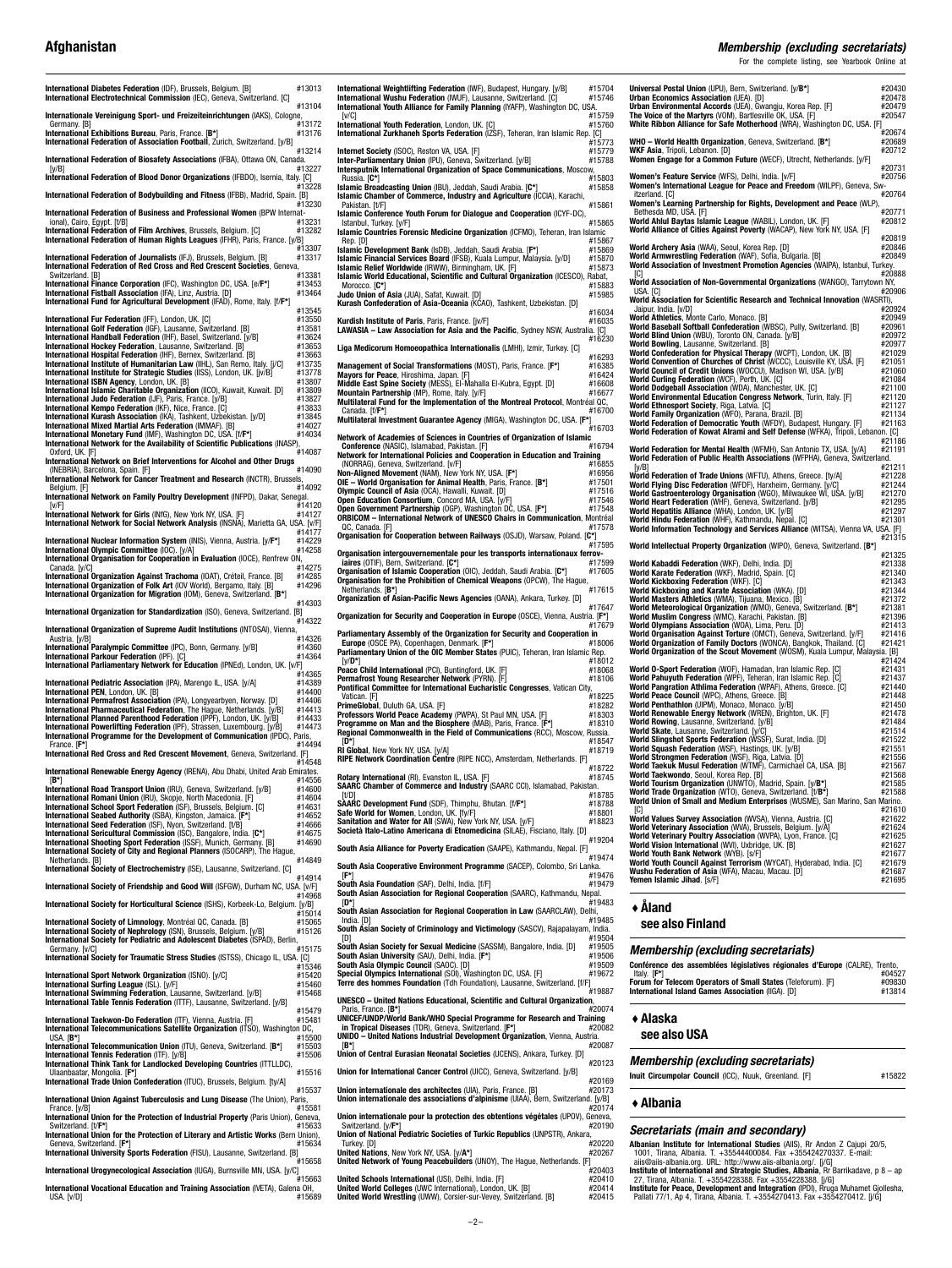## **Afghanistan** *Membership (excluding secretariats)*

For the complete listing, see Yearbook Online at

| International Diabetes Federation (IDF), Brussels, Belgium. [B]<br>International Electrotechnical Commission (IEC), Geneva, Switzerland. [C]                                                                        | #13013<br>Interi<br>Interi                  |
|---------------------------------------------------------------------------------------------------------------------------------------------------------------------------------------------------------------------|---------------------------------------------|
|                                                                                                                                                                                                                     | #13104<br>Interi                            |
| Internationale Vereinigung Sport- und Freizeiteinrichtungen (IAKS), Cologne,<br>Germany. [B]                                                                                                                        | [v/C]<br>#13172<br>Interi<br>#13176         |
| International Exhibitions Bureau, Paris, France. [B*]<br>International Federation of Association Football, Zurich, Switzerland. [y/B]                                                                               | Interi<br>#13214<br>Interi                  |
| International Federation of Biosafety Associations (IFBA), Ottawa ON, Canada.<br>[y/B]                                                                                                                              | <b>Inter</b><br>#13227<br>Inters            |
| International Federation of Blood Donor Organizations (IFBDO), Isernia, Italy. [C]                                                                                                                                  | Rus:<br>#13228<br>Islam                     |
| International Federation of Bodybuilding and Fitness (IFBB), Madrid, Spain. [B]                                                                                                                                     | Islam<br>#13230<br>Paki                     |
| International Federation of Business and Professional Women (BPW Internat-<br>ional), Cairo, Egypt. [t/B]<br>International Federation of Film Archives, Brussels, Belgium. [C]                                      | Islam<br>#13231<br>Istar<br>#13282<br>Islam |
| International Federation of Human Rights Leagues (IFHR), Paris, France. [y/B]                                                                                                                                       | Rep<br>#13307<br>Islam                      |
| International Federation of Journalists (IFJ), Brussels, Belgium. [B]<br>International Federation of Red Cross and Red Crescent Societies, Geneva,                                                                  | #13317<br>Islam<br>Islam                    |
| Switzerland. [B]<br>International Finance Corporation (IFC), Washington DC, USA. [e/F*]                                                                                                                             | #13381<br>Islam<br>#13453                   |
| International Fistball Association (IFA), Linz, Austria. [D]<br>International Fund for Agricultural Development (IFAD), Rome, Italy. [f/F*]                                                                         | Mor<br>#13464<br>Judo<br>Kuras              |
| International Fur Federation (IFF), London, UK. [C]                                                                                                                                                                 | #13545<br>#13550                            |
| International Golf Federation (IGF), Lausanne, Switzerland. [B]                                                                                                                                                     | Kurdi<br>#13581<br><b>LAW/</b>              |
| <b>International Handball Federation</b> (IHF), Basel, Switzerland. [y/B]                                                                                                                                           | #13624                                      |
| International Hockey Federation, Lausanne, Switzerland. [B]<br>International Hospital Federation (IHF), Bernex, Switzerland. [B]                                                                                    | #13653<br>Liga<br>#13663                    |
| International Institute of Humanitarian Law (IIHL), San Remo, Italy. [j/C]<br>International Institute for Strategic Studies (IISS), London, UK. [jv/B]                                                              | #13735<br>Mana                              |
| International ISBN Agency, London, UK. [B]                                                                                                                                                                          | #13778<br>Mayo<br>#13807                    |
| International Islamic Charitable Organization (IICO), Kuwait, Kuwait. [D]                                                                                                                                           | Midd<br>#13809<br>Mour                      |
| <b>International Judo Federation</b> (IJF), Paris, France. [y/B]                                                                                                                                                    | #13827<br>Multi                             |
| International Kempo Federation (IKF), Nice, France. [C]<br>International Kurash Association (IKA), Tashkent, Uzbekistan. [y/D]                                                                                      | #13833<br>Can<br>#13845                     |
| International Mixed Martial Arts Federation (IMMAF). [B]                                                                                                                                                            | Multi<br>#14027                             |
| International Monetary Fund (IMF), Washington DC, USA. [f/F*]                                                                                                                                                       | #14034<br>Netw                              |
| International Network for the Availability of Scientific Publications (INASP)<br>Oxford, UK. [F]<br>International Network on Brief Interventions for Alcohol and Other Drugs                                        | Con<br>#14087<br>Netw                       |
| (INEBRIA), Barcelona, Spain. [F]<br>International Network for Cancer Treatment and Research (INCTR), Brussels,                                                                                                      | (NO<br>#14090<br>Non-<br>OIE –              |
| Belgium. [F]<br>International Network on Family Poultry Development (INFPD), Dakar, Senegal.                                                                                                                        | #14092<br><b>Olym</b><br>Open               |
| [V/F]<br><b>International Network for Girls (INfG), New York NY, USA. [F]</b><br>International Network for Social Network Analysis (INSNA), Marietta GA, USA. [v/F]                                                 | #14120<br><b>Open</b><br>#14127<br>ORBI     |
| International Nuclear Information System (INIS), Vienna, Austria. [y/F*]                                                                                                                                            | QC,<br>#14177<br>Orgai<br>#14229            |
| International Olympic Committee (IOC). [y/A]<br>International Organisation for Cooperation in Evaluation (IOCE), Renfrew ON,                                                                                        | #14258<br>Orgai<br>iaire                    |
| Canada. [y/C]<br>International Organization Against Trachoma (IOAT), Créteil, France. [B]                                                                                                                           | #14275<br>Orgai<br>#14285<br>Orga           |
| International Organization of Folk Art (IOV World), Bergamo, Italy. [B]<br>International Organization for Migration (IOM), Geneva, Switzerland. [B*]                                                                | #14296<br>Nett<br>Orgai                     |
| International Organization for Standardization (ISO), Geneva, Switzerland. [B]                                                                                                                                      | #14303                                      |
|                                                                                                                                                                                                                     | Orgai<br>#14322                             |
| International Organization of Supreme Audit Institutions (INTOSAI), Vienna,                                                                                                                                         | Parlia<br>#14326                            |
| Austria. [y/B]<br>International Paralympic Committee (IPC), Bonn, Germany. [y/B]<br>International Parkour Federation (IPF). [C]<br>International Parliamentary Network for Education (IPNEd), London, UK. [v/F]     | Euro<br>#14360<br>Parlia<br>#14364<br>[y/D  |
|                                                                                                                                                                                                                     | Peac<br>#14365<br>Perm                      |
| International Pediatric Association (IPA), Marengo IL, USA. [y/A]                                                                                                                                                   | #14389<br>Ponti                             |
| <b>International PEN, London, UK. [B]</b><br>International Permafrost Association (IPA), Longyearbyen, Norway. [D]                                                                                                  | #14400<br>Vati<br>#14406                    |
| International Pharmaceutical Federation, The Hague, Netherlands. [y/B]                                                                                                                                              | Prime<br>#14413<br>Profe                    |
| International Planned Parenthood Federation (IPPF), London, UK. [y/B]<br>International Powerlifting Federation (IPF), Strassen, Luxembourg. [y/B]                                                                   | #14433<br>Progi<br>#14473                   |
| International Programme for the Development of Communication (IPDC), Paris,                                                                                                                                         | Regio<br>$[D^*]$                            |
| France. [F*]                                                                                                                                                                                                        | #14494<br>RI GI                             |
| International Red Cross and Red Crescent Movement, Geneva, Switzerland. [F]                                                                                                                                         | RIPE<br>#14548                              |
| International Renewable Energy Agency (IRENA), Abu Dhabi, United Arab Emirates.                                                                                                                                     | Rotar                                       |
| $\left[\mathsf{B}^\star\right]$<br>International Road Transport Union (IRU), Geneva, Switzerland. [y/B]                                                                                                             | #14556<br>#14600<br>SAAN                    |
| International Romani Union (IRU), Skopje, North Macedonia. [F]                                                                                                                                                      | [t/D]<br>#14604<br>SÀAF                     |
| International School Sport Federation (ISF), Brussels, Belgium. [C]<br>International Seabed Authority (ISBA), Kingston, Jamaica. [F*]                                                                               | #14631<br>Safe<br>#14652                    |
| International Seed Federation (ISF), Nyon, Switzerland. [t/B]                                                                                                                                                       | Sanit<br>#14666                             |
| International Sericultural Commission (ISC), Bangalore, India. [C*]<br>International Shooting Sport Federation (ISSF), Munich, Germany. [B]                                                                         | Socie<br>#14675                             |
| International Society of City and Regional Planners (ISOCARP), The Hague,<br>Netherlands. [B]                                                                                                                       | #14690<br>South<br>#14849                   |
| International Society of Electrochemistry (ISE), Lausanne, Switzerland. [C]                                                                                                                                         | South<br>$[F^*]$                            |
| International Society of Friendship and Good Will (ISFGW), Durham NC, USA. [v/F]                                                                                                                                    | #14914<br>South                             |
|                                                                                                                                                                                                                     | South<br>#14968                             |
| International Society for Horticultural Science (ISHS), Korbeek-Lo, Belgium. [y/B]                                                                                                                                  | $[D^*]$<br>South<br>#15014                  |
| International Society of Limnology, Montréal QC, Canada. [B]<br>International Society of Nephrology (ISN), Brussels, Belgium. [y/B]<br>International Society for Pediatric and Adolescent Diabetes (ISPAD), Berlin, | India<br>#15065<br>South<br>#15126<br>$[D]$ |
| Germany. [v/C]                                                                                                                                                                                                      | South<br>#15175<br>South                    |
| International Society for Traumatic Stress Studies (ISTSS), Chicago IL, USA. [C]                                                                                                                                    | South<br>#15346                             |
| International Sport Network Organization (ISNO). [y/C]                                                                                                                                                              | Spec<br>#15420                              |
| International Surfing League (ISL). [y/F]                                                                                                                                                                           | Terre<br>#15460                             |
| International Swimming Federation, Lausanne, Switzerland. [y/B]<br>International Table Tennis Federation (ITTF), Lausanne, Switzerland. [y/B]                                                                       | #15468<br><b>UNES</b><br>Pari<br>#15479     |
| International Taekwon-Do Federation (ITF), Vienna, Austria. [F]                                                                                                                                                     | UNICI<br>#15481                             |
| International Telecommunications Satellite Organization (ITSO), Washington DC                                                                                                                                       | in T<br>UNID                                |
| USA. [B*]<br>International Telecommunication Union (ITU), Geneva, Switzerland. [B*]                                                                                                                                 | #15500<br>$[B^*]$<br>#15503                 |
| International Tennis Federation (ITF). [y/B]<br>International Think Tank for Landlocked Developing Countries (ITTLLDC),                                                                                             | Unior<br>#15506                             |
| Ulaanbaatar, Mongolia. [F*<br>International Trade Union Confederation (ITUC), Brussels, Belgium. [ty/A]                                                                                                             |                                             |
|                                                                                                                                                                                                                     | Unior<br>#15516                             |
| International Union Against Tuberculosis and Lung Disease (The Union), Paris,                                                                                                                                       | Unior<br>#15537<br>Unior                    |
| France. [y/B]                                                                                                                                                                                                       | #15581                                      |
| International Union for the Protection of Industrial Property (Paris Union), Geneva,<br>Switzerland. [t/F*]                                                                                                         | Unior<br>#15633<br>Swit                     |
| International Union for the Protection of Literary and Artistic Works (Bern Union),                                                                                                                                 | Unior                                       |
| Geneva, Switzerland. [F*]<br>International University Sports Federation (FISU), Lausanne, Switzerland. [B]                                                                                                          | Turk<br>#15634<br>Unite                     |
| International Urogynecological Association (IUGA), Burnsville MN, USA. [y/C]                                                                                                                                        | #15658<br>Unite                             |

**International Vocational Education and Training Association** (IVETA), Galena OH, USA. [v/D] #15689

| International Weightlifting Federation (IWF), Budapest, Hungary. [y/B]<br>International Wushu Federation (IWUF), Lausanne, Switzerland. [C]<br>International Youth Alliance for Family Planning (IYAFP), Washington DC, USA.<br>[V/C] | #15704<br>#15746<br>#15759 |
|---------------------------------------------------------------------------------------------------------------------------------------------------------------------------------------------------------------------------------------|----------------------------|
| International Youth Federation, London, UK. [C]<br>International Zurkhaneh Sports Federation (IZSF), Teheran, Iran Islamic Rep. [C]                                                                                                   | #15760<br>#15773           |
| Internet Society (ISOC), Reston VA, USA. [F]<br>Inter-Parliamentary Union (IPU), Geneva, Switzerland. [y/B]<br>Intersputnik International Organization of Space Communications, Moscow,                                               | #15779<br>#15788           |
| Russia. [C*]<br>Islamic Broadcasting Union (IBU), Jeddah, Saudi Arabia. [C*]<br>Islamic Chamber of Commerce, Industry and Agriculture (ICCIA), Karachi,                                                                               | #15803<br>#15858           |
| Pakistan. [t/F]<br>Islamic Conference Youth Forum for Dialogue and Cooperation (ICYF-DC),                                                                                                                                             | #15861                     |
| Istanbul, Turkey. [y/F]<br><b>Islamic Countries Forensic Medicine Organization (ICFMO), Teheran, Iran Islamic</b>                                                                                                                     | #15865<br>#15867           |
| Rep. [D]<br>Islamic Development Bank (IsDB), Jeddah, Saudi Arabia. [F*]<br>Islamic Financial Services Board (IFSB), Kuala Lumpur, Malaysia. [y/D]                                                                                     | #15869<br>#15870           |
| Islamic Relief Worldwide (IRWW), Birmingham, UK. [F]<br>Islamic World Educational, Scientific and Cultural Organization (ICESCO), Rabat,                                                                                              | #15873                     |
| Morocco. [C*<br>Judo Union of Asia (JUA), Safat, Kuwait. [D]<br>Kurash Confederation of Asia-Oceania (KCAO), Tashkent, Uzbekistan. [D]                                                                                                | #15883<br>#15985<br>#16034 |
| Kurdish Institute of Paris, Paris, France. [jv/F]<br>LAWASIA - Law Association for Asia and the Pacific, Sydney NSW, Australia. [C]                                                                                                   | #16035                     |
| Liga Medicorum Homoeopathica Internationalis (LMHI), Izmir, Turkey. [C]                                                                                                                                                               | #16230<br>#16293           |
| Management of Social Transformations (MOST), Paris, France. [F*]<br>Mayors for Peace, Hiroshima, Japan. [F]                                                                                                                           | #16385<br>#16424           |
| Middle East Spine Society (MESS), El-Mahalla El-Kubra, Egypt. [D]<br>Mountain Partnership (MP), Rome, Italy. [y/F]                                                                                                                    | #16608<br>#16677           |
| Multilateral Fund for the Implementation of the Montreal Protocol, Montréal QC<br>Canada. [f/F*]                                                                                                                                      | #16700                     |
| Multilateral Investment Guarantee Agency (MIGA), Washington DC, USA. [F*]<br>Network of Academies of Sciences in Countries of Organization of Islamic                                                                                 | #16703                     |
| Conference (NASIC), Islamabad, Pakistan. [F]<br>Network for International Policies and Cooperation in Education and Training                                                                                                          | #16794                     |
| (NORRAG), Geneva, Switzerland. [v/F]<br>Non-Aligned Movement (NAM), New York NY, USA. [F*]                                                                                                                                            | #16855<br>#16956           |
| OIE - World Organisation for Animal Health, Paris, France. [B*]<br>Olympic Council of Asia (OCA), Hawalli, Kuwait. [D]                                                                                                                | #17501<br>#17516           |
| Open Education Consortium, Concord MA, USA. [y/F]<br>Open Government Partnership (OGP), Washington DC, USA. [F*]                                                                                                                      | #17546<br>#17548           |
| <b>ORBICOM - International Network of UNESCO Chairs in Communication, Montréal</b><br>QC, Canada. [F]                                                                                                                                 | #17578                     |
| Organisation for Cooperation between Railways (OSJD), Warsaw, Poland. [C*]                                                                                                                                                            | #17595                     |
| Organisation intergouvernementale pour les transports internationaux ferrov-<br>iaires (OTIF), Bern, Switzerland. [C*]<br>Organisation of Islamic Cooperation (OIC), Jeddah, Saudi Arabia. [C*]                                       | #17599<br>#17605           |
| Organisation for the Prohibition of Chemical Weapons (OPCW), The Hague,<br>Netherlands. [B*]                                                                                                                                          | #17615                     |
| Organization of Asian-Pacific News Agencies (OANA), Ankara, Turkey. [D]                                                                                                                                                               | #17647                     |
| Organization for Security and Cooperation in Europe (OSCE), Vienna, Austria. [F*]                                                                                                                                                     | #17679                     |
| Parliamentary Assembly of the Organization for Security and Cooperation in<br>Europe (OSCE PA), Copenhagen, Denmark. [F*]<br>Parliamentary Union of the OIC Member States (PUIC), Teheran, Iran Islamic Rep.                          |                            |
|                                                                                                                                                                                                                                       | #18006                     |
| [y/D*]<br>Peace Child International (PCI), Buntingford, UK. [F]<br>Permafrost Young Researcher Network (PYRN). [F]                                                                                                                    | #18012<br>#18068<br>#18106 |
| Pontifical Committee for International Eucharistic Congresses, Vatican City,<br>Vatican. [F]                                                                                                                                          | #18225                     |
| PrimeGlobal, Duluth GA, USA. [F]<br>Professors World Peace Academy (PWPA), St Paul MN, USA. [F]                                                                                                                                       | #18282<br>#18303           |
| Programme on Man and the Biosphere (MAB), Paris, France. [F*]<br>Regional Commonwealth in the Field of Communications (RCC), Moscow, Russia.                                                                                          | #18310                     |
| [D*]<br>RI Global, New York NY, USA. [y/A]<br>RIPE Network Coordination Centre (RIPE NCC), Amsterdam, Netherlands. [F]                                                                                                                | #18547<br>#18719           |
| Rotary International (RI), Evanston IL, USA. [F]<br>SAARC Chamber of Commerce and Industry (SAARC CCI), Islamabad, Pakistan.                                                                                                          | #18722<br>#18745           |
| [t/D]<br>SAARC Development Fund (SDF), Thimphu, Bhutan. [f/F*]                                                                                                                                                                        | #18785<br>#18788           |
| Safe World for Women, London, UK. [fy/F]<br>Sanitation and Water for All (SWA), New York NY, USA. [y/F]                                                                                                                               | #18801<br>#18823           |
| Società Italo-Latino Americana di Etnomedicina (SILAE), Fisciano, Italy. [D]                                                                                                                                                          | #19204                     |
| South Asia Alliance for Poverty Eradication (SAAPE), Kathmandu, Nepal. [F]                                                                                                                                                            | #19474                     |
| South Asia Cooperative Environment Programme (SACEP), Colombo, Sri Lanka.<br>$[F^*]$<br><b>South Asia Foundation</b> (SAF), Delhi, India. [f/F]                                                                                       | #19476<br>#19479           |
| South Asian Association for Regional Cooperation (SAARC), Kathmandu, Nepal.<br>[D*]                                                                                                                                                   | #19483                     |
| South Asian Association for Regional Cooperation in Law (SAARCLAW), Delhi,<br>India. [D]                                                                                                                                              | #19485                     |
| South Asian Society of Criminology and Victimology (SASCV), Rajapalayam, India.<br>וטו                                                                                                                                                | #19504                     |
| South Asian Society for Sexual Medicine (SASSM), Bangalore, India. [D]<br>South Asian University (SAU), Delhi, India. [F*]                                                                                                            | #19505<br>#19506           |
| South Asia Olympic Council (SAOC). [D]<br><b>Special Olympics International (SOI), Washington DC, USA. [F]</b><br>Terre des hommes Foundation (Tdh Foundation), Lausanne, Switzerland. [f/F]                                          | #19509<br>#19672           |
| UNESCO - United Nations Educational, Scientific and Cultural Organization,                                                                                                                                                            | #19887                     |
| Paris, France. [B*]<br>UNICEF/UNDP/World Bank/WHO Special Programme for Research and Training                                                                                                                                         | #20074                     |
| in Tropical Diseases (TDR), Geneva, Switzerland. [F*]<br>UNIDO - United Nations Industrial Development Organization, Vienna, Austria.                                                                                                 | #20082                     |
| $[B^*]$<br>Union of Central Eurasian Neonatal Societies (UCENS), Ankara, Turkey. [D]                                                                                                                                                  | #20087<br>#20123           |
| Union for International Cancer Control (UICC), Geneva, Switzerland. [y/B]                                                                                                                                                             | #20169                     |
| Union internationale des architectes (UIA), Paris, France. [B]<br>Union internationale des associations d'alpinisme (UIAA), Bern, Switzerland. [y/B]                                                                                  | #20173                     |
| Union internationale pour la protection des obtentions végétales (UPOV), Geneva,                                                                                                                                                      | #20174                     |
| Switzerland. [y/F*]<br>Union of National Pediatric Societies of Turkic Republics (UNPSTR), Ankara,                                                                                                                                    | #20190                     |
| Turkey. [D]<br>United Nations, New York NY, USA. [y/A*]                                                                                                                                                                               | #20220<br>#20267           |
| United Network of Young Peacebuilders (UNOY), The Hague, Netherlands. [F]<br>United Schools International (USI), Delhi, India. [F]                                                                                                    | #20403<br>#20410           |

| <b>Universal Postal Union</b> (UPU), Bern, Switzerland. [y/ <b>B</b> *]                                                                                                                                                                    | #20430<br>#20478 |
|--------------------------------------------------------------------------------------------------------------------------------------------------------------------------------------------------------------------------------------------|------------------|
| <b>Urban Economics Association (UEA). [D]</b>                                                                                                                                                                                              | #20479           |
| <b>Urban Environmental Accords (UEA), Gwangju, Korea Rep. [F]</b><br>The Voice of the Martyrs (VOM), Bartlesville OK, USA. [F]<br>White Ribbon Alliance for Safe Motherhood (WRA), Washington DC, USA. [F]                                 | #20547           |
|                                                                                                                                                                                                                                            |                  |
|                                                                                                                                                                                                                                            | #20674           |
| WHO - World Health Organization, Geneva, Switzerland. [B*]<br>WKF Asia, Tripoli, Lebanon. [D]                                                                                                                                              | #20689<br>#20712 |
| Women Engage for a Common Future (WECF), Utrecht, Netherlands. [y/F]                                                                                                                                                                       |                  |
|                                                                                                                                                                                                                                            | #20731           |
| Women's Feature Service (WFS), Delhi, India. [v/F]<br>Women's International League for Peace and Freedom (WILPF), Geneva, Sw-                                                                                                              | #20756           |
|                                                                                                                                                                                                                                            |                  |
| itzerland. [C]                                                                                                                                                                                                                             | #20764           |
| Women's Learning Partnership for Rights, Development and Peace (WLP),<br>Bethesda MD, USA. [F]                                                                                                                                             | #20771           |
| World Ahlul Baytas Islamic League (WABIL), London, UK. [F]                                                                                                                                                                                 | #20812           |
| World Alliance of Cities Against Poverty (WACAP), New York NY, USA. [F]                                                                                                                                                                    |                  |
|                                                                                                                                                                                                                                            | #20819<br>#20846 |
| World Archery Asia (WAA), Seoul, Korea Rep. [D]<br>World Armwrestling Federation (WAF), Sofia, Bulgaria. [B]                                                                                                                               | #20849           |
| World Association of Investment Promotion Agencies (WAIPA), Istanbul, Turkey.                                                                                                                                                              |                  |
| [C]                                                                                                                                                                                                                                        | #20888           |
| World Association of Non-Governmental Organizations (WANGO), Tarrytown NY,                                                                                                                                                                 | #20906           |
| #21 USA. [C]<br>World Association for Scientific Research and Technical Innovation (WASRTI)                                                                                                                                                |                  |
| Jaipur, India. [v/D]                                                                                                                                                                                                                       | #20924           |
| World Athletics, Monte Carlo, Monaco. [B]                                                                                                                                                                                                  | #20949           |
| World Baseball Softball Confederation (WBSC), Pully, Switzerland. [B]<br>World Blind Union (WBU), Toronto ON, Canada. [y/B]<br>World Bowling, Lausanne, Switzerland. [B]                                                                   | #20961<br>#20972 |
|                                                                                                                                                                                                                                            | #20977           |
|                                                                                                                                                                                                                                            | #21029           |
| World Confederation for Physical Therapy (WCPT), London, UK. [B]<br>World Convention of Churches of Christ (WCCC), Louisville KY, USA. [F]                                                                                                 | #21051           |
|                                                                                                                                                                                                                                            | #21060<br>#21084 |
| World Council of Credit Unions (WOCCU), Madison WI, USA. [y/B]<br>World Council of Credit Unions (WOCCU), Madison WI, USA. [y/B]<br>World Dodgeball Association (WDA), Manchester, UK. [C]                                                 | #21100           |
| World Environmental Education Congress Network, Turin, Italy. [F]                                                                                                                                                                          | #21120           |
| World Ethnosport Society, Riga, Latvia. [C]                                                                                                                                                                                                | #21127           |
|                                                                                                                                                                                                                                            |                  |
|                                                                                                                                                                                                                                            |                  |
| World Ethnosport Society, Higa, Lauva, Ly<br>World Family Organization (WFO), Parana, Brazil. [B]<br>World Federation of Democratic Youth (WFDY), Budapest, Hungary. [F] #21163<br>World Federation of Kowat Alrami and Self Defense (W    |                  |
| World Federation for Mental Health (WFMH), San Antonio TX, USA. [y/A]                                                                                                                                                                      | #21191           |
| World Federation of Public Health Associations (WFPHA), Geneva, Switzerland.<br>[y/B]                                                                                                                                                      | #21211           |
| Uyual Federation of Trade Unions (WFTU), Athens, Greece. [ty/A]<br>World Flying Disc Federation (WFDF), Harxheim, Germany. [y/C]<br>World Gastroenterology Organisation (WGO), Milwaukee WI, USA. [y/B]                                    | #21228           |
|                                                                                                                                                                                                                                            | #21244<br>#21270 |
|                                                                                                                                                                                                                                            | #21295           |
|                                                                                                                                                                                                                                            | #21297           |
| World Heart Federation (WHF), Geneva, Switzerland. [y/B]<br>World Hepatitis Alliance (WHA), London, UK. [y/B]<br>World Hindu Federation (WHF), Kathmandu, Nepal. [C]                                                                       | #21301           |
| World Information Technology and Services Alliance (WITSA), Vienna VA, USA. [F]<br>#21315 #21315                                                                                                                                           |                  |
| World Intellectual Property Organization (WIPO), Geneva, Switzerland. [B*]                                                                                                                                                                 |                  |
|                                                                                                                                                                                                                                            | #21325           |
| World Kabaddi Federation (WKF), Delhi, India. [D]<br>World Karate Federation (WKF), Madrid, Spain. [C]<br>World Kickboxing Federation (WKF). [C]                                                                                           | #21338           |
|                                                                                                                                                                                                                                            | #21340<br>#21343 |
|                                                                                                                                                                                                                                            | #21344           |
| <b>World Kickboxing and Karate Association (WKA). [D]<br/>World Masters Athletics (WMA), Tijuana, Mexico. [B]<br/>World Meteorological Organization (WMO), Geneva, Switzerland. [B*]</b>                                                   | #21372           |
|                                                                                                                                                                                                                                            | #21381           |
|                                                                                                                                                                                                                                            |                  |
|                                                                                                                                                                                                                                            |                  |
| World Meteorological Organization (WMU), Geneva, Switzerland, Pr. 271399<br>World Muslim Congress (WMC), Karachi, Pakistan. [B]<br>World Organisation Against Torture (OMCT), Geneva, Switzerland. [y/F]<br>#21418<br>World Organizat      |                  |
|                                                                                                                                                                                                                                            |                  |
|                                                                                                                                                                                                                                            | #21431           |
| World O-Sport Federation (WOF), Hamadan, Iran Islamic Rep. [C]<br>World Pahuyuth Federation (WPF), Teheran, Iran Islamic Rep. [C]<br>World Pangration Athlima Federation (WPAF), Athens, Greece. [C]                                       | #21437           |
|                                                                                                                                                                                                                                            | #21440           |
|                                                                                                                                                                                                                                            | #21448<br>#21450 |
|                                                                                                                                                                                                                                            | #21478           |
|                                                                                                                                                                                                                                            | #21484           |
|                                                                                                                                                                                                                                            | #21514           |
|                                                                                                                                                                                                                                            | #21522<br>#21551 |
| World Pangration Athlima Federation (WPA)-1, Amens, Greece. [U]<br>World Peatac Council (WPC), Athens, Greece. [B]<br>World Penthathlon (UIPM), Monaco, Monaco. [y/B]<br>World Renewable Energy Network (WREN), Brighton, UK. [F]<br>World | #21556           |
|                                                                                                                                                                                                                                            | #21567           |
| World Taekwondo, Seoul, Korea Rep. [B]<br>World Tourism Organization (UNWTO), Madrid, Spain. [y/B*]                                                                                                                                        | #21568           |
|                                                                                                                                                                                                                                            | #21585<br>#21588 |
| World Trade Organization (WTO), Geneva, Switzerland. [t/B*]<br>World Union of Small and Medium Enterprises (WUSME), San Marino, San Marino.                                                                                                |                  |
| [C]                                                                                                                                                                                                                                        | #21610           |
| World Values Survey Association (WVSA), Vienna, Austria. [C]                                                                                                                                                                               | #21622           |
| World Veterinary Association (WVA), Brussels, Belgium. [y/A]<br>World Veterinary Poultry Association (WVPA), Lyon, France. [C]                                                                                                             | #21624<br>#21625 |
|                                                                                                                                                                                                                                            |                  |
| World Vision International (WVI), Uxbridge, UK. [B]                                                                                                                                                                                        | #21627           |
|                                                                                                                                                                                                                                            | #21677           |
| World Youth Bank Network (WYB). [s/F]<br>World Youth Council Against Terrorism (WYCAT), Hyderabad, India. [C]                                                                                                                              | #21679           |
| Wushu Federation of Asia (WFA), Macau, Macau. [D]<br>Yemen Islamic Jihad. [s/F]                                                                                                                                                            | #21687<br>#21695 |

#### ⬧**Åland**

**see also Finland**

#### *Membership (excluding secretariats)*

| Conférence des assemblées législatives régionales d'Europe (CALRE). Trento. |
|-----------------------------------------------------------------------------|
| #04527                                                                      |
| #09830                                                                      |
| #13814                                                                      |
|                                                                             |

#### ⬧**Alaska**

**see also USA**

#### *Membership (excluding secretariats)*

**Inuit Circumpolar Council** (ICC), Nuuk, Greenland. [F] #15822

#### ⬧**Albania**

#### *Secretariats (main and secondary)*

Albanian Institute for International Studies (AllS), Rr Andon Z Cajupi 20/5, 19<br>1001, Tirana, Albania. T. +35544400084. Fax +355424270337. E-mail:<br>aiis@aiis-albania.org. URL: http://www.aiis-albania.org/. [ $i$ /G]<br>Institut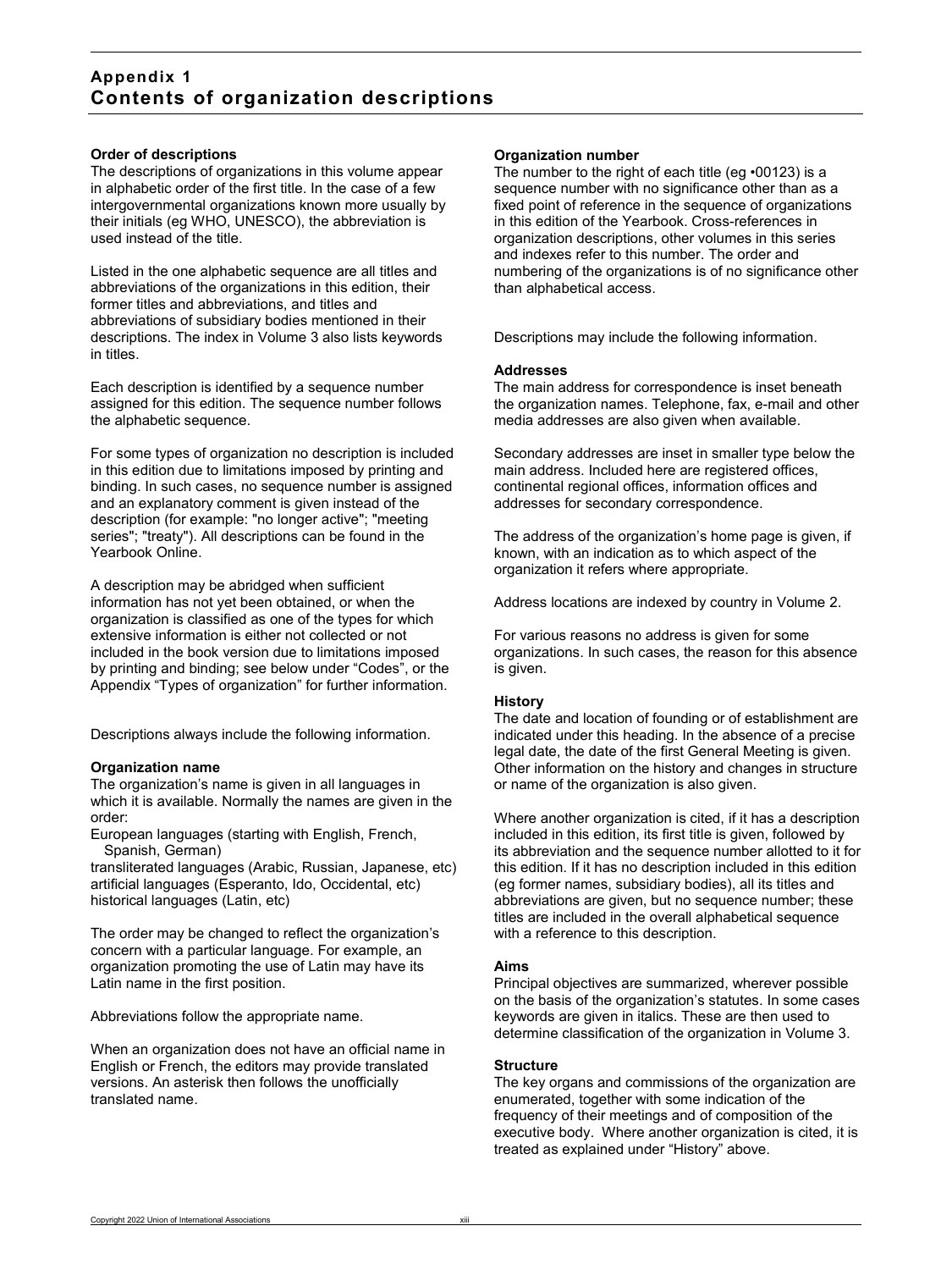## **Order of descriptions**

The descriptions of organizations in this volume appear in alphabetic order of the first title. In the case of a few intergovernmental organizations known more usually by their initials (eg WHO, UNESCO), the abbreviation is used instead of the title.

Listed in the one alphabetic sequence are all titles and abbreviations of the organizations in this edition, their former titles and abbreviations, and titles and abbreviations of subsidiary bodies mentioned in their descriptions. The index in Volume 3 also lists keywords in titles.

Each description is identified by a sequence number assigned for this edition. The sequence number follows the alphabetic sequence.

For some types of organization no description is included in this edition due to limitations imposed by printing and binding. In such cases, no sequence number is assigned and an explanatory comment is given instead of the description (for example: "no longer active"; "meeting series"; "treaty"). All descriptions can be found in the Yearbook Online.

A description may be abridged when sufficient information has not yet been obtained, or when the organization is classified as one of the types for which extensive information is either not collected or not included in the book version due to limitations imposed by printing and binding; see below under "Codes", or the Appendix "Types of organization" for further information.

Descriptions always include the following information.

## **Organization name**

The organization's name is given in all languages in which it is available. Normally the names are given in the order:

European languages (starting with English, French, Spanish, German)

transliterated languages (Arabic, Russian, Japanese, etc) artificial languages (Esperanto, Ido, Occidental, etc) historical languages (Latin, etc)

The order may be changed to reflect the organization's concern with a particular language. For example, an organization promoting the use of Latin may have its Latin name in the first position.

Abbreviations follow the appropriate name.

When an organization does not have an official name in English or French, the editors may provide translated versions. An asterisk then follows the unofficially translated name.

## **Organization number**

The number to the right of each title (eg •00123) is a sequence number with no significance other than as a fixed point of reference in the sequence of organizations in this edition of the Yearbook. Cross-references in organization descriptions, other volumes in this series and indexes refer to this number. The order and numbering of the organizations is of no significance other than alphabetical access.

Descriptions may include the following information.

## **Addresses**

The main address for correspondence is inset beneath the organization names. Telephone, fax, e-mail and other media addresses are also given when available.

Secondary addresses are inset in smaller type below the main address. Included here are registered offices, continental regional offices, information offices and addresses for secondary correspondence.

The address of the organization's home page is given, if known, with an indication as to which aspect of the organization it refers where appropriate.

Address locations are indexed by country in Volume 2.

For various reasons no address is given for some organizations. In such cases, the reason for this absence is given.

## **History**

The date and location of founding or of establishment are indicated under this heading. In the absence of a precise legal date, the date of the first General Meeting is given. Other information on the history and changes in structure or name of the organization is also given.

Where another organization is cited, if it has a description included in this edition, its first title is given, followed by its abbreviation and the sequence number allotted to it for this edition. If it has no description included in this edition (eg former names, subsidiary bodies), all its titles and abbreviations are given, but no sequence number; these titles are included in the overall alphabetical sequence with a reference to this description.

## **Aims**

Principal objectives are summarized, wherever possible on the basis of the organization's statutes. In some cases keywords are given in italics. These are then used to determine classification of the organization in Volume 3.

## **Structure**

The key organs and commissions of the organization are enumerated, together with some indication of the frequency of their meetings and of composition of the executive body. Where another organization is cited, it is treated as explained under "History" above.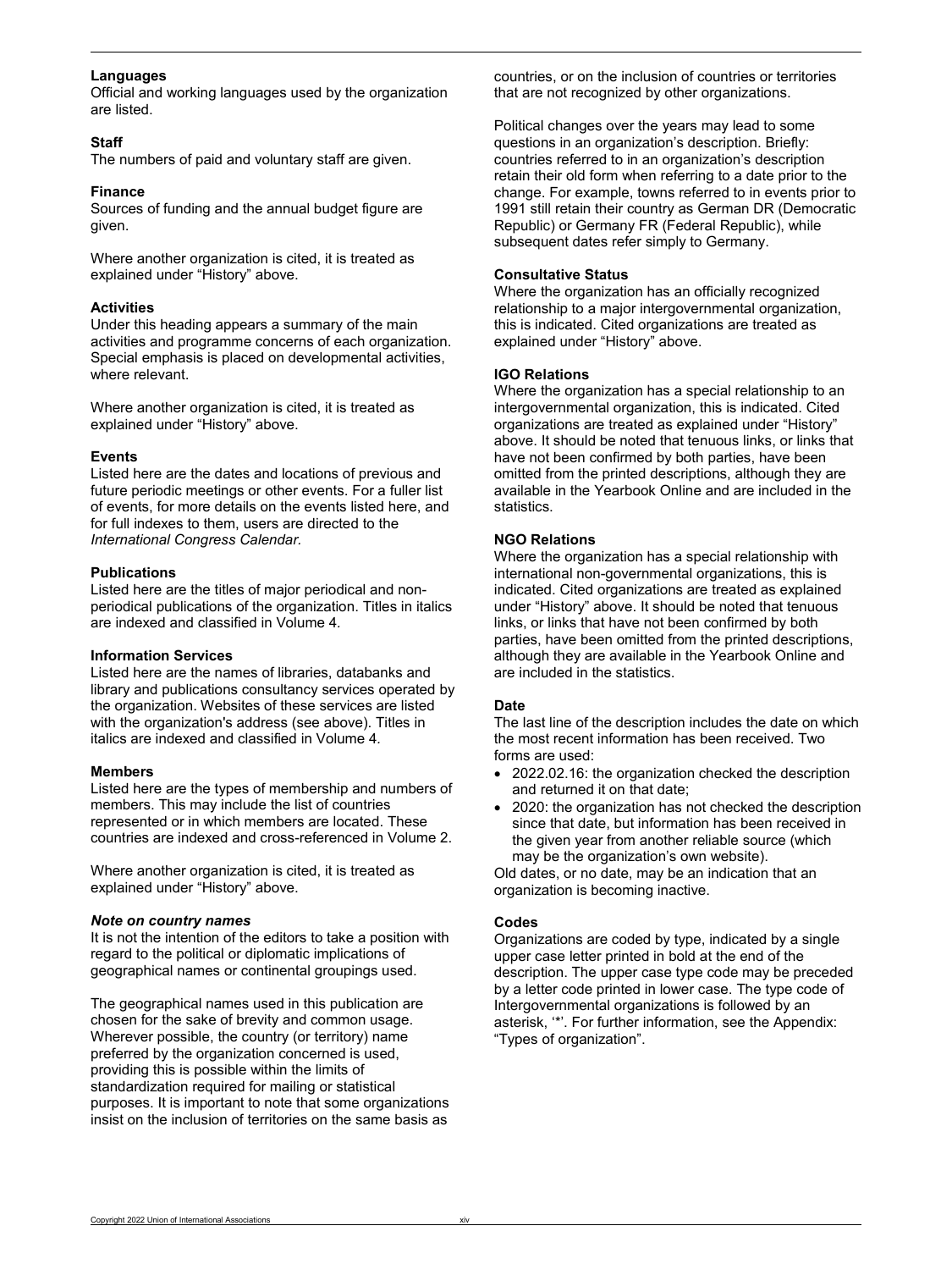## **Languages**

Official and working languages used by the organization are listed.

## **Staff**

The numbers of paid and voluntary staff are given.

## **Finance**

Sources of funding and the annual budget figure are given.

Where another organization is cited, it is treated as explained under "History" above.

## **Activities**

Under this heading appears a summary of the main activities and programme concerns of each organization. Special emphasis is placed on developmental activities, where relevant.

Where another organization is cited, it is treated as explained under "History" above.

## **Events**

Listed here are the dates and locations of previous and future periodic meetings or other events. For a fuller list of events, for more details on the events listed here, and for full indexes to them, users are directed to the *International Congress Calendar.*

## **Publications**

Listed here are the titles of major periodical and nonperiodical publications of the organization. Titles in italics are indexed and classified in Volume 4*.*

## **Information Services**

Listed here are the names of libraries, databanks and library and publications consultancy services operated by the organization. Websites of these services are listed with the organization's address (see above). Titles in italics are indexed and classified in Volume 4*.* 

## **Members**

Listed here are the types of membership and numbers of members. This may include the list of countries represented or in which members are located. These countries are indexed and cross-referenced in Volume 2.

Where another organization is cited, it is treated as explained under "History" above.

## *Note on country names*

It is not the intention of the editors to take a position with regard to the political or diplomatic implications of geographical names or continental groupings used.

The geographical names used in this publication are chosen for the sake of brevity and common usage. Wherever possible, the country (or territory) name preferred by the organization concerned is used, providing this is possible within the limits of standardization required for mailing or statistical purposes. It is important to note that some organizations insist on the inclusion of territories on the same basis as

countries, or on the inclusion of countries or territories that are not recognized by other organizations.

Political changes over the years may lead to some questions in an organization's description. Briefly: countries referred to in an organization's description retain their old form when referring to a date prior to the change. For example, towns referred to in events prior to 1991 still retain their country as German DR (Democratic Republic) or Germany FR (Federal Republic), while subsequent dates refer simply to Germany.

## **Consultative Status**

Where the organization has an officially recognized relationship to a major intergovernmental organization, this is indicated. Cited organizations are treated as explained under "History" above.

## **IGO Relations**

Where the organization has a special relationship to an intergovernmental organization, this is indicated. Cited organizations are treated as explained under "History" above. It should be noted that tenuous links, or links that have not been confirmed by both parties, have been omitted from the printed descriptions, although they are available in the Yearbook Online and are included in the statistics.

## **NGO Relations**

Where the organization has a special relationship with international non-governmental organizations, this is indicated. Cited organizations are treated as explained under "History" above. It should be noted that tenuous links, or links that have not been confirmed by both parties, have been omitted from the printed descriptions, although they are available in the Yearbook Online and are included in the statistics.

## **Date**

The last line of the description includes the date on which the most recent information has been received. Two forms are used:

- 2022.02.16: the organization checked the description and returned it on that date;
- 2020: the organization has not checked the description since that date, but information has been received in the given year from another reliable source (which may be the organization's own website).

Old dates, or no date, may be an indication that an organization is becoming inactive.

## **Codes**

Organizations are coded by type, indicated by a single upper case letter printed in bold at the end of the description. The upper case type code may be preceded by a letter code printed in lower case. The type code of Intergovernmental organizations is followed by an asterisk, '\*'. For further information, see the Appendix: "Types of organization".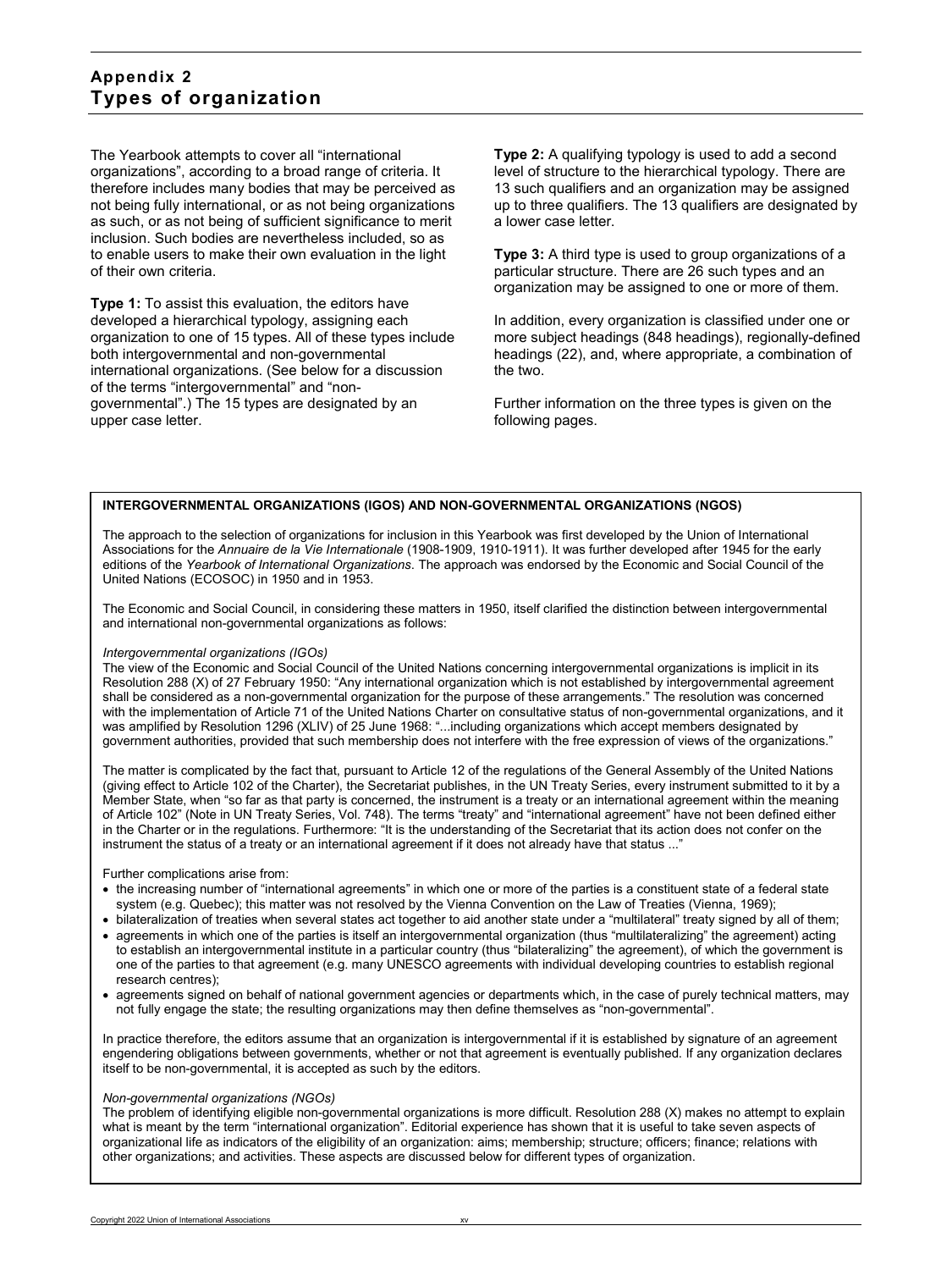The Yearbook attempts to cover all "international organizations", according to a broad range of criteria. It therefore includes many bodies that may be perceived as not being fully international, or as not being organizations as such, or as not being of sufficient significance to merit inclusion. Such bodies are nevertheless included, so as to enable users to make their own evaluation in the light of their own criteria.

**Type 1:** To assist this evaluation, the editors have developed a hierarchical typology, assigning each organization to one of 15 types. All of these types include both intergovernmental and non-governmental international organizations. (See below for a discussion of the terms "intergovernmental" and "nongovernmental".) The 15 types are designated by an upper case letter.

**Type 2:** A qualifying typology is used to add a second level of structure to the hierarchical typology. There are 13 such qualifiers and an organization may be assigned up to three qualifiers. The 13 qualifiers are designated by a lower case letter.

**Type 3:** A third type is used to group organizations of a particular structure. There are 26 such types and an organization may be assigned to one or more of them.

In addition, every organization is classified under one or more subject headings (848 headings), regionally-defined headings (22), and, where appropriate, a combination of the two.

Further information on the three types is given on the following pages.

#### **INTERGOVERNMENTAL ORGANIZATIONS (IGOS) AND NON-GOVERNMENTAL ORGANIZATIONS (NGOS)**

The approach to the selection of organizations for inclusion in this Yearbook was first developed by the Union of International Associations for the *Annuaire de la Vie Internationale* (1908-1909, 1910-1911). It was further developed after 1945 for the early editions of the *Yearbook of International Organizations*. The approach was endorsed by the Economic and Social Council of the United Nations (ECOSOC) in 1950 and in 1953.

The Economic and Social Council, in considering these matters in 1950, itself clarified the distinction between intergovernmental and international non-governmental organizations as follows:

#### *Intergovernmental organizations (IGOs)*

The view of the Economic and Social Council of the United Nations concerning intergovernmental organizations is implicit in its Resolution 288 (X) of 27 February 1950: "Any international organization which is not established by intergovernmental agreement shall be considered as a non-governmental organization for the purpose of these arrangements." The resolution was concerned with the implementation of Article 71 of the United Nations Charter on consultative status of non-governmental organizations, and it was amplified by Resolution 1296 (XLIV) of 25 June 1968: "...including organizations which accept members designated by government authorities, provided that such membership does not interfere with the free expression of views of the organizations."

The matter is complicated by the fact that, pursuant to Article 12 of the regulations of the General Assembly of the United Nations (giving effect to Article 102 of the Charter), the Secretariat publishes, in the UN Treaty Series, every instrument submitted to it by a Member State, when "so far as that party is concerned, the instrument is a treaty or an international agreement within the meaning of Article 102" (Note in UN Treaty Series, Vol. 748). The terms "treaty" and "international agreement" have not been defined either in the Charter or in the regulations. Furthermore: "It is the understanding of the Secretariat that its action does not confer on the instrument the status of a treaty or an international agreement if it does not already have that status ...

Further complications arise from:

- the increasing number of "international agreements" in which one or more of the parties is a constituent state of a federal state system (e.g. Quebec); this matter was not resolved by the Vienna Convention on the Law of Treaties (Vienna, 1969);
- bilateralization of treaties when several states act together to aid another state under a "multilateral" treaty signed by all of them; • agreements in which one of the parties is itself an intergovernmental organization (thus "multilateralizing" the agreement) acting to establish an intergovernmental institute in a particular country (thus "bilateralizing" the agreement), of which the government is one of the parties to that agreement (e.g. many UNESCO agreements with individual developing countries to establish regional research centres);
- agreements signed on behalf of national government agencies or departments which, in the case of purely technical matters, may not fully engage the state; the resulting organizations may then define themselves as "non-governmental".

In practice therefore, the editors assume that an organization is intergovernmental if it is established by signature of an agreement engendering obligations between governments, whether or not that agreement is eventually published. If any organization declares itself to be non-governmental, it is accepted as such by the editors.

#### *Non-governmental organizations (NGOs)*

The problem of identifying eligible non-governmental organizations is more difficult. Resolution 288 (X) makes no attempt to explain what is meant by the term "international organization". Editorial experience has shown that it is useful to take seven aspects of organizational life as indicators of the eligibility of an organization: aims; membership; structure; officers; finance; relations with other organizations; and activities. These aspects are discussed below for different types of organization.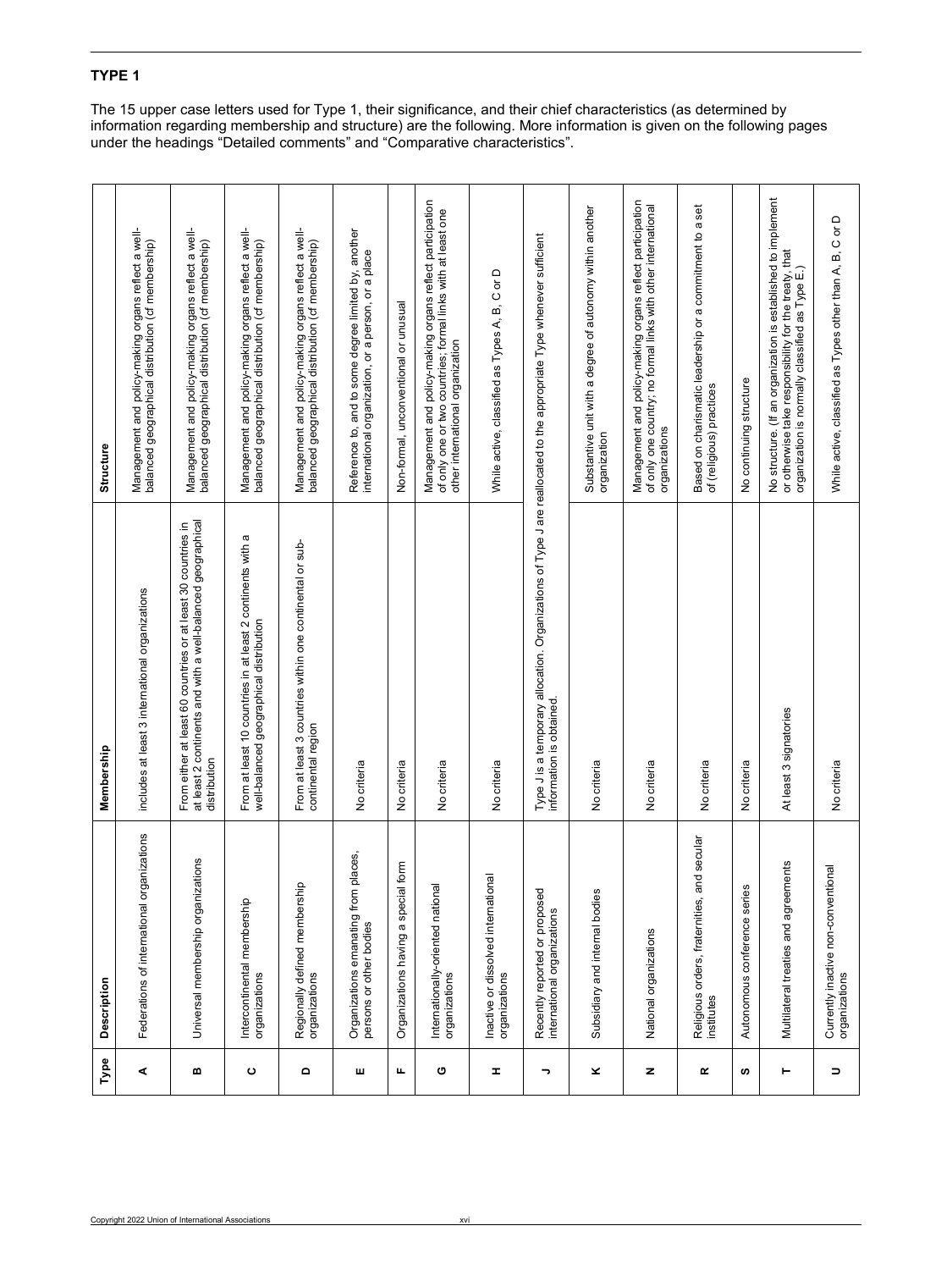## **TYPE 1**

The 15 upper case letters used for Type 1, their significance, and their chief characteristics (as determined by information regarding membership and structure) are the following. More information is given on the following pages under the headings "Detailed comments" and "Comparative characteristics".

| Type     | Description                                                     | Membership                                                                                                                                        | Structure                                                                                                                                                                     |
|----------|-----------------------------------------------------------------|---------------------------------------------------------------------------------------------------------------------------------------------------|-------------------------------------------------------------------------------------------------------------------------------------------------------------------------------|
| ⋖        | organizations<br>Federations of international                   | includes at least 3 international organizations                                                                                                   | Management and policy-making organs reflect a well-<br>balanced geographical distribution (cf membership)                                                                     |
| w        | nizations<br>Universal membership orga                          | From either at least 60 countries or at least 30 countries in<br>at least 2 continents and with a well-balanced geographical<br>distribution      | Management and policy-making organs reflect a well-<br>balanced geographical distribution (cf membership)                                                                     |
| ပ        | Intercontinental membership<br>organizations                    | From at least 10 countries in at least 2 continents with a<br>well-balanced geographical distribution                                             | Management and policy-making organs reflect a well-<br>balanced geographical distribution (cf membership)                                                                     |
| $\Omega$ | Regionally defined membership<br>organizations                  | From at least 3 countries within one continental or sub-<br>continental region                                                                    | Management and policy-making organs reflect a well-<br>balanced geographical distribution (cf membership)                                                                     |
| ш        | Organizations emanating from places,<br>persons or other bodies | No criteria                                                                                                                                       | Reference to, and to some degree limited by, another<br>international organization, or a person, or a place                                                                   |
| щ        | Organizations having a special form                             | No criteria                                                                                                                                       | Non-formal, unconventional or unusual                                                                                                                                         |
| ပ        | Internationally-oriented national<br>organizations              | No criteria                                                                                                                                       | Management and policy-making organs reflect participation<br>of only one or two countries; formal links with at least one<br>other international organization                 |
| I        | Inactive or dissolved international<br>organizations            | No criteria                                                                                                                                       | or<br>D<br>$\circ$<br>மி<br>While active, classified as Types A,                                                                                                              |
| っ        | g<br>Recently reported or propos<br>international organizations | Type J is a temporary allocation. Organizations of Type J are reallocated to the appropriate Type whenever sufficient<br>information is obtained. |                                                                                                                                                                               |
| ×        | Subsidiary and internal bodies                                  | No criteria                                                                                                                                       | Substantive unit with a degree of autonomy within another<br>organization                                                                                                     |
| z        | National organizations                                          | No criteria                                                                                                                                       | Management and policy-making organs reflect participation<br>of only one country; no formal links with other international<br>organizations                                   |
| œ        | and secular<br>Religious orders, fraternities,<br>institutes    | No criteria                                                                                                                                       | Based on charismatic leadership or a commitment to a set<br>of (religious) practices                                                                                          |
| w        | Səli<br>Autonomous conference se                                | No criteria                                                                                                                                       | No continuing structure                                                                                                                                                       |
| ۳        | Multilateral treaties and agreements                            | At least 3 signatories                                                                                                                            | No structure. (If an organization is established to implement<br>or otherwise take responsibility for the treaty, that<br>نين.<br>organization is normally classified as Type |
| っ        | Currently inactive non-conventional<br>organizations            | No criteria                                                                                                                                       | While active, classified as Types other than A, B, C or D                                                                                                                     |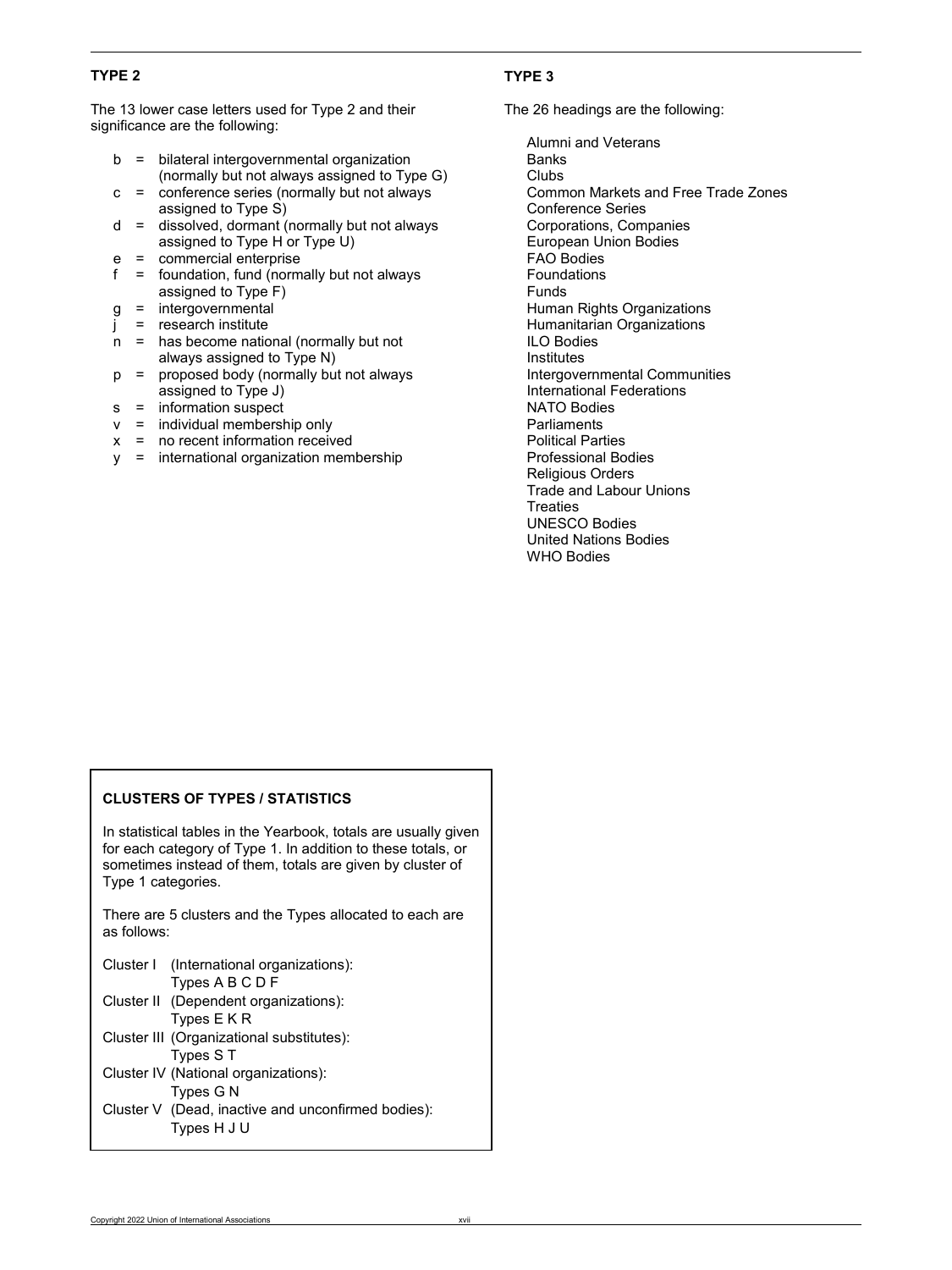## **TYPE 2**

The 13 lower case letters used for Type 2 and their significance are the following:

- b = bilateral intergovernmental organization (normally but not always assigned to Type G)
- c = conference series (normally but not always assigned to Type S)
- d = dissolved, dormant (normally but not always assigned to Type H or Type U)
- e = commercial enterprise
- $f =$  foundation, fund (normally but not always assigned to Type F)
- g = intergovernmental
- = research institute
- $n =$  has become national (normally but not always assigned to Type N)
- p = proposed body (normally but not always assigned to Type J)
- s = information suspect
- $v =$  individual membership only
- $x = no$  recent information received
- y = international organization membership

## **TYPE 3**

The 26 headings are the following:

Alumni and Veterans

- **Banks** Clubs
- Common Markets and Free Trade Zones
- Conference Series
- Corporations, Companies
- European Union Bodies
- FAO Bodies Foundations
- Funds
- Human Rights Organizations
- Humanitarian Organizations
- ILO Bodies
- **Institutes**
- Intergovernmental Communities International Federations
- NATO Bodies
- **Parliaments**
- Political Parties
- Professional Bodies
- Religious Orders
- Trade and Labour Unions
- **Treaties** UNESCO Bodies
- United Nations Bodies
- WHO Bodies

## **CLUSTERS OF TYPES / STATISTICS**

In statistical tables in the Yearbook, totals are usually given for each category of Type 1. In addition to these totals, or sometimes instead of them, totals are given by cluster of Type 1 categories.

There are 5 clusters and the Types allocated to each are as follows:

| Cluster I (International organizations):           |
|----------------------------------------------------|
| Types A B C D F                                    |
| Cluster II (Dependent organizations):              |
| Types E K R                                        |
| Cluster III (Organizational substitutes):          |
| Types ST                                           |
| Cluster IV (National organizations):               |
| Types G N                                          |
| Cluster V (Dead, inactive and unconfirmed bodies): |
| Types H J U                                        |
|                                                    |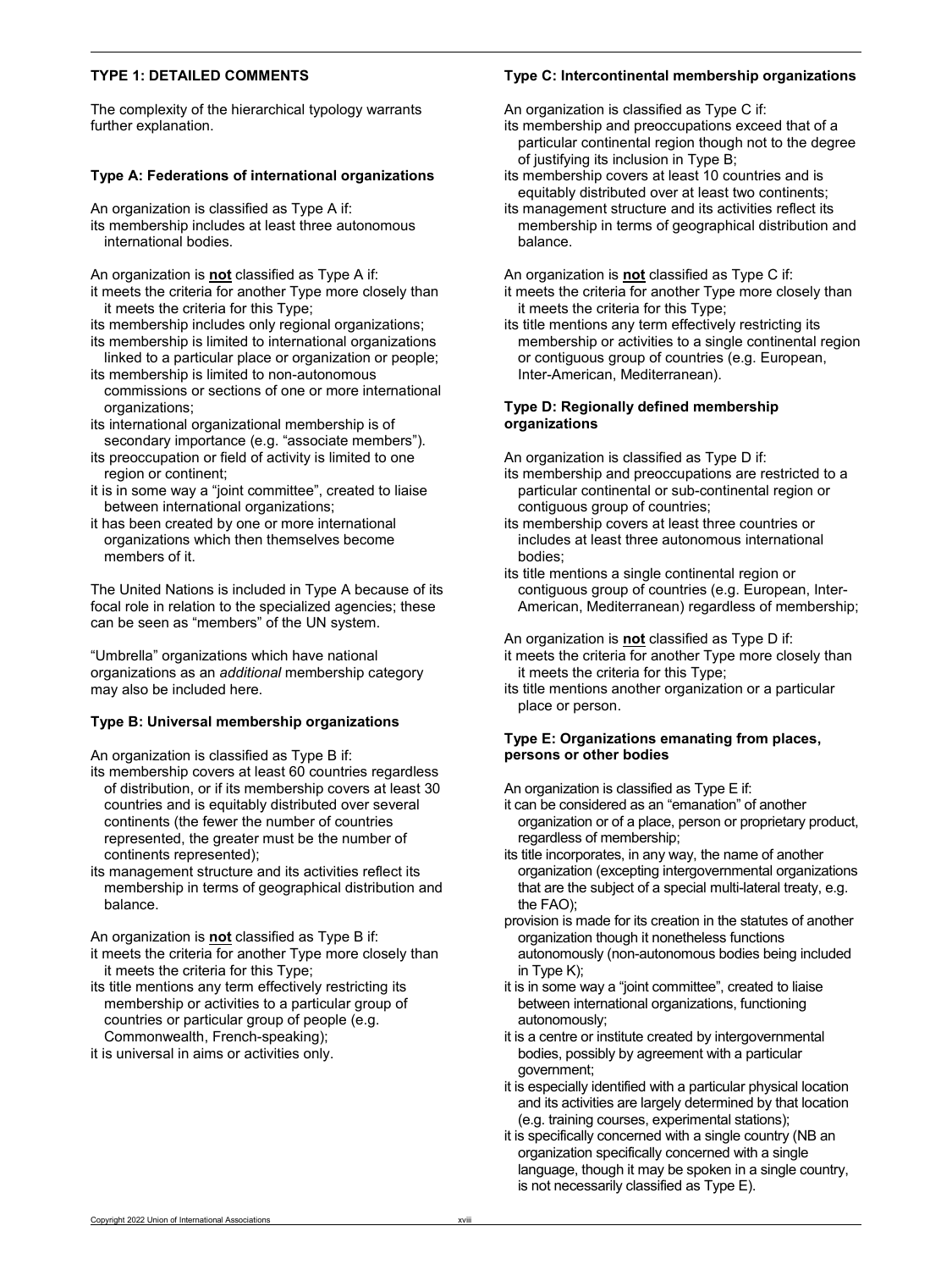## **TYPE 1: DETAILED COMMENTS**

The complexity of the hierarchical typology warrants further explanation.

## **Type A: Federations of international organizations**

An organization is classified as Type A if: its membership includes at least three autonomous international bodies.

An organization is **not** classified as Type A if:

it meets the criteria for another Type more closely than it meets the criteria for this Type;

its membership includes only regional organizations;

- its membership is limited to international organizations linked to a particular place or organization or people;
- its membership is limited to non-autonomous commissions or sections of one or more international organizations;
- its international organizational membership is of secondary importance (e.g. "associate members").
- its preoccupation or field of activity is limited to one region or continent;
- it is in some way a "joint committee", created to liaise between international organizations;
- it has been created by one or more international organizations which then themselves become members of it.

The United Nations is included in Type A because of its focal role in relation to the specialized agencies; these can be seen as "members" of the UN system.

"Umbrella" organizations which have national organizations as an *additional* membership category may also be included here.

## **Type B: Universal membership organizations**

An organization is classified as Type B if:

- its membership covers at least 60 countries regardless of distribution, or if its membership covers at least 30 countries and is equitably distributed over several continents (the fewer the number of countries represented, the greater must be the number of continents represented);
- its management structure and its activities reflect its membership in terms of geographical distribution and balance.

An organization is **not** classified as Type B if:

- it meets the criteria for another Type more closely than it meets the criteria for this Type;
- its title mentions any term effectively restricting its membership or activities to a particular group of countries or particular group of people (e.g. Commonwealth, French-speaking);
- it is universal in aims or activities only.

### **Type C: Intercontinental membership organizations**

An organization is classified as Type C if:

- its membership and preoccupations exceed that of a particular continental region though not to the degree of justifying its inclusion in Type B;
- its membership covers at least 10 countries and is equitably distributed over at least two continents;
- its management structure and its activities reflect its membership in terms of geographical distribution and balance.

An organization is **not** classified as Type C if:

- it meets the criteria for another Type more closely than it meets the criteria for this Type;
- its title mentions any term effectively restricting its membership or activities to a single continental region or contiguous group of countries (e.g. European, Inter-American, Mediterranean).

### **Type D: Regionally defined membership organizations**

An organization is classified as Type D if:

- its membership and preoccupations are restricted to a particular continental or sub-continental region or contiguous group of countries;
- its membership covers at least three countries or includes at least three autonomous international bodies;
- its title mentions a single continental region or contiguous group of countries (e.g. European, Inter-American, Mediterranean) regardless of membership;

An organization is **not** classified as Type D if:

- it meets the criteria for another Type more closely than it meets the criteria for this Type;
- its title mentions another organization or a particular place or person.

## **Type E: Organizations emanating from places, persons or other bodies**

An organization is classified as Type E if:

- it can be considered as an "emanation" of another organization or of a place, person or proprietary product, regardless of membership;
- its title incorporates, in any way, the name of another organization (excepting intergovernmental organizations that are the subject of a special multi-lateral treaty, e.g. the FAO);
- provision is made for its creation in the statutes of another organization though it nonetheless functions autonomously (non-autonomous bodies being included in Type K);
- it is in some way a "joint committee", created to liaise between international organizations, functioning autonomously;
- it is a centre or institute created by intergovernmental bodies, possibly by agreement with a particular government;
- it is especially identified with a particular physical location and its activities are largely determined by that location (e.g. training courses, experimental stations);
- it is specifically concerned with a single country (NB an organization specifically concerned with a single language, though it may be spoken in a single country, is not necessarily classified as Type E).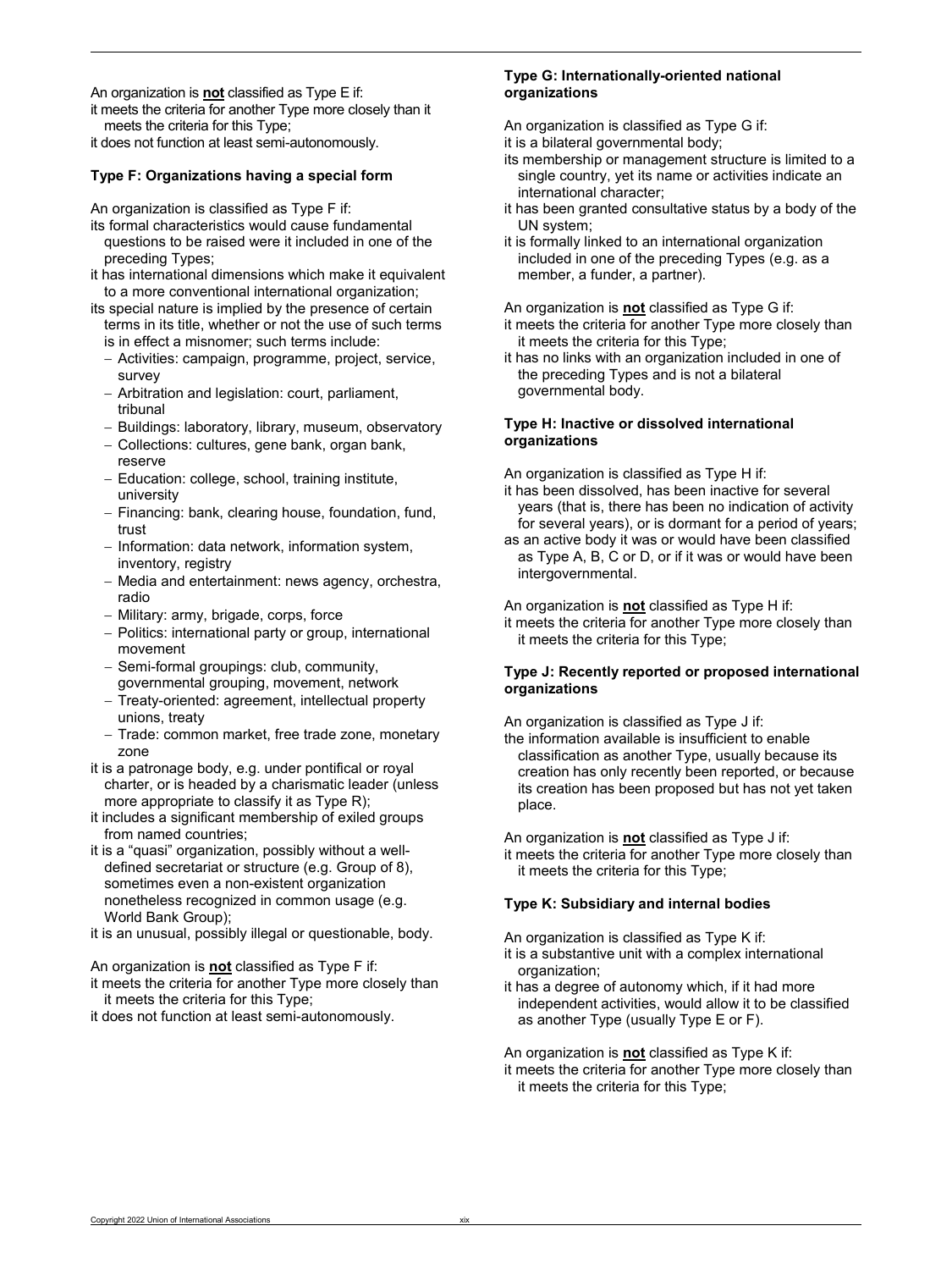An organization is **not** classified as Type E if:

it meets the criteria for another Type more closely than it meets the criteria for this Type;

it does not function at least semi-autonomously.

### **Type F: Organizations having a special form**

An organization is classified as Type F if:

- its formal characteristics would cause fundamental questions to be raised were it included in one of the preceding Types;
- it has international dimensions which make it equivalent to a more conventional international organization;
- its special nature is implied by the presence of certain terms in its title, whether or not the use of such terms is in effect a misnomer; such terms include:
	- − Activities: campaign, programme, project, service, survey
	- − Arbitration and legislation: court, parliament, tribunal
	- − Buildings: laboratory, library, museum, observatory
	- − Collections: cultures, gene bank, organ bank, reserve
	- − Education: college, school, training institute, university
	- − Financing: bank, clearing house, foundation, fund, trust
	- − Information: data network, information system, inventory, registry
	- − Media and entertainment: news agency, orchestra, radio
	- − Military: army, brigade, corps, force
	- − Politics: international party or group, international movement
	- − Semi-formal groupings: club, community, governmental grouping, movement, network
	- − Treaty-oriented: agreement, intellectual property unions, treaty
	- − Trade: common market, free trade zone, monetary zone
- it is a patronage body, e.g. under pontifical or royal charter, or is headed by a charismatic leader (unless more appropriate to classify it as Type R);
- it includes a significant membership of exiled groups from named countries;
- it is a "quasi" organization, possibly without a welldefined secretariat or structure (e.g. Group of 8), sometimes even a non-existent organization nonetheless recognized in common usage (e.g. World Bank Group);
- it is an unusual, possibly illegal or questionable, body.

An organization is **not** classified as Type F if:

it meets the criteria for another Type more closely than it meets the criteria for this Type;

it does not function at least semi-autonomously.

### **Type G: Internationally-oriented national organizations**

An organization is classified as Type G if: it is a bilateral governmental body;

- its membership or management structure is limited to a single country, yet its name or activities indicate an international character;
- it has been granted consultative status by a body of the UN system;
- it is formally linked to an international organization included in one of the preceding Types (e.g. as a member, a funder, a partner).

An organization is **not** classified as Type G if:

- it meets the criteria for another Type more closely than it meets the criteria for this Type;
- it has no links with an organization included in one of the preceding Types and is not a bilateral governmental body.

### **Type H: Inactive or dissolved international organizations**

An organization is classified as Type H if:

it has been dissolved, has been inactive for several years (that is, there has been no indication of activity for several years), or is dormant for a period of years;

as an active body it was or would have been classified as Type A, B, C or D, or if it was or would have been intergovernmental.

An organization is **not** classified as Type H if:

it meets the criteria for another Type more closely than it meets the criteria for this Type;

## **Type J: Recently reported or proposed international organizations**

An organization is classified as Type J if:

the information available is insufficient to enable classification as another Type, usually because its creation has only recently been reported, or because its creation has been proposed but has not yet taken place.

An organization is **not** classified as Type J if:

it meets the criteria for another Type more closely than it meets the criteria for this Type;

## **Type K: Subsidiary and internal bodies**

An organization is classified as Type K if: it is a substantive unit with a complex international organization;

it has a degree of autonomy which, if it had more independent activities, would allow it to be classified as another Type (usually Type E or F).

An organization is **not** classified as Type K if:

it meets the criteria for another Type more closely than it meets the criteria for this Type;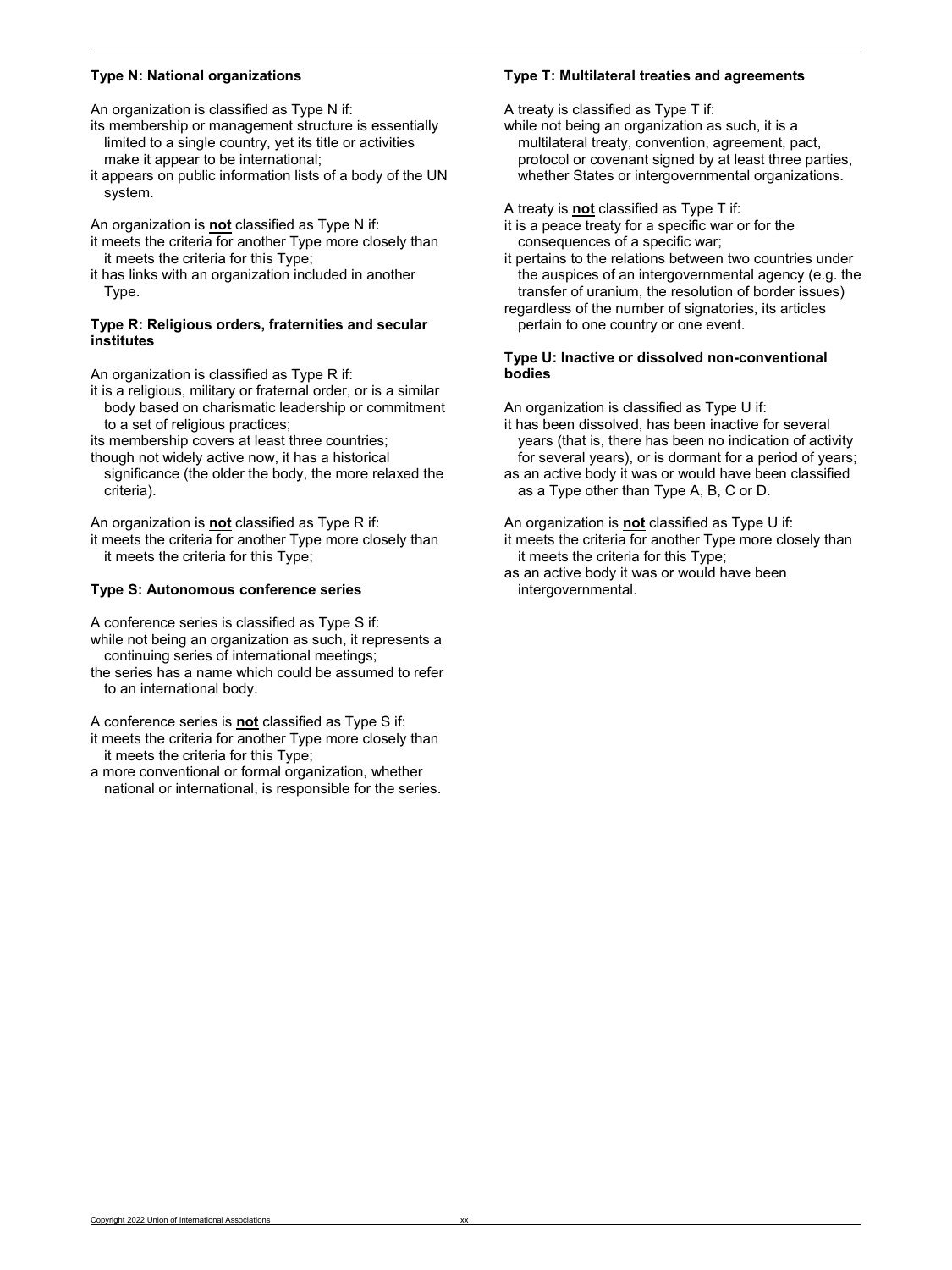## **Type N: National organizations**

An organization is classified as Type N if:

- its membership or management structure is essentially limited to a single country, yet its title or activities make it appear to be international;
- it appears on public information lists of a body of the UN system.

An organization is **not** classified as Type N if:

- it meets the criteria for another Type more closely than it meets the criteria for this Type;
- it has links with an organization included in another Type.

#### **Type R: Religious orders, fraternities and secular institutes**

An organization is classified as Type R if:

- it is a religious, military or fraternal order, or is a similar body based on charismatic leadership or commitment to a set of religious practices;
- its membership covers at least three countries;
- though not widely active now, it has a historical significance (the older the body, the more relaxed the criteria).

An organization is **not** classified as Type R if:

it meets the criteria for another Type more closely than it meets the criteria for this Type;

## **Type S: Autonomous conference series**

A conference series is classified as Type S if: while not being an organization as such, it represents a continuing series of international meetings;

the series has a name which could be assumed to refer to an international body.

A conference series is **not** classified as Type S if:

- it meets the criteria for another Type more closely than it meets the criteria for this Type;
- a more conventional or formal organization, whether national or international, is responsible for the series.

## **Type T: Multilateral treaties and agreements**

A treaty is classified as Type T if:

while not being an organization as such, it is a multilateral treaty, convention, agreement, pact, protocol or covenant signed by at least three parties, whether States or intergovernmental organizations.

A treaty is **not** classified as Type T if:

- it is a peace treaty for a specific war or for the consequences of a specific war;
- it pertains to the relations between two countries under the auspices of an intergovernmental agency (e.g. the transfer of uranium, the resolution of border issues)
- regardless of the number of signatories, its articles pertain to one country or one event.

## **Type U: Inactive or dissolved non-conventional bodies**

An organization is classified as Type U if:

it has been dissolved, has been inactive for several years (that is, there has been no indication of activity for several years), or is dormant for a period of years; as an active body it was or would have been classified as a Type other than Type A, B, C or D.

An organization is **not** classified as Type U if:

- it meets the criteria for another Type more closely than it meets the criteria for this Type;
- as an active body it was or would have been intergovernmental.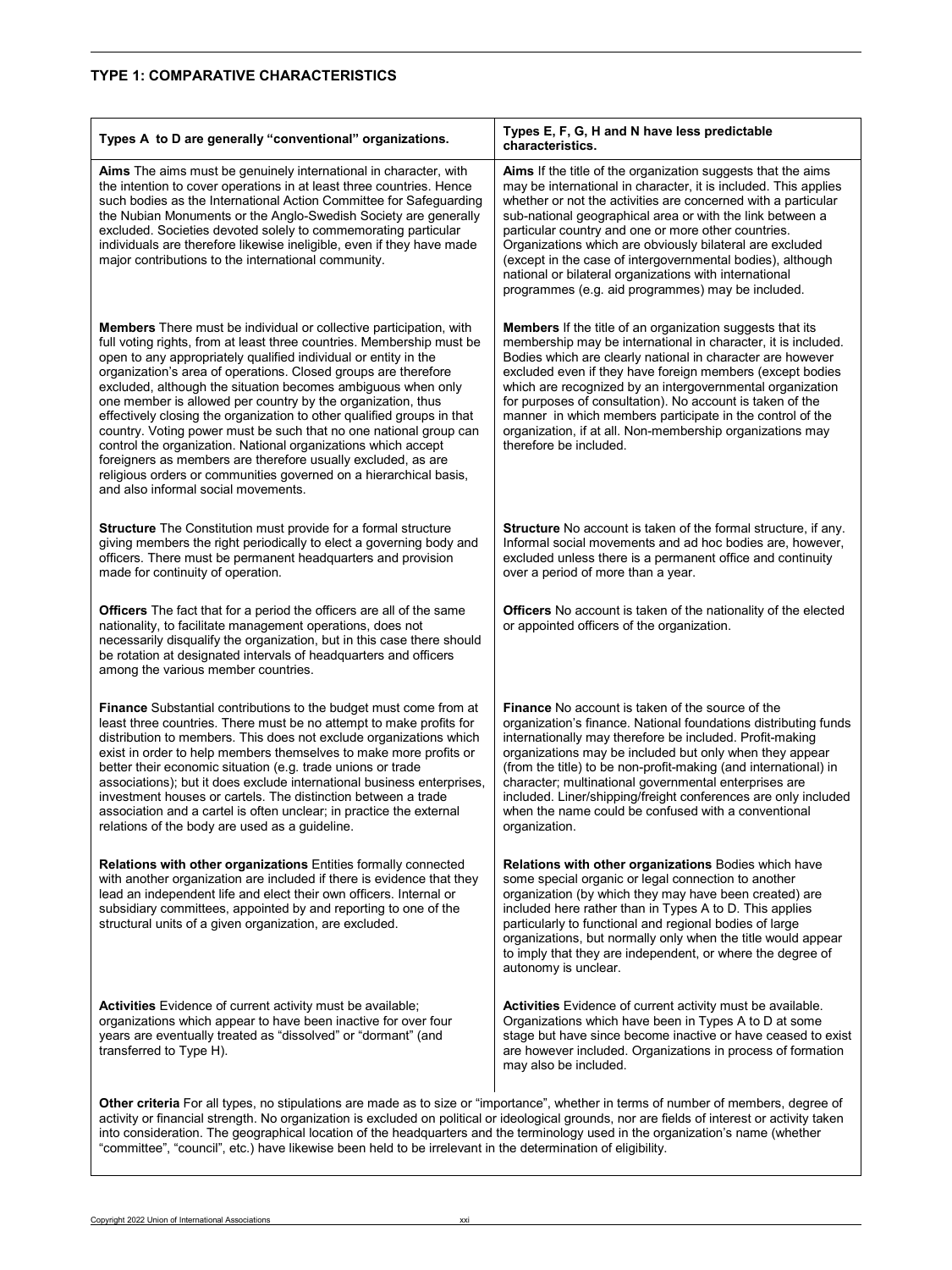## **TYPE 1: COMPARATIVE CHARACTERISTICS**

| Types A to D are generally "conventional" organizations.                                                                                                                                                                                                                                                                                                                                                                                                                                                                                                                                                                                                                                                                                                                                                           | Types E, F, G, H and N have less predictable<br>characteristics.                                                                                                                                                                                                                                                                                                                                                                                                                                                                                              |
|--------------------------------------------------------------------------------------------------------------------------------------------------------------------------------------------------------------------------------------------------------------------------------------------------------------------------------------------------------------------------------------------------------------------------------------------------------------------------------------------------------------------------------------------------------------------------------------------------------------------------------------------------------------------------------------------------------------------------------------------------------------------------------------------------------------------|---------------------------------------------------------------------------------------------------------------------------------------------------------------------------------------------------------------------------------------------------------------------------------------------------------------------------------------------------------------------------------------------------------------------------------------------------------------------------------------------------------------------------------------------------------------|
| Aims The aims must be genuinely international in character, with<br>the intention to cover operations in at least three countries. Hence<br>such bodies as the International Action Committee for Safeguarding<br>the Nubian Monuments or the Anglo-Swedish Society are generally<br>excluded. Societies devoted solely to commemorating particular<br>individuals are therefore likewise ineligible, even if they have made<br>major contributions to the international community.                                                                                                                                                                                                                                                                                                                                | Aims If the title of the organization suggests that the aims<br>may be international in character, it is included. This applies<br>whether or not the activities are concerned with a particular<br>sub-national geographical area or with the link between a<br>particular country and one or more other countries.<br>Organizations which are obviously bilateral are excluded<br>(except in the case of intergovernmental bodies), although<br>national or bilateral organizations with international<br>programmes (e.g. aid programmes) may be included. |
| <b>Members</b> There must be individual or collective participation, with<br>full voting rights, from at least three countries. Membership must be<br>open to any appropriately qualified individual or entity in the<br>organization's area of operations. Closed groups are therefore<br>excluded, although the situation becomes ambiguous when only<br>one member is allowed per country by the organization, thus<br>effectively closing the organization to other qualified groups in that<br>country. Voting power must be such that no one national group can<br>control the organization. National organizations which accept<br>foreigners as members are therefore usually excluded, as are<br>religious orders or communities governed on a hierarchical basis,<br>and also informal social movements. | <b>Members</b> If the title of an organization suggests that its<br>membership may be international in character, it is included.<br>Bodies which are clearly national in character are however<br>excluded even if they have foreign members (except bodies<br>which are recognized by an intergovernmental organization<br>for purposes of consultation). No account is taken of the<br>manner in which members participate in the control of the<br>organization, if at all. Non-membership organizations may<br>therefore be included.                    |
| <b>Structure</b> The Constitution must provide for a formal structure<br>giving members the right periodically to elect a governing body and<br>officers. There must be permanent headquarters and provision<br>made for continuity of operation.                                                                                                                                                                                                                                                                                                                                                                                                                                                                                                                                                                  | <b>Structure</b> No account is taken of the formal structure, if any.<br>Informal social movements and ad hoc bodies are, however,<br>excluded unless there is a permanent office and continuity<br>over a period of more than a year.                                                                                                                                                                                                                                                                                                                        |
| <b>Officers</b> The fact that for a period the officers are all of the same<br>nationality, to facilitate management operations, does not<br>necessarily disqualify the organization, but in this case there should<br>be rotation at designated intervals of headquarters and officers<br>among the various member countries.                                                                                                                                                                                                                                                                                                                                                                                                                                                                                     | <b>Officers</b> No account is taken of the nationality of the elected<br>or appointed officers of the organization.                                                                                                                                                                                                                                                                                                                                                                                                                                           |
| <b>Finance</b> Substantial contributions to the budget must come from at<br>least three countries. There must be no attempt to make profits for<br>distribution to members. This does not exclude organizations which<br>exist in order to help members themselves to make more profits or<br>better their economic situation (e.g. trade unions or trade<br>associations); but it does exclude international business enterprises,<br>investment houses or cartels. The distinction between a trade<br>association and a cartel is often unclear; in practice the external<br>relations of the body are used as a guideline.                                                                                                                                                                                      | <b>Finance</b> No account is taken of the source of the<br>organization's finance. National foundations distributing funds<br>internationally may therefore be included. Profit-making<br>organizations may be included but only when they appear<br>(from the title) to be non-profit-making (and international) in<br>character; multinational governmental enterprises are<br>included. Liner/shipping/freight conferences are only included<br>when the name could be confused with a conventional<br>organization.                                       |
| Relations with other organizations Entities formally connected<br>with another organization are included if there is evidence that they<br>lead an independent life and elect their own officers. Internal or<br>subsidiary committees, appointed by and reporting to one of the<br>structural units of a given organization, are excluded.                                                                                                                                                                                                                                                                                                                                                                                                                                                                        | Relations with other organizations Bodies which have<br>some special organic or legal connection to another<br>organization (by which they may have been created) are<br>included here rather than in Types A to D. This applies<br>particularly to functional and regional bodies of large<br>organizations, but normally only when the title would appear<br>to imply that they are independent, or where the degree of<br>autonomy is unclear.                                                                                                             |
| Activities Evidence of current activity must be available;<br>organizations which appear to have been inactive for over four<br>years are eventually treated as "dissolved" or "dormant" (and<br>transferred to Type H).                                                                                                                                                                                                                                                                                                                                                                                                                                                                                                                                                                                           | Activities Evidence of current activity must be available.<br>Organizations which have been in Types A to D at some<br>stage but have since become inactive or have ceased to exist<br>are however included. Organizations in process of formation<br>may also be included.                                                                                                                                                                                                                                                                                   |

**Other criteria** For all types, no stipulations are made as to size or "importance", whether in terms of number of members, degree of activity or financial strength. No organization is excluded on political or ideological grounds, nor are fields of interest or activity taken into consideration. The geographical location of the headquarters and the terminology used in the organization's name (whether "committee", "council", etc.) have likewise been held to be irrelevant in the determination of eligibility.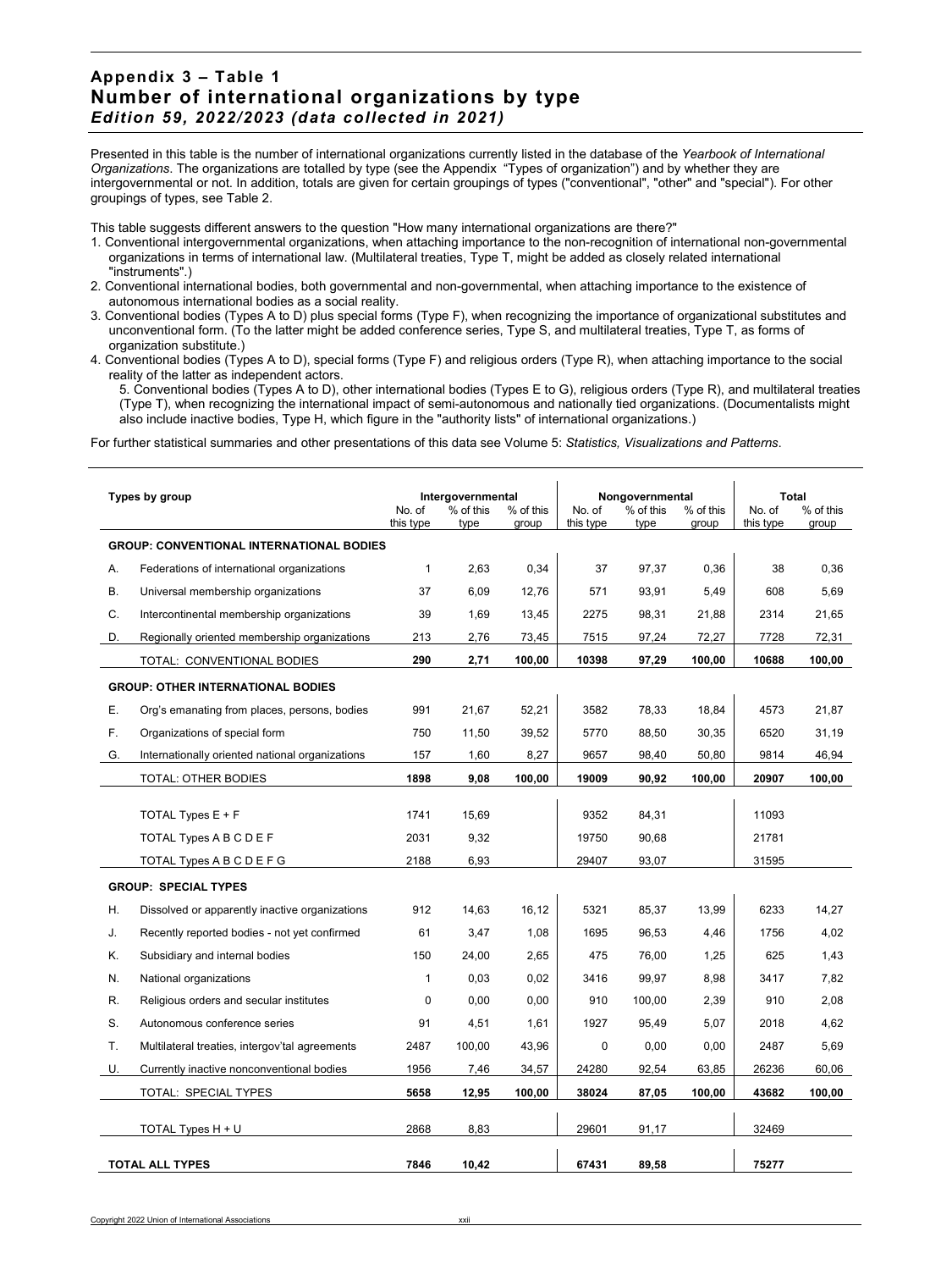## **Appendix 3 – Table 1 Number of international organizations by type**  *Edition 59, 2022/2023 (data collected in 2021)*

Presented in this table is the number of international organizations currently listed in the database of the *Yearbook of International Organizations*. The organizations are totalled by type (see the Appendix "Types of organization") and by whether they are intergovernmental or not. In addition, totals are given for certain groupings of types ("conventional", "other" and "special"). For other groupings of types, see Table 2.

This table suggests different answers to the question "How many international organizations are there?"

- 1. Conventional intergovernmental organizations, when attaching importance to the non-recognition of international non-governmental organizations in terms of international law. (Multilateral treaties, Type T, might be added as closely related international "instruments".)
- 2. Conventional international bodies, both governmental and non-governmental, when attaching importance to the existence of autonomous international bodies as a social reality.
- 3. Conventional bodies (Types A to D) plus special forms (Type F), when recognizing the importance of organizational substitutes and unconventional form. (To the latter might be added conference series, Type S, and multilateral treaties, Type T, as forms of organization substitute.)
- 4. Conventional bodies (Types A to D), special forms (Type F) and religious orders (Type R), when attaching importance to the social reality of the latter as independent actors.

5. Conventional bodies (Types A to D), other international bodies (Types E to G), religious orders (Type R), and multilateral treaties (Type T), when recognizing the international impact of semi-autonomous and nationally tied organizations. (Documentalists might also include inactive bodies, Type H, which figure in the "authority lists" of international organizations.)

For further statistical summaries and other presentations of this data see Volume 5: *Statistics, Visualizations and Patterns*.

| Types by group |                                                 | No. of       | Intergovernmental<br>% of this | % of this | No. of    | Nongovernmental<br>% of this | % of this | No. of    | <b>Total</b><br>% of this |
|----------------|-------------------------------------------------|--------------|--------------------------------|-----------|-----------|------------------------------|-----------|-----------|---------------------------|
|                |                                                 | this type    | type                           | group     | this type | type                         | group     | this type | group                     |
|                | <b>GROUP: CONVENTIONAL INTERNATIONAL BODIES</b> |              |                                |           |           |                              |           |           |                           |
| А.             | Federations of international organizations      | $\mathbf{1}$ | 2,63                           | 0,34      | 37        | 97,37                        | 0,36      | 38        | 0,36                      |
| В.             | Universal membership organizations              | 37           | 6.09                           | 12,76     | 571       | 93,91                        | 5,49      | 608       | 5,69                      |
| C.             | Intercontinental membership organizations       | 39           | 1.69                           | 13,45     | 2275      | 98,31                        | 21,88     | 2314      | 21,65                     |
| D.             | Regionally oriented membership organizations    | 213          | 2,76                           | 73,45     | 7515      | 97,24                        | 72,27     | 7728      | 72,31                     |
|                | TOTAL: CONVENTIONAL BODIES                      | 290          | 2,71                           | 100,00    | 10398     | 97,29                        | 100,00    | 10688     | 100,00                    |
|                | <b>GROUP: OTHER INTERNATIONAL BODIES</b>        |              |                                |           |           |                              |           |           |                           |
| Е.             | Org's emanating from places, persons, bodies    | 991          | 21,67                          | 52,21     | 3582      | 78,33                        | 18,84     | 4573      | 21,87                     |
| F.             | Organizations of special form                   | 750          | 11,50                          | 39,52     | 5770      | 88,50                        | 30.35     | 6520      | 31,19                     |
| G.             | Internationally oriented national organizations | 157          | 1,60                           | 8,27      | 9657      | 98,40                        | 50,80     | 9814      | 46,94                     |
|                | TOTAL: OTHER BODIES                             | 1898         | 9,08                           | 100,00    | 19009     | 90,92                        | 100,00    | 20907     | 100,00                    |
|                |                                                 |              |                                |           |           |                              |           |           |                           |
|                | TOTAL Types E + F                               | 1741         | 15,69                          |           | 9352      | 84,31                        |           | 11093     |                           |
|                | TOTAL Types A B C D E F                         | 2031         | 9,32                           |           | 19750     | 90,68                        |           | 21781     |                           |
|                | TOTAL Types A B C D E F G                       | 2188         | 6,93                           |           | 29407     | 93,07                        |           | 31595     |                           |
|                | <b>GROUP: SPECIAL TYPES</b>                     |              |                                |           |           |                              |           |           |                           |
| Η.             | Dissolved or apparently inactive organizations  | 912          | 14,63                          | 16,12     | 5321      | 85,37                        | 13,99     | 6233      | 14,27                     |
| J.             | Recently reported bodies - not yet confirmed    | 61           | 3,47                           | 1,08      | 1695      | 96,53                        | 4,46      | 1756      | 4,02                      |
| Κ.             | Subsidiary and internal bodies                  | 150          | 24,00                          | 2,65      | 475       | 76,00                        | 1,25      | 625       | 1,43                      |
| N.             | National organizations                          | 1            | 0,03                           | 0,02      | 3416      | 99,97                        | 8,98      | 3417      | 7,82                      |
| R.             | Religious orders and secular institutes         | $\mathbf 0$  | 0.00                           | 0,00      | 910       | 100,00                       | 2,39      | 910       | 2,08                      |
| S.             | Autonomous conference series                    | 91           | 4,51                           | 1,61      | 1927      | 95,49                        | 5,07      | 2018      | 4,62                      |
| T.             | Multilateral treaties, intergov'tal agreements  | 2487         | 100,00                         | 43,96     | $\pmb{0}$ | 0,00                         | 0,00      | 2487      | 5,69                      |
| U.             | Currently inactive nonconventional bodies       | 1956         | 7,46                           | 34,57     | 24280     | 92,54                        | 63,85     | 26236     | 60,06                     |
|                | TOTAL: SPECIAL TYPES                            | 5658         | 12,95                          | 100,00    | 38024     | 87,05                        | 100,00    | 43682     | 100,00                    |
|                | TOTAL Types H + U                               | 2868         | 8,83                           |           | 29601     | 91,17                        |           | 32469     |                           |
|                |                                                 |              |                                |           |           |                              |           |           |                           |
|                | <b>TOTAL ALL TYPES</b>                          | 7846         | 10,42                          |           | 67431     | 89,58                        |           | 75277     |                           |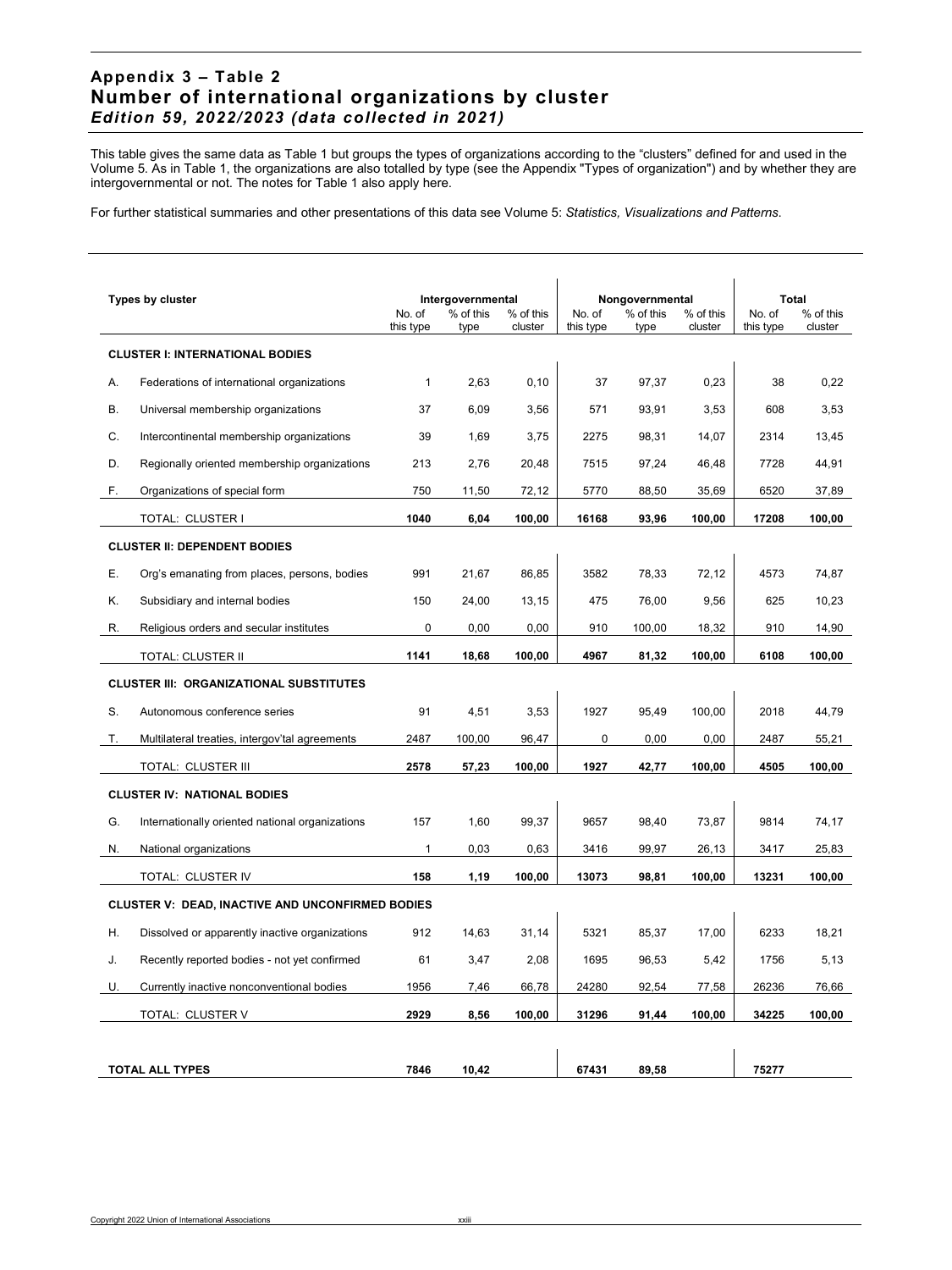## **Appendix 3 – Table 2 Number of international organizations by cluster**  *Edition 59, 2022/2023 (data collected in 2021)*

This table gives the same data as Table 1 but groups the types of organizations according to the "clusters" defined for and used in the Volume 5. As in Table 1, the organizations are also totalled by type (see the Appendix "Types of organization") and by whether they are intergovernmental or not. The notes for Table 1 also apply here.

For further statistical summaries and other presentations of this data see Volume 5: *Statistics, Visualizations and Patterns*.

| <b>Types by cluster</b> |                                                         | No. of<br>this type | Intergovernmental<br>% of this<br>type | % of this<br>cluster | No. of<br>this type | Nongovernmental<br>% of this<br>type | % of this<br>cluster | No. of<br>this type | <b>Total</b><br>% of this<br>cluster |
|-------------------------|---------------------------------------------------------|---------------------|----------------------------------------|----------------------|---------------------|--------------------------------------|----------------------|---------------------|--------------------------------------|
|                         | <b>CLUSTER I: INTERNATIONAL BODIES</b>                  |                     |                                        |                      |                     |                                      |                      |                     |                                      |
| Α.                      | Federations of international organizations              | $\mathbf{1}$        | 2,63                                   | 0, 10                | 37                  | 97,37                                | 0,23                 | 38                  | 0,22                                 |
| В.                      | Universal membership organizations                      | 37                  | 6,09                                   | 3,56                 | 571                 | 93,91                                | 3,53                 | 608                 | 3,53                                 |
| C.                      | Intercontinental membership organizations               | 39                  | 1,69                                   | 3,75                 | 2275                | 98,31                                | 14,07                | 2314                | 13,45                                |
| D.                      | Regionally oriented membership organizations            | 213                 | 2,76                                   | 20,48                | 7515                | 97,24                                | 46,48                | 7728                | 44,91                                |
| F.                      | Organizations of special form                           | 750                 | 11,50                                  | 72,12                | 5770                | 88,50                                | 35,69                | 6520                | 37,89                                |
|                         | TOTAL: CLUSTER I                                        | 1040                | 6,04                                   | 100,00               | 16168               | 93,96                                | 100,00               | 17208               | 100,00                               |
|                         | <b>CLUSTER II: DEPENDENT BODIES</b>                     |                     |                                        |                      |                     |                                      |                      |                     |                                      |
| Е.                      | Org's emanating from places, persons, bodies            | 991                 | 21,67                                  | 86,85                | 3582                | 78,33                                | 72,12                | 4573                | 74,87                                |
| Κ.                      | Subsidiary and internal bodies                          | 150                 | 24,00                                  | 13,15                | 475                 | 76,00                                | 9,56                 | 625                 | 10,23                                |
| R.                      | Religious orders and secular institutes                 | 0                   | 0,00                                   | 0,00                 | 910                 | 100,00                               | 18,32                | 910                 | 14,90                                |
|                         | TOTAL: CLUSTER II                                       | 1141                | 18,68                                  | 100,00               | 4967                | 81,32                                | 100,00               | 6108                | 100,00                               |
|                         | <b>CLUSTER III: ORGANIZATIONAL SUBSTITUTES</b>          |                     |                                        |                      |                     |                                      |                      |                     |                                      |
| S.                      | Autonomous conference series                            | 91                  | 4,51                                   | 3,53                 | 1927                | 95,49                                | 100,00               | 2018                | 44,79                                |
| Т.                      | Multilateral treaties, intergov'tal agreements          | 2487                | 100,00                                 | 96,47                | 0                   | 0,00                                 | 0,00                 | 2487                | 55,21                                |
|                         | TOTAL: CLUSTER III                                      | 2578                | 57,23                                  | 100.00               | 1927                | 42,77                                | 100,00               | 4505                | 100,00                               |
|                         | <b>CLUSTER IV: NATIONAL BODIES</b>                      |                     |                                        |                      |                     |                                      |                      |                     |                                      |
| G.                      | Internationally oriented national organizations         | 157                 | 1,60                                   | 99,37                | 9657                | 98,40                                | 73,87                | 9814                | 74,17                                |
| N.                      | National organizations                                  | $\mathbf{1}$        | 0,03                                   | 0,63                 | 3416                | 99,97                                | 26,13                | 3417                | 25,83                                |
|                         | TOTAL: CLUSTER IV                                       | 158                 | 1,19                                   | 100,00               | 13073               | 98,81                                | 100,00               | 13231               | 100,00                               |
|                         | <b>CLUSTER V: DEAD, INACTIVE AND UNCONFIRMED BODIES</b> |                     |                                        |                      |                     |                                      |                      |                     |                                      |
| Η.                      | Dissolved or apparently inactive organizations          | 912                 | 14,63                                  | 31,14                | 5321                | 85,37                                | 17,00                | 6233                | 18,21                                |
| J.                      | Recently reported bodies - not yet confirmed            | 61                  | 3,47                                   | 2,08                 | 1695                | 96,53                                | 5,42                 | 1756                | 5,13                                 |
| U.                      | Currently inactive nonconventional bodies               | 1956                | 7,46                                   | 66,78                | 24280               | 92,54                                | 77,58                | 26236               | 76,66                                |
|                         | TOTAL: CLUSTER V                                        | 2929                | 8,56                                   | 100,00               | 31296               | 91,44                                | 100,00               | 34225               | 100,00                               |
|                         |                                                         |                     |                                        |                      |                     |                                      |                      |                     |                                      |
|                         | <b>TOTAL ALL TYPES</b>                                  | 7846                | 10,42                                  |                      | 67431               | 89,58                                |                      | 75277               |                                      |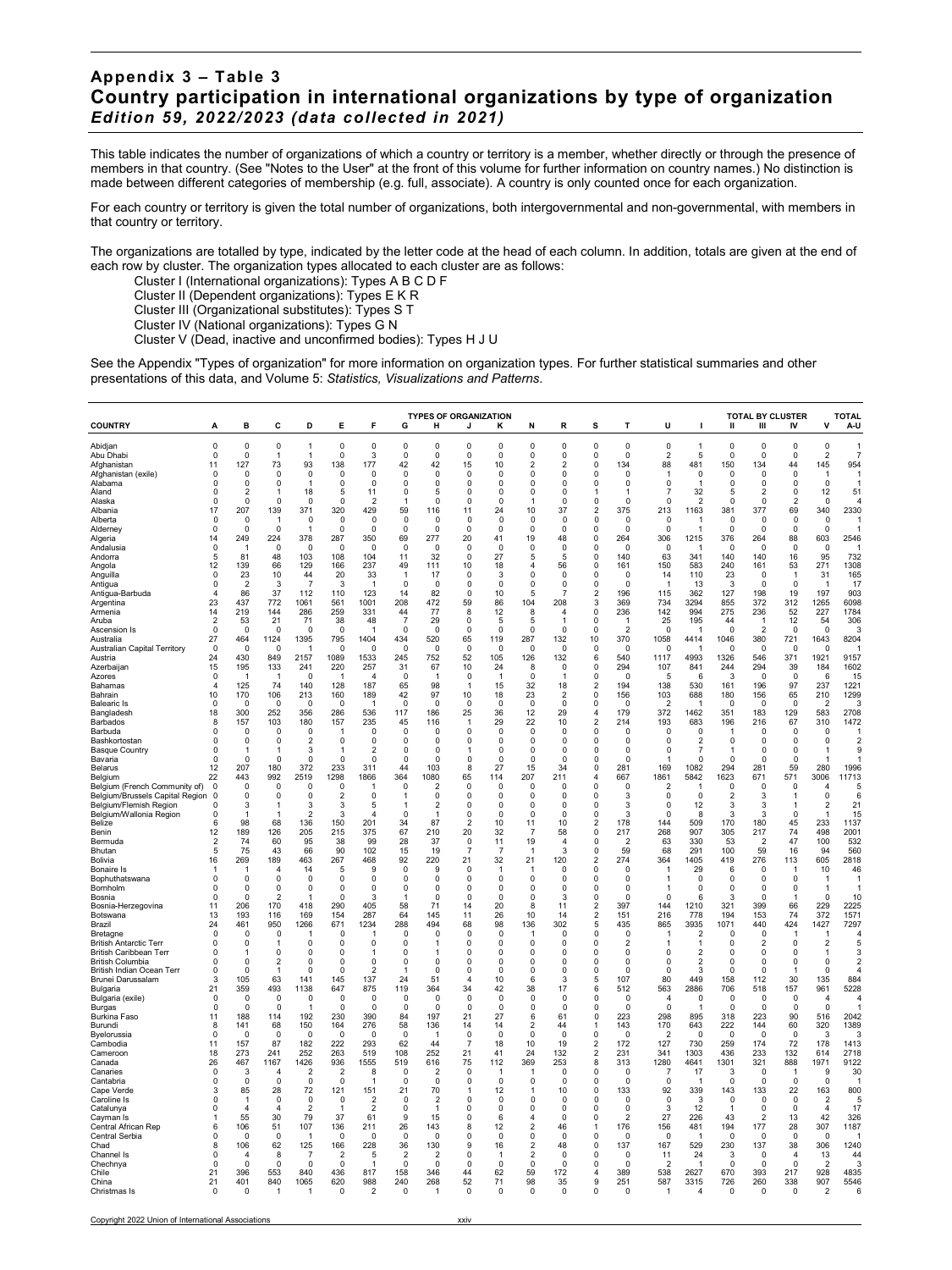## **Appendix 3 – Table 3 Country participation in international organizations by type of organization**  *Edition 59, 2022/2023 (data collected in 2021)*

This table indicates the number of organizations of which a country or territory is a member, whether directly or through the presence of members in that country. (See "Notes to the User" at the front of this volume for further information on country names.) No distinction is made between different categories of membership (e.g. full, associate). A country is only counted once for each organization.

For each country or territory is given the total number of organizations, both intergovernmental and non-governmental, with members in that country or territory.

The organizations are totalled by type, indicated by the letter code at the head of each column. In addition, totals are given at the end of each row by cluster. The organization types allocated to each cluster are as follows:

- Cluster I (International organizations): Types A B C D F
- Cluster II (Dependent organizations): Types E K R
- Cluster III (Organizational substitutes): Types S T
- Cluster IV (National organizations): Types G N

Cluster V (Dead, inactive and unconfirmed bodies): Types H J U

See the Appendix "Types of organization" for more information on organization types. For further statistical summaries and other presentations of this data, and Volume 5: *Statistics, Visualizations and Patterns*.

|                                                           | <b>TYPES OF ORGANIZATION</b> |                                |                             |                                |                            |                                      |                            |                                      |                            |                         |                                  |                                        |                              |                               | <b>TOTAL BY CLUSTER</b>              |                                           |                      | <b>TOTAL</b>                         |                            |                       |                       |
|-----------------------------------------------------------|------------------------------|--------------------------------|-----------------------------|--------------------------------|----------------------------|--------------------------------------|----------------------------|--------------------------------------|----------------------------|-------------------------|----------------------------------|----------------------------------------|------------------------------|-------------------------------|--------------------------------------|-------------------------------------------|----------------------|--------------------------------------|----------------------------|-----------------------|-----------------------|
| <b>COUNTRY</b>                                            | A                            | в                              | С                           | D                              | Е                          | F                                    | G                          | н                                    | J                          | κ                       | N                                | R                                      | s                            | Т                             | U                                    |                                           | ш                    | Ш                                    | IV                         | v                     | A-U                   |
| Abidjan                                                   | $\mathbf 0$                  | $\Omega$                       | $\Omega$                    | 1                              | $\Omega$                   | $\Omega$                             | $\Omega$                   | $\Omega$                             | $\mathbf 0$                | $\Omega$                | $\mathbf 0$                      | $\Omega$                               | $\Omega$                     | 0                             | $\Omega$                             | $\overline{1}$                            | $\Omega$             | $\Omega$                             | $\Omega$                   | $\Omega$              | 1                     |
| Abu Dhabi<br>Afghanistan                                  | 0<br>11                      | 0<br>127                       | $\mathbf{1}$<br>73          | 93                             | 0<br>138                   | 3<br>177                             | 0<br>42                    | 0<br>42                              | $\mathbf 0$<br>15          | 0<br>10                 | 0<br>$\overline{\phantom{0}}$    | $^{\circ}$<br>$\overline{\phantom{0}}$ | 0<br>$\Omega$                | 0<br>134                      | $\overline{2}$<br>88                 | 5<br>481                                  | 0<br>150             | 0<br>134                             | 0<br>44                    | 2<br>145              | $\overline{7}$<br>954 |
| Afghanistan (exile)                                       | 0                            | 0                              | 0                           | $\mathbf 0$                    | 0                          | 0                                    | 0                          | 0                                    | 0                          | 0                       | 0                                | $\mathbf 0$                            | 0                            | 0                             | 1                                    | $\mathbf 0$                               | 0                    | 0                                    | 0                          |                       |                       |
| Alabama                                                   | $\Omega$                     | $\Omega$                       | $\Omega$                    | -1                             | $\Omega$                   | $\Omega$                             | $\Omega$                   | $\Omega$                             | $\Omega$                   | $\Omega$                | $\Omega$                         | $\Omega$                               | 0                            | $\Omega$                      | $\Omega$                             | -1                                        | $\Omega$             | $\Omega$                             | $\Omega$                   | $\Omega$              | -1                    |
| Åland<br>Alaska                                           | $\Omega$<br>$\Omega$         | 2<br>$\Omega$                  | 1<br>$\Omega$               | 18                             | 5<br>$\Omega$              | 11<br>2                              | $\Omega$<br>1              | 5<br>$\Omega$                        | $\Omega$<br>$\Omega$       | $\Omega$<br>$\Omega$    | $\Omega$                         | $\Omega$<br>$\Omega$                   | $\Omega$                     | $\Omega$                      | $\overline{7}$<br>$\Omega$           | 32                                        | 5<br>$\Omega$        | $\overline{\phantom{a}}$<br>$\Omega$ | $\Omega$<br>$\overline{2}$ | 12<br>$\Omega$        | 51<br>$\overline{4}$  |
| Albania                                                   | 17                           | 207                            | 139                         | $\Omega$<br>371                | 320                        | 429                                  | 59                         | 116                                  | 11                         | 24                      | -1<br>10                         | 37                                     | $\mathfrak{p}$               | 375                           | 213                                  | 2<br>1163                                 | 381                  | 377                                  | 69                         | 340                   | 2330                  |
| Alberta                                                   | 0                            | $\circ$                        | -1                          | 0                              | $^{\circ}$                 | 0                                    | 0                          | $^{\circ}$                           | $^{\circ}$                 | 0                       | 0                                | $\Omega$                               | $\pmb{0}$                    | $\mathbf 0$                   | $^{\circ}$                           | -1                                        | $\circ$              | 0                                    | 0                          | 0                     | -1                    |
| Alderney                                                  | $\Omega$                     | $\Omega$                       | $\Omega$                    |                                | $\Omega$                   | $\Omega$                             | $\Omega$                   | $\Omega$                             | $\Omega$                   | $\Omega$                | $\Omega$                         | $\Omega$                               | 0                            | $\Omega$                      | $\Omega$                             | -1                                        | $\Omega$             | $\Omega$                             | $\Omega$                   | $\Omega$              | 1                     |
| Algeria<br>Andalusia                                      | 14<br>$\Omega$               | 249                            | 224<br>$\Omega$             | 378<br>$\Omega$                | 287<br>0                   | 350<br>$\Omega$                      | 69<br>$\Omega$             | 277<br>0                             | 20<br>0                    | 41<br>$\Omega$          | 19<br>0                          | 48<br>$\Omega$                         | $\mathsf 0$<br>0             | 264<br>$\Omega$               | 306<br>$\mathbf 0$                   | 1215                                      | 376<br>$\Omega$      | 264<br>$\Omega$                      | 88<br>$\mathbf 0$          | 603<br>$^{\circ}$     | 2546<br>$\mathbf{1}$  |
| Andorra                                                   | 5                            | 81                             | 48                          | 103                            | 108                        | 104                                  | 11                         | 32                                   | $\Omega$                   | 27                      | 5                                | 5                                      | $\Omega$                     | 140                           | 63                                   | 341                                       | 140                  | 140                                  | 16                         | 95                    | 732                   |
| Angola                                                    | 12                           | 139                            | 66                          | 129                            | 166                        | 237                                  | 49                         | 111                                  | 10                         | 18                      | $\overline{4}$                   | 56                                     | $\mathbf 0$                  | 161                           | 150                                  | 583                                       | 240                  | 161                                  | 53                         | 271                   | 1308                  |
| Anguilla                                                  | $\mathbf 0$<br>$^{\circ}$    | 23<br>$\overline{\phantom{a}}$ | 10<br>3                     | 44<br>7                        | 20<br>ર                    | 33                                   | $\overline{1}$<br>$\Omega$ | 17<br>$\Omega$                       | $\mathbf 0$                | 3<br>$\Omega$           | $\mathbf 0$<br>$^{\circ}$        | $\Omega$<br>$\Omega$                   | $\Omega$<br>$\Omega$         | $\Omega$<br>n                 | 14                                   | 110                                       | 23<br>3              | $\Omega$<br>$\Omega$                 | $\overline{1}$<br>$\Omega$ | 31                    | 165<br>17             |
| Antigua<br>Antigua-Barbuda                                | $\overline{4}$               | 86                             | 37                          | 112                            | 110                        | 123                                  | 14                         | 82                                   | 0<br>$\Omega$              | 10                      | 5                                | 7                                      | $\overline{2}$               | 196                           | 115                                  | 13<br>362                                 | 127                  | 198                                  | 19                         | 197                   | 903                   |
| Argentina                                                 | 23                           | 437                            | 772                         | 1061                           | 561                        | 1001                                 | 208                        | 472                                  | 59                         | 86                      | 104                              | 208                                    | 3                            | 369                           | 734                                  | 3294                                      | 855                  | 372                                  | 312                        | 1265                  | 6098                  |
| Armenia                                                   | 14<br>$\mathcal{P}$          | 219                            | 144<br>21                   | 286                            | 259<br>38                  | 331                                  | 44                         | 77<br>29                             | 8<br>$\Omega$              | 12                      | 8                                | $\overline{4}$                         | $\Omega$                     | 236                           | 142<br>25                            | 994                                       | 275                  | 236                                  | 52<br>12                   | 227                   | 1784                  |
| Aruba<br>Ascension Is                                     | 0                            | -53<br>0                       | $\circ$                     | 71<br>0                        | 0                          | 48                                   | -7<br>0                    | $\mathbf 0$                          | 0                          | 5<br>0                  | 5<br>0                           | -1<br>$^{\circ}$                       | $\Omega$<br>0                | -1<br>$\overline{\mathbf{c}}$ | 0                                    | 195                                       | 44<br>0              | -1<br>$\overline{2}$                 | 0                          | -54<br>$^{\circ}$     | 306<br>3              |
| Australia                                                 | 27                           | 464                            | 1124                        | 1395                           | 795                        | 1404                                 | 434                        | 520                                  | 65                         | 119                     | 287                              | 132                                    | 10                           | 370                           | 1058                                 | 4414                                      | 1046                 | 380                                  | 721                        | 1643                  | 8204                  |
| Australian Capital Territory                              | 0                            | $\mathbf 0$                    | $\circ$                     | -1                             | 0                          | 0                                    | 0                          | 0                                    | $^{\circ}$                 | $^{\circ}$              | 0                                | $^{\circ}$                             | $\mathbf 0$                  | 0                             | $^{\circ}$                           |                                           | 0                    | 0                                    | 0                          | $^{\circ}$            |                       |
| Austria                                                   | 24                           | 430                            | 849                         | 2157                           | 1089                       | 1533                                 | 245<br>31                  | 752                                  | 52                         | 105                     | 126<br>8                         | 132<br>$^{\circ}$                      | 6<br>0                       | 540                           | 1117                                 | 4993                                      | 1326                 | 546                                  | 371                        | 1921                  | 9157<br>1602          |
| Azerbaijan<br>Azores                                      | 15<br>$\Omega$               | 195<br>-1                      | 133<br>-1                   | 241<br>$\Omega$                | 220<br>-1                  | 257<br>$\Delta$                      | $\Omega$                   | 67<br>-1                             | 10<br>$\Omega$             | 24<br>$\overline{1}$    | $\Omega$                         | -1                                     | $\Omega$                     | 294<br>$\Omega$               | 107<br>5                             | 841<br>6                                  | 244<br>3             | 294<br>$\Omega$                      | 39<br>$\Omega$             | 184<br>6              | 15                    |
| Bahamas                                                   | $\overline{4}$               | 125                            | 74                          | 140                            | 128                        | 187                                  | 65                         | 98                                   | $\overline{1}$             | 15                      | 32                               | 18                                     | $\mathfrak{p}$               | 194                           | 138                                  | 530                                       | 161                  | 196                                  | 97                         | 237                   | 1221                  |
| Bahrain                                                   | 10                           | 170                            | 106                         | 213                            | 160                        | 189                                  | 42                         | 97                                   | 10                         | 18                      | 23                               | $\overline{\phantom{a}}$               | $\Omega$                     | 156                           | 103                                  | 688                                       | 180                  | 156                                  | 65                         | 210                   | 1299                  |
| <b>Balearic</b> Is<br>Bangladesh                          | $\Omega$<br>18               | $\Omega$<br>300                | $\Omega$<br>252             | $\Omega$<br>356                | $\Omega$<br>286            | 536                                  | $\Omega$<br>117            | 0<br>186                             | 0<br>25                    | $\mathbf 0$<br>36       | $\mathbf 0$<br>12                | $\Omega$<br>29                         | 0<br>$\overline{4}$          | $\Omega$<br>179               | 2<br>372                             | 1462                                      | $\Omega$<br>351      | 0<br>183                             | $\Omega$<br>129            | 2<br>583              | 3<br>2708             |
| Barbados                                                  | 8                            | 157                            | 103                         | 180                            | 157                        | 235                                  | 45                         | 116                                  | $\mathbf{1}$               | 29                      | 22                               | 10                                     | $\overline{2}$               | 214                           | 193                                  | 683                                       | 196                  | 216                                  | 67                         | 310                   | 1472                  |
| Barbuda                                                   | $\Omega$                     | $\Omega$                       | $\pmb{0}$                   | $\Omega$                       | -1                         | $\Omega$                             | $\Omega$                   | $\Omega$                             | $\mathbf 0$                | $\mathbf 0$             | $\mathbf 0$                      | $\mathbf 0$                            | $\pmb{0}$                    | $\Omega$                      | $\Omega$                             | $\Omega$                                  | -1                   | $\Omega$                             | $\mathbf 0$                | $\Omega$              | $\mathbf{1}$          |
| Bashkortostan                                             | $\Omega$<br>$\Omega$         | $\Omega$                       | $\Omega$                    | $\mathfrak{p}$                 | $\Omega$                   | $\Omega$                             | $\Omega$                   | $\Omega$                             | $\mathbf 0$                | $\Omega$                | $^{\circ}$                       | $\Omega$                               | $\Omega$                     | $\Omega$                      | $\Omega$                             | $\overline{2}$                            | $\Omega$             | $\Omega$                             | $\Omega$                   | $\Omega$              | $\overline{2}$        |
| <b>Basque Country</b><br>Bavaria                          | $\Omega$                     | $\overline{1}$<br>$\Omega$     | $\mathbf{1}$<br>$\Omega$    | 3<br>$\Omega$                  | -1<br>$\Omega$             | $\overline{\phantom{a}}$<br>$\Omega$ | $\mathbf 0$<br>$\Omega$    | $\Omega$<br>$\Omega$                 | $\mathbf{1}$<br>$^{\circ}$ | $\mathbf 0$<br>$\Omega$ | $\mathbf 0$<br>$\Omega$          | $\Omega$<br>$\Omega$                   | $\Omega$<br>$\mathbf 0$      | $\Omega$<br>$\Omega$          | $\Omega$                             | $\overline{7}$<br>$\Omega$                | -1<br>$\Omega$       | $\mathbf 0$<br>$\Omega$              | $\mathbf 0$<br>$\Omega$    | $\mathbf{1}$          | 9<br>1                |
| <b>Belarus</b>                                            | 12                           | 207                            | 180                         | 372                            | 233                        | 311                                  | 44                         | 103                                  | 8                          | 27                      | 15                               | 34                                     | $\Omega$                     | 281                           | 169                                  | 1082                                      | 294                  | 281                                  | 59                         | 280                   | 1996                  |
| Belgium                                                   | 22                           | 443                            | 992                         | 2519                           | 1298                       | 1866                                 | 364                        | 1080                                 | 65                         | 114                     | 207                              | 211                                    | $\overline{4}$               | 667                           | 1861                                 | 5842                                      | 1623                 | 671                                  | 571                        | 3006                  | 11713                 |
| Belgium (French Community of)                             | $\Omega$<br>$\Omega$         | $\Omega$<br>$\Omega$           | $\Omega$<br>$\Omega$        | $\Omega$<br>$\Omega$           | $\Omega$<br>$\mathcal{P}$  | -1<br>$\Omega$                       | $\mathbf 0$<br>1           | $\mathfrak{p}$<br>$\Omega$           | 0                          | 0<br>$\Omega$           | 0<br>$\Omega$                    | 0<br>$\Omega$                          | $\mathbf 0$<br>$\Omega$      | $\Omega$<br>3                 | $\overline{\phantom{a}}$<br>$\Omega$ | $\overline{1}$<br>$\Omega$                | $\Omega$<br>2        | $\Omega$<br>3                        | $\Omega$<br>-1             | 4<br>$\Omega$         | 5<br>6                |
| Belgium/Brussels Capital Region<br>Belgium/Flemish Region | $\Omega$                     | 3                              | -1                          | 3                              | 3                          | 5                                    | -1                         | $\overline{2}$                       | 0<br>0                     | 0                       | 0                                | $\Omega$                               | $\Omega$                     | 3                             | $\Omega$                             | 12                                        | 3                    | 3                                    | -1                         | $\overline{2}$        | 21                    |
| Belgium/Wallonia Region                                   | $\Omega$                     | $\overline{1}$                 | $\overline{1}$              | $\mathcal{P}$                  | 3                          |                                      | $\Omega$                   | -1                                   | $\Omega$                   | $\Omega$                | $\Omega$                         | $\Omega$                               | $\Omega$                     | 3                             | $\Omega$                             | $\mathsf{R}$                              | 3                    | 3                                    | $\Omega$                   | 1                     | 15                    |
| Belize                                                    | 6                            | 98                             | 68                          | 136                            | 150<br>215                 | 201<br>375                           | 34<br>67                   | 87<br>210                            | $\overline{2}$             | 10<br>32                | 11<br>-7                         | 10                                     | 2<br>$\Omega$                | 178<br>217                    | 144<br>268                           | 509<br>907                                | 170                  | 180                                  | 45<br>74                   | 233<br>498            | 1137                  |
| Benin<br>Bermuda                                          | 12<br>$\overline{2}$         | 189<br>74                      | 126<br>60                   | 205<br>95                      | 38                         | 99                                   | 28                         | 37                                   | 20<br>0                    | 11                      | 19                               | 58<br>$\overline{4}$                   | 0                            | 2                             | 63                                   | 330                                       | 305<br>53            | 217<br>$\overline{2}$                | 47                         | 100                   | 2001<br>532           |
| Bhutan                                                    | 5                            | 75                             | 43                          | 66                             | 90                         | 102                                  | 15                         | 19                                   | 7                          |                         | -1                               | 3                                      | $\Omega$                     | 59                            | 68                                   | 291                                       | 100                  | 59                                   | 16                         | $Q_{\rm d}$           | 560                   |
| Bolivia                                                   | 16                           | 269                            | 189                         | 463                            | 267                        | 468                                  | 92                         | 220                                  | 21                         | 32                      | 21                               | 120                                    | $\overline{\phantom{a}}$     | 274                           | 364                                  | 1405                                      | 419                  | 276                                  | 113                        | 605                   | 2818                  |
| <b>Bonaire Is</b><br>Bophuthatswana                       | -1<br>$\Omega$               | -1<br>$\Omega$                 | $\overline{4}$<br>$\Omega$  | 14<br>$\Omega$                 | 5<br>$\Omega$              | 9<br>$\Omega$                        | $\Omega$<br>$\Omega$       | 9<br>$\Omega$                        | $\Omega$<br>0              | -1<br>$\Omega$          | -1<br>$\Omega$                   | $\Omega$<br>$\Omega$                   | $\Omega$<br>$\Omega$         | $\Omega$<br>$\Omega$          | -1<br>$\overline{1}$                 | 29<br>$\Omega$                            | 6<br>$\Omega$        | $\Omega$<br>$\Omega$                 | -1<br>$\Omega$             | 10<br>$\overline{1}$  | 46<br>$\overline{1}$  |
| Bornholm                                                  | $\Omega$                     | $\Omega$                       | $\Omega$                    | $\Omega$                       | $\Omega$                   | $\Omega$                             | $\Omega$                   | $\Omega$                             | $\Omega$                   | $\Omega$                | $\Omega$                         | $\Omega$                               | $\Omega$                     | $\Omega$                      | -1                                   | $\Omega$                                  | $\Omega$             | $\Omega$                             | $\Omega$                   | -1                    | -1                    |
| Bosnia                                                    | $\Omega$                     | $^{\circ}$                     | $\mathfrak{p}$              |                                | $\Omega$                   | 3                                    | 1                          | $\Omega$                             | 0                          | $\Omega$                | 0                                | 3                                      | $\Omega$                     | $\Omega$                      | $\Omega$                             | 6                                         | 3                    | $\Omega$                             | 1                          | $\pmb{0}$             | 10                    |
| Bosnia-Herzegovina                                        | 11                           | 206                            | 170                         | 418                            | 290                        | 405                                  | 58                         | 71                                   | 14                         | 20                      | 8                                | 11                                     | $\mathfrak{p}$               | 397                           | 144                                  | 1210                                      | 321                  | 399                                  | 66                         | 229                   | 2225                  |
| Botswana<br>Brazil                                        | 13<br>24                     | 193<br>461                     | 116<br>950                  | 169<br>1266                    | 154<br>671                 | 287<br>1234                          | 64<br>288                  | 145<br>494                           | 11<br>68                   | 26<br>98                | 10<br>136                        | 14<br>302                              | $\overline{\mathbf{c}}$<br>5 | 151<br>435                    | 216<br>865                           | 778<br>3935                               | 194<br>1071          | 153<br>440                           | 74<br>424                  | 372<br>1427           | 1571<br>7297          |
| Bretagne                                                  | $\Omega$                     | $\Omega$                       | $^{\circ}$                  |                                | $\Omega$                   |                                      | $\Omega$                   | 0                                    | 0                          | 0                       | -1                               | $\Omega$                               | $\mathbf 0$                  | $\mathbf 0$                   | 1                                    | 2                                         | $\Omega$             | $\mathbf 0$                          | -1                         |                       | $\overline{4}$        |
| <b>British Antarctic Terr</b>                             | $\Omega$                     | $\Omega$                       | -1                          | $\Omega$                       | $\Omega$                   | $\Omega$                             | $\Omega$                   | 1                                    | $\Omega$                   | $\Omega$                | $\mathbf 0$                      | $\Omega$                               | $\Omega$                     | $\mathfrak{p}$                | -1                                   | -1                                        | $\Omega$             | $\overline{\phantom{0}}$             | $\mathbf 0$                | $\overline{2}$        | 5                     |
| British Caribbean Terr<br><b>British Columbia</b>         | $\Omega$<br>$\Omega$         | -1<br>$\Omega$                 | $\Omega$<br>$\mathfrak{p}$  | $\Omega$<br>$\Omega$           | $\Omega$<br>$\Omega$       | $\Omega$                             | $\Omega$<br>$\mathbf 0$    | 1<br>$\Omega$                        | $\mathbf 0$<br>$\mathbf 0$ | 0<br>$\Omega$           | 0<br>$\mathbf 0$                 | $^{\circ}$<br>$\Omega$                 | $\mathbf 0$<br>$\Omega$      | $^{\circ}$<br>$\Omega$        | $\Omega$<br>$\Omega$                 | $\overline{2}$<br>$\overline{\mathbf{c}}$ | $\Omega$<br>$\Omega$ | $\Omega$<br>$\Omega$                 | $\Omega$<br>$\mathbf 0$    | -1<br>$\Omega$        | 3<br>$\overline{2}$   |
| British Indian Ocean Terr                                 | $\Omega$                     | $\Omega$                       |                             | $\Omega$                       | $\Omega$                   | 2                                    | 1                          | $\Omega$                             | $^{\circ}$                 | $\Omega$                | $^{\circ}$                       | $\Omega$                               | $\Omega$                     | n                             | $\cap$                               | ર                                         | $\Omega$             | $\Omega$                             |                            | $\Omega$              | 4                     |
| Brunei Darussalam                                         | 3                            | 105                            | 63                          | 141                            | 145                        | 137                                  | 24                         | 51                                   | $\overline{4}$             | 10                      | 6                                | 3                                      | 5                            | 107                           | 80                                   | 449                                       | 158                  | 112                                  | 30                         | 135                   | 884                   |
| Bulgaria<br>Bulgaria (exile)                              | 21<br>$\Omega$               | 359<br>$\mathsf 0$             | 493<br>$\mathbf 0$          | 1138<br>0                      | 647<br>$\Omega$            | 875<br>0                             | 119<br>0                   | 364<br>0                             | 34<br>$\pmb{0}$            | 42<br>0                 | 38<br>0                          | 17<br>$\Omega$                         | 6<br>0                       | 512<br>$\mathbf 0$            | 563<br>$\overline{4}$                | 2886<br>$\circ$                           | 706<br>$\mathbf 0$   | 518<br>0                             | 157<br>$\mathbf 0$         | 961<br>$\overline{4}$ | 5228<br>4             |
| Burgas                                                    | $\Omega$                     | $\Omega$                       | $\Omega$                    | -1                             | $\Omega$                   | $\Omega$                             | $\Omega$                   | $\Omega$                             | $\Omega$                   | $\Omega$                | $\Omega$                         | $\Omega$                               | $\Omega$                     | $\Omega$                      | $\Omega$                             | -1                                        | $\Omega$             | $\Omega$                             | $\Omega$                   | $\Omega$              | $\mathbf{1}$          |
| <b>Burkina Fasc</b>                                       | 11                           | 188                            | 114                         | 192                            | 230                        | 390                                  | 84                         | 197                                  | 21                         | 27                      | 6                                | 61                                     | $\pmb{0}$                    | 223                           | 298                                  | 895                                       | 318                  | 223                                  | 90                         | 516                   | 2042                  |
| Burundi                                                   | 8<br>$\Omega$                | 141<br>$\Omega$                | 68<br>$\Omega$              | 150<br>$\Omega$                | 164<br>$\Omega$            | 276<br>$\Omega$                      | 58<br>$\Omega$             | 136                                  | 14<br>$\pmb{0}$            | 14<br>$\Omega$          | $\overline{2}$<br>$\mathbf 0$    | 44<br>$\mathbf 0$                      | $\mathbf{1}$<br>$\mathbf 0$  | 143<br>$\Omega$               | 170<br>2                             | 643<br>$\Omega$                           | 222<br>$\Omega$      | 144<br>$\Omega$                      | 60<br>$\pmb{0}$            | 320<br>3              | 1389<br>3             |
| Byelorussia<br>Cambodia                                   | 11                           | 157                            | 87                          | 182                            | 222                        | 293                                  | 62                         | 44                                   | $\overline{7}$             | 18                      | 10                               | 19                                     | $\overline{\phantom{a}}$     | 172                           | 127                                  | 730                                       | 259                  | 174                                  | 72                         | 178                   | 1413                  |
| Cameroon                                                  | 18                           | 273                            | 241                         | 252                            | 263                        | 519                                  | 108                        | 252                                  | 21                         | 41                      | 24                               | 132                                    | $\overline{\mathbf{c}}$      | 231                           | 341                                  | 1303                                      | 436                  | 233                                  | 132                        | 614                   | 2718                  |
| Canada                                                    | 26                           | 467                            | 1167                        | 1426                           | 936                        | 1555                                 | 519                        | 616                                  | 75                         | 112                     | 369                              | 253                                    | 8                            | 313                           | 1280                                 | 4641                                      | 1301                 | 321                                  | 888                        | 1971                  | 9122                  |
| Canaries<br>Cantabria                                     | $\Omega$<br>$\Omega$         | 3<br>$\Omega$                  | $\overline{4}$<br>$\Omega$  | $\mathfrak{p}$<br>$\Omega$     | $\mathfrak{p}$<br>$\Omega$ | 8                                    | $\Omega$<br>$\Omega$       | $\overline{\phantom{a}}$<br>$\Omega$ | 0<br>$\Omega$              | -1<br>$\Omega$          | $\overline{1}$<br>$^{\circ}$     | $\Omega$<br>$\Omega$                   | $\Omega$<br>$\Omega$         | $\Omega$<br>$\Omega$          | 7<br>$\Omega$                        | 17                                        | 3<br>$\Omega$        | $\Omega$<br>$\Omega$                 | $\overline{1}$<br>$\Omega$ | 9<br>$\Omega$         | 30<br>-1              |
| Cape Verde                                                | 3                            | 85                             | 28                          | 72                             | 121                        | 151                                  | 21                         | 70                                   | $\mathbf{1}$               | 12                      | $\overline{1}$                   | 10                                     | 0                            | 133                           | 92                                   | 339                                       | 143                  | 133                                  | 22                         | 163                   | 800                   |
| Caroline Is                                               | $\Omega$                     | -1                             | $\Omega$                    | $\Omega$                       | $\Omega$                   | -2                                   | $\Omega$                   | $\mathcal{P}$                        | $\Omega$                   | $\Omega$                | $\Omega$                         | $\Omega$                               | $\Omega$                     | n                             | $\Omega$                             | $\mathbf{3}$                              | $\Omega$             | $\Omega$                             | $\Omega$                   | $\mathcal{P}$         | -5                    |
| Catalunva                                                 | 0                            | $\boldsymbol{\Delta}$<br>55    | $\boldsymbol{\Delta}$<br>30 | $\overline{\phantom{a}}$<br>79 | 37                         | 2<br>61                              | 0<br>9                     | 15                                   | 0<br>$\Omega$              | 0                       | 0                                | $\mathbf 0$<br>$\Omega$                | 0<br>$\Omega$                | 0                             | 3<br>27                              | 12<br>226                                 | 43                   | 0<br>$\overline{\phantom{0}}$        | $\Omega$<br>13             | $\overline{4}$<br>42  | 17<br>326             |
| Cayman Is<br>Central African Rep                          | ำ<br>6                       | 106                            | 51                          | 107                            | 136                        | 211                                  | 26                         | 143                                  | 8                          | 6<br>12                 | $\overline{4}$<br>$\overline{2}$ | 46                                     | 1                            | 2<br>176                      | 156                                  | 481                                       | 194                  | 177                                  | 28                         | 307                   | 1187                  |
| Central Serbia                                            | $\Omega$                     | $\mathbf 0$                    | $\mathbf 0$                 | -1                             | $\Omega$                   | $\Omega$                             | $\Omega$                   | $\Omega$                             | $\mathbf 0$                | $\Omega$                | $\mathbf 0$                      | $\Omega$                               | $\Omega$                     | $\Omega$                      | $\mathbf 0$                          | -1                                        | $\mathbf 0$          | $\Omega$                             | $\mathbf 0$                | $\Omega$              | 1                     |
| Chad                                                      | 8                            | 106                            | 62                          | 125                            | 166                        | 228                                  | 36                         | 130                                  | 9                          | 16                      | $\overline{2}$                   | 48                                     | $\Omega$                     | 137                           | 167                                  | 529                                       | 230                  | 137                                  | 38                         | 306                   | 1240                  |
| Channel Is                                                | $\Omega$<br>$\Omega$         | $\overline{4}$<br>$\Omega$     | 8<br>$\Omega$               | 7<br>$\Omega$                  | $\overline{2}$<br>$\Omega$ | 5<br>-1                              | $\overline{2}$<br>$\Omega$ | $\overline{2}$<br>$\Omega$           | 0<br>$\Omega$              | -1<br>$\Omega$          | $\overline{2}$<br>$\Omega$       | $\Omega$<br>$\Omega$                   | $\Omega$<br>$\Omega$         | $\pmb{0}$<br>$\Omega$         | 11<br>$\mathcal{P}$                  | 24<br>-1                                  | 3<br>$\Omega$        | $\mathbf 0$<br>$\Omega$              | $\overline{4}$<br>$\Omega$ | 13<br>$\mathcal{P}$   | 44<br>3               |
| Chechnya<br>Chile                                         | 21                           | 396                            | 553                         | 840                            | 436                        | 817                                  | 158                        | 346                                  | 44                         | 62                      | 59                               | 172                                    | $\overline{4}$               | 389                           | 538                                  | 2627                                      | 670                  | 393                                  | 217                        | 928                   | 4835                  |
| China                                                     | 21                           | 401                            | 840                         | 1065                           | 620                        | 988                                  | 240                        | 268                                  | 52                         | 71                      | 98                               | 35                                     | $\mathbf{Q}$                 | 251                           | 587                                  | 3315                                      | 726                  | 260                                  | 338                        | 907                   | 5546                  |
| Christmas Is                                              | $\Omega$                     | $\Omega$                       | -1                          | 1                              | $\Omega$                   | $\overline{\phantom{a}}$             | $\Omega$                   | 1                                    | $\Omega$                   | $\Omega$                | $\Omega$                         | $\Omega$                               | $\Omega$                     | $\Omega$                      | -1                                   | 4                                         | $\Omega$             | $\Omega$                             | $\Omega$                   | $\mathfrak{p}$        | 6                     |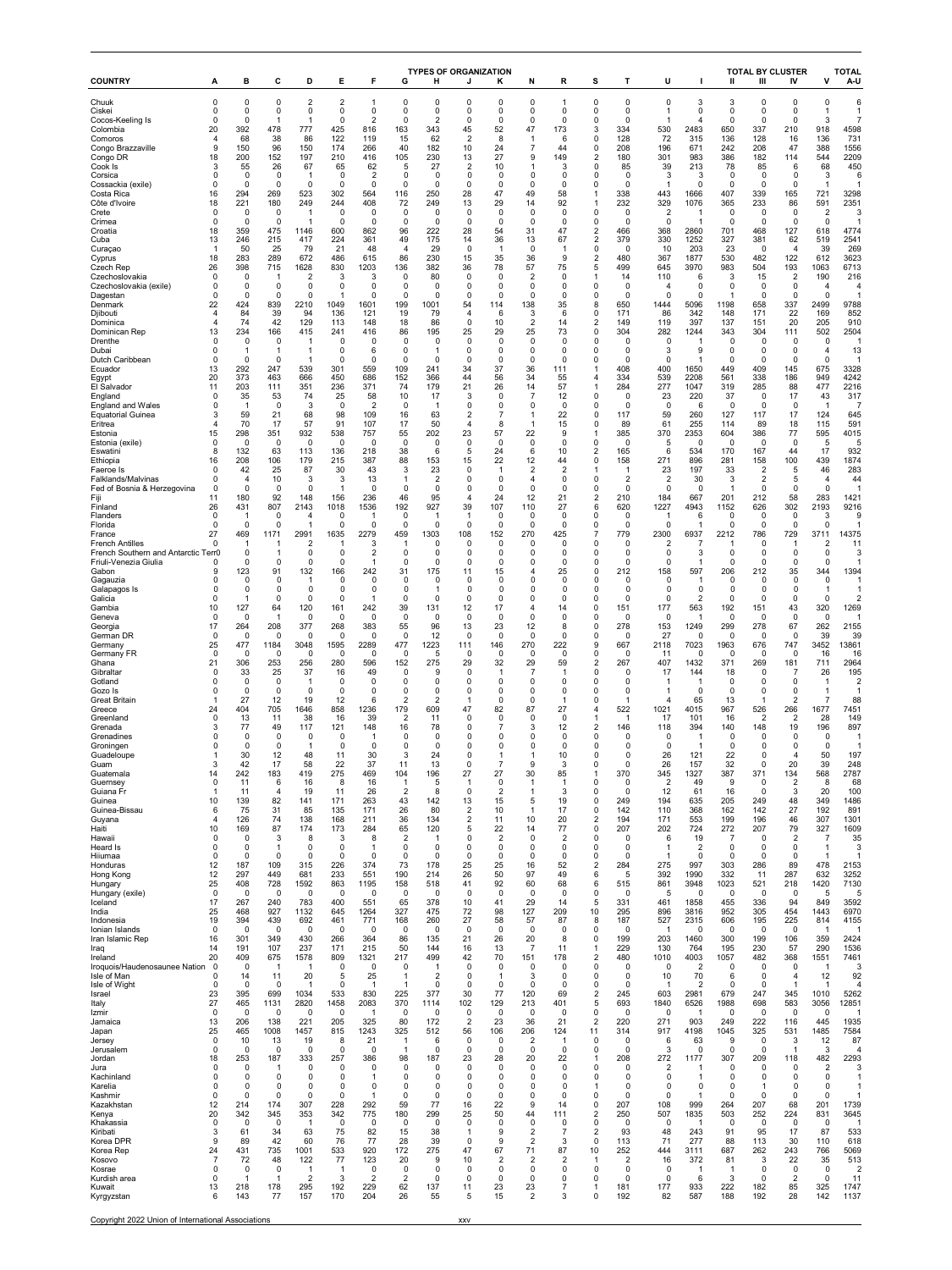| <b>COUNTRY</b>                                                | A              | в              | с               | D                        | Е                 | F                   | G                       | <b>TYPES OF ORGANIZATION</b><br>н | J                       | κ                    | N                       | R                    | s                            | т                       | u                     | ı                   | Ш                  | <b>TOTAL BY CLUSTER</b><br>Ш | IV                       | v                              | <b>TOTAL</b><br>A-U           |
|---------------------------------------------------------------|----------------|----------------|-----------------|--------------------------|-------------------|---------------------|-------------------------|-----------------------------------|-------------------------|----------------------|-------------------------|----------------------|------------------------------|-------------------------|-----------------------|---------------------|--------------------|------------------------------|--------------------------|--------------------------------|-------------------------------|
| Chuuk                                                         | $\Omega$       | $\Omega$       | $\Omega$        | $\overline{2}$           | $\overline{2}$    | 1                   | 0                       | 0                                 | 0                       | $\Omega$             | $\Omega$                | 1                    | $\Omega$                     | $\mathbf 0$             | $\Omega$              | 3                   | 3                  | $\Omega$                     | 0                        | 0                              | 6                             |
| Ciskei                                                        | $\Omega$       | $\Omega$       | $\Omega$        | $\mathbf 0$              | $\mathbf 0$       | 0                   | $\mathbf 0$             | $\mathbf 0$                       | $\mathbf 0$             | $\mathbf 0$          | $\mathbf 0$             | $\mathbf 0$          | $\Omega$                     | $\mathbf 0$             | -1                    | $\mathbf 0$         | $\mathbf 0$        | 0                            | 0                        | $\mathbf{1}$                   | -1                            |
| Cocos-Keeling Is                                              | $\Omega$       | $\Omega$       | -1              | -1                       | 0                 | $\overline{2}$      | $\mathbf 0$             | $\overline{2}$                    | $\mathbf 0$             | $\mathbf 0$          | $\mathbf 0$             | $\Omega$             | $\Omega$                     | $\mathbf 0$             | -1                    | $\overline{4}$      | $\mathbf 0$        | 0                            | 0                        | 3                              | $\overline{7}$                |
| Colombia                                                      | 20             | 392            | 478             | 777                      | 425               | 816                 | 163                     | 343                               | 45                      | 52                   | 47                      | 173                  | 3                            | 334                     | 530                   | 2483                | 650                | 337                          | 210                      | 918                            | 4598                          |
| Comoros                                                       |                | 68             | 38              | 86                       | 122               | 119                 | 15                      | 62                                | $\overline{2}$          | 8                    | -1                      | 6                    | 0                            | 128                     | 72                    | 315                 | 136                | 128                          | 16                       | 136                            | 731                           |
| Congo Brazzaville                                             | 9              | 150            | 96              | 150                      | 174               | 266                 | 40                      | 182                               | 10                      | 24                   | 7                       | 44                   | 0                            | 208                     | 196                   | 671                 | 242                | 208                          | 47                       | 388                            | 1556                          |
| Congo DR                                                      | 18             | 200            | 152             | 197                      | 210               | 416                 | 105                     | 230                               | 13                      | 27                   | 9                       | 149                  | 2                            | 180                     | 301                   | 983                 | 386                | 182                          | 114                      | 544                            | 2209                          |
| Cook Is                                                       | 3              | 55             | 26              | 67                       | 65                | 62                  | 5                       | 27                                | $\overline{\mathbf{c}}$ | 10                   | -1                      | 3                    | $\Omega$                     | 85                      | 39                    | 213                 | 78                 | 85                           | 6                        | 68                             | 450                           |
| Corsica                                                       | $\Omega$       | $\Omega$       | $\Omega$        | -1                       | $\Omega$          | $\overline{2}$      | $\Omega$                | $\Omega$                          | $\mathbf 0$             | $\Omega$             | $\mathbf 0$             | $\Omega$             | $\Omega$                     | $\Omega$                | -3                    | -3                  | $\mathbf 0$        | $\Omega$                     | $\mathbf 0$              | 3                              | 6                             |
| Cossackia (exile)                                             | $\Omega$       | $\Omega$       | $\Omega$        | $\Omega$                 | $\Omega$          | $\Omega$            | $\Omega$                | $\Omega$                          | $\Omega$                | $\Omega$             | $\Omega$                | $\Omega$             | $\Omega$                     | $\Omega$                | -1                    | $\Omega$            | $\Omega$           | $\Omega$                     | $\Omega$                 | -1                             | -1                            |
| Costa Rica                                                    | 16             | 294            | 269             | 523                      | 302               | 564                 | 116                     | 250                               | 28                      | 47                   | 49                      | 58                   | -1                           | 338                     | 443                   | 1666                | 407                | 339                          | 165                      | 721                            | 3298                          |
| Côte d'Ivoire                                                 | 18             | 221            | 180             | 249                      | 244               | 408                 | 72                      | 249                               | 13                      | 29                   | 14                      | 92                   |                              | 232                     | 329                   | 1076                | 365                | 233                          | 86                       | 591                            | 2351                          |
| Crete                                                         | $\Omega$       | $\Omega$       | $\Omega$        | -1                       | $\Omega$          | 0                   | 0                       | 0                                 | $\mathbf 0$             | $\Omega$             | $\Omega$                | $\Omega$             | $\Omega$                     | $\Omega$                | $\overline{2}$        | -1                  | 0                  | 0                            | $\mathbf 0$              | $\overline{2}$                 | 3                             |
| Crimea                                                        | $\Omega$       | $\Omega$       | $\mathbf 0$     | -1                       | $\mathbf 0$       | 0                   | $\mathbf 0$             | $\mathbf 0$                       | $\mathbf 0$             | $\Omega$             | $\mathbf 0$             | $\Omega$             | $\mathbf 0$                  | $\mathbf 0$             | $\mathbf 0$           |                     | $\mathbf 0$        | 0                            | $\mathbf 0$              | $\mathbf 0$                    | -1                            |
| Croatia                                                       | 18             | 359            | 475             | 1146                     | 600               | 862                 | 96                      | 222                               | 28                      | 54                   | 31                      | 47                   | $\overline{2}$               | 466                     | 368                   | 2860                | 701                | 468                          | 127                      | 618                            | 4774                          |
| Cuba                                                          | 13             | 246            | 215             | 417                      | 224               | 361                 | 49                      | 175                               | 14                      | 36                   | 13                      | 67                   | $\overline{2}$               | 379                     | 330                   | 1252                | 327                | 381                          | 62                       | 519                            | 2541                          |
| Curaçao                                                       | -1             | 50             | 25              | 79                       | 21                | 48                  | 4                       | 29                                | 0                       | $\overline{1}$       | 0                       | 1                    | 0                            | 0                       | 10                    | 203                 | 23                 | 0                            | 4                        | 39                             | 269                           |
| Cyprus                                                        | 18             | 283            | 289             | 672                      | 486               | 615                 | 86                      | 230                               | 15                      | 35                   | 36                      | 9                    | $\overline{\mathbf{2}}$      | 480                     | 367                   | 1877                | 530                | 482                          | 122                      | 612                            | 3623                          |
| Czech Rep                                                     | 26             | 398            | 715             | 1628                     | 830               | 1203                | 136                     | 382                               | 36                      | 78                   | 57                      | 75                   | 5                            | 499                     | 645                   | 3970                | 983                | 504                          | 193                      | 1063                           | 6713                          |
| Czechoslovakia                                                | $\Omega$       | $\Omega$       | -1              | $\overline{\phantom{a}}$ | 3                 | 3                   | 0                       | 80                                | 0                       | $\mathbf 0$          | $\overline{2}$          | $\Omega$             | -1                           | 14                      | 110                   | 6                   | 3                  | 15                           | $\overline{2}$           | 190                            | 216                           |
| Czechoslovakia (exile)                                        | $\Omega$       | $\Omega$       | $\Omega$        | $\Omega$                 | $\Omega$          | $\Omega$            | $\Omega$                | $\Omega$                          | 0                       | $\Omega$             | $\mathbf 0$             | $\Omega$             | $\Omega$                     | $\Omega$                | 4                     | $\Omega$            | 0                  | 0                            | 0                        | 4                              | $\overline{4}$                |
| Dagestan                                                      | $\Omega$       | $\Omega$       | $\Omega$        | $\Omega$                 | -1                | $\Omega$            | $\Omega$                | $\Omega$                          | 0                       | $\Omega$             | $\Omega$                | $\Omega$             | 0                            | $\Omega$                | $\Omega$              | $\Omega$            | 1                  | 0                            | $\Omega$                 | $\Omega$                       | $\overline{1}$                |
|                                                               | 22             | 424            | 839             | 2210                     | 1049              | 1601                | 199                     | 1001                              | 54                      | 114                  | 138                     | 35                   | 8                            | 650                     | 1444                  | 5096                | 1198               | 658                          | 337                      | 2499                           | 9788                          |
| Denmark<br>Diibouti                                           | 4              | 84             | 39              | 94                       | 136               | 121                 | 19                      | 79                                | $\overline{4}$          | 6                    | 3                       | 6                    | 0                            | 171                     | 86                    | 342                 | 148                | 171                          | 22                       | 169                            | 852                           |
| Dominica                                                      | 4              | 74             | 42              | 129                      | 113               | 148                 | 18                      | 86                                | $\mathbf 0$             | 10                   | $\overline{2}$          | 14                   | $\mathfrak{p}$               | 149                     | 119                   | 397                 | 137                | 151                          | 20                       | 205                            | 910                           |
| Dominican Rep                                                 | 13             | 234            | 166             | 415                      | 241               | 416                 | 86                      | 195                               | 25                      | 29                   | 25                      | 73                   | $\mathbf 0$                  | 304                     | 282                   | 1244                | 343                | 304                          | 111                      | 502                            | 2504                          |
| Drenthe                                                       | $\Omega$       | $\Omega$       | $\Omega$        | -1                       | $\Omega$          | 0                   | $\mathbf 0$             | $\mathbf 0$                       | $\mathbf 0$             | $^{\circ}$           | $^{\circ}$              | $\Omega$             | $\Omega$                     | $\Omega$                | $\Omega$              | -1                  | $\mathbf 0$        | $\mathbf 0$                  | $\mathbf 0$              | $\Omega$                       | $\overline{1}$                |
| Dubai                                                         | 0              | -1             | -1              | -1                       | 0                 | 6                   | 0                       | -1                                | 0                       | $\Omega$             | $\Omega$                | $\Omega$             | $\Omega$                     | $\Omega$                | 3                     | 9                   | $\Omega$           | 0                            | 0                        | 4                              | 13                            |
| Dutch Caribbean<br>Ecuador                                    | 0<br>13        | 0<br>292       | $\Omega$<br>247 | -1<br>539                | 0<br>301          | 0<br>559            | 0<br>109                | $\Omega$<br>241                   | 0<br>34                 | 0<br>37              | 0<br>36                 | 0<br>111             | 0                            | 0<br>408                | 0<br>400              | 1650                | 0<br>449           | 0<br>409                     | 0<br>145                 | 0<br>675                       | 3328                          |
| Egypt                                                         | 20             | 373            | 463             | 666                      | 450               | 686                 | 152                     | 366                               | 44                      | 56                   | 34                      | 55                   | 4                            | 334                     | 539                   | 2208                | 561                | 338                          | 186                      | 949                            | 4242                          |
|                                                               | 11             | 203            | 111             | 351                      | 236               | 371                 | 74                      | 179                               | 21                      | 26                   | 14                      | 57                   | 1                            | 284                     | 277                   | 1047                | 319                | 285                          | 88                       | 477                            | 2216                          |
| El Salvador<br>England                                        | n              | 35             | 53              | 74                       | 25                | 58                  | 10                      | 17                                | 3                       | $\Omega$             | $\overline{7}$          | 12                   | $\Omega$                     | $\Omega$                | 23                    | 220                 | 37                 | $\Omega$                     | 17                       | 43                             | 317                           |
| <b>England and Wales</b>                                      | 0              | -1             | $\Omega$        | -3                       | $\Omega$          | 2                   | 0                       | -1                                | 0                       | $\Omega$             | $\Omega$                | $\Omega$             | $\Omega$                     | $\Omega$                | $\Omega$              | 6                   | 0                  | $\Omega$                     | 0                        | -1                             | 7                             |
| <b>Equatorial Guinea</b>                                      | 3              | 59             | 21              | 68                       | 98                | 109                 | 16                      | 63                                | $\overline{2}$          | 7                    | $\mathbf{1}$            | 22                   | 0                            | 117                     | 59                    | 260                 | 127                | 117                          | 17                       | 124                            | 645                           |
| Eritrea                                                       | 4              | 70             | 17              | 57                       | 91                | 107                 | 17                      | 50                                | $\overline{4}$          | 8                    | $\overline{1}$          | 15                   | 0                            | 89                      | 61                    | 255                 | 114                | 89                           | 18                       | 115                            | 591                           |
| Estonia                                                       | 15             | 298            | 351             | 932                      | 538               | 757                 | 55                      | 202                               | 23                      | 57                   | 22                      | 9                    | -1                           | 385                     | 370                   | 2353                | 604                | 386                          | 77                       | 595                            | 4015                          |
| Estonia (exile)                                               | $\Omega$       | $\mathbf 0$    | $\Omega$        | $\mathbf 0$              | $\mathbf 0$       | $\Omega$            | $\mathbf 0$             | $\Omega$                          | $\mathbf 0$             | $\Omega$             | $\mathbf 0$             | $\mathbf 0$          | 0                            | $\Omega$                | 5                     | $\Omega$            | $\mathbf 0$        | $\mathbf 0$                  | $\mathbf 0$              | 5                              | 5                             |
| Eswatini                                                      | 8              | 132            | 63              | 113                      | 136               | 218                 | 38                      | 6                                 | 5                       | 24                   | 6                       | 10                   | $\overline{2}$               | 165                     | 6                     | 534                 | 170                | 167                          | 44                       | 17                             | 932                           |
| Ethiopia                                                      | 16             | 208            | 106             | 179                      | 215               | 387                 | 88                      | 153                               | 15                      | 22                   | 12                      | 44                   | 0                            | 158                     | 271                   | 896                 | 281                | 158                          | 100                      | 439                            | 1874                          |
| Faeroe Is                                                     | 0              | 42             | 25              | 87                       | 30                | 43                  | 3                       | 23                                | 0                       | $\mathbf{1}$         | $\overline{2}$          | $\overline{2}$       |                              | -1                      | 23                    | 197                 | 33                 | $\overline{2}$               | 5                        | 46                             | 283                           |
| Falklands/Malvinas                                            | 0              | $\overline{4}$ | 10              | 3                        | 3                 | 13                  | $\mathbf{1}$            | $\overline{\mathbf{2}}$           | 0                       | 0                    | 4                       | 0                    | 0                            | $\overline{2}$          | $\overline{2}$        | 30                  | 3                  | 2                            | 5                        | 4                              | 44                            |
| Fed of Bosnia & Herzegovina                                   | n              | $\Omega$       | $\Omega$        | $\Omega$                 | 1                 | $\Omega$            | $\Omega$                | $\Omega$                          | 0                       | $\Omega$             | $\mathbf 0$             | $\Omega$             | $\Omega$                     | $\Omega$                | $\Omega$              | $\Omega$            | 1                  | $\mathbf 0$                  | 0                        | $\Omega$                       | -1                            |
| Fiji                                                          | 11             | 180            | 92              | 148                      | 156               | 236                 | 46                      | 95                                | $\overline{4}$          | 24                   | 12                      | 21                   | $\overline{2}$               | 210                     | 184                   | 667                 | 201                | 212                          | 58                       | 283                            | 1421                          |
| Finland                                                       | 26             | 431            | 807             | 2143                     | 1018              | 1536                | 192                     | 927                               | 39                      | 107                  | 110                     | 27                   | 6                            | 620                     | 1227                  | 4943                | 1152               | 626                          | 302                      | 2193                           | 9216                          |
| Flanders                                                      | $\Omega$       | -1             | $\Omega$        | $\overline{4}$           | 0                 | -1                  | 0                       | -1                                | $\mathbf{1}$            | 0                    | 0                       | 0                    | 0                            | 0                       | $\mathbf{1}$          | 6                   | 0                  | 0                            | 0                        | 3                              | 9                             |
| Florida                                                       | $\Omega$       | 0              | 0               | -1                       | 0                 | 0                   | 0                       | 0                                 | 0                       | 0                    | 0                       | 0                    | 0                            | 0                       | 0                     | 6937                | 0                  | 0                            | 0                        | 0                              | -1                            |
| France                                                        | 27             | 469            | 1171            | 2991                     | 1635              | 2279                | 459                     | 1303                              | 108                     | 152                  | 270                     | 425                  | 7                            | 779                     | 2300                  |                     | 2212               | 786                          | 729                      | 3711                           | 14375                         |
| <b>French Antilles</b><br>French Southern and Antarctic Terr0 | n              | $\Omega$       | -1<br>-1        | 2<br>$\mathbf 0$         | -1<br>$\mathbf 0$ | 3<br>$\overline{2}$ | -1<br>$\mathbf 0$       | 0<br>$\mathbf 0$                  | $\Omega$<br>$\mathbf 0$ | $\Omega$<br>$\Omega$ | $\Omega$<br>$\Omega$    | $\Omega$<br>$\Omega$ | $\Omega$<br>$\Omega$         | $\Omega$<br>$\mathbf 0$ | 2<br>$\Omega$         | 7<br>3              | 1<br>$\mathbf 0$   | 0<br>0                       | 1<br>0                   | 2<br>$\mathbf 0$               | 11<br>3                       |
| Friuli-Venezia Giulia                                         | n              | $\Omega$       | $\Omega$        | $\mathbf 0$              | $\mathbf 0$       | 1                   | $\mathbf 0$             | $\mathbf 0$                       | $\mathbf 0$             | $\Omega$             | $\Omega$                | $\Omega$             | $\Omega$                     | $\mathbf 0$             | $\Omega$              | -1                  | $\mathbf 0$        | $\mathbf 0$                  | $\mathbf 0$              | $\mathbf 0$                    | $\overline{1}$                |
| Gabon                                                         | 9              | 123            | 91              | 132                      | 166               | 242                 | 31                      | 175                               | 11                      | 15                   | 4                       | 25                   | $\Omega$                     | 212                     | 158                   | 597                 | 206                | 212                          | 35                       | 344                            | 1394                          |
| Gagauzia                                                      | $\Omega$       | 0              | 0               | -1                       | 0                 | 0                   | 0                       | 0                                 | 0                       | 0                    | 0                       | 0                    | 0                            | 0                       | 0                     | -1                  | 0                  | 0                            | 0                        | 0                              | -1                            |
| Galapagos Is<br>Galicia                                       | $\Omega$<br>n  | $\Omega$       | 0<br>$\Omega$   | 0<br>0                   | 0<br>$\Omega$     | 0<br>1              | 0<br>0                  | $\Omega$                          | 0<br>0                  | 0<br>$\Omega$        | 0<br>$\Omega$           | 0<br>n               | $\Omega$<br>0                | 0<br>$\Omega$           | $\Omega$<br>$\Omega$  | 0<br>2              | 0<br>$\Omega$      | 0<br>0                       | 0<br>0                   | $\Omega$                       | -1<br>$\overline{\mathbf{2}}$ |
| Gambia                                                        | 10             | 127            | 64              | 120                      | 161               | 242                 | 39                      | 131                               | 12                      | 17                   | $\overline{4}$          | 14                   | $\Omega$                     | 151                     | 177                   | 563                 | 192                | 151                          | 43                       | 320                            | 1269                          |
| Geneva                                                        | $\Omega$       | $\Omega$       | -1              | $\Omega$                 | $\Omega$          | $\Omega$            | $\mathbf 0$             | $\Omega$                          | $\mathbf 0$             | $\Omega$             | $\mathbf 0$             | $\Omega$             | $\Omega$                     | $\Omega$                | $\Omega$              | ำ                   | $\Omega$           | $\Omega$                     | $\mathbf 0$              | $\Omega$                       | -1                            |
| Georgia                                                       | 17             | 264            | 208             | 377                      | 268               | 383                 | 55                      | 96                                | 13                      | 23                   | 12                      | 8                    | 0                            | 278                     | 153                   | 1249                | 299                | 278                          | 67                       | 262                            | 2155                          |
| German DR                                                     | 0              | 0              | 0               | 0                        | 0                 | 0                   | 0                       | 12                                | 0                       | 0                    | 0                       | 0                    | 0                            | 0                       | 27                    | 0                   | 0                  | 0                            | 0                        | 39                             | 39                            |
| Germany                                                       | 25             | 477            | 1184            | 3048                     | 1595              | 2289                | 477                     | 1223                              | 111                     | 146                  | 270                     | 222                  | 9                            | 667                     | 2118                  | 7023                | 1963               | 676                          | 747                      | 3452                           | 13861                         |
| Germany FR                                                    | $\Omega$       | $\Omega$       | $\Omega$        | $\Omega$                 | $\Omega$          | $\Omega$            | $\Omega$                | 5                                 | $\Omega$                | $\Omega$             | $\Omega$                | $\Omega$             | $\mathbf 0$                  | $\Omega$                | 11                    | $\Omega$            | $\Omega$           | $\Omega$                     | $\Omega$                 | 16                             | 16                            |
| Ghana                                                         | 21             | 306            | 253             | 256                      | 280               | 596                 | 152                     | 275                               | 29                      | 32                   | 29                      | 59                   | $\overline{2}$               | 267                     | 407                   | 1432                | 371                | 269                          | 181                      | 711                            | 2964                          |
| Gibraltar                                                     | $\Omega$       | 33             | 25              | 37                       | 16                | 49                  | $\Omega$                | 9                                 | $\mathbf 0$             | -1                   | 7                       | -1                   | $\mathbf 0$                  | $\Omega$                | 17                    | 144                 | 18                 | $\Omega$                     | $\overline{7}$           | 26                             | 195                           |
| Gotland                                                       | $\Omega$       | $\Omega$       | $\Omega$        | -1                       | 0                 | 0                   | 0                       | 0                                 | 0                       | 0                    | 0                       | $\Omega$             | $\Omega$                     | $\Omega$                |                       | -1                  | 0                  | 0                            | 0                        | -1                             | $\overline{2}$                |
| Gozo Is                                                       | 0              | 0              | 0               | 0                        | 0                 | 0                   | 0                       | 0                                 | 0                       | 0                    | 0                       | 0                    | 0                            | 0                       | $\overline{4}$        | 0                   | 0                  | 0                            | 0                        | -1                             | -1                            |
| <b>Great Britain</b>                                          | -1             | 27             | 12              | 19                       | 12                | 6                   | $\overline{\mathbf{2}}$ | $\overline{2}$                    | -1                      | 0                    | 0                       | 1                    | 0                            | -1                      |                       | 65                  | 13                 | 1                            | 2                        | $\overline{7}$                 | 88                            |
| Greece                                                        | 24             | 404            | 705             | 1646                     | 858               | 1236                | 179                     | 609                               | 47                      | 82                   | 87                      | 27                   | 4                            | 522                     | 1021                  | 4015                | 967                | 526                          | 266                      | 1677                           | 7451                          |
| Greenland                                                     | $\Omega$       | 13             | 11              | 38                       | 16                | 39                  | $\overline{\mathbf{2}}$ | 11                                | 0                       | $\Omega$             | $\Omega$                | $\Omega$             | -1                           | -1                      | 17                    | 101                 | 16                 | $\overline{\phantom{a}}$     | $\overline{\phantom{a}}$ | 28                             | 149                           |
| Grenada                                                       | 3              | 77             | 49              | 117                      | 121               | 148                 | 16                      | 78                                | $\mathbf 0$             | 7                    | 3                       | 12                   | $\mathfrak{p}$               | 146                     | 118                   | 394                 | 140                | 148                          | 19                       | 196                            | 897                           |
| Grenadines                                                    | 0              | $\Omega$       | $\Omega$        | 0                        | 0                 | -1                  | 0                       | 0                                 | $\Omega$                | $\Omega$             | $\Omega$                | $\Omega$             | 0                            | 0                       | $\Omega$              | -1                  | $\mathbf 0$        | 0                            | 0                        | 0                              | $\overline{1}$                |
| Groningen                                                     | $\Omega$       | 0              | 0               | -1                       | 0                 | 0                   | 0                       | 0                                 | 0                       | 0                    | 0                       | 0                    | 0                            | 0                       | 0                     | -1                  | 0                  | 0                            | 0                        | 0                              | -1                            |
| Guadeloupe                                                    |                | 30             | 12              | 48                       | 11                | 30                  | 3                       | 24                                | 0                       | -1                   | -1                      | 10                   | $\Omega$                     | 0                       | 26                    | 121                 | 22                 | 0                            | $\overline{4}$           | 50                             | 197                           |
| Guam                                                          | з<br>14        | 42<br>242      | 17<br>183       | 58<br>419                | 22<br>275         | 37<br>469           | 11<br>104               | 13                                | $\Omega$<br>27          | 7<br>27              | 9<br>30                 | 3                    | n<br>-1                      | $\Omega$<br>370         | 26                    | 157<br>1327         | 32<br>387          | $\Omega$<br>371              | 20<br>134                | 39<br>568                      | 248<br>2787                   |
| Guatemala<br>Guernsey                                         | n              | 11             | 6               | 16                       | 8                 | 16                  | 1                       | 196<br>5                          | -1                      | $\Omega$             | 1                       | 85                   | n                            | $\Omega$                | 345<br>2              | 49                  | 9                  | 0                            | $\mathfrak{p}$           | 8                              | 68                            |
| Guiana Fr                                                     | -1             | 11             | $\overline{4}$  | 19                       | 11                | 26                  | 2                       | 8                                 | $\mathbf 0$             | $\overline{2}$       | $\mathbf{1}$            | 3                    | 0                            | 0                       | 12                    | 61                  | 16                 | 0                            | 3                        | 20                             | 100                           |
| Guinea                                                        | 10             | 139            | 82              | 141                      | 171               | 263                 | 43                      | 142                               | 13                      | 15                   | 5                       | 19                   | 0                            | 249                     | 194                   | 635                 | 205                | 249                          | 48                       | 349                            | 1486                          |
| Guinea-Bissau                                                 | 6              | 75             | 31              | 85                       | 135               | 171                 | 26                      | 80                                | $\sqrt{2}$              | 10                   | $\overline{1}$          | 17                   | 0                            | 142                     | 110                   | 368                 | 162                | 142                          | 27                       | 192                            | 891                           |
| Guyana                                                        | 4              | 126            | 74              | 138                      | 168               | 211                 | 36                      | 134                               | $\sqrt{2}$              | 11                   | 10                      | 20                   | 2                            | 194                     | 171                   | 553                 | 199                | 196                          | 46                       | 307                            | 1301                          |
| Haiti                                                         | 10             | 169            | 87              | 174                      | 173               | 284                 | 65                      | 120                               | 5                       | 22                   | 14                      | 77                   | 0                            | 207                     | 202                   | 724                 | 272                | 207                          | 79                       | 327                            | 1609                          |
| Hawaii                                                        | $\Omega$       | $\Omega$       | 3               | 8                        | 3                 | 8                   | $\overline{2}$          | -1                                | $\mathbf 0$             | $\overline{2}$       | $\mathbf 0$             | $\overline{2}$       | $\Omega$                     | $\Omega$                | 6                     | 19                  | -7                 | $\Omega$                     | $\overline{2}$           | $\overline{7}$                 | 35                            |
| Heard Is<br>Hiiumaa                                           | $\Omega$<br>0  | 0<br>0         | -1<br>$\Omega$  | 0<br>0                   | 0<br>0            | 1<br>0              | 0<br>0                  | 0<br>0                            | 0<br>0                  | 0<br>0               | 0<br>0                  | 0<br>0               | 0<br>0                       | 0<br>0                  | $\mathbf{1}$          | $\overline{2}$<br>0 | $\mathbf 0$<br>0   | 0<br>0                       | 0<br>0                   | -1                             | 3                             |
| Honduras                                                      | 12<br>12       | 187<br>297     | 109<br>449      | 315<br>681               | 226<br>233        | 374<br>551          | 73<br>190               | 178                               | 25<br>26                | 25<br>50             | 16<br>97                | 52<br>49             | $\overline{\mathbf{c}}$<br>6 | 284<br>5                | 275<br>392            | 997<br>1990         | 303<br>332         | 286<br>-11                   | 89<br>287                | 478<br>632                     | 2153<br>3252                  |
| Hong Kong<br>Hungary                                          | 25             | 408            | 728             | 1592                     | 863               | 1195                | 158                     | 214<br>518                        | 41                      | 92                   | 60                      | 68                   | 6                            | 515                     | 861                   | 3948                | 1023               | 521                          | 218                      | 1420                           | 7130                          |
| Hungary (exile)                                               | $\mathbf 0$    | $\Omega$       | $\Omega$        | $\Omega$                 | $\Omega$          | $\Omega$            | $\Omega$                | $\Omega$                          | $\mathbf 0$             | $\mathbf 0$          | $\mathbf 0$             | $\mathbf 0$          | $\mathbf 0$                  | $\Omega$                | 5                     | $\mathbf 0$         | $\mathbf 0$        | $\Omega$                     | $\mathbf{0}$             | 5                              | 5                             |
| Iceland                                                       | 17             | 267            | 240             | 783                      | 400               | 551                 | 65                      | 378                               | 10                      | 41                   | 29                      | 14                   | 5                            | 331                     | 461                   | 1858                | 455                | 336                          | 94                       | 849                            | 3592                          |
| India                                                         | 25             | 468            | 927             | 1132                     | 645               | 1264                | 327                     | 475                               | 72                      | 98                   | 127                     | 209                  | 10                           | 295                     | 896                   | 3816                | 952                | 305                          | 454                      | 1443                           | 6970                          |
| Indonesia                                                     | 19             | 394            | 439             | 692                      | 461               | 771                 | 168                     | 260                               | 27                      | 58                   | 57                      | 87                   | 8                            | 187                     | 527                   | 2315                | 606                | 195                          | 225                      | 814                            | 4155                          |
| Ionian Islands                                                | $\Omega$       | $\Omega$       | $\Omega$        | $\Omega$                 | $\Omega$          | $\Omega$            | 0                       | $\Omega$                          | $\mathsf 0$             | $\mathsf 0$          | $\Omega$                | -0                   | 0                            | $\Omega$                | -1                    | $\Omega$            | 0                  | $^{\circ}$                   | 0                        | 359                            | -1                            |
| Iran Islamic Rep                                              | 16             | 301            | 349             | 430                      | 266               | 364                 | 86                      | 135                               | 21                      | 26                   | 20                      | 8                    | 0                            | 199                     | 203                   | 1460                | 300                | 199                          | 106                      |                                | 2424                          |
| Irag                                                          | 14             | 191            | 107             | 237                      | 171               | 215                 | 50                      | 144                               | 16                      | 13                   | $\overline{7}$          | 11                   | 1                            | 229                     | 130                   | 764                 | 195                | 230                          | 57                       | 290                            | 1536                          |
| Ireland                                                       | 20             | 409            | 675             | 1578                     | 809               | 1321                | 217                     | 499                               | 42                      | 70                   | 151                     | 178                  | $\overline{2}$               | 480                     | 1010                  | 4003                | 1057               | 482                          | 368                      | 1551                           | 7461                          |
| Iroquois/Haudenosaunee Nation 0                               |                | 0              | -1              | -1                       | 0                 | 0                   | 0                       | -1                                | 0                       | 0                    | 0                       | 0                    | 0                            | 0                       | 0                     | $\overline{2}$      | 0                  | 0                            | 0                        | -1                             | 3                             |
| Isle of Man                                                   | $\Omega$       | 14             | 11              | 20                       | 5                 | 25                  | $\mathbf{1}$            | $\overline{2}$                    | 0                       | $\overline{1}$       | 3                       | 0                    | 0                            | 0                       | 10                    | 70                  | 6                  | 0                            | 4                        | 12                             | 92                            |
| Isle of Wight                                                 | $\Omega$       | $\Omega$       | $\Omega$        | -1                       | $\mathbf 0$       | -1                  | $\mathbf{1}$            | $\Omega$                          | 0                       | 0                    | $\Omega$                | $\Omega$             | $\mathbf 0$                  | $\Omega$                | -1                    | -2                  | $\Omega$           | $\Omega$                     | -1                       | -1                             | $\overline{4}$                |
| Israel                                                        | 23             | 395            | 699             | 1034                     | 533               | 830                 | 225                     | 377                               | 30                      | 77                   | 120                     | 69                   | $\overline{2}$               | 245                     | 603                   | 2981                | 679                | 247                          | 345                      | 1010                           | 5262                          |
| Italy                                                         | 27             | 465            | 1131            | 2820                     | 1458              | 2083                | 370                     | 1114                              | 102                     | 129                  | 213                     | 401                  | 5                            | 693                     | 1840                  | 6526                | 1988               | 698                          | 583                      | 3056                           | 12851                         |
| Izmir                                                         | $\mathbf 0$    | $\Omega$       | 0               | 0                        | 0                 | -1                  | $\mathbf 0$             | 0                                 | 0                       | 0                    | 0                       | $\Omega$             | 0                            | 0                       | 0                     | -1                  | 0                  | 0                            | 0                        | 0                              | $\overline{1}$                |
| Jamaica                                                       | 13             | 206            | 138             | 221                      | 205               | 325                 | 80                      | 172                               | $\overline{2}$          | 23                   | 36                      | 21                   | $\overline{2}$               | 220                     | 271                   | 903                 | 249                | 222                          | 116                      | 445                            | 1935                          |
| Japan                                                         | 25             | 465            | 1008            | 1457                     | 815               | 1243                | 325                     | 512                               | 56                      | 106                  | 206                     | 124                  | 11                           | 314                     | 917                   | 4198                | 1045               | 325                          | 531                      | 1485                           | 7584                          |
| Jersey                                                        | 0              | 10             | 13              | 19                       | 8                 | 21                  | -1                      | 6                                 | 0                       | 0                    | $\overline{\mathbf{c}}$ | -1                   | 0                            | 0                       | 6                     | 63                  | -9                 | 0                            | 3                        | 12                             | 87                            |
| Jerusalem                                                     | $\Omega$       | $\Omega$       | $\Omega$        | $\Omega$<br>333          | $^{\circ}$        | $\Omega$            | $\overline{1}$          | $\Omega$<br>187                   | $\mathbf 0$             | $\Omega$             | $\mathbf 0$<br>20       | $\mathbf 0$<br>22    | 0<br>-1                      | $\Omega$<br>208         | 3                     | $\Omega$<br>1177    | $\mathbf 0$<br>307 | $\Omega$                     | $\mathbf{1}$             | 3                              | $\overline{4}$<br>2293        |
| Jordan<br>Jura                                                | 18<br>$\Omega$ | 253<br>0       | 187<br>-1       | 0                        | 257<br>0          | 386<br>0            | 98<br>0                 | 0                                 | 23<br>0                 | 28<br>0              | 0                       | $\Omega$             | 0                            | 0                       | 272<br>$\overline{2}$ | -1                  | 0                  | 209<br>0                     | 118<br>0                 | 482<br>$\overline{\mathbf{2}}$ | 3                             |
| Kachinland                                                    | 0              | 0              | 0               | 0                        | 0                 | -1                  | 0                       | 0                                 | 0                       | 0                    | 0                       | 0                    | 0                            | 0                       | 0                     | -1                  | 0                  | 0                            | 0                        | 0                              | -1                            |
| Karelia                                                       | 0              | 0              | 0               | 0                        | 0                 | 0                   | 0                       | 0                                 | 0                       | 0                    | 0                       | 0                    | -1                           | 0                       | 0                     | 0                   | 0                  | $\mathbf{1}$                 | 0                        | 0                              | $\overline{1}$                |
| Kashmir                                                       | $\mathbf 0$    | $\Omega$       | $\Omega$        | $\Omega$                 | $\mathbf 0$       | 1                   | $\mathbf 0$             | 0                                 | $\mathbf 0$             | $\Omega$             | $\Omega$                | $\Omega$             | $\Omega$                     | $\Omega$                | $\Omega$              | -1                  | $\mathbf 0$        | $\mathbf 0$                  | $\mathbf 0$              | $\Omega$                       | -1                            |
| Kazakhstan                                                    | 12             | 214            | 174             | 307                      | 228               | 292                 | 59                      | 77                                | 16                      | 22                   | 9                       | 14                   | 0                            | 207                     | 108                   | 999                 | 264                | 207                          | 68                       | 201                            | 1739                          |
| Kenya                                                         | 20             | 342            | 345             | 353                      | 342               | 775                 | 180                     | 299                               | 25                      | 50                   | 44                      | 111                  | $\overline{2}$               | 250                     | 507                   | 1835                | 503                | 252                          | 224                      | 831                            | 3645                          |
| Khakassia                                                     | $\Omega$       | $\Omega$       | $\Omega$        | -1                       | 0                 | 0                   | 0                       | 0                                 | 0                       | $\mathsf 0$          | $\mathbf 0$             | 0                    | 0                            | 0                       | 0                     |                     | 0                  | 0                            | 0                        | 0                              | -1                            |
| Kiribati                                                      | 3              | 61             | 34              | 63                       | 75                | 82                  | 15                      | 38                                | $\mathbf{1}$            | 9                    | $\overline{c}$          | 7                    | $\overline{\mathbf{2}}$      | 93                      | 48                    | 243                 | 91                 | 95                           | 17                       | 87                             | 533                           |
| Korea DPR                                                     | 9              | 89             | 42              | 60                       | 76                | 77                  | 28                      | 39                                | 0                       | 9                    | $\overline{2}$          | 3                    | 0                            | 113                     | 71                    | 277                 | 88                 | 113                          | 30                       | 110                            | 618                           |
| Korea Rep                                                     | 24             | 431            | 735             | 1001                     | 533               | 920                 | 172                     | 275                               | 47                      | 67                   | 71                      | 87                   | 10                           | 252                     | 444                   | 3111                | 687                | 262                          | 243                      | 766                            | 5069                          |
| Kosovo                                                        | $\overline{7}$ | 72             | 48              | 122                      | 77                | 123                 | 20                      | 9                                 | 10                      | $\overline{2}$       | $\overline{2}$          | $\overline{2}$       | -1                           | $\overline{2}$          | 16                    | 372                 | 81                 | 3                            | 22                       | 35                             | 513                           |
| Kosrae                                                        | $\Omega$       | $\Omega$       | 0               | -1                       | -1                | 0                   | 0                       | 0                                 | $\mathbf 0$             | 0                    | $\mathbf 0$             | 0                    | 0                            | 0                       | 0                     | -1                  | -1                 | 0                            | $\mathbf 0$              | 0                              | $\overline{2}$                |
| Kurdish area                                                  | $\Omega$       | -1             | -1              | $\overline{2}$           | 3                 | 2                   | $\overline{2}$          | 0                                 | 0                       | 0                    | 0                       | 0                    | 0                            | 0                       | $\Omega$              | 6                   | 3                  | 0                            | $\overline{2}$           | 0                              | 11                            |
| Kuwait                                                        | 13             | 218            | 178             | 295                      | 192               | 229                 | 62                      | 137                               | 11                      | 23                   | 23                      | 7                    | -1                           | 181                     | 177                   | 933                 | 222                | 182                          | 85                       | 325                            | 1747                          |
| Kyrgyzstan                                                    | 6              | 143            | 77              | 157                      | 170               | 204                 | 26                      | 55                                | 5                       | 15                   | $\overline{\mathbf{c}}$ | 3                    | 0                            | 192                     | 82                    | 587                 | 188                | 192                          | 28                       | 142                            | 1137                          |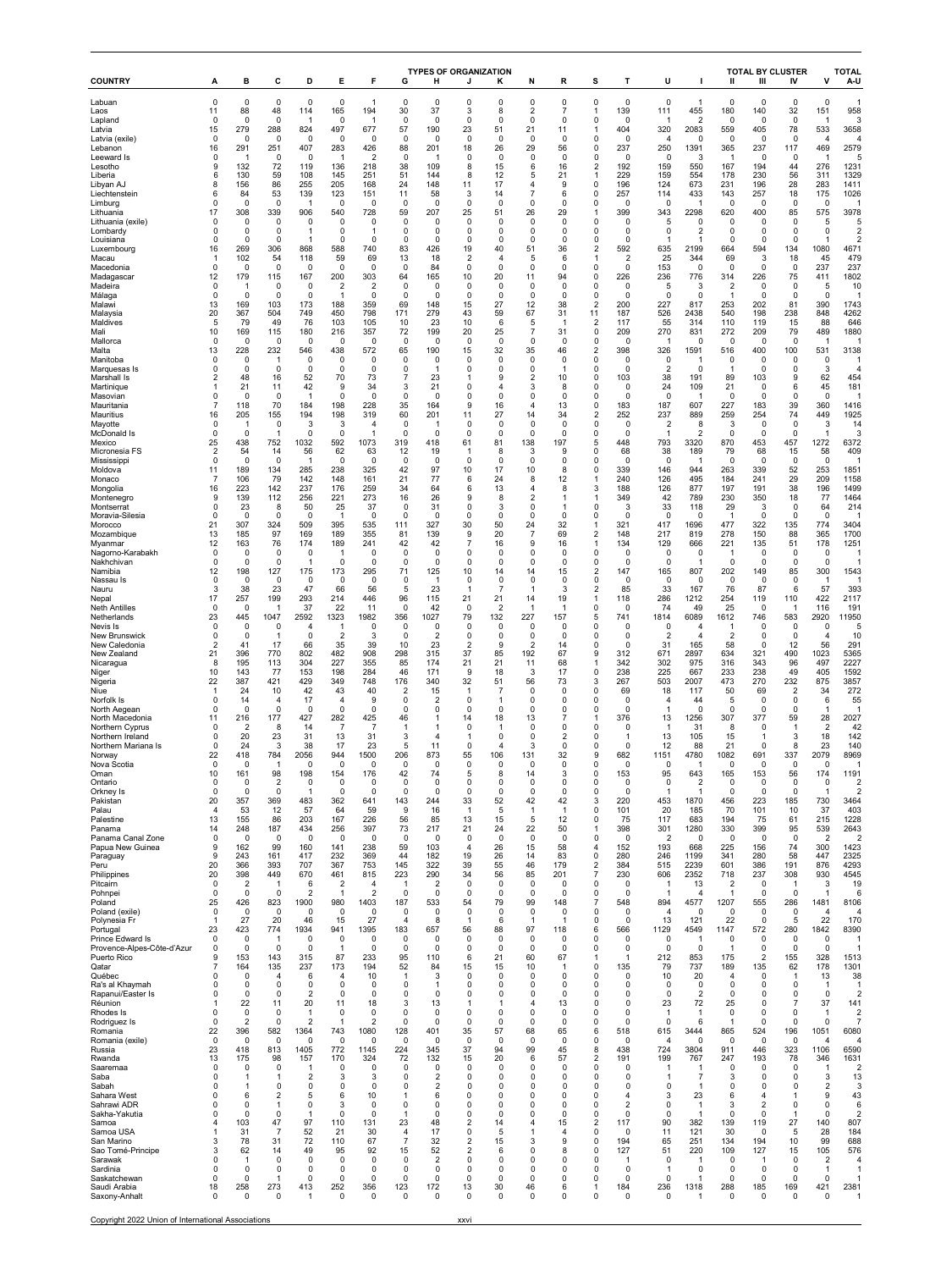| <b>COUNTRY</b>               | А                        | в                        | С                    | D               | Е                              | F                          | G                 | <b>TYPES OF ORGANIZATION</b><br>н | J                       | κ                 | N                       | R                 | s                                       | т              | U                       | -1                            | Ш                                | <b>TOTAL BY CLUSTER</b><br>Ш | IV               | ٧                       | <b>TOTAL</b><br>A-U              |
|------------------------------|--------------------------|--------------------------|----------------------|-----------------|--------------------------------|----------------------------|-------------------|-----------------------------------|-------------------------|-------------------|-------------------------|-------------------|-----------------------------------------|----------------|-------------------------|-------------------------------|----------------------------------|------------------------------|------------------|-------------------------|----------------------------------|
| Labuan                       | $\mathbf 0$              | $\mathbf 0$              | $\mathbf 0$          | $\mathbf 0$     | $\mathbf 0$                    | -1                         | $\Omega$          | 0                                 | $\mathbf 0$             | $\Omega$          | $\pmb{0}$               | $\Omega$          | $\mathbf 0$                             | $\mathbf 0$    | $\mathbf 0$             | -1                            | $\mathbf 0$                      | $\Omega$                     | $\mathbf 0$      | 0                       | -1                               |
| Laos                         | 11                       | 88                       | 48                   | 114             | 165                            | 194                        | 30                | 37                                | 3                       | 8                 | $\overline{2}$          | $\overline{7}$    | -1                                      | 139            | 111                     | 455                           | 180                              | 140                          | 32               | 151                     | 958                              |
| Lapland                      | $\Omega$                 | $\Omega$                 | $\mathbf 0$          | 1               | $\mathbf 0$                    | -1                         | $\mathbf 0$       | $\mathbf 0$                       | $\mathbf 0$             | $\mathbf 0$       | $\mathbf 0$             | $\Omega$          | $\mathbf 0$                             | $\overline{0}$ | -1                      | $\overline{2}$                | $\mathbf 0$                      | 0                            | $^{\circ}$       | $\mathbf{1}$            | 3                                |
| Latvia                       | 15                       | 279                      | 288                  | 824             | 497                            | 677                        | 57                | 190                               | 23                      | 51                | 21                      | 11                | -1                                      | 404            | 320                     | 2083                          | 559                              | 405                          | 78               | 533                     | 3658                             |
| Latvia (exile)               | 0                        | 0                        | 0                    | 0               | 0                              | 0                          | 0                 | 0                                 | 0                       | 0                 | 0                       | 0                 | 0                                       | 0              | 4                       | 0                             | 0                                | 0                            | 0                | 4                       | $\overline{4}$                   |
| Lebanon                      | 16                       | 291                      | 251                  | 407             | 283                            | 426                        | 88                | 201                               | 18                      | 26                | 29                      | 56                | 0                                       | 237            | 250                     | 1391                          | 365                              | 237                          | 117              | 469                     | 2579                             |
| Leeward Is                   | $\Omega$                 |                          | $\Omega$             | $\Omega$        | -1                             | $\overline{2}$             | 0                 | -1                                | 0                       | $\Omega$          | 0                       | $\Omega$          | 0                                       | $\Omega$       | $\Omega$                | -3                            | -1                               | 0                            | 0                | -1                      | 5                                |
| Lesotho                      | 9                        | 132                      | 72                   | 119             | 136                            | 218                        | 38                | 109                               | 8                       | 15                | 6                       | 16                | $\overline{2}$                          | 192            | 159                     | 550                           | 167                              | 194                          | 44               | 276                     | 1231                             |
| Liberia                      | 6                        | 130                      | 59                   | 108             | 145                            | 251                        | 51                | 144                               | 8                       | 12                | 5                       | 21                | -1                                      | 229            | 159                     | 554                           | 178                              | 230                          | 56               | 311                     | 1329                             |
| Libyan AJ                    | 8                        | 156                      | 86                   | 255             | 205                            | 168                        | 24                | 148                               | 11                      | 17                | 4                       | 9                 | 0                                       | 196            | 124                     | 673                           | 231                              | 196                          | 28               | 283                     | 1411                             |
| Liechtenstein                | 6                        | 84                       | 53                   | 139             | 123                            | 151                        | 11                | 58                                | 3                       | 14                | $\overline{7}$          | 6                 | 0                                       | 257            | 114                     | 433                           | 143                              | 257                          | 18               | 175                     | 1026                             |
| Limburg                      | $\Omega$                 | 0                        | 0                    |                 | 0                              | 0                          | 0                 | 0                                 | 0                       | 0                 | 0                       | $\Omega$          | 0                                       | 0              | 0                       |                               | 0                                | 0                            | 0                | 0                       |                                  |
| Lithuania                    | 17                       | 308                      | 339                  | 906             | 540                            | 728                        | 59                | 207                               | 25                      | 51                | 26                      | 29                | -1                                      | 399            | 343                     | 2298                          | 620                              | 400                          | 85               | 575                     | 3978                             |
| Lithuania (exile)            | $\Omega$                 | $\Omega$                 | $\mathbf 0$          | $\Omega$        | $\mathbf 0$                    | $\Omega$                   | $\mathbf 0$       | $\mathbf 0$                       | $\mathbf 0$             | $\Omega$          | $\mathbf 0$             | $\mathbf 0$       | $\mathbf 0$                             | $\mathbf 0$    | 5                       | $\mathbf 0$                   | $\mathbf 0$                      | $\Omega$                     | $\mathbf 0$      | 5                       | 5                                |
| Lombardy                     | $\Omega$                 | $\Omega$                 | $\mathbf 0$          | -1              | $\mathbf 0$                    | -1                         | $\mathbf 0$       | $\mathbf 0$                       | $\mathbf 0$             | $\mathbf 0$       | $\mathbf 0$             | $\mathbf 0$       | $\mathbf 0$                             | $\mathbf 0$    | $\mathbf 0$             | $\overline{2}$                | $\mathbf 0$                      | $\mathbf 0$                  | $\mathbf 0$      | $\mathbf 0$             | $\overline{2}$                   |
| Louisiana                    | $\Omega$                 | $\Omega$                 | $\Omega$             | 1               | $\Omega$                       | $\Omega$                   | 0                 | $\Omega$                          | 0                       | $\Omega$          | 0                       | $\Omega$          | 0                                       | $\Omega$       | -1                      | -1                            | 0                                | 0                            | 0                | -1                      | $\overline{2}$                   |
| Luxembourg                   | 16                       | 269                      | 306                  | 868             | 588                            | 740                        | 83                | 426                               | 19                      | 40                | 51                      | 36                | $\overline{\mathbf{c}}$                 | 592            | 635                     | 2199                          | 664                              | 594                          | 134              | 1080                    | 4671                             |
| Macau                        | $\Omega$                 | 102                      | 54                   | 118             | 59                             | 69                         | 13                | 18                                | $\overline{\mathbf{c}}$ | 4                 | 5                       | 6                 | $\mathbf{1}$                            | 2              | 25                      | 344                           | 69                               | 3                            | 18               | 45                      | 479                              |
| Macedonia                    |                          | $\Omega$                 | 0                    | 0               | 0                              | $\Omega$                   | $\Omega$          | 84                                | 0                       | $\Omega$          | $\Omega$                | $\Omega$          | 0                                       | 0              | 153                     | 0                             | 0                                | 0                            | 0                | 237                     | 237                              |
| Madagascar                   | 12                       | 179                      | 115<br>$\Omega$      | 167<br>$\Omega$ | 200                            | 303                        | 64                | 165                               | 10                      | 20<br>$\mathbf 0$ | 11<br>$\mathbf 0$       | 94<br>$\mathbf 0$ | 0                                       | 226            | 236                     | 776                           | 314                              | 226                          | 75               | 411                     | 1802                             |
| Madeira<br>Málaga            | $\Omega$<br>$\Omega$     | -1<br>$\Omega$           | $\Omega$             | $\Omega$        | $\overline{2}$<br>$\mathbf{1}$ | $\overline{2}$<br>$\Omega$ | $\mathbf 0$<br>0  | 0<br>$\Omega$                     | 0<br>0                  | $\Omega$          | $\Omega$                | $\Omega$          | 0<br>0                                  | 0<br>0         | 5<br>$\Omega$           | 3<br>$\Omega$                 | $\overline{2}$<br>$\overline{1}$ | 0<br>0                       | 0<br>$\pmb{0}$   | 5<br>0                  | 10<br>-1                         |
| Malawi                       | 13                       | 169                      | 103                  | 173             | 188                            | 359                        | 69                | 148                               | 15                      | 27                | 12                      | 38                | $\overline{2}$                          | 200            | 227                     | 817                           | 253                              | 202                          | 81               | 390                     | 1743                             |
| Malaysia                     | 20                       | 367                      | 504                  | 749             | 450                            | 798                        | 171               | 279                               | 43                      | 59                | 67                      | 31                | 11                                      | 187            | 526                     | 2438                          | 540                              | 198                          | 238              | 848                     | 4262                             |
| Maldives<br>Mali             | 5<br>10                  | 79<br>169                | 49<br>115            | 76<br>180       | 103<br>216                     | 105                        | 10                | 23<br>199                         | 10                      | 6                 | 5<br>$\overline{7}$     | -1<br>31          | $\overline{\phantom{a}}$<br>$\mathbf 0$ | 117<br>209     | 55<br>270               | 314<br>831                    | 110<br>272                       | 119<br>209                   | 15<br>79         | 88                      | 646                              |
| Mallorca                     | $\Omega$                 | $\mathbf 0$              | $\mathbf 0$          | $\mathbf 0$     | $\mathbf 0$                    | 357<br>$\Omega$            | 72<br>$\mathbf 0$ | $\overline{0}$                    | 20<br>$\mathbf 0$       | 25<br>$\mathbf 0$ | $\mathbf 0$             | $\Omega$          | $^{\circ}$                              | $\mathbf 0$    | -1                      | $\Omega$                      | $\mathbf 0$                      | $\mathbf 0$                  | $\mathbf 0$      | 489<br>-1               | 1880<br>-1                       |
| Malta                        | 13                       | 228                      | 232                  | 546             | 438                            | 572                        | 65                | 190                               | 15                      | 32                | 35                      | 46                | $\overline{2}$                          | 398            | 326                     | 1591                          | 516                              | 400                          | 100              | 531                     | 3138                             |
| Manitoba                     | $\Omega$                 | 0                        | -1                   | 0               | 0                              | 0                          | 0                 | 0                                 | 0                       | 0                 | 0                       | 0                 | 0                                       | 0              | 0                       |                               | 0                                | 0                            | 0                | 0                       | -1                               |
| Marquesas Is                 | $\Omega$                 | 0                        | 0                    | 0               | 0                              | 0                          | 0                 |                                   | 0                       | 0                 | 0                       |                   | 0                                       | 0              | $\overline{2}$          | 0                             | -1                               | 0                            | 0                | 3                       | $\overline{4}$                   |
| Marshall Is                  | 2                        | 48                       | 16                   | 52              | 70                             | 73                         | 7                 | 23                                | -1                      | 9                 | 2                       | 10                | 0                                       | 103            | 38                      | 191                           | 89                               | 103                          | 9                | 62                      | 454                              |
| Martinique                   |                          | 21                       | 11                   | 42              | 9                              | 34                         | 3                 | 21                                | 0                       | 4                 | 3                       | 8                 | $\Omega$                                | $\Omega$       | 24                      | 109                           | 21                               | 0                            | 6                | 45                      | 181                              |
| Masovian                     | $\Omega$                 | $\Omega$                 | $\Omega$             | -1              | $\mathbf 0$                    | $\mathbf 0$                | $\mathbf 0$       | $\mathbf 0$                       | $^{\circ}$              | $\Omega$          | $\mathbf 0$             | $\Omega$          | $\Omega$                                | $\Omega$       | $\Omega$                | -1                            | $\mathbf 0$                      | 0                            | $\mathbf 0$      | $\mathbf 0$             | -1                               |
| Mauritania                   | $\overline{7}$           | 118                      | 70                   | 184             | 198                            | 228                        | 35                | 164                               | 9                       | 16                | $\overline{4}$          | 13                | 0                                       | 183            | 187                     | 607                           | 227                              | 183                          | 39               | 360                     | 1416                             |
| Mauritius                    | 16                       | 205                      | 155                  | 194             | 198                            | 319                        | 60                | 201                               | 11                      | 27                | 14                      | 34                | 2                                       | 252            | 237                     | 889                           | 259                              | 254                          | 74               | 449                     | 1925                             |
| Mayotte<br>McDonald Is       | $\Omega$<br>$\Omega$     | $\Omega$                 | 0<br>-1              | 3<br>$\Omega$   | 3<br>$\mathbf 0$               | 4<br>-1                    | 0<br>$\mathbf 0$  | $\Omega$                          | 0<br>$\mathbf 0$        | 0<br>$\Omega$     | 0<br>$\mathbf 0$        | 0<br>n            | 0<br>$\Omega$                           | 0<br>$\Omega$  | $\overline{2}$<br>-1    | 8<br>$\overline{\phantom{a}}$ | 3<br>$\mathbf 0$                 | 0<br>0                       | $\mathbf 0$<br>0 | 3<br>-1                 | 14<br>3                          |
| Mexico                       | 25                       | 438                      | 752                  | 1032            | 592                            | 1073                       | 319               | 418                               | 61                      | 81                | 138                     | 197               | 5                                       | 448            | 793                     | 3320                          | 870                              | 453                          | 457              | 1272                    | 6372                             |
| Micronesia FS                | $\overline{\phantom{a}}$ | 54                       | 14                   | 56              | 62                             | 63                         | 12                | 19                                | -1                      | 8                 | 3                       | 9                 | $\mathbf 0$                             | 68             | 38                      | 189                           | 79                               | 68                           | 15               | 58                      | 409                              |
| Mississippi                  | $\Omega$                 | $\Omega$                 | $\Omega$             | -1              | $\Omega$                       | 0                          | 0                 | 0                                 | 0                       | 0                 | 0                       | $\Omega$          | 0                                       | 0              | $\Omega$                |                               | 0                                | 0                            | 0                | 0                       | -1                               |
| Moldova                      | 11                       | 189                      | 134                  | 285             | 238                            | 325                        | 42                | 97                                | 10                      | 17                | 10                      | 8                 | 0                                       | 339            | 146                     | 944                           | 263                              | 339                          | 52               | 253                     | 1851                             |
| Monaco                       | $\overline{7}$           | 106                      | 79                   | 142             | 148                            | 161                        | 21                | 77                                | 6                       | 24                | 8                       | 12                | -1                                      | 240            | 126                     | 495                           | 184                              | 241                          | 29               | 209                     | 1158                             |
| Mongolia                     | 16                       | 223                      | 142                  | 237             | 176                            | 259                        | 34                | 64                                | 6                       | 13                | 4                       | 8                 | 3                                       | 188            | 126                     | 877                           | 197                              | 191                          | 38               | 196                     | 1499                             |
|                              | 9                        | 139                      | 112                  | 256             | 221                            | 273                        | 16                | 26                                | 9                       | 8                 | $\overline{2}$          | -1                | -1                                      | 349            | 42                      | 789                           | 230                              | 350                          | 18               | 77                      | 1464                             |
| Montenegro<br>Montserrat     | $\Omega$                 | 23                       | 8                    | 50              | 25                             | 37                         | $\mathbf 0$       | 31                                | $\mathbf 0$             | 3                 | $\mathbf 0$             | $\overline{1}$    | $\mathbf 0$                             | 3              | 33                      | 118                           | 29                               | 3                            | $\mathbf 0$      | 64                      | 214                              |
| Moravia-Silesia              | $\Omega$                 | $\Omega$                 | $\Omega$             | $\Omega$        | $\overline{1}$                 | 0                          | 0                 | 0                                 | 0                       | $\Omega$          | $\Omega$                | $\Omega$          | 0                                       | $\Omega$       | $\Omega$                | 0                             | $\overline{1}$                   | 0                            | 0                | 0                       | -1                               |
| Morocco                      | 21                       | 307                      | 324                  | 509             | 395                            | 535                        | 111               | 327                               | 30                      | 50                | 24                      | 32                | $\mathbf{1}$                            | 321            | 417                     | 1696                          | 477                              | 322                          | 135              | 774                     | 3404                             |
| Mozambique                   | 13                       | 185                      | 97                   | 169             | 189                            | 355                        | 81                | 139                               | 9                       | 20                | $\overline{7}$          | 69                | $\overline{2}$                          | 148            | 217                     | 819                           | 278                              | 150                          | 88               | 365                     | 1700                             |
| Myanmar                      | 12                       | 163                      | 76                   | 174             | 189                            | 241                        | 42                | 42                                | 7                       | 16                | 9                       | 16                | -1                                      | 134            | 129                     | 666                           | 221                              | 135                          | 51               | 178                     | 1251                             |
| Nagorno-Karabakh             | $\Omega$                 | $\Omega$                 | $\Omega$             | $\mathbf 0$     | $\overline{1}$                 | $\mathbf 0$                | $^{\circ}$        | $\mathbf 0$                       | $\mathbf 0$             | $\mathbf 0$       | $\mathbf 0$             | $\Omega$          | $\mathbf 0$                             | $\mathbf 0$    | $\Omega$                | $\Omega$                      | -1                               | 0                            | $\mathbf 0$      | $\Omega$                | -1                               |
| Nakhchivan                   | $\Omega$                 | $\mathbf 0$              | $\mathbf 0$          | $\overline{1}$  | $\mathbf 0$                    | $\mathbf 0$                | $\mathbf 0$       | $\mathbf 0$                       | $\mathbf 0$             | $\Omega$          | $\mathbf 0$             | $\mathbf 0$       | $\mathbf 0$                             | $\mathbf 0$    | $\mathbf 0$             | -1                            | $\mathbf 0$                      | $\mathbf 0$                  | $\mathbf 0$      | $\mathbf 0$             | $\overline{1}$                   |
| Namibia                      | 12                       | 198                      | 127                  | 175             | 173                            | 295                        | 71                | 125                               | 10                      | 14                | 14                      | 15                | $\overline{\mathbf{2}}$                 | 147            | 165                     | 807                           | 202                              | 149                          | 85               | 300                     | 1543                             |
| Nassau Is                    | 0                        | 0                        | 0                    | 0               | 0                              | 0                          | 0                 | -1                                | 0                       | 0                 | 0                       | 0                 | 0                                       | 0              | 0                       | 0                             | 0                                | 0                            | 0                | -1                      | -1                               |
| Nauru                        | 3                        | 38                       | 23                   | 47              | 66                             | 56                         | 5                 | 23                                | -1                      | 7                 | 14                      | 3                 | $\overline{2}$                          | 85             | 33                      | 167                           | 76                               | 87                           | 6                | 57                      | 393                              |
| Nepal                        | 17                       | 257                      | 199                  | 293             | 214                            | 446                        | 96                | 115                               | 21                      | 21                |                         | 19                | -1                                      | 118            | 286                     | 1212                          | 254                              | 119                          | 110              | 422                     | 2117                             |
| <b>Neth Antilles</b>         | $\Omega$                 | $\Omega$                 | -1                   | 37              | 22                             | 11                         | $\mathbf 0$       | 42                                | $\mathbf 0$             | $\overline{2}$    | -1                      | -1                | 0                                       | $\Omega$       | 74                      | 49                            | 25                               | $\Omega$                     | -1               | 116                     | 191                              |
| Netherlands                  | 23                       | 445                      | 1047                 | 2592            | 1323                           | 1982                       | 356               | 1027                              | 79                      | 132               | 227                     | 157               | 5                                       | 741            | 1814                    | 6089                          | 1612                             | 746                          | 583              | 2920                    | 11950                            |
| Nevis Is                     | $\Omega$                 | $\Omega$                 | 0                    | 4               | $\mathbf{1}$                   | 0                          | 0                 | 0                                 | 0                       | $\Omega$          | $\Omega$                | $\Omega$          | 0                                       | $\Omega$       | 0                       | $\overline{4}$                | -1                               | 0                            | 0                | 0                       | 5                                |
| New Brunswick                | $\Omega$                 | 0                        | -1                   | 0               | $\overline{2}$                 | 3                          | 0                 | $\overline{2}$                    | 0                       | 0                 | 0                       | 0                 | 0                                       | 0              | $\overline{\mathbf{2}}$ | $\overline{4}$                | $\overline{2}$                   | 0                            | 0                | 4                       | 10                               |
| New Caledonia                | $\overline{2}$           | 41                       | 17                   | 66              | 35                             | 39                         | 10                | 23                                | $\overline{2}$          | 9                 | $\overline{\mathbf{2}}$ | 14                | 0                                       | 0              | 31                      | 165                           | 58                               | 0                            | 12               | 56                      | 291                              |
| New Zealand                  | 21                       | 396                      | 770                  | 802             | 482                            | 908                        | 298               | 315                               | 37                      | 85                | 192                     | 67                | 9                                       | 312            | 671                     | 2897                          | 634                              | 321                          | 490              | 1023                    | 5365                             |
|                              | 8                        | 195                      | 113                  | 304             | 227                            | 355                        | 85                | 174                               | 21                      | 21                | 11                      | 68                | $\overline{1}$                          | 342            | 302                     | 975                           | 316                              | 343                          | 96               | 497                     | 2227                             |
| Nicaragua<br>Niger           | 10                       | 143                      | 77                   | 153             | 198                            | 284                        | 46                | 171                               | 9                       | 18                | 3                       | 17                | $\mathbf 0$                             | 238            | 225                     | 667                           | 233                              | 238                          | 49               | 405                     | 1592                             |
| Nigeria                      | 22                       | 387                      | 421                  | 429             | 349                            | 748                        | 176               | 340                               | 32                      | 51                | 56                      | 73                | 3                                       | 267            | 503                     | 2007                          | 473                              | 270                          | 232              | 875                     | 3857                             |
| Niue                         |                          | 24                       | 10                   | 42              | 43                             | 40                         | $\overline{2}$    | 15                                | $\mathbf{1}$            | 7                 | 0                       | 0                 | 0                                       | 69             | 18                      | 117                           | 50                               | 69                           | 2                | 34                      | 272                              |
| Norfolk Is                   | $\Omega$                 | 14                       | $\overline{4}$       | 17              | 4                              | 9                          | 0                 | $\overline{2}$                    | 0                       | $\mathbf{1}$      | 0                       | 0                 | 0                                       | 0              | 4                       | 44                            | 5                                | 0                            | 0                | 6                       | 55                               |
| North Aegean                 | n                        | $\Omega$                 | $\Omega$             | $\Omega$        | $\Omega$                       | $\Omega$                   | $\Omega$          | 0                                 | $\Omega$                | $\Omega$          | $\Omega$                | 0                 | 0                                       | 0              | -1                      | 0                             | $\Omega$                         | 0                            | 0                | -1                      | -1                               |
| North Macedonia              | 11                       | 216                      | 177                  | 427             | 282                            | 425                        | 46                | -1                                | 14                      | 18                | 13                      | $\overline{7}$    | -1                                      | 376            | 13                      | 1256                          | 307                              | 377                          | 59               | 28                      | 2027                             |
| Northern Cyprus              | $\Omega$                 | $\overline{\phantom{a}}$ | 8                    | 14              | $\overline{7}$                 | $\overline{7}$             | -1                | -1                                | $\mathbf 0$             | -1                | $\mathbf 0$             | $\Omega$          | $\Omega$                                | $\Omega$       | -1                      | 31                            | 8                                | 0                            | $\overline{1}$   | $\overline{2}$          | 42                               |
| Northern Ireland             | $\Omega$                 | 20                       | 23                   | 31              | 13                             | 31                         | 3                 | 4                                 | -1                      | $\Omega$          | 0                       | $\overline{2}$    | 0                                       | -1             | 13                      | 105                           | 15                               | 1                            | 3                | 18                      | 142                              |
| Northern Mariana Is          | $\Omega$                 | 24                       | 3                    | 38              | 17                             | 23                         | 5                 | 11                                | 0                       | 4                 | 3                       | 0                 | 0                                       | 0              | 12                      | 88                            | 21                               | 0                            | 8                | 23                      | 140                              |
| Norway                       | 22                       | 418                      | 784                  | 2056            | 944                            | 1500                       | 206               | 873                               | 55                      | 106               | 131                     | 32                | 9                                       | 682            | 1151                    | 4780                          | 1082                             | 691                          | 337              | 2079                    | 8969                             |
| Nova Scotia                  | $\Omega$                 | $\Omega$                 | -1                   | $\Omega$        | $\Omega$                       | $\Omega$                   | $\Omega$          | $\mathbf 0$                       | 0                       | $\Omega$          | $\Omega$                | $\Omega$          | $\Omega$                                | $\Omega$       | $\Omega$                | -1                            | $\Omega$                         | $\Omega$                     | $\Omega$         | $\Omega$                | -1                               |
| Oman                         | 10                       | 161                      | 98                   | 198             | 154                            | 176                        | 42                | 74                                | 5                       | 8                 | 14                      | 3                 | $\Omega$                                | 153            | 95                      | 643                           | 165                              | 153                          | 56               | 174                     | 1191                             |
| Ontario                      | $\Omega$                 | $\Omega$                 | 2                    | $\Omega$        | $\Omega$                       | $\Omega$                   | $\Omega$          | $\Omega$                          | 0                       | $\Omega$          | O                       | $\Omega$          | $\Omega$                                | $\Omega$       | $\Omega$                | 2                             | $\Omega$                         | 0                            | 0                | $\Omega$                | $\mathcal{P}$                    |
| Orkney Is                    | 0                        | 0                        | 0                    | 1               | 0                              | 0                          | 0                 | 0                                 | 0                       | 0                 | $\mathbf 0$             | $\mathbf 0$       | 0                                       | 0              | -1                      | $\mathbf{1}$                  | 0                                | 0                            | 0                | $\mathbf{1}$            | $\overline{2}$                   |
| Pakistan                     | 20                       | 357                      | 369                  | 483             | 362                            | 641                        | 143               | 244                               | 33                      | 52                | 42                      | 42                | 3                                       | 220            | 453                     | 1870                          | 456                              | 223                          | 185              | 730                     | 3464                             |
| Palau                        | 4                        | 53                       | 12                   | 57              | 64                             | 59                         | 9                 | 16                                | $\overline{1}$          | $\sqrt{5}$        | $\mathbf{1}$            | $\mathbf{1}$      | 0                                       | 101            | 20                      | 185                           | 70                               | 101                          | 10               | 37                      | 403                              |
| Palestine                    | 13                       | 155                      | 86                   | 203             | 167                            | 226                        | 56                | 85                                | 13                      | 15                | 5                       | 12                | $\mathbf 0$                             | 75             | 117                     | 683                           | 194                              | 75                           | 61               | 215                     | 1228                             |
| Panama                       | 14                       | 248                      | 187                  | 434             | 256                            | 397                        | 73                | 217                               | 21                      | 24                | 22                      | 50                | -1                                      | 398            | 301                     | 1280                          | 330                              | 399                          | 95               | 539                     | 2643                             |
| Panama Canal Zone            | $\Omega$                 | $\Omega$                 | $\mathbf{0}$         | $\mathbf 0$     | $\Omega$                       | $\mathbf 0$                | $\mathbf 0$       | $\mathbf 0$                       | $\mathbf 0$             | $\mathbf 0$       | $\mathbf 0$             | $\mathbf 0$       | $\mathbf 0$                             | $\Omega$       | $\overline{2}$          | $\Omega$                      | $\Omega$                         | $\mathbf 0$                  | $\mathbf 0$      | $\overline{2}$          | $\overline{2}$                   |
| Papua New Guinea             | 9                        | 162                      | 99                   | 160             | 141                            | 238                        | 59                | 103                               | $\overline{4}$          | 26                | 15                      | 58                | 4                                       | 152            | 193                     | 668                           | 225                              | 156                          | 74               | 300                     | 1423                             |
| Paraguay                     | 9                        | 243                      | 161                  | 417             | 232                            | 369                        | 44                | 182                               | 19                      | 26                | 14                      | 83                | 0                                       | 280            | 246                     | 1199                          | 341                              | 280                          | 58               | 447                     | 2325                             |
| Peru                         | 20                       | 366                      | 393                  | 707             | 367                            | 753                        | 145               | 322                               | 39                      | 55                | 46                      | 179               | $\overline{c}$                          | 384            | 515                     | 2239                          | 601                              | 386                          | 191              | 876                     | 4293                             |
| Philippines                  | 20                       | 398                      | 449                  | 670             | 461                            | 815                        | 223               | 290                               | 34                      | 56                | 85                      | 201               | $\overline{7}$                          | 230            | 606                     | 2352                          | 718                              | 237                          | 308              | 930                     | 4545                             |
| Pitcairn                     | $\mathbf 0$              | $\overline{2}$           | -1                   | 6               | $\overline{2}$                 | $\overline{4}$             | -1                | $\overline{2}$                    | $\mathbf 0$             | $\mathbf 0$       | $\mathbf 0$             | $\mathbf 0$       | 0                                       | $\mathbf 0$    | -1                      | 13                            | $\overline{2}$                   | $\mathsf 0$                  | -1               | 3                       | 19                               |
| Pohnpei                      | $\mathbf 0$              | $\mathbf 0$              | $\mathbf 0$          | $\overline{2}$  | -1                             | $\overline{2}$             | $\mathbf 0$       | $\mathbf 0$                       | $\mathbf 0$             | $\mathbf 0$       | $\mathbf 0$             | $\mathbf 0$       | $\mathbf 0$                             | $\mathbf 0$    | -1                      | $\overline{4}$                | 1                                | 0                            | $\mathbf 0$      | -1                      | 6                                |
| Poland                       | 25                       | 426                      | 823                  | 1900            | 980                            | 1403                       | 187               | 533                               | 54                      | 79                | 99                      | 148               | $\overline{7}$                          | 548            | 894                     | 4577                          | 1207                             | 555                          | 286              | 1481                    | 8106                             |
| Poland (exile)               | 0                        | 0                        | 0                    | 0               | 0                              | 0                          | 0                 | 0                                 | $\mathsf 0$             | 0                 | 0                       | 0                 | 0                                       | 0              | 4                       | 0                             | 0                                | 0                            | 0                | 4                       | $\overline{4}$                   |
| Polynesia Fr                 | -1                       | 27                       | 20                   | 46              | 15                             | 27                         | $\overline{4}$    | 8                                 | $\overline{1}$          | 6                 | -1                      | -1                | 0                                       | 0              | 13                      | 121                           | 22                               | 0                            | 5                | 22                      | 170                              |
| Portugal                     | 23                       | 423                      | 774                  | 1934            | 941                            | 1395                       | 183               | 657                               | 56                      | 88                | 97                      | 118               | 6                                       | 566            | 1129                    | 4549                          | 1147                             | 572                          | 280              | 1842                    | 8390                             |
| Prince Edward Is             | $\Omega$                 | 0                        | -1                   | 0               | $\mathsf 0$                    | $\mathbf 0$                | $\mathbf 0$       | 0                                 | 0                       | $\mathsf 0$       | $\mathbf 0$             | 0                 | $\pmb{0}$                               | 0              | $\mathbf 0$             | -1                            | $\mathbf 0$                      | $\mathbf 0$                  | 0                | 0                       | $\overline{1}$                   |
| Provence-Alpes-Côte-d'Azur   | $\Omega$                 | $\Omega$                 | $\mathbf 0$          | $\mathbf 0$     | $\overline{1}$                 | $\mathbf 0$                | $^{\circ}$        | $\mathbf 0$                       | 0                       | $\mathbf 0$       | $\mathbf 0$             | $\mathbf 0$       | 0                                       | $\mathsf 0$    | $\Omega$                | $\Omega$                      | $\mathbf{1}$                     | $\mathsf 0$                  | $\mathbf 0$      | $\mathbf 0$             | $\overline{1}$                   |
| Puerto Rico                  | 9                        | 153                      | 143                  | 315             | 87                             | 233                        | 95                | 110                               | 6                       | 21                | 60                      | 67                | -1                                      | $\overline{1}$ | 212                     | 853                           | 175                              | $\overline{2}$               | 155              | 328                     | 1513                             |
| Qatar                        | 7                        | 164                      | 135                  | 237             | 173                            | 194                        | 52                | 84                                | 15                      | 15                | 10                      | -1                | 0                                       | 135            | 79                      | 737                           | 189                              | 135                          | 62               | 178                     | 1301                             |
| Québec                       | 0                        | 0                        | $\overline{4}$       | 6               | 4                              | 10                         | $\mathbf{1}$      | 3                                 | 0                       | 0                 | $\mathbf 0$             | 0                 | 0                                       | 0              | 10                      | 20                            | 4                                | 0                            | $\mathbf{1}$     | 13                      | 38                               |
| Ra's al Khaymah              | $\Omega$                 | $\mathbf 0$              | $\mathbf 0$          | $\mathsf 0$     | $\mathbf 0$                    | $\mathbf 0$                | $\mathbf 0$       | $\mathbf{1}$                      | $\mathbf 0$             | $\mathbf 0$       | $\mathbf 0$             | $\mathbf 0$       | $\mathbf 0$                             | $\mathbf 0$    | $\mathbf 0$             | 0                             | $\mathbf 0$                      | 0                            | 0                | -1                      | $\overline{1}$                   |
| Rapanui/Easter Is            | $\mathbf 0$              | $\mathbf 0$              | $\mathbf 0$          | $\overline{2}$  | $\mathbf 0$                    | $\mathbf 0$                | $\pmb{0}$         | $^{\circ}$                        | $\mathbf 0$             | $\mathbf 0$       | $\mathbf 0$             | $^{\circ}$        | $\mathbf 0$                             | $\mathbf 0$    | $^{\circ}$              | $\overline{2}$                | $\mathbf 0$                      | 0                            | $\mathbf 0$      | $\mathbf 0$             | $\overline{2}$                   |
| Réunion                      | $\mathbf{1}$             | 22                       | 11                   | 20              | 11                             | 18                         | 3                 | 13                                | $\mathbf{1}$            | $\mathbf{1}$      | $\overline{4}$          | 13                | $\mathbf 0$                             | $\mathbf 0$    | 23                      | 72                            | 25                               | 0                            | $\overline{7}$   | 37                      | 141                              |
| Rhodes Is                    | $\Omega$                 | $\Omega$                 | 0                    | -1              | 0                              | 0                          | 0                 | $\mathbf 0$                       | 0                       | $\mathbf 0$       | $\mathbf 0$             | $\Omega$          | $\Omega$                                | $\Omega$       | $\mathbf{1}$            | $\mathbf{1}$                  | 0                                | 0                            | 0                | $\mathbf{1}$            | $\overline{2}$                   |
| Rodriguez Is                 | 0                        | $\overline{2}$           | 0                    | 2               | $\mathbf{1}$                   | $\overline{\mathbf{2}}$    | 0                 | 0                                 | 0                       | 0                 | 0                       | 0                 | 0                                       | 0              | 0                       | 6                             | 1                                | 0                            | 0                | 0                       | 7                                |
| Romania                      | 22                       | 396                      | 582                  | 1364            | 743                            | 1080                       | 128               | 401                               | 35                      | 57                | 68                      | 65                | 6                                       | 518            | 615                     | 3444                          | 865                              | 524                          | 196              | 1051                    | 6080                             |
| Romania (exile)              | $\mathbf 0$              | $\Omega$                 | 0                    | $\Omega$        | $\Omega$                       | $\Omega$                   | $\Omega$          | $\Omega$                          | 0                       | $\mathbf 0$       | $\Omega$                | $\Omega$          | 0                                       | 0              | 4                       | 0                             | 0                                | 0                            | $\pmb{0}$        | 4                       | $\overline{4}$                   |
| Russia                       | 23                       | 418                      | 813                  | 1405            | 772                            | 1145                       | 224               | 345                               | 37                      | 94                | 99                      | 45                | 8                                       | 438            | 724                     | 3804                          | 911                              | 446                          | 323              | 1106                    | 6590                             |
| Rwanda                       | 13                       | 175                      | 98                   | 157             | 170                            | 324                        | 72                | 132                               | 15                      | 20                | 6                       | 57                | $\overline{2}$                          | 191            | 199                     | 767                           | 247                              | 193                          | 78               | 346                     | 1631                             |
| Saaremaa                     | $\Omega$                 | 0                        | 0                    | -1              | 0                              | 0                          | 0                 | $\mathbf 0$                       | 0                       | 0                 | 0                       | 0                 | 0                                       | 0              | -1                      |                               | 0                                | 0                            | 0                | -1                      | $\overline{\mathbf{c}}$          |
| Saba                         | 0                        | $\mathbf{1}$             | 1                    | 2               | 3                              | 3                          | 0                 | $\overline{c}$                    | 0                       | 0                 | 0                       | 0                 | 0                                       | 0              | $\mathbf{1}$            | 7                             | 3                                | 0                            | 0                | 3                       | 13                               |
| Sabah                        | 0                        | $\overline{1}$           | $\mathbf 0$          | 0               | 0                              | 0                          | $\pmb{0}$         | $\overline{2}$                    | 0                       | $\pmb{0}$         | 0                       | $\pmb{0}$         | 0                                       | 0              | 0                       | $\overline{1}$                | 0                                | 0                            | $\pmb{0}$        | $\overline{2}$          | 3                                |
| Sahara West                  | $\Omega$                 | 6                        | $\overline{2}$       | 5               | 6                              | 10                         | -1                | 6                                 | 0                       | $\mathbf 0$       | 0                       | 0                 | $\mathbf 0$                             | $\Delta$       | 3                       | 23                            | 6                                | 4                            | $\mathbf{1}$     | $\mathsf g$             | 43                               |
| Sahrawi ADR                  | $\Omega$                 | $\Omega$                 | $\mathbf{1}$         | $\mathbf 0$     | 3                              | $\mathbf 0$                | $\mathbf 0$       | $\mathbf 0$                       | $\mathbf 0$             | $\mathbf 0$       | 0                       | $\mathbf 0$       | $\mathbf 0$                             | $\overline{2}$ | 0                       | -1                            | 3                                | $\overline{c}$               | 0                | $\mathbf 0$             | 6                                |
| Sakha-Yakutia                | $\Omega$                 | $\mathbf 0$              | $\mathbf 0$          | $\mathbf{1}$    | $\mathbf 0$                    | $\mathbf 0$                | $\overline{1}$    | $\mathbf 0$                       | $\mathbf 0$             | $\mathbf 0$       | $\mathbf 0$             | $\mathbf 0$       | $\mathbf 0$                             | $\mathbf 0$    | $\mathbf 0$             | -1                            | $\mathbf 0$                      | 0                            | $\mathbf{1}$     | $\mathbf 0$             | $\overline{2}$                   |
| Samoa                        | 4                        | 103<br>31                | 47<br>$\overline{7}$ | 97<br>52        | 110<br>21                      | 131<br>30                  | 23<br>4           | 48<br>17                          | $\overline{2}$<br>0     | 14<br>5           | 4<br>1                  | 15<br>4           | $\overline{2}$<br>0                     | 117<br>0       | 90<br>11                | 382<br>121                    | 139<br>30                        | 119<br>0                     | 27<br>5          | 140<br>28               | 807                              |
| Samoa USA<br>San Marino      | 3                        | 78                       | 31                   | 72              | 110                            | 67                         | $\overline{7}$    | 32                                | $\overline{c}$          | 15                | 3                       | 9                 | 0                                       | 194            | 65                      | 251                           | 134                              | 194                          | 10               | 99                      | 184<br>688                       |
| Sao Tomé-Principe            | 3                        | 62                       | 14                   | 49              | 95                             | 92                         | 15                | 52                                | $\sqrt{2}$              | 6                 | 0                       | 8                 | 0                                       | 127            | 51                      | 220                           | 109                              | 127                          | 15               | 105                     | 576                              |
| Sarawak                      | $\Omega$                 | -1                       | $\mathbf 0$          | 0               | $\mathbf 0$                    | 0                          | 0                 | $\overline{2}$                    | $\mathbf 0$             | $\mathbf 0$       | $\mathbf 0$             | 0                 | $\mathbf 0$                             | $\mathbf{1}$   | $\Omega$                | $\overline{1}$                | $\mathsf 0$                      | -1                           | $\mathbf 0$      | $\overline{\mathbf{c}}$ | $\overline{4}$                   |
| Sardinia                     | $\mathbf 0$<br>$\Omega$  | $\mathbf 0$              | $\mathbf 0$<br>-1    | $\mathbf 0$     | $\mathbf 0$                    | $\mathbf 0$                | 0<br>0            | $\mathbf 0$                       | $\mathbf 0$<br>0        | $\mathbf 0$       | $\mathbf 0$<br>$\Omega$ | $\mathbf 0$       | $\mathbf 0$                             | $\mathbf 0$    | -1<br>$\Omega$          | $\mathbf 0$                   | $\mathbf 0$<br>$\mathbf 0$       | $\mathsf 0$                  | 0<br>0           | $\overline{1}$<br>0     | $\overline{1}$<br>$\overline{1}$ |
| Saskatchewan<br>Saudi Arabia | 18                       | 0<br>258                 | 273                  | 0<br>413        | 0<br>252                       | 0<br>356                   | 123               | 0<br>172                          | 13                      | 0<br>30           | 46                      | 0<br>6            | 0<br>1                                  | 0<br>184       | 236                     | 1<br>1318                     | 288                              | 0<br>185                     | 169              | 421                     | 2381                             |
| Saxony-Anhalt                | $\Omega$                 | 0                        | 0                    | $\mathbf{1}$    | 0                              | $\mathbf 0$                | 0                 | 0                                 | 0                       | 0                 | 0                       | 0                 | $\pmb{0}$                               | 0              | 0                       | -1                            | 0                                | 0                            | 0                | 0                       | $\mathbf{1}$                     |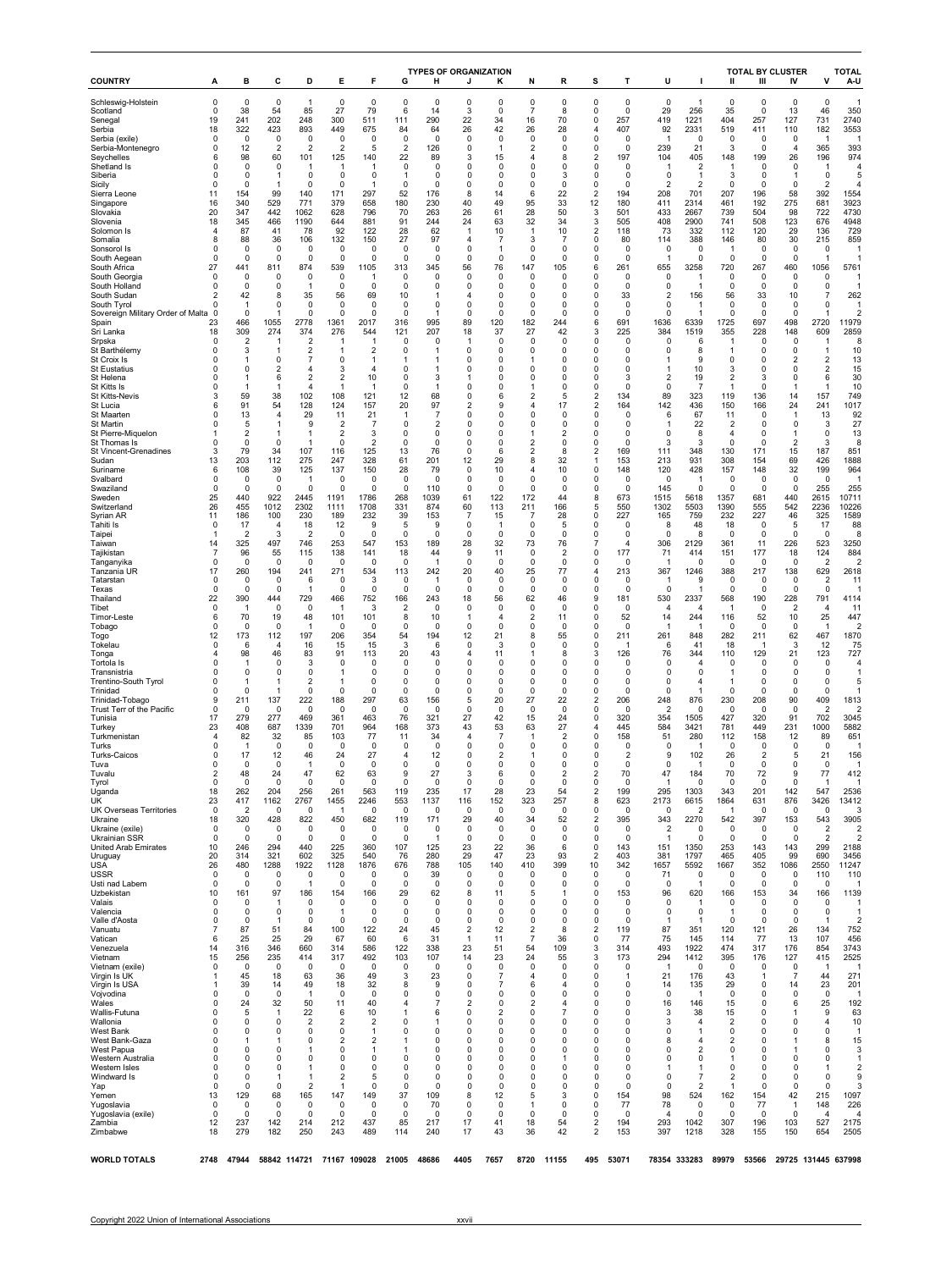| <b>COUNTRY</b>                                     | Α                       | в                              | С                        | D                          | Ε                            | F                         | G                          | н                       | J                              | <b>TYPES OF ORGANIZATION</b><br>κ      | N                                | R                             | s                                   | т                          | U                              | 1                                | Ш                             | Ш                          | TOTAL BY CLUSTER<br>IV     | ۷                                          | <b>TOTAL</b><br>A-U                                |
|----------------------------------------------------|-------------------------|--------------------------------|--------------------------|----------------------------|------------------------------|---------------------------|----------------------------|-------------------------|--------------------------------|----------------------------------------|----------------------------------|-------------------------------|-------------------------------------|----------------------------|--------------------------------|----------------------------------|-------------------------------|----------------------------|----------------------------|--------------------------------------------|----------------------------------------------------|
| Schleswig-Holstein                                 | 0                       | $\mathbf 0$<br>38              | 0<br>54                  | $\overline{1}$             | $\Omega$<br>27               | 0<br>79                   | 0                          | 0                       | 0                              | 0                                      | 0                                | 0                             | 0<br>0                              | 0                          | $\pmb{0}$                      | $\mathbf{1}$                     | $\Omega$                      | 0                          | 0                          | 0                                          | 350                                                |
| Scotland<br>Senegal                                | 0<br>19                 | 241                            | 202                      | 85<br>248                  | 300                          | 511                       | 6<br>111                   | 14<br>290               | 3<br>22                        | 0<br>34                                | 7<br>16                          | 8<br>70                       | 0                                   | 0<br>257                   | 29<br>419                      | 256<br>1221                      | 35<br>404                     | 0<br>257                   | 13<br>127                  | 46<br>731                                  | 2740                                               |
| Serbia<br>Serbia (exile)                           | 18<br>$\mathbf 0$       | 322<br>$^{\circ}$              | 423<br>$\mathbf 0$       | 893<br>$\mathbf 0$         | 449<br>$^{\circ}$            | 675<br>$\mathbf 0$        | 84<br>$\mathbf 0$          | 64<br>$\mathbf 0$       | 26<br>$\mathbf 0$              | 42<br>$\mathbf 0$                      | 26<br>$\mathbf 0$                | 28<br>$\mathbf 0$             | 4<br>$\mathbf 0$                    | 407<br>$\Omega$            | 92<br>-1                       | 2331<br>$\Omega$                 | 519<br>$\mathbf 0$            | 411<br>$\Omega$            | 110<br>$\mathbf 0$         | 182<br>$\mathbf{1}$                        | 3553<br>-1                                         |
| Serbia-Montenegro                                  | $\mathbf 0$             | 12                             | $\overline{\phantom{a}}$ | $\mathfrak{p}$             | $\overline{2}$               | 5                         | $\overline{2}$             | 126                     | $\mathbf 0$                    | -1                                     | $\overline{2}$                   | $\Omega$                      | $\Omega$                            | $\mathbf 0$                | 239                            | 21                               | 3                             | $\mathbf 0$                | $\overline{4}$             | 365                                        | 393                                                |
| Sevchelles<br>Shetland Is                          | 6<br>0                  | 98<br>0                        | 60<br>0                  | 101                        | 125<br>-1                    | 140                       | 22<br>0                    | 89<br>0                 | 3<br>0                         | 15<br>0                                | $\overline{4}$<br>0              | 8<br>0                        | $\mathfrak{p}$<br>0                 | 197<br>0                   | 104                            | 405<br>$\overline{\mathbf{2}}$   | 148<br>-1                     | 199<br>0                   | 26<br>0                    | 196<br>-1                                  | 974<br>$\overline{4}$                              |
| Siberia                                            | 0                       | 0                              |                          | 0                          | 0                            | 0                         | 1                          | 0                       | 0                              | 0                                      | 0                                | 3                             | $\Omega$                            | 0                          | 0                              |                                  | 3                             | 0                          | 1                          | 0                                          | 5                                                  |
| Sicily<br>Sierra Leone                             | $\Omega$<br>11          | $\Omega$<br>154                | 1<br>99                  | n<br>140                   | $\Omega$<br>171              | 1<br>297                  | $\Omega$<br>52             | $\Omega$<br>176         | 0<br>8                         | $\Omega$<br>14                         | 0<br>6                           | $\Omega$<br>22                | $\Omega$<br>$\overline{2}$          | $\Omega$<br>194            | 2<br>208                       | 2<br>701                         | $\Omega$<br>207               | 0<br>196                   | $\Omega$<br>58             | $\overline{\mathbf{2}}$<br>392             | $\Delta$<br>1554                                   |
| Singapore                                          | 16<br>20                | 340                            | 529<br>442               | 771<br>1062                | 379<br>628                   | 658<br>796                | 180<br>70                  | 230<br>263              | 40<br>26                       | 49                                     | 95<br>28                         | 33<br>50                      | 12                                  | 180                        | 411<br>433                     | 2314<br>2667                     | 461<br>739                    | 192                        | 275<br>98                  | 681<br>722                                 | 3923<br>4730                                       |
| Slovakia<br>Slovenia                               | 18                      | 347<br>345                     | 466                      | 1190                       | 644                          | 881                       | 91                         | 244                     | 24                             | 61<br>63                               | 32                               | 34                            | 3<br>3                              | 501<br>505                 | 408                            | 2900                             | 741                           | 504<br>508                 | 123                        | 676                                        | 4948                                               |
| Solomon Is<br>Somalia                              | 4<br>8                  | 87<br>88                       | 41<br>36                 | 78<br>106                  | 92<br>132                    | 122<br>150                | 28<br>27                   | 62<br>97                | -1<br>$\overline{4}$           | 10<br>-7                               | -1<br>3                          | 10<br>7                       | $\overline{\mathbf{2}}$<br>$\Omega$ | 118<br>80                  | 73<br>114                      | 332<br>388                       | 112<br>146                    | 120<br>80                  | 29<br>30                   | 136<br>215                                 | 729<br>859                                         |
| Sonsorol Is                                        | $\Omega$                | $\Omega$                       | $\mathbf 0$              | $\Omega$                   | $\mathbf 0$                  | $\Omega$                  | $\mathbf 0$                | $\Omega$                | $\mathbf 0$                    | -1                                     | $\mathbf 0$                      | $\mathbf 0$                   | $\Omega$                            | $\Omega$                   | $\Omega$                       | $\Omega$                         | -1                            | $\mathbf 0$                | $\mathbf 0$                | $\Omega$                                   | -1                                                 |
| South Aegean<br>South Africa                       | $\Omega$<br>27          | $\Omega$<br>441                | $\Omega$<br>811          | $\Omega$<br>874            | $\mathbf 0$<br>539           | $\Omega$<br>1105          | 0<br>313                   | $\Omega$<br>345         | $\mathbf 0$<br>56              | $\mathbf 0$<br>76                      | $\mathbf 0$<br>147               | $\Omega$<br>105               | $\mathbf 0$<br>6                    | $\Omega$<br>261            | -1<br>655                      | $\Omega$<br>3258                 | $\mathbf 0$<br>720            | $\mathbf 0$<br>267         | $\mathbf 0$<br>460         | -1<br>1056                                 | -1<br>5761                                         |
| South Georgia                                      | 0                       | 0                              | 0                        | 0                          | 0                            |                           | 0                          | 0                       | 0                              | 0                                      | 0                                | 0                             | 0                                   | 0                          | 0                              |                                  | 0                             | 0                          | 0                          | 0                                          |                                                    |
| South Holland<br>South Sudan                       | 0<br>2                  | 0<br>42                        | 0<br>8                   | 35                         | 0<br>56                      | 0<br>69                   | 0<br>10                    | 0<br>1                  | 0<br>$\overline{4}$            | 0<br>0                                 | 0<br>0                           | 0<br>$\Omega$                 | 0<br>$\Omega$                       | 0<br>33                    | 0<br>2                         | 156                              | 0<br>56                       | 0<br>33                    | 0<br>10                    | 0<br>7                                     | -1<br>262                                          |
| South Tyrol<br>Sovereign Military Order of Malta 0 | O                       | -1<br>$\Omega$                 | $\Omega$<br>-1           | $\Omega$<br>$\Omega$       | $\Omega$<br>$\mathbf 0$      | $^{\circ}$<br>$\mathbf 0$ | $\mathbf 0$<br>0           | $\Omega$<br>-1          | 0<br>$\mathbf 0$               | $\mathbf 0$<br>$\mathbf 0$             | $\Omega$<br>$\Omega$             | $\Omega$<br>$\Omega$          | $\Omega$<br>$\Omega$                | $\Omega$<br>$\Omega$       | $\Omega$<br>$\Omega$           | -1<br>-1                         | $\mathbf 0$<br>$\mathbf 0$    | $\mathbf 0$<br>$\mathbf 0$ | $\mathbf 0$<br>$\mathbf 0$ | 0<br>-1                                    | -1<br>$\overline{2}$                               |
| Spain                                              | 23                      | 466                            | 1055                     | 2778                       | 1361                         | 2017                      | 316                        | 995                     | 89                             | 120                                    | 182                              | 244                           | 6                                   | 691                        | 1636                           | 6339                             | 1725                          | 697                        | 498                        | 2720                                       | 11979                                              |
| Sri Lanka<br>Srpska                                | 18<br>0                 | 309<br>$\overline{\mathbf{2}}$ | 274<br>-1                | 374<br>2                   | 276                          | 544                       | 121<br>0                   | 207<br>0                | 18<br>$\overline{1}$           | 37<br>0                                | 27<br>0                          | 42<br>$\Omega$                | 3<br>0                              | 225<br>0                   | 384<br>0                       | 1519<br>6                        | 355<br>-1                     | 228<br>0                   | 148<br>0                   | 609<br>-1                                  | 2859<br>8                                          |
| St Barthélemy                                      | $\Omega$                | 3                              | -1                       | 2                          | -1                           | $\overline{\mathbf{2}}$   | $\Omega$                   | 1                       | 0                              | $\Omega$                               | $\Omega$                         | $\Omega$                      | $\Omega$                            | $\Omega$                   | n                              | 8                                | -1                            | 0                          | 0                          | 1                                          | 10                                                 |
| St Croix Is<br><b>St Eustatius</b>                 | $\Omega$<br>$\Omega$    | -1<br>$\Omega$                 | 0<br>$\mathfrak{p}$      | $\overline{7}$<br>4        | $\Omega$<br>3                | -1<br>$\overline{4}$      | 1<br>0                     | 1<br>1                  | $\mathbf 0$<br>$\mathbf 0$     | $\mathbf 0$<br>$\Omega$                | -1<br>$\Omega$                   | $\Omega$<br>$\Omega$          | $\Omega$<br>$\Omega$                | $\Omega$<br>$\Omega$       | 1                              | 9<br>10                          | $\mathbf 0$<br>3              | 0<br>0                     | $\overline{2}$<br>0        | $\overline{2}$<br>$\overline{\phantom{a}}$ | 13<br>15                                           |
| St Helena                                          | $\Omega$                |                                | 6                        | $\mathfrak{p}$             | $\overline{2}$               | 10                        | 0                          | 3                       | -1                             | $\Omega$                               | $\Omega$                         | $\Omega$                      | $\Omega$                            | 3                          | $\mathfrak{p}$                 | 19                               | 2                             | 3                          | $\Omega$                   | 6                                          | 30                                                 |
| St Kitts Is<br><b>St Kitts-Nevis</b>               | 0<br>3                  | 1<br>59                        | 38                       | 4<br>102                   | 1<br>108                     | 121                       | 0<br>12                    | 68                      | 0<br>0                         | 0<br>6                                 | $\overline{2}$                   | 0<br>5                        | 0<br>$\overline{\mathbf{2}}$        | $\Omega$<br>134            | 0<br>89                        | 7<br>323                         | 1<br>119                      | 0<br>136                   | 1<br>14                    | 157                                        | 10<br>749                                          |
| St Lucia<br>St Maarten                             | 6<br>n                  | 91<br>13                       | 54<br>4                  | 128<br>29                  | 124<br>11                    | 157<br>21                 | 20<br>$\mathbf{1}$         | 97<br>$\overline{7}$    | $\overline{2}$<br>0            | 9<br>$\Omega$                          | 4<br>$\Omega$                    | 17<br>$\Omega$                | $\overline{\mathbf{2}}$<br>$\Omega$ | 164<br>$\Omega$            | 142<br>6                       | 436<br>67                        | 150<br>11                     | 166<br>$\Omega$            | 24<br>-1                   | 241<br>13                                  | 1017<br>92                                         |
| St Martin                                          |                         | 5                              | 1                        | 9                          | $\overline{\phantom{a}}$     | 7                         | 0                          | $\overline{2}$          | $\Omega$                       | $\Omega$                               | $\Omega$                         | $\Omega$                      | $\Omega$                            | $\Omega$                   | -1                             | 22                               | $\overline{2}$                | $\Omega$                   | $\mathbf 0$                | 3                                          | 27                                                 |
| St Pierre-Miguelon<br>St Thomas Is                 | $\Omega$                | $\overline{2}$<br>0            | 1<br>0                   |                            | $\overline{\mathbf{2}}$<br>0 | 3<br>$\overline{2}$       | 0<br>0                     | 0<br>0                  | 0<br>0                         | $\Omega$<br>0                          | -1<br>$\overline{2}$             | 2<br>0                        | $\Omega$<br>0                       | $\Omega$<br>0              | $\Omega$<br>3                  | 8<br>3                           | $\overline{4}$<br>0           | 0<br>0                     | 1<br>2                     | 0<br>3                                     | 13<br>8                                            |
| St Vincent-Grenadines                              | 3                       | 79                             | 34                       | 107                        | 116                          | 125                       | 13                         | 76                      | 0                              | 6                                      | $\overline{\mathbf{2}}$          | 8                             | $\overline{\mathbf{2}}$             | 169                        | 111                            | 348                              | 130                           | 171                        | 15                         | 187                                        | 851                                                |
| Sudan<br>Suriname                                  | 13<br>6                 | 203<br>108                     | 112<br>39                | 275<br>125                 | 247<br>137                   | 328<br>150                | 61<br>28                   | 201<br>79               | 12<br>0                        | 29<br>10                               | 8<br>$\overline{4}$              | 32<br>10                      | -1<br>$\mathbf 0$                   | 153<br>148                 | 213<br>120                     | 931<br>428                       | 308<br>157                    | 154<br>148                 | 69<br>32                   | 426<br>199                                 | 1888<br>964                                        |
| Svalbard<br>Swaziland                              | $\mathbf 0$<br>$\Omega$ | $\Omega$<br>$\Omega$           | $\mathbf 0$<br>$\Omega$  | $\mathbf{1}$<br>$\Omega$   | $\mathbf 0$<br>0             | $\Omega$<br>0             | $\mathbf 0$<br>0           | $\mathbf 0$<br>110      | $\mathbf 0$<br>$\mathbf 0$     | $\mathbf 0$<br>$\Omega$                | $\mathbf 0$<br>$\Omega$          | $\mathbf 0$<br>$\Omega$       | $\mathbf 0$<br>$\Omega$             | $\mathbf 0$<br>$\Omega$    | $\Omega$<br>145                | -1<br>0                          | $\mathbf 0$<br>0              | $\mathbf 0$<br>0           | $\mathbf 0$<br>0           | $\mathbf 0$<br>255                         | -1<br>255                                          |
| Sweden                                             | 25                      | 440                            | 922                      | 2445                       | 1191                         | 1786                      | 268                        | 1039                    | 61                             | 122                                    | 172                              | 44                            | 8                                   | 673                        | 1515                           | 5618                             | 1357                          | 681                        | 440                        | 2615                                       | 10711                                              |
| Switzerland<br>Syrian AR                           | 26<br>11                | 455<br>186                     | 1012<br>100              | 2302<br>230                | 1111<br>189                  | 1708<br>232               | 331<br>39                  | 874<br>153              | 60<br>$\overline{7}$           | 113<br>15                              | 211<br>7                         | 166<br>28                     | 5<br>0                              | 550<br>227                 | 1302<br>165                    | 5503<br>759                      | 1390<br>232                   | 555<br>227                 | 542<br>46                  | 2236<br>325                                | 10226<br>1589                                      |
| Tahiti Is                                          | $\overline{0}$          | 17                             | $\overline{4}$           | 18                         | 12                           | 9                         | $\sqrt{5}$                 | 9                       | 0                              | -1                                     | $\mathbf 0$                      | 5                             | $\Omega$                            | $\Omega$                   | 8                              | 48                               | 18                            | 0                          | 5                          | 17                                         | 88                                                 |
| Taipei<br>Taiwan                                   | -1<br>14                | $\mathcal{P}$<br>325           | 3<br>497                 | $\mathfrak{p}$<br>746      | $\Omega$<br>253              | $\Omega$<br>547           | $\mathbf 0$<br>153         | $\Omega$<br>189         | $\Omega$<br>28                 | $\mathbf 0$<br>32                      | $\mathbf 0$<br>73                | $\mathbf 0$<br>76             | $\Omega$<br>7                       | 0<br>$\overline{4}$        | $\Omega$<br>306                | 8<br>2129                        | $\Omega$<br>361               | $\Omega$<br>11             | $\mathbf 0$<br>226         | $\Omega$<br>523                            | 8<br>3250                                          |
| Tajikistan                                         | 7                       | 96                             | 55                       | 115                        | 138                          | 141                       | 18                         | 44                      | 9                              | 11                                     | 0                                | $\overline{\mathbf{2}}$       | 0                                   | 177                        | 71                             | 414                              | 151                           | 177                        | 18                         | 124                                        | 884                                                |
| Tanganyika<br>Tanzania UR                          | $\Omega$<br>17          | 0<br>260                       | $\Omega$<br>194          | 0<br>241                   | $\Omega$<br>271              | 0<br>534                  | 0<br>113                   | -1<br>242               | $\mathbf 0$<br>20              | 0<br>40                                | 0<br>25                          | 0<br>77                       | 0<br>$\overline{4}$                 | 0<br>213                   | $\mathbf{1}$<br>367            | $\Omega$<br>1246                 | 0<br>388                      | 0<br>217                   | $\mathbf 0$<br>138         | $\overline{2}$<br>629                      | $\overline{2}$<br>2618                             |
| Tatarstan<br>Texas                                 | $\mathbf 0$<br>$\Omega$ | $\Omega$<br>$\Omega$           | $\mathbf 0$<br>0         | 6<br>-1                    | $\mathbf 0$<br>$\mathbf 0$   | 3<br>$\mathbf 0$          | $\mathbf 0$<br>$\mathbf 0$ | -1<br>$\mathbf 0$       | $\mathbf 0$<br>$\mathbf 0$     | $^{\circ}$<br>$\mathbf 0$              | $\mathbf 0$<br>$^{\circ}$        | $\mathbf 0$<br>$\Omega$       | $\Omega$<br>$\Omega$                | $\Omega$<br>$\Omega$       | -1<br>$\Omega$                 | 9<br>-1                          | $\mathbf 0$<br>$\mathbf 0$    | $\mathbf 0$<br>$\mathbf 0$ | $\mathbf 0$<br>$\mathbf 0$ | $\overline{2}$<br>$\mathbf 0$              | 11<br>$\overline{1}$                               |
| Thailand                                           | 22                      | 390                            | 444                      | 729                        | 466                          | 752                       | 166                        | 243                     | 18                             | 56                                     | 62                               | 46                            | 9                                   | 181                        | 530                            | 2337                             | 568                           | 190                        | 228                        | 791                                        | 4114                                               |
| Tibet<br>Timor-Leste                               | 0<br>6                  | -1<br>70                       | 0<br>19                  | 0<br>48                    | -1<br>101                    | 3<br>101                  | 2<br>8                     | 0<br>10                 | 0<br>$\mathbf{1}$              | 0<br>4                                 | 0<br>$\overline{2}$              | 0<br>11                       | 0<br>0                              | 0<br>52                    | 4<br>14                        | 4<br>244                         | -1<br>116                     | 0<br>52                    | 2<br>10                    | 4<br>25                                    | 11<br>447                                          |
| Tobago                                             | $\Omega$                | $\Omega$                       | $\Omega$                 | -1                         | $\Omega$                     | 0                         | 0                          | $\Omega$                | 0                              | $\Omega$                               | 0                                | $\Omega$                      | $\Omega$                            | $\Omega$                   |                                |                                  | 0                             | 0                          | 0                          | $\mathbf{1}$                               | $\overline{2}$                                     |
| Togo<br>Tokelau                                    | 12<br>$\Omega$          | 173<br>6                       | 112<br>4                 | 197<br>16                  | 206<br>15                    | 354<br>15                 | 54<br>3                    | 194<br>6                | 12<br>0                        | 21<br>3                                | 8<br>$\Omega$                    | 55<br>$\Omega$                | $\Omega$<br>$\Omega$                | 211                        | 261<br>6                       | 848<br>41                        | 282<br>18                     | 211<br>1                   | 62<br>3                    | 467<br>12                                  | 1870<br>75                                         |
| Tonga<br>Tortola Is                                | n                       | 98                             | 46<br>0                  | 83<br>3                    | 91<br>0                      | 113<br>0                  | 20<br>0                    | 43<br>0                 | $\overline{4}$<br>0            | 11<br>0                                | 1<br>0                           | 8<br>0                        | 3<br>0                              | 126<br>0                   | 76<br>0                        | 344                              | 110<br>0                      | 129<br>0                   | 21<br>0                    | 123<br>0                                   | 727<br>$\overline{4}$                              |
| Transnistria                                       | 0                       | 0                              | 0                        | 0                          | -1                           | 0                         | 0                          | 0                       | 0                              | 0                                      | 0                                | $\Omega$                      | 0                                   | 0                          | 0                              | 0                                | 1                             | 0                          | 0                          | 0                                          | $\overline{1}$                                     |
| Trentino-South Tyrol<br>Trinidad                   | n<br>$\Omega$           | 1<br>$\mathbf 0$               | 1<br>-1                  | $\mathfrak{p}$<br>$\Omega$ | -1<br>$\mathbf 0$            | $\Omega$<br>$\mathbf 0$   | 0<br>$\mathbf 0$           | $\Omega$<br>$\mathbf 0$ | $\mathbf 0$<br>0               | $\Omega$<br>$\mathbf 0$                | $\mathbf 0$<br>$\mathbf 0$       | $\Omega$<br>$\mathbf 0$       | $\Omega$<br>$\Omega$                | $\Omega$<br>$\mathbf 0$    | $\Omega$<br>$\Omega$           | 4<br>-1                          | -1<br>$\mathbf 0$             | $\mathbf 0$<br>$\mathbf 0$ | 0<br>$\mathbf 0$           | $\mathbf 0$<br>$\mathbf 0$                 | 5<br>-1                                            |
| Trinidad-Tobago                                    | 9                       | 211                            | 137                      | 222                        | 188                          | 297                       | 63                         | 156                     | 5                              | 20                                     | 27                               | 22                            | $\overline{2}$                      | 206                        | 248                            | 876                              | 230                           | 208                        | 90                         | 409                                        | 1813                                               |
| Trust Terr of the Pacific<br>Tunisia               | $\Omega$<br>17          | 0<br>279                       | 0<br>277                 | $\Omega$<br>469            | $\Omega$<br>361              | 0<br>463                  | 0<br>76                    | $\Omega$<br>321         | 0<br>27                        | $\Omega$<br>42                         | $\mathbf 0$<br>15                | $\Omega$<br>24                | $\Omega$<br>0                       | $\Omega$<br>320            | $\overline{\mathbf{2}}$<br>354 | $\Omega$<br>1505                 | 0<br>427                      | 0<br>320                   | $\mathbf 0$<br>91          | $\overline{2}$<br>702                      | $\overline{2}$<br>3045                             |
| Turkey                                             | 23<br>4                 | 408<br>82                      | 687<br>32                | 1339<br>85                 | 701<br>103                   | 964<br>77                 | 168<br>11                  | 373<br>34               | 43<br>4                        | 53<br>7                                | 63<br>-1                         | 27<br>$\overline{\mathbf{2}}$ | 4<br>$\Omega$                       | 445<br>158                 | 584<br>51                      | 3421<br>280                      | 781<br>112                    | 449<br>158                 | 231<br>12                  | 1000<br>89                                 | 5882<br>651                                        |
| Turkmenistan<br>Turks                              | $\Omega$                | -1                             | $\Omega$                 | $\Omega$                   | $\Omega$                     | $\Omega$                  | 0                          | $\Omega$                | 0                              | 0                                      | $\Omega$                         | $\Omega$                      | $\Omega$                            | 0                          | $\Omega$                       | -1                               | $\mathbf 0$                   | $\Omega$                   | 0                          | $\Omega$                                   | -1                                                 |
| Turks-Caicos<br>Tuva                               | $\Omega$<br>$\Omega$    | 17<br>$\Omega$                 | 12<br>$\Omega$           | 46<br>-1                   | 24<br>$\Omega$               | 27<br>$\Omega$            | 4<br>0                     | 12<br>0                 | 0<br>0                         | $\overline{2}$<br>0                    | -1<br>$\Omega$                   | $\Omega$<br>$\Omega$          | $\Omega$<br>$\Omega$                | $\overline{2}$<br>$\Omega$ | 9<br>$\Omega$                  | 102<br>-1                        | 26<br>0                       | $\overline{2}$<br>0        | 5<br>0                     | 21<br>0                                    | 156<br>-1                                          |
| Tuvalu                                             | 2                       | 48                             | 24                       | 47                         | 62                           | 63                        | 9                          | 27                      | 3                              | 6                                      | 0                                | 2                             | $\overline{2}$                      | 70                         | 47                             | 184                              | 70                            | 72                         | 9                          | 77                                         | 412                                                |
| Tvrol<br>Uganda                                    | 0<br>18                 | 0<br>262                       | 0<br>204                 | 0<br>256                   | 0<br>261                     | 0<br>563                  | 0<br>119                   | 0<br>235                | 0<br>17                        | 0<br>28                                | 0<br>23                          | 0<br>54                       | 0<br>$\overline{\mathbf{c}}$        | 0<br>199                   | 295                            | 0<br>1303                        | 0<br>343                      | 0<br>201                   | 0<br>142                   | 547                                        | 2536                                               |
| UK                                                 | 23<br>$\mathbf 0$       | 417<br>$\overline{2}$          | 1162<br>$\mathbf 0$      | 2767<br>$\Omega$           | 1455<br>-1                   | 2246<br>$\mathbf 0$       | 553<br>$\mathbf 0$         | 1137<br>$\Omega$        | 116<br>$\mathbf 0$             | 152<br>$\mathbf 0$                     | 323<br>$\mathbf 0$               | 257<br>$\mathbf 0$            | 8<br>$\mathbf 0$                    | 623<br>$\Omega$            | 2173<br>$\Omega$               | 6615<br>$\overline{\phantom{a}}$ | 1864                          | 631<br>$\mathbf 0$         | 876<br>$\mathbf 0$         | 3426<br>$\mathbf 0$                        | 13412<br>3                                         |
| <b>UK Overseas Territories</b><br>Ukraine          | 18                      | 320                            | 428                      | 822                        | 450                          | 682                       | 119                        | 171                     | 29                             | 40                                     | 34                               | 52                            | 2                                   | 395                        | 343                            | 2270                             | -1<br>542                     | 397                        | 153                        | 543                                        | 3905                                               |
| Ukraine (exile)<br>Ukrainian SSR                   | $\mathbf 0$<br>0        | 0<br>0                         | 0<br>0                   | 0<br>0                     | 0<br>0                       | 0<br>0                    | 0<br>0                     | 0<br>-1                 | 0<br>0                         | 0<br>0                                 | 0<br>0                           | 0<br>0                        | 0<br>0                              | 0<br>0                     | $\overline{\mathbf{2}}$<br>-1  | 0<br>0                           | 0<br>0                        | 0<br>0                     | 0<br>0                     | 2<br>$\overline{\mathbf{2}}$               | $\overline{\mathbf{c}}$<br>$\overline{\mathbf{c}}$ |
| United Arab Emirates                               | 10                      | 246                            | 294                      | 440                        | 225                          | 360                       | 107                        | 125                     | 23                             | 22                                     | 36                               | 6                             | 0                                   | 143                        | 151                            | 1350                             | 253                           | 143                        | 143                        | 299                                        | 2188                                               |
| Uruguay<br><b>USA</b>                              | 20<br>26                | 314<br>480                     | 321<br>1288              | 602<br>1922                | 325<br>1128                  | 540<br>1876               | 76<br>676                  | 280<br>788              | 29<br>105                      | 47<br>140                              | 23<br>410                        | 93<br>399                     | $\overline{2}$<br>10                | 403<br>342                 | 381<br>1657                    | 1797<br>5592                     | 465<br>1667                   | 405<br>352                 | 99<br>1086                 | 690<br>2550                                | 3456<br>11247                                      |
| <b>USSR</b>                                        | 0<br>0                  | 0                              | $\Omega$                 | 0                          | 0                            | 0                         | 0                          | 39                      | 0<br>0                         | 0                                      | 0                                | 0                             | 0                                   | 0                          | 71                             | 0                                | 0                             | 0                          | 0                          | 110                                        | 110                                                |
| Usti nad Labem<br>Uzbekistan                       | 10                      | 0<br>161                       | 0<br>97                  | 186                        | 0<br>154                     | 0<br>166                  | 0<br>29                    | 0<br>62                 | 8                              | 0<br>11                                | 0<br>5                           | 0<br>1                        | 0<br>0                              | 0<br>153                   | 0<br>96                        | 620                              | 0<br>166                      | 0<br>153                   | 0<br>34                    | 0<br>166                                   | 1139                                               |
| Valais<br>Valencia                                 | $\Omega$<br>$\mathbf 0$ | $\Omega$<br>$\Omega$           | -1<br>$\Omega$           | $\Omega$<br>$\Omega$       | $\Omega$<br>-1               | 0<br>$\mathbf 0$          | 0<br>$\mathbf 0$           | 0<br>$\mathbf 0$        | 0<br>0                         | $\Omega$<br>$\mathbf 0$                | $\Omega$<br>$\Omega$             | $\Omega$<br>$\Omega$          | $\Omega$<br>$\mathbf 0$             | $\Omega$<br>$\mathbf 0$    | $\Omega$<br>$\Omega$           | -1<br>$\mathbf 0$                | 0<br>-1                       | 0<br>0                     | $\mathbf 0$<br>0           | 0<br>$\mathbf 0$                           | -1<br>$\overline{1}$                               |
| Valle d'Aosta                                      | $\mathbf 0$             | $\mathbf 0$                    | -1                       | $\Omega$                   | $\mathbf 0$                  | $\mathbf 0$               | $\mathbf 0$                | $\mathbf 0$             | $\mathbf 0$                    | $\mathbf 0$                            | $\mathbf 0$                      | $\mathbf 0$                   | $\mathbf 0$                         | $\mathbf 0$                | -1                             | -1                               | $\mathbf 0$                   | $\mathbf 0$                | $\mathbf 0$                | -1                                         | $\overline{2}$                                     |
| Vanuatu<br>Vatican                                 | $\overline{7}$<br>6     | 87<br>25                       | 51<br>25                 | 84<br>29                   | 100<br>67                    | 122<br>60                 | 24<br>6                    | 45<br>31                | $\overline{2}$<br>$\mathbf{1}$ | 12<br>11                               | $\overline{2}$<br>$\overline{7}$ | 8<br>36                       | $\overline{2}$<br>0                 | 119<br>77                  | 87<br>75                       | 351<br>145                       | 120<br>114                    | 121<br>77                  | 26<br>13                   | 134<br>107                                 | 752<br>456                                         |
| Venezuela                                          | 14                      | 316                            | 346                      | 660                        | 314                          | 586                       | 122                        | 338                     | 23                             | 51                                     | 54                               | 109                           | 3                                   | 314                        | 493                            | 1922                             | 474                           | 317                        | 176                        | 854                                        | 3743                                               |
| Vietnam<br>Vietnam (exile)                         | 15<br>0                 | 256<br>$\Omega$                | 235<br>$\Omega$          | 414<br>$\Omega$            | 317<br>$\Omega$              | 492<br>$\Omega$           | 103<br>0                   | 107<br>$\Omega$         | 14<br>0                        | 23<br>0                                | 24<br>$\mathbf 0$                | 55<br>$\Omega$                | 3<br>0                              | 173<br>0                   | 294<br>-1                      | 1412<br>0                        | 395<br>$\mathbf 0$            | 176<br>0                   | 127<br>$\pmb{0}$           | 415<br>-1                                  | 2525<br>-1                                         |
| Virgin Is UK<br>Virgin Is USA                      | -1<br>-1                | 45<br>39                       | 18<br>14                 | 63<br>49                   | 36<br>18                     | 49<br>32                  | 3<br>8                     | 23<br>9                 | 0<br>0                         | $\overline{7}$<br>7                    | $\overline{4}$<br>6              | $\mathbf 0$<br>4              | $\Omega$<br>0                       | -1<br>0                    | 21<br>14                       | 176                              | 43<br>29                      | 1<br>0                     | $\overline{7}$<br>14       | 44<br>23                                   | 271                                                |
| Vojvodina                                          | 0                       | 0                              | 0                        | -1                         | 0                            | 0                         | 0                          | 0                       | 0                              | $\mathbf 0$                            | 0                                | 0                             | 0                                   | 0                          | 0                              | 135<br>-1                        | 0                             | 0                          | 0                          | 0                                          | 201<br>-1                                          |
| Wales<br>Wallis-Futuna                             | 0<br>$\mathbf 0$        | 24<br>5                        | 32<br>-1                 | 50<br>22                   | 11<br>6                      | 40<br>10                  | 4<br>1                     | 7<br>6                  | $\overline{\mathbf{c}}$<br>0   | $\mathbf 0$<br>$\overline{\mathbf{c}}$ | $\overline{2}$<br>$\mathbf 0$    | $\overline{4}$<br>7           | 0<br>$\Omega$                       | 0<br>$\Omega$              | 16<br>3                        | 146<br>38                        | 15<br>15                      | 0<br>0                     | 6<br>1                     | 25<br>9                                    | 192<br>63                                          |
| Wallonia                                           | $\Omega$                | $\mathbf 0$                    | 0                        | $\overline{2}$             | $\overline{2}$               | $\overline{2}$            | 0                          | 1                       | $\mathbf 0$                    | $\mathbf 0$                            | $\mathbf 0$                      | $\mathbf 0$                   | $\Omega$                            | $\mathbf 0$                | 3                              | $\overline{4}$                   | $\overline{2}$                | 0                          | 0                          | $\overline{4}$                             | 10                                                 |
| West Bank<br>West Bank-Gaza                        | $\Omega$<br>$\Omega$    | $\Omega$<br>1                  | 0<br>1                   | $\Omega$<br>$\Omega$       | $\mathbf 0$<br>2             | 1<br>2                    | 0<br>1                     | $\Omega$<br>0           | $\mathbf 0$<br>0               | $\mathbf 0$<br>0                       | $\mathbf 0$<br>0                 | $\mathbf 0$<br>$\Omega$       | $\mathbf 0$<br>$\Omega$             | $\Omega$<br>$\Omega$       | $\Omega$<br>8                  | -1<br>$\overline{4}$             | $\mathbf 0$<br>2              | 0<br>0                     | 0<br>1                     | 0<br>8                                     | $\overline{1}$<br>15                               |
| West Papua                                         | 0                       | 0                              | 0                        |                            | 0                            | 1                         | 1                          | 0                       | 0                              | 0                                      | 0                                | 0                             | 0                                   | 0                          | 0                              | $\overline{\mathbf{2}}$          | 0                             | 0                          | 1                          | 0                                          | 3                                                  |
| Western Australia<br>Western Isles                 | 0<br>$\Omega$           | $\Omega$<br>0                  | 0<br>$\Omega$            | $\Omega$                   | 0<br>0                       | 0<br>0                    | 0<br>0                     | 0<br>0                  | 0<br>0                         | 0<br>0                                 | 0<br>$\Omega$                    | $\Omega$                      | 0<br>$\Omega$                       | 0<br>0                     | $\Omega$                       | 0<br>-1                          | 1<br>$\Omega$                 | 0<br>0                     | 0<br>0                     | 0<br>-1                                    | $\overline{1}$<br>$\overline{\mathbf{c}}$          |
| Windward Is<br>Yap                                 | $\Omega$<br>$\Omega$    | $\Omega$<br>$\Omega$           | 1<br>$\Omega$            | -1<br>$\overline{2}$       | 2<br>-1                      | 5<br>$\mathbf 0$          | 0<br>$\Omega$              | $\Omega$<br>$\Omega$    | 0<br>0                         | 0<br>$\Omega$                          | $\Omega$<br>$\Omega$             | $\Omega$<br>$\Omega$          | $\Omega$<br>$\Omega$                | $\Omega$<br>$\mathbf 0$    | $\Omega$<br>$\Omega$           | $\overline{7}$<br>$\overline{2}$ | $\overline{\mathbf{c}}$<br>-1 | 0<br>0                     | 0<br>$\Omega$              | $\Omega$<br>$\Omega$                       | g<br>3                                             |
| Yemen                                              | 13                      | 129                            | 68                       | 165                        | 147                          | 149                       | 37                         | 109                     | 8                              | 12                                     | 5                                | 3                             | 0                                   | 154                        | 98                             | 524                              | 162                           | 154                        | 42                         | 215                                        | 1097                                               |
| Yugoslavia<br>Yugoslavia (exile)                   | 0<br>0                  | 0<br>0                         | 0<br>0                   | 0<br>0                     | 0<br>0                       | 0<br>0                    | 0<br>0                     | 70<br>0                 | 0<br>0                         | 0<br>0                                 | $\overline{1}$<br>$\pmb{0}$      | 0<br>0                        | 0<br>0                              | 77<br>0                    | 78<br>4                        | 0<br>0                           | 0<br>0                        | 77<br>0                    | $\mathbf{1}$<br>0          | 148<br>4                                   | 226<br>$\overline{4}$                              |
| Zambia                                             | 12                      | 237                            | 142                      | 214                        | 212                          | 437                       | 85                         | 217                     | 17                             | 41                                     | 18                               | 54                            | 2                                   | 194                        | 293                            | 1042                             | 307                           | 196                        | 103                        | 527                                        | 2175                                               |
| Zimbabwe                                           | 18                      | 279                            | 182                      | 250                        | 243                          | 489                       | 114                        | 240                     | 17                             | 43                                     | 36                               | 42                            | $\overline{2}$                      | 153                        | 397                            | 1218                             | 328                           | 155                        | 150                        | 654                                        | 2505                                               |
| <b>WORLD TOTALS</b>                                | 2748                    | 47944                          | 58842 114721             |                            | 71167 109028                 |                           | 21005                      | 48686                   | 4405                           | 7657                                   | 8720                             | 11155                         | 495                                 | 53071                      | 78354 333283                   |                                  | 89979                         | 53566                      | 29725 131445 637998        |                                            |                                                    |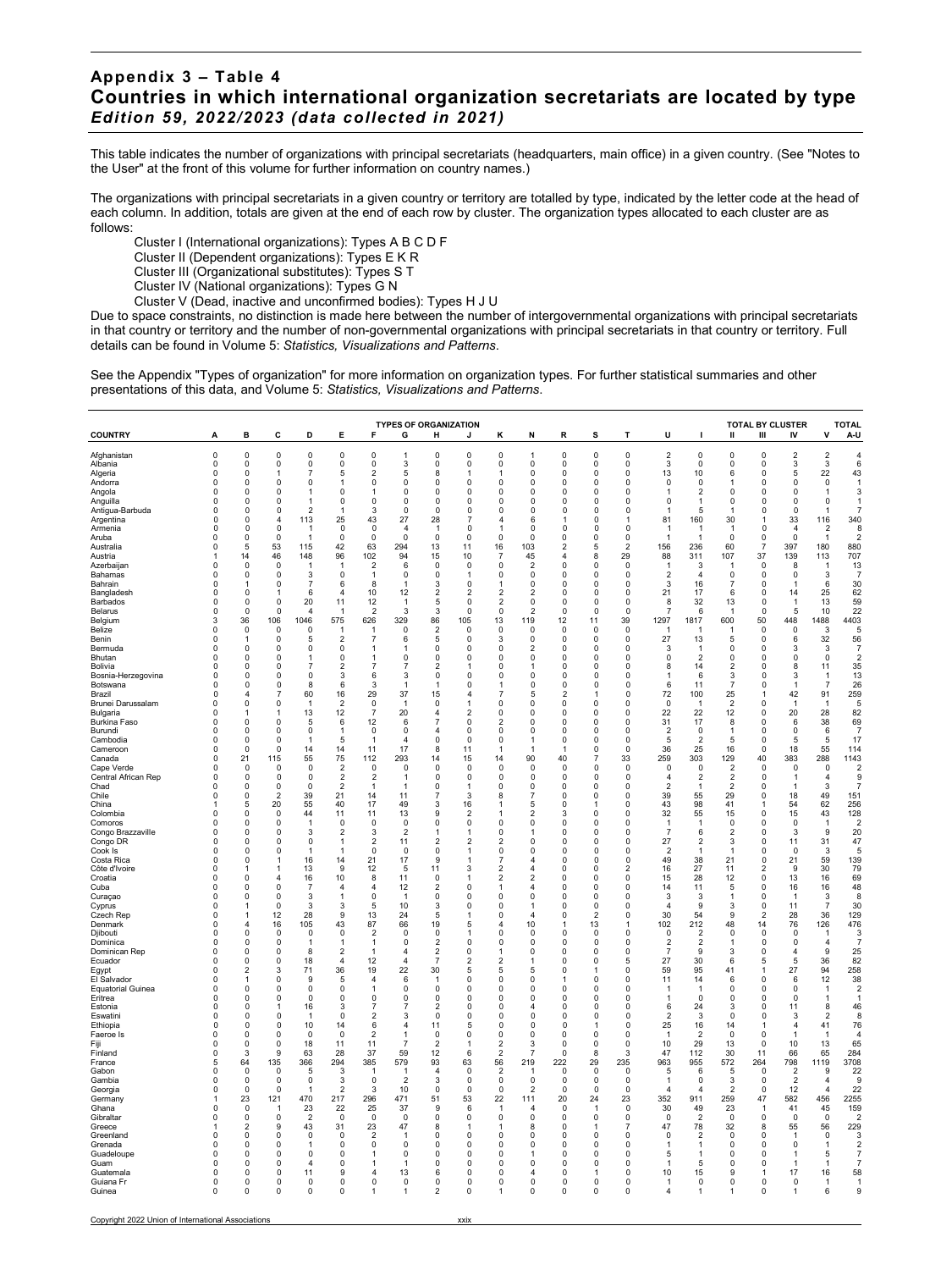## **Appendix 3 – Table 4 Countries in which international organization secretariats are located by type** *Edition 59, 2022/2023 (data collected in 2021)*

This table indicates the number of organizations with principal secretariats (headquarters, main office) in a given country. (See "Notes to the User" at the front of this volume for further information on country names.)

The organizations with principal secretariats in a given country or territory are totalled by type, indicated by the letter code at the head of each column. In addition, totals are given at the end of each row by cluster. The organization types allocated to each cluster are as follows:

Cluster I (International organizations): Types A B C D F

Cluster II (Dependent organizations): Types E K R

Cluster III (Organizational substitutes): Types S T

Cluster IV (National organizations): Types G N

Cluster V (Dead, inactive and unconfirmed bodies): Types H J U

Due to space constraints, no distinction is made here between the number of intergovernmental organizations with principal secretariats in that country or territory and the number of non-governmental organizations with principal secretariats in that country or territory. Full details can be found in Volume 5: *Statistics, Visualizations and Patterns*.

See the Appendix "Types of organization" for more information on organization types. For further statistical summaries and other presentations of this data, and Volume 5: *Statistics, Visualizations and Patterns*.

| <b>COUNTRY</b>                      | A                       | B                      | C                          | D                          | Е                                | Е                               | <b>TYPES OF ORGANIZATION</b><br>G         | н                                       | J                              | κ                                         | Ν                                | R                          | s                            | т                          | U                               | л.                             | ш                              | TOTAL BY CLUSTER<br>Ш     | IV                               | v                              | <b>TOTAL</b><br>A-U              |
|-------------------------------------|-------------------------|------------------------|----------------------------|----------------------------|----------------------------------|---------------------------------|-------------------------------------------|-----------------------------------------|--------------------------------|-------------------------------------------|----------------------------------|----------------------------|------------------------------|----------------------------|---------------------------------|--------------------------------|--------------------------------|---------------------------|----------------------------------|--------------------------------|----------------------------------|
|                                     |                         |                        |                            |                            |                                  |                                 |                                           |                                         |                                |                                           |                                  |                            |                              |                            |                                 |                                |                                |                           |                                  |                                |                                  |
| Afghanistan<br>Albania              | $\mathbf 0$<br>$\Omega$ | 0<br>$\Omega$          | $\mathbf 0$<br>0           | $\mathbf 0$<br>$\mathbf 0$ | $\mathbf 0$<br>0                 | $\mathbf 0$<br>0                | -1<br>3                                   | $\mathbf 0$<br>$^{\circ}$               | $\mathbf 0$<br>0               | $\mathbf 0$<br>0                          | 1<br>0                           | $\mathbf 0$<br>$\mathbf 0$ | $\mathbf 0$<br>0             | $\mathbf 0$<br>$^{\circ}$  | $\overline{2}$<br>3             | $\mathbf 0$<br>$\Omega$        | $\mathbf 0$<br>0               | $\mathbf 0$<br>0          | $\overline{2}$<br>3              | $\overline{2}$<br>3            | $\overline{4}$<br>6              |
| Algeria                             | $\Omega$                | $\Omega$               | -1                         | 7                          | 5                                | $\overline{\mathbf{c}}$         | 5                                         | 8                                       | -1                             | -1                                        | 0                                | 0                          | 0                            | $\Omega$                   | 13                              | 10                             | 6                              | 0                         | 5                                | 22                             | 43                               |
| Andorra                             | <sup>n</sup>            | n                      | $\Omega$                   | $\Omega$                   | $\mathbf{1}$                     | $\pmb{0}$                       | $\Omega$                                  | $\Omega$                                | $\Omega$                       | $\Omega$                                  | $\Omega$                         | n                          | $\Omega$                     | $\Omega$                   | $\Omega$                        | $\Omega$                       | 1                              | 0                         | $\Omega$                         | $\pmb{0}$                      | -1                               |
| Angola<br>Anguilla                  | $\Omega$<br>$\Omega$    | $\Omega$<br>$\Omega$   | $\Omega$<br>$\Omega$       | -1                         | 0<br>$\Omega$                    | $\mathbf{1}$<br>$\Omega$        | $\pmb{0}$<br>$\Omega$                     | 0<br>$\Omega$                           | 0<br>$\Omega$                  | $\Omega$<br>$\Omega$                      | $\Omega$<br>$\Omega$             | $\Omega$<br>$\Omega$       | $\Omega$<br>$\Omega$         | $\Omega$<br>$\Omega$       | -1<br>$\Omega$                  | $\overline{2}$<br>1            | 0<br>$\Omega$                  | 0<br>$\Omega$             | 0<br>$\Omega$                    | $\mathbf{1}$<br>$\Omega$       | 3<br>$\overline{1}$              |
| Antigua-Barbuda                     | 0                       | 0                      | 0                          | $\overline{2}$             | $\mathbf{1}$                     | 3                               | 0                                         | 0                                       | 0                              | 0                                         | 0                                | 0                          | $\mathbf 0$                  | 0                          |                                 | 5                              | 1                              | 0                         | 0                                | -1                             | 7                                |
| Argentina                           | $\Omega$                | $\Omega$               | $\Delta$                   | 113                        | 25                               | 43                              | 27                                        | 28                                      | 7                              | $\overline{4}$                            | 6                                | -1                         | $\Omega$                     | $\mathbf{1}$               | 81                              | 160                            | 30                             | $\mathbf{1}$              | 33                               | 116                            | 340                              |
| Armenia                             | $\Omega$<br>$\Omega$    | $\Omega$<br>$\Omega$   | $\Omega$<br>$\Omega$       | -1<br>-1                   | $\Omega$<br>$\Omega$             | $\Omega$<br>$\Omega$            | $\overline{4}$<br>$\Omega$                | $\mathbf{1}$<br>$\Omega$                | $\pmb{0}$<br>$\mathbf 0$       | $\overline{1}$<br>$\Omega$                | $\Omega$<br>$\Omega$             | $\Omega$<br>$\pmb{0}$      | $\Omega$<br>$^{\circ}$       | $\Omega$<br>0              | -1<br>$\mathbf{1}$              | -1<br>-1                       | $\overline{1}$<br>$\Omega$     | 0<br>0                    | $\overline{4}$<br>$\Omega$       | $\overline{2}$<br>$\mathbf{1}$ | 8<br>$\overline{2}$              |
| Aruba<br>Australia                  | $\Omega$                | 5                      | 53                         | 115                        | 42                               | 63                              | 294                                       | 13                                      | 11                             | 16                                        | 103                              | $\overline{2}$             | 5                            | $\overline{2}$             | 156                             | 236                            | 60                             | $\overline{7}$            | 397                              | 180                            | 880                              |
| Austria                             | -1                      | 14                     | 46                         | 148                        | 96                               | 102                             | 94                                        | 15                                      | 10                             | $\overline{7}$                            | 45                               | $\Delta$                   | $\mathbf{a}$                 | 29                         | 88                              | 311                            | 107                            | 37                        | 139                              | 113                            | 707                              |
| Azerbaijan                          | $\Omega$                | $\Omega$               | $\Omega$                   | -1                         | $\overline{1}$                   | $\overline{2}$                  | 6                                         | $\pmb{0}$                               | $\mathbf 0$                    | $\mathsf 0$                               | $\overline{2}$                   | $\Omega$                   | $\Omega$                     | $\Omega$                   | $\mathbf{1}$                    | 3                              | $\overline{1}$                 | 0                         | 8                                | $\mathbf{1}$                   | 13                               |
| Bahamas<br>Bahrain                  | $\Omega$<br>0           | $\Omega$<br>1          | $\Omega$<br>0              | 3<br>7                     | $\Omega$<br>6                    | $\mathbf{1}$<br>8               | $\Omega$<br>-1                            | $\Omega$<br>3                           | $\overline{1}$<br>0            | $\Omega$<br>-1                            | $\Omega$<br>$\mathbf 0$          | $\Omega$<br>0              | $\Omega$<br>$\mathbf 0$      | $\Omega$<br>0              | $\overline{\phantom{0}}$<br>3   | $\boldsymbol{\Delta}$<br>16    | $\Omega$<br>7                  | $\Omega$<br>0             | $\Omega$<br>$\mathbf{1}$         | 3<br>6                         | $\overline{7}$<br>30             |
| Bangladesh                          | $\Omega$                | $\Omega$               | $\mathbf{1}$               | 6                          | $\overline{4}$                   | 10                              | 12                                        | $\overline{2}$                          | $\overline{\phantom{a}}$       | $\overline{2}$                            | $\mathfrak{p}$                   | $\Omega$                   | $\mathbf 0$                  | $\mathbf 0$                | 21                              | 17                             | 6                              | $\mathbf 0$               | 14                               | 25                             | 62                               |
| Barbados                            | $\Omega$                | $\Omega$               | $\Omega$                   | 20                         | 11                               | 12                              | $\overline{1}$                            | 5                                       | $\pmb{0}$                      | $\sqrt{2}$                                | $\pmb{0}$                        | $\mathbf 0$                | $\mathbf 0$                  | $\pmb{0}$                  | 8                               | 32                             | 13                             | $\pmb{0}$                 | $\mathbf{1}$                     | 13                             | 59                               |
| Belarus<br>Belgium                  | $\Omega$<br>3           | $\Omega$<br>36         | $\Omega$<br>106            | 4<br>1046                  | $\mathbf{1}$<br>575              | $\overline{\phantom{a}}$<br>626 | 3<br>329                                  | 3<br>86                                 | $\Omega$<br>105                | $\Omega$<br>13                            | $\mathfrak{p}$<br>119            | $\Omega$<br>12             | $\Omega$<br>11               | $\Omega$<br>39             | 7<br>1297                       | 6<br>1817                      | -1<br>600                      | $\Omega$<br>50            | 5<br>448                         | 10<br>1488                     | 22<br>4403                       |
| Belize                              | $\Omega$                | $\Omega$               | $\Omega$                   | $\Omega$                   | -1                               | -1                              | $\Omega$                                  | $\overline{2}$                          | $\Omega$                       | $\pmb{0}$                                 | $\Omega$                         | $\Omega$                   | $\Omega$                     | $\Omega$                   | $\mathbf{1}$                    | -1                             | $\mathbf{1}$                   | $\Omega$                  | $\Omega$                         | $\mathbf{3}$                   | 5                                |
| Benin                               | 0                       | 1                      | 0                          | 5                          | $\overline{2}$                   | $\overline{7}$                  | 6                                         | 5                                       | 0                              | 3                                         | 0                                | 0                          | $\pmb{0}$                    | $\pmb{0}$                  | 27                              | 13                             | 5                              | 0                         | 6                                | 32                             | 56                               |
| Bermuda                             | <sup>n</sup>            | $\Omega$               | $\Omega$                   | $\Omega$                   | $\Omega$                         | 1                               | $\mathbf{1}$                              | $\Omega$                                | $\Omega$                       | $\Omega$                                  | 2                                | $\Omega$                   | $\Omega$                     | $\Omega$                   | 3                               | $\mathbf{1}$                   | $\Omega$                       | $\Omega$                  | 3                                | 3                              | $\overline{7}$                   |
| Bhutan<br>Bolivia                   | 0<br>$\Omega$           | 0<br>$\Omega$          | 0<br>$\Omega$              | $\overline{7}$             | 0<br>$\overline{2}$              | $\overline{7}$                  | 0<br>$\overline{7}$                       | $\mathbf 0$<br>$\overline{\phantom{a}}$ | 0<br>$\mathbf{1}$              | 0<br>$\mathbf 0$                          | 0<br>1                           | 0<br>$\Omega$              | $\mathbf 0$<br>$\mathbf 0$   | 0<br>$\mathbf 0$           | 0<br>8                          | $\overline{2}$<br>14           | 0<br>$\overline{2}$            | 0<br>0                    | 0<br>8                           | 0<br>11                        | $\overline{2}$<br>35             |
| Bosnia-Herzegovina                  | 0                       | 0                      | 0                          | $\pmb{0}$                  | 3                                | 6                               | 3                                         | 0                                       | $\pmb{0}$                      | 0                                         | 0                                | 0                          | 0                            | 0                          | $\mathbf{1}$                    | 6                              | 3                              | 0                         | 3                                | $\mathbf{1}$                   | 13                               |
| Botswana                            | 0                       | $\Omega$               | $\Omega$                   | 8                          | 6                                | 3                               | $\mathbf{1}$                              | -1                                      | $\Omega$                       | $\mathbf{1}$                              | $\Omega$                         | $\Omega$                   | $\Omega$                     | $\Omega$                   | 6                               | 11                             | $\overline{7}$                 | $\Omega$                  | -1                               | $\overline{7}$                 | 26                               |
| Brazil<br>Brunei Darussalam         | $\Omega$<br>0           | $\Delta$<br>0          | $\overline{7}$<br>0        | 60<br>-1                   | 16<br>$\overline{2}$             | 29<br>$\mathsf 0$               | 37<br>$\overline{1}$                      | 15<br>$\mathbf 0$                       | $\overline{4}$<br>$\mathbf{1}$ | $\overline{7}$<br>0                       | 5<br>0                           | $\mathfrak{p}$<br>0        | $\mathbf{1}$<br>0            | $\Omega$<br>0              | 72<br>$\mathbf 0$               | 100<br>-1                      | 25<br>$\overline{2}$           | $\mathbf{1}$<br>0         | 42<br>$\mathbf{1}$               | 91<br>$\overline{1}$           | 259<br>5                         |
| Bulgaria                            | 0                       |                        |                            | 13                         | 12                               | $\overline{7}$                  | 20                                        | $\overline{4}$                          | $\overline{2}$                 | 0                                         | $\pmb{0}$                        | $\Omega$                   | 0                            | $\Omega$                   | 22                              | 22                             | 12                             | 0                         | 20                               | 28                             | 82                               |
| Burkina Faso                        | $\Omega$                | $\Omega$               | $\mathbf 0$                | 5                          | 6                                | 12                              | 6                                         | 7                                       | $\mathbf 0$                    | $\overline{2}$                            | $\pmb{0}$                        | $\Omega$                   | 0                            | $\mathbf 0$                | 31                              | 17                             | 8                              | 0                         | 6                                | 38                             | 69                               |
| Burundi                             | $\Omega$                | $\Omega$               | $\Omega$                   | $\mathbf 0$                | $\mathbf{1}$                     | 0                               | $\circ$                                   | $\overline{4}$                          | 0                              | 0                                         | $^{\circ}$                       | $\Omega$                   | $\mathbf 0$                  | $^{\circ}$                 | $\overline{2}$                  | $^{\circ}$                     | $\mathbf{1}$                   | 0                         | $\pmb{0}$                        | 6                              | $\overline{7}$                   |
| Cambodia<br>Cameroon                | $\Omega$<br>$\Omega$    | $\Omega$<br>$^{\circ}$ | $\mathbf 0$<br>$\Omega$    | $\mathbf{1}$<br>14         | 5<br>14                          | $\overline{1}$<br>11            | $\overline{4}$<br>17                      | $\mathbf 0$<br>8                        | $\mathbf 0$<br>11              | $\mathbf 0$<br>-1                         | $\mathbf{1}$<br>$\overline{1}$   | $\mathbf 0$<br>-1          | $\mathbf 0$<br>0             | $\mathbf 0$<br>$^{\circ}$  | 5<br>36                         | $\overline{2}$<br>25           | 5<br>16                        | $\mathbf 0$<br>$^{\circ}$ | 5<br>18                          | 5<br>55                        | 17<br>114                        |
| Canada                              | $\Omega$                | 21                     | 115                        | 55                         | 75                               | 112                             | 293                                       | 14                                      | 15                             | 14                                        | 90                               | 40                         | $\overline{7}$               | 33                         | 259                             | 303                            | 129                            | 40                        | 383                              | 288                            | 1143                             |
| Cape Verde                          | $\Omega$                | $\Omega$               | $\Omega$                   | $\Omega$                   | $\overline{\phantom{0}}$         | $\Omega$                        | 0                                         | $\pmb{0}$                               | 0                              | $\Omega$                                  | $\Omega$                         | $\Omega$                   | $\Omega$                     | $\Omega$                   | $\pmb{0}$                       | 0                              | $\overline{c}$                 | $\Omega$                  | 0                                | $\pmb{0}$                      | $\overline{\mathbf{c}}$          |
| Central African Rep                 | $\Omega$                | 0                      | $\pmb{0}$                  | $\pmb{0}$                  | $\overline{2}$                   | $\overline{2}$                  | $\mathbf{1}$                              | $\mathbf 0$                             | $\pmb{0}$                      | 0                                         | 0                                | 0                          | 0                            | $\mathbf 0$                | $\overline{4}$<br>$\mathcal{P}$ | $\overline{2}$                 | $\overline{2}$                 | 0                         | $\mathbf{1}$                     | $\overline{4}$                 | 9<br>$\overline{7}$              |
| Chad<br>Chile                       | $\Omega$<br>0           | $\Omega$<br>0          | $\Omega$<br>$\overline{2}$ | $\Omega$<br>39             | $\overline{\phantom{0}}$<br>21   | 1<br>14                         | $\overline{1}$<br>11                      | 0<br>7                                  | $\overline{1}$<br>3            | $\pmb{0}$<br>8                            | 0<br>$\overline{7}$              | $\Omega$<br>$\mathbf 0$    | $\Omega$<br>0                | $\Omega$<br>0              | 39                              | $\mathbf{1}$<br>55             | $\overline{\phantom{a}}$<br>29 | 0<br>0                    | $\mathbf{1}$<br>18               | 3<br>49                        | 151                              |
| China                               | 1                       | 5                      | 20                         | 55                         | 40                               | 17                              | 49                                        | 3                                       | 16                             | 1                                         | 5                                | $\Omega$                   | $\mathbf{1}$                 | $\Omega$                   | 43                              | 98                             | 41                             | 1                         | 54                               | 62                             | 256                              |
| Colombia                            | $\Omega$                | $\Omega$               | 0                          | 44                         | 11                               | 11                              | 13                                        | 9                                       | $\overline{2}$                 | $\mathbf{1}$                              | $\overline{2}$                   | 3                          | $\Omega$                     | $\Omega$                   | 32                              | 55                             | 15                             | 0                         | 15                               | 43                             | 128                              |
| Comoros<br>Congo Brazzaville        | $\Omega$<br>$\Omega$    | 0<br>$\Omega$          | 0<br>0                     | $\mathbf{1}$<br>3          | 0<br>$\overline{2}$              | $^{\circ}$<br>3                 | $\circ$<br>$\overline{2}$                 | $^{\circ}$<br>-1                        | 0<br>$\mathbf{1}$              | 0<br>0                                    | $^{\circ}$<br>$\mathbf{1}$       | $\mathbf 0$<br>0           | $^{\circ}$<br>0              | $^{\circ}$<br>0            | $\mathbf{1}$<br>$\overline{7}$  | $\mathbf{1}$<br>6              | 0<br>$\overline{2}$            | 0<br>0                    | $\mathsf 0$<br>3                 | $\mathbf{1}$<br>9              | $\overline{2}$<br>20             |
| Congo DR                            | $\Omega$                | $\Omega$               | $\Omega$                   | $\Omega$                   | $\overline{1}$                   | $\overline{2}$                  | 11                                        | $\overline{\phantom{a}}$                | $\mathfrak{p}$                 | $\overline{2}$                            | $\Omega$                         | $\Omega$                   | $\Omega$                     | $\Omega$                   | 27                              | $\mathfrak{p}$                 | 3                              | $\Omega$                  | 11                               | 31                             | 47                               |
| Cook Is                             | $\Omega$                | $\mathbf 0$            | 0                          | $\mathbf{1}$               | -1                               | 0                               | $\mathbf 0$                               | 0                                       | $\mathbf{1}$                   | 0                                         | 0                                | $\Omega$                   | 0                            | 0                          | $\overline{2}$                  | $\mathbf{1}$                   | -1                             | 0                         | $\mathbf 0$                      | 3                              | 5                                |
| Costa Rica                          | $\Omega$                | $\Omega$               | -1                         | 16                         | 14                               | 21                              | 17                                        | q                                       | $\overline{1}$                 | 7                                         | $\overline{4}$                   | $\Omega$                   | $\Omega$                     | $\Omega$                   | 49                              | 38                             | 21                             | $\Omega$                  | 21                               | 59                             | 139                              |
| Côte d'Ivoire<br>Croatia            | 0<br>$\Omega$           | 1<br>$\Omega$          | 1<br>$\overline{4}$        | 13<br>16                   | 9<br>10                          | 12<br>8                         | 5<br>11                                   | 11<br>$^{\circ}$                        | 3<br>$\mathbf{1}$              | $\overline{2}$<br>$\overline{2}$          | $\overline{4}$<br>$\overline{2}$ | 0<br>$\Omega$              | 0<br>$\Omega$                | $\overline{2}$<br>$\Omega$ | 16<br>15                        | 27<br>28                       | 11<br>12                       | $\overline{2}$<br>0       | 9<br>13                          | 30<br>16                       | 79<br>69                         |
| Cuba                                | $\Omega$                | $\Omega$               | $\Omega$                   | $\overline{7}$             | $\overline{4}$                   | $\sqrt{4}$                      | 12                                        | $\overline{2}$                          | $\mathbf 0$                    | $\mathbf{1}$                              | $\overline{4}$                   | $\Omega$                   | $\Omega$                     | $\Omega$                   | 14                              | 11                             | 5                              | $\mathsf 0$               | 16                               | 16                             | 48                               |
| Curaçao                             | $\Omega$                | $\Omega$               | $\Omega$                   | 3                          | $\mathbf{1}$                     | $^{\circ}$                      | $\overline{1}$                            | $^{\circ}$                              | 0                              | 0                                         | $\mathsf 0$                      | $\mathbf 0$                | $^{\circ}$                   | $^{\circ}$                 | 3                               | 3                              | $\overline{1}$                 | 0                         | $\overline{1}$                   | 3                              | 8                                |
| Cyprus                              | $\Omega$<br>$\Omega$    | 1<br>-1                | $\Omega$<br>12             | 3<br>28                    | 3<br>$\mathbf{Q}$                | 5                               | 10<br>24                                  | 3<br>-5                                 | 0<br>-1                        | $\mathbf 0$<br>$\Omega$                   | $\mathbf{1}$<br>$\mathbf{A}$     | $\Omega$<br>$\Omega$       | $\mathbf 0$<br>$\mathcal{P}$ | $\Omega$<br>$\Omega$       | $\overline{4}$<br>30            | 9<br>54                        | 3<br>$\mathbf{Q}$              | 0<br>$\mathcal{P}$        | 11<br>28                         | $\overline{7}$<br>36           | 30<br>129                        |
| Czech Rep<br>Denmark                | 0                       | 4                      | 16                         | 105                        | 43                               | 13<br>87                        | 66                                        | 19                                      | 5                              | $\overline{4}$                            | 10                               | 1                          | 13                           | 1                          | 102                             | 212                            | 48                             | 14                        | 76                               | 126                            | 476                              |
| Diibouti                            | $\Omega$                | $\Omega$               | $\Omega$                   | $\Omega$                   | $\Omega$                         | $\overline{\phantom{0}}$        | $\Omega$                                  | $\Omega$                                | $\overline{1}$                 | $\Omega$                                  | $\Omega$                         | $\Omega$                   | $\Omega$                     | $\Omega$                   | $\Omega$                        | $\overline{2}$                 | $\Omega$                       | $\Omega$                  | $\Omega$                         | $\mathbf{1}$                   | 3                                |
| Dominica                            | 0                       | 0                      | 0                          | -1                         | $\overline{1}$                   | $\mathbf{1}$                    | 0                                         | $\overline{2}$                          | 0                              | 0                                         | 0                                | 0                          | $\mathbf 0$                  | $\mathbf 0$                | $\overline{2}$                  | $\overline{2}$                 | 1                              | 0                         | 0                                | $\overline{4}$                 | $\overline{7}$                   |
| Dominican Rep<br>Ecuador            | $\Omega$<br>0           | $\Omega$<br>$\Omega$   | $\Omega$<br>$\Omega$       | $\mathsf{R}$<br>18         | $\overline{2}$<br>$\overline{4}$ | -1<br>12                        | $\overline{4}$<br>$\overline{\mathbf{4}}$ | $\overline{\mathbf{c}}$<br>7            | 0<br>$\overline{\mathbf{c}}$   | $\overline{1}$<br>$\overline{\mathbf{c}}$ | $\Omega$<br>1                    | $\Omega$<br>$\Omega$       | $\Omega$<br>$\Omega$         | $\Omega$<br>5              | $\overline{7}$<br>27            | 9<br>30                        | 3<br>6                         | $\Omega$<br>$\sqrt{5}$    | $\overline{4}$<br>$\sqrt{5}$     | 9<br>36                        | 25<br>82                         |
| Egypt                               | 0                       | 2                      | 3                          | 71                         | 36                               | 19                              | 22                                        | 30                                      | 5                              | 5                                         | 5                                | $\Omega$                   | $\mathbf{1}$                 | $^{\circ}$                 | 59                              | 95                             | 41                             | $\mathbf{1}$              | 27                               | 94                             | 258                              |
| El Salvador                         | $\Omega$                | 1                      | $\Omega$                   | 9                          | 5                                | 4                               | 6                                         | $\overline{1}$                          | $\mathbf 0$                    | 0                                         | $\Omega$                         | $\overline{1}$             | $\Omega$                     | $\Omega$                   | 11                              | 14                             | 6                              | 0                         | 6                                | 12                             | 38                               |
| <b>Equatorial Guinea</b><br>Eritrea | <sup>n</sup><br>0       | $\Omega$<br>0          | $\Omega$<br>0              | $\Omega$<br>0              | $\Omega$<br>0                    | -1<br>0                         | 0<br>0                                    | $\mathbf 0$<br>0                        | 0<br>0                         | $\Omega$<br>0                             | $\Omega$<br>0                    | $\Omega$<br>$\mathbf 0$    | $\Omega$<br>0                | $\Omega$<br>$\mathbf 0$    | $\overline{1}$<br>$\mathbf{1}$  | -1<br>0                        | $\Omega$<br>0                  | $\Omega$<br>0             | $\mathbf 0$<br>0                 | $\mathbf{1}$<br>$\mathbf{1}$   | $\overline{2}$<br>$\overline{1}$ |
| Estonia                             | $\Omega$                | n                      | $\mathbf{1}$               | 16                         | 3                                | 7                               | 7                                         | $\mathcal{P}$                           | $\Omega$                       | $\Omega$                                  | $\Delta$                         | $\Omega$                   | $\Omega$                     | $\Omega$                   | 6                               | 24                             | $\mathbf{R}$                   | $\Omega$                  | 11                               | 8                              | 46                               |
| Eswatini                            | 0                       | 0                      | 0                          |                            | $\pmb{0}$                        | $\overline{\mathbf{c}}$         | 3                                         | 0                                       | $\pmb{0}$                      | 0                                         | 0                                | 0                          | $\mathbf 0$                  | $\mathbf 0$                | $\overline{2}$                  | 3                              | 0                              | 0                         | 3                                | $\overline{2}$                 | 8                                |
| Ethiopia                            | $\Omega$<br>$\Omega$    | $\Omega$<br>$\Omega$   | $\Omega$<br>$\Omega$       | 10<br>$\Omega$             | 14<br>$\Omega$                   | 6<br>$\overline{\phantom{a}}$   | $\overline{4}$                            | 11                                      | 5                              | $\Omega$                                  | $\Omega$<br>$\Omega$             | $\Omega$<br>$\Omega$       | $\mathbf{1}$<br>$\Omega$     | $\mathbf 0$<br>$\Omega$    | 25<br>$\overline{1}$            | 16<br>$\overline{\phantom{a}}$ | 14<br>$\Omega$                 | $\mathbf{1}$              | $\overline{4}$<br>$\mathbf{1}$   | 41<br>$\mathbf{1}$             | 76<br>$\overline{4}$             |
| Faeroe Is<br>Fiji                   | $\Omega$                | $\Omega$               | $\Omega$                   | 18                         | 11                               | 11                              | 1<br>$\overline{7}$                       | 0<br>$\overline{2}$                     | 0<br>$\mathbf{1}$              | 0<br>$\overline{2}$                       | 3                                | $\Omega$                   | $\Omega$                     | $\Omega$                   | 10                              | 29                             | 13                             | 0<br>$\Omega$             | 10                               | 13                             | 65                               |
| Finland                             | $\Omega$                | 3                      | 9                          | 63                         | 28                               | 37                              | 59                                        | 12                                      | 6                              | $\overline{2}$                            | $\overline{7}$                   | $\Omega$                   | 8                            | 3                          | 47                              | 112                            | 30                             | 11                        | 66                               | 65                             | 284                              |
| France                              | 5                       | 64                     | 135                        | 366                        | 294                              | 385                             | 579                                       | 93                                      | 63                             | 56                                        | 219                              | 222                        | 29                           | 235                        | 963                             | 955                            | 572                            | 264                       | 798                              | 1119                           | 3708                             |
| Gabon                               | 0<br>$\Omega$           | $\pmb{0}$<br>$\Omega$  | 0<br>$\Omega$              | 5<br>$\mathbf 0$           | 3<br>3                           | $\mathbf 0$                     | $\mathbf{1}$<br>$\overline{2}$            | $\overline{4}$<br>3                     | $\mathbf 0$<br>$\mathbf 0$     | $\overline{2}$<br>$\mathbf 0$             | $\overline{1}$<br>$\mathbf 0$    | 0<br>$\mathbf 0$           | $\mathbf 0$<br>$\mathbf 0$   | 0<br>$\mathbf 0$           | 5                               | 6<br>$\mathbf 0$               | 5<br>3                         | 0<br>$\mathbf 0$          | $\overline{2}$<br>$\overline{2}$ | 9<br>$\overline{4}$            | 22<br>9                          |
| Gambia<br>Georgia                   | 0                       | 0                      | 0                          | 1                          | $\overline{2}$                   | 3                               | 10                                        | 0                                       | $\pmb{0}$                      | 0                                         | $\overline{2}$                   | 0                          | 0                            | $\mathbf 0$                | -1<br>$\overline{4}$            | 4                              | $\overline{2}$                 | 0                         | 12                               | $\overline{4}$                 | 22                               |
| Germany                             | 1                       | 23                     | 121                        | 470                        | 217                              | 296                             | 471                                       | 51                                      | 53                             | 22                                        | 111                              | 20                         | 24                           | 23                         | 352                             | 911                            | 259                            | 47                        | 582                              | 456                            | 2255                             |
| Ghana                               | $\Omega$                | $\mathbf 0$            | -1                         | 23                         | 22                               | 25                              | 37                                        | 9                                       | 6                              | 1                                         | $\overline{4}$                   | 0                          | $\mathbf{1}$                 | 0                          | 30                              | 49                             | 23                             | $\mathbf{1}$              | 41                               | 45                             | 159                              |
| Gibraltar<br>Greece                 | 0<br>1                  | 0<br>$\mathfrak{p}$    | 0<br>9                     | $\overline{2}$<br>43       | $\mathbf 0$<br>31                | $\mathbf 0$<br>23               | $\mathbf 0$<br>47                         | $\mathbf 0$<br>8                        | 0<br>$\mathbf{1}$              | $\mathbf 0$<br>-1                         | $\mathsf 0$<br>8                 | $\pmb{0}$<br>$\Omega$      | $\pmb{0}$<br>$\mathbf{1}$    | 0<br>$\overline{7}$        | $\mathbf 0$<br>47               | $\overline{2}$<br>78           | $\mathbf 0$<br>32              | 0<br>8                    | $\mathbf 0$<br>55                | $\mathbf 0$<br>56              | $\overline{2}$<br>229            |
| Greenland                           | 0                       | 0                      | 0                          | $\mathbf 0$                | 0                                | $\overline{2}$                  | -1                                        | $\mathbf 0$                             | 0                              | 0                                         | 0                                | 0                          | 0                            | $\pmb{0}$                  | 0                               | $\overline{2}$                 | 0                              | 0                         | 1                                | $\pmb{0}$                      | 3                                |
| Grenada                             | $\Omega$                | $\Omega$               | $\Omega$                   | -1                         | $\Omega$                         | $\Omega$                        | $\Omega$                                  | $\Omega$                                | $\mathbf 0$                    | $\Omega$                                  | $\Omega$                         | $\Omega$                   | $\Omega$                     | $\Omega$                   |                                 | 1                              | $\Omega$                       | $\Omega$                  | $\Omega$                         | $\mathbf{1}$                   | $\overline{2}$                   |
| Guadeloupe                          | $\Omega$                | $\Omega$               | $\Omega$                   | $\mathbf 0$                | $\pmb{0}$                        | -1                              | $\pmb{0}$                                 | $\Omega$                                | $\mathbf 0$                    | $\pmb{0}$                                 | 1                                | $\pmb{0}$                  | $\pmb{0}$                    | $\pmb{0}$                  | 5                               | -1                             | $\pmb{0}$                      | $\pmb{0}$                 | -1                               | 5                              | $\overline{7}$                   |
| Guam<br>Guatemala                   | $\Omega$<br>$\Omega$    | $\Omega$<br>$\Omega$   | $\Omega$<br>$\mathbf 0$    | $\Delta$<br>11             | 0<br>9                           | 1<br>$\overline{4}$             | $\mathbf{1}$<br>13                        | 0<br>6                                  | 0<br>$\mathbf 0$               | 0<br>$\mathbf 0$                          | 0<br>$\overline{\mathbf{4}}$     | $\Omega$<br>$\mathbf 0$    | $\mathbf 0$<br>-1            | $^{\circ}$<br>$\mathbf 0$  | -1<br>10                        | 5<br>15                        | $\Omega$<br>9                  | 0<br>1                    | $\mathbf{1}$<br>17               | -1<br>16                       | $\overline{7}$<br>58             |
| Guiana Fr                           | $\Omega$                | $\mathbf 0$            | $\mathbf 0$                | $^{\circ}$                 | $^{\circ}$                       | 0                               | $^{\circ}$                                | 0                                       | 0                              | 0                                         | 0                                | $^{\circ}$                 | 0                            | 0                          | $\mathbf{1}$                    | 0                              | 0                              | 0                         | 0                                | $\mathbf{1}$                   | $\mathbf{1}$                     |
| Guinea                              | $\Omega$                | $\Omega$               | 0                          | $\mathbf 0$                | 0                                | 1                               | 1                                         | $\overline{\mathbf{c}}$                 | 0                              | $\mathbf{1}$                              | $\Omega$                         | $\Omega$                   | $\Omega$                     | 0                          | $\overline{4}$                  | $\mathbf{1}$                   | $\mathbf{1}$                   | $\Omega$                  | 1                                | 6                              | 9                                |
|                                     |                         |                        |                            |                            |                                  |                                 |                                           |                                         |                                |                                           |                                  |                            |                              |                            |                                 |                                |                                |                           |                                  |                                |                                  |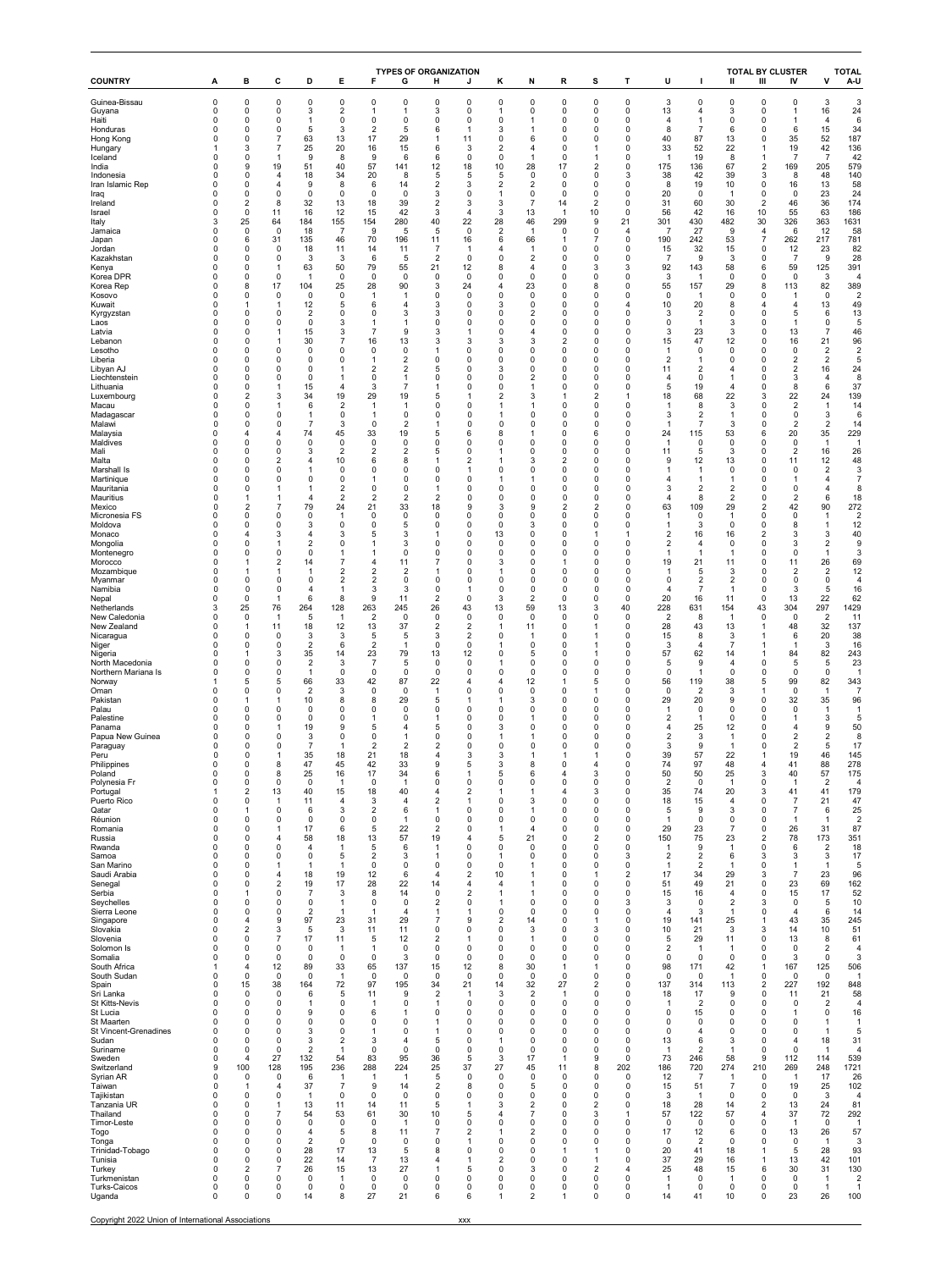| <b>COUNTRY</b>                      | А                       | в                       | с                       | D                       | Ε                                | F                     | G                        | <b>TYPES OF ORGANIZATION</b><br>н      | J                            | κ                            | N                              | R                             | s                       | т                          | U                       | -1                      | Ш                                | Ш                             | TOTAL BY CLUSTER<br>IV        | ۷                                    | <b>TOTAL</b><br>A-U       |
|-------------------------------------|-------------------------|-------------------------|-------------------------|-------------------------|----------------------------------|-----------------------|--------------------------|----------------------------------------|------------------------------|------------------------------|--------------------------------|-------------------------------|-------------------------|----------------------------|-------------------------|-------------------------|----------------------------------|-------------------------------|-------------------------------|--------------------------------------|---------------------------|
| Guinea-Bissau                       | $\mathbf 0$             | $\mathbf 0$             | $\mathbf 0$             | $\mathbf 0$             | $\mathbf 0$                      | $\mathbf 0$           | $\mathbf 0$              | 0                                      | $\mathbf 0$                  | 0                            | 0                              | $\mathbf 0$                   | 0                       | $\mathbf 0$                | 3                       | 0                       | $\Omega$                         | $\Omega$                      | $\mathbf 0$                   | 3                                    | 3                         |
| Guvana                              | 0                       | 0                       | $\Omega$                | 3                       | 2                                | 1                     | 1                        | 3                                      | $\mathbf 0$                  | 1                            | 0                              | 0                             | 0                       | 0                          | 13                      | 4                       | 3                                | 0                             | $\mathbf{1}$                  | 16                                   | 24                        |
| Haiti                               | $\Omega$                | $\Omega$                | $\Omega$                |                         | 0                                | 0                     | 0                        | 0                                      | 0                            | 0                            | -1                             | $\Omega$                      | $\Omega$                | $\Omega$                   | 4                       | $\overline{1}$          | $\Omega$                         | 0                             | $\mathbf{1}$                  | 4                                    | 6                         |
| Honduras                            | 0<br>$\Omega$           | 0<br>$\Omega$           | 0<br>7                  | 5<br>63                 | 3                                | 2                     | 5<br>29                  | 6<br>1                                 | 11                           | 3<br>0                       | 1                              | 0<br>0                        | 0<br>0                  | 0<br>$\Omega$              | 8                       | 7<br>87                 | 6                                | 0<br>0                        | 6                             | 15<br>52                             | 34<br>187                 |
| Hong Kong<br>Hungary                |                         | 3                       | 7                       | 25                      | 13<br>20                         | 17<br>16              | 15                       | 6                                      | 3                            | $\overline{\mathbf{2}}$      | 6<br>$\overline{4}$            | $\Omega$                      | 1                       | $\Omega$                   | 40<br>33                | 52                      | 13<br>22                         |                               | 35<br>19                      | 42                                   | 136                       |
| Iceland                             | $\Omega$                | $\Omega$                | -1                      | 9                       | 8                                | 9                     | 6                        | 6                                      | $\mathbf 0$                  | $\mathbf 0$                  | -1                             | $\Omega$                      | -1                      | $\Omega$                   | -1                      | 19                      | 8                                | -1                            | 7                             | $\overline{7}$                       | 42                        |
| India                               | $\Omega$                | 9                       | 19                      | 51                      | 40                               | 57                    | 141                      | 12                                     | 18                           | 10                           | 28                             | 17                            | $\overline{\mathbf{2}}$ | 0                          | 175                     | 136                     | 67                               | $\overline{2}$                | 169                           | 205                                  | 579                       |
| Indonesia<br>Iran Islamic Rep       | 0<br>$\Omega$           | $\Omega$<br>0           | 4<br>$\overline{4}$     | 18<br>9                 | 34<br>8                          | 20<br>6               | 8<br>14                  | 5<br>$\overline{\mathbf{c}}$           | 5<br>3                       | 5<br>$\overline{\mathbf{c}}$ | 0<br>$\overline{\mathbf{c}}$   | $\Omega$<br>0                 | 0<br>0                  | 3<br>0                     | 38<br>8                 | 42                      | 39<br>10                         | 3<br>0                        | 8                             | 48                                   | 140<br>58                 |
| Iraq                                | n                       | $\Omega$                | $\mathbf 0$             | $\Omega$                | $\mathbf 0$                      | 0                     | $\Omega$                 | 3                                      | $\pmb{0}$                    | -1                           | 0                              | $\Omega$                      | $\pmb{0}$               | $\Omega$                   | 20                      | 19<br>$\Omega$          | $\mathbf{1}$                     | $\mathbf 0$                   | 16<br>$\mathbf 0$             | 13<br>23                             | 24                        |
| Ireland                             | $\Omega$                | 2                       | 8                       | 32                      | 13                               | 18                    | 39                       | $\overline{\mathbf{c}}$                | 3                            | 3                            | 7                              | 14                            | $\overline{2}$          | $\Omega$                   | 31                      | 60                      | 30                               | $\overline{2}$                | 46                            | 36                                   | 174                       |
| Israel                              | $\Omega$                | $\mathbf 0$             | 11                      | 16                      | 12                               | 15                    | 42                       | 3                                      | $\overline{4}$               | 3                            | 13                             | 1                             | 10                      | $\mathbf 0$                | 56                      | 42                      | 16                               | 10                            | 55                            | 63                                   | 186                       |
| Italy                               | 3                       | 25                      | 64                      | 184                     | 155                              | 154                   | 280                      | 40                                     | 22                           | 28                           | 46                             | 299                           | 9                       | 21                         | 301                     | 430                     | 482                              | 30                            | 326                           | 363                                  | 1631                      |
| Jamaica                             | $\Omega$                | 0                       | $\mathbf 0$             | 18                      | $\overline{7}$                   | 9                     | 5                        | 5                                      | $\mathbf 0$                  | $\overline{2}$               | $\mathbf{1}$                   | 0                             | 0                       | 4                          | $\overline{7}$          | 27                      | 9                                | 4                             | 6                             | 12                                   | 58                        |
| Japan                               | 0                       | 6                       | 31                      | 135                     | 46                               | 70                    | 196                      | 11                                     | 16                           | 6                            | 66                             | 1                             | 7                       | 0                          | 190                     | 242                     | 53                               | 7                             | 262                           | 217                                  | 781                       |
| Jordan                              | 0                       | 0                       | 0                       | 18                      | 11                               | 14                    | 11                       | 7                                      | 1                            | 4                            | $\mathbf{1}$                   | 0                             | 0                       | 0                          | 15                      | 32                      | 15                               | 0                             | 12                            | 23                                   | 82                        |
| Kazakhstan                          | $\Omega$                | $\Omega$                | 0                       | 3                       | 3                                | 6                     | 5                        | $\overline{2}$                         | $\mathbf 0$                  | 0                            | $\overline{2}$                 | $\Omega$                      | 0                       | 0                          | $\overline{7}$          | $\mathsf{Q}$            | 3                                | 0                             | $\overline{7}$                | 9                                    | 28                        |
| Kenya                               | $\Omega$                | $\Omega$                | -1                      | 63                      | 50                               | 79                    | 55                       | 21                                     | 12                           | 8                            | $\overline{4}$                 | $\mathbf 0$                   | 3                       | 3                          | 92                      | 143                     | 58                               | 6                             | 59                            | 125                                  | 391                       |
| Korea DPR                           | $\Omega$                | 0                       | 0                       | -1                      | 0                                | 0                     | 0                        | 0                                      | $\mathbf 0$                  | 0                            | 0                              | 0                             | 0                       | 0                          | 3                       | $\overline{1}$          | 0                                | 0                             | $\mathbf 0$                   | 3                                    | 4                         |
| Korea Rep                           | $\Omega$                | 8                       | 17                      | 104                     | 25                               | 28                    | 90                       | 3                                      | 24                           | $\overline{4}$               | 23                             | 0                             | 8                       | 0                          | 55                      | 157                     | 29                               | 8                             | 113                           | 82                                   | 389                       |
| Kosovo                              | 0                       | 0                       | 0                       | 0                       | 0                                | -1                    | -1                       | 0                                      | 0                            | 0                            | 0                              | 0                             | 0                       | 0                          | 0                       | -1                      | 0                                | 0                             | -1                            | 0                                    | $\overline{c}$            |
| Kuwait                              | $\Omega$                | 1                       | -1                      | 12                      | 5                                | 6                     | 4                        | 3                                      | $\pmb{0}$                    | 3                            | $\pmb{0}$                      | $\Omega$                      | $\Omega$                | 4                          | 10                      | 20                      | 8                                | 4                             | $\overline{4}$                | 13                                   | 49                        |
| Kyrgyzstan                          | $\Omega$                | $\Omega$                | $\Omega$                | $\overline{2}$          | 0                                | 0                     | 3                        | 3                                      | 0                            | $\mathbf 0$                  | $\overline{2}$                 | $\Omega$                      | $\Omega$                | $\Omega$                   | 3                       | $\overline{2}$          | $\mathbf 0$                      | $\mathbf 0$                   | 5                             | 6                                    | 13                        |
| Laos                                | $\Omega$                | $\Omega$                | $\Omega$                | $\mathbf 0$             | 3                                | -1                    | $\mathbf{1}$             | 0                                      | 0                            | $\mathbf 0$                  | $\mathbf 0$                    | $\Omega$                      | $\Omega$                | $\Omega$                   | $\mathbf 0$             | $\overline{1}$          | 3                                | $\mathbf 0$                   | -1                            | $\mathbf 0$                          | 5                         |
| Latvia                              | $\Omega$                | 0                       | -1                      | 15                      | 3                                | 7                     | 9                        | 3                                      | $\mathbf{1}$                 | 0                            | $\overline{4}$                 | $\Omega$                      | $\Omega$                | $\Omega$                   | 3                       | 23                      | 3                                | 0                             | 13                            | $\overline{7}$                       | 46                        |
| Lebanon                             | $\Omega$                | 0                       |                         | 30                      | 7                                | 16                    | 13                       | 3                                      | 3                            | 3                            | 3                              | 2                             | $\Omega$                | $\Omega$                   | 15                      | 47                      | 12                               | 0                             | 16                            | 21                                   | 96                        |
| Lesotho                             | 0                       | 0                       | 0                       | 0                       | 0                                | 0                     | 0                        | 1                                      | 0                            | 0                            | 0                              | 0                             | 0                       | 0                          | -1                      | 0                       | 0                                | 0                             | 0                             | 2                                    | $\overline{\mathbf{c}}$   |
| Liberia                             | $\Omega$                | $\Omega$                | $\Omega$                | 0                       | 0                                | 1                     | $\overline{\mathbf{c}}$  | 0                                      | 0                            | 0                            | 0                              | 0                             | 0                       | $\Omega$                   | $\overline{2}$          | -1                      | $\Omega$                         | 0                             | $\overline{\mathbf{c}}$       | $\overline{2}$                       | 5                         |
| Libyan AJ                           | $\Omega$                | n                       | $\Omega$                | $\Omega$                | -1                               | $\overline{2}$        | $\overline{\mathbf{c}}$  | 5                                      | 0                            | 3                            | $\mathbf 0$                    | $\Omega$                      | $\Omega$                | $\Omega$                   | 11                      | $\overline{\mathbf{2}}$ | $\overline{4}$                   | 0                             | $\overline{c}$                | 16                                   | 24                        |
| Liechtenstein<br>Lithuania          | $\Omega$<br>$\Omega$    | $\Omega$<br>$\Omega$    | $\Omega$                | $\Omega$<br>15          | -1<br>4                          | $\mathbf 0$<br>3      | $\mathbf{1}$<br>7        | 0<br>-1                                | 0<br>0                       | 0<br>C                       | $\overline{2}$<br>$\mathbf{1}$ | $\Omega$<br>0                 | $\Omega$<br>0           | $\Omega$<br>$\Omega$       | $\overline{4}$<br>5     | $\mathbf 0$<br>19       | $\overline{4}$                   | $\Omega$<br>0                 | 3<br>8                        | 4<br>6                               | 8<br>37                   |
| Luxembourg                          | $\Omega$                | $\mathfrak{p}$          | 3                       | 34                      | 19                               | 29                    | 19                       | 5                                      | -1                           | $\overline{2}$               | 3                              | $\mathbf{1}$                  | $\overline{2}$          | -1                         | 18                      | 68                      | 22                               | 3                             | 22                            | 24                                   | 139                       |
| Macau                               | 0                       | 0                       |                         | 6                       | $\overline{2}$                   | -1                    | $\mathbf{1}$             | 0                                      | 0                            | -1                           | -1                             | 0                             | 0                       | 0                          | 1                       | 8                       | 3                                | 0                             | $\overline{2}$                | $\mathbf{1}$                         | 14                        |
| Madagascar                          | <sup>n</sup>            | $\Omega$                | $\Omega$                | -1                      | 0                                | -1                    | 0                        | 0                                      | 0                            | -1                           | 0                              | $\Omega$                      | $\Omega$                | $\Omega$                   | 3                       | $\overline{2}$          | -1                               | $\mathbf 0$                   | $\overline{0}$                | 3                                    | 6                         |
| Malawi                              | <sup>n</sup>            | n                       | $\Omega$                | 7                       | 3                                | $\Omega$              | $\overline{2}$           | $\mathbf{1}$                           | 0                            | $\mathbf 0$                  | $\mathbf 0$                    | $\Omega$                      | $\Omega$                | $\Omega$                   | -1                      | 7                       | 3                                | $\mathbf 0$                   | $\overline{2}$                | $\overline{2}$                       | 14                        |
| Malaysia                            | $\Omega$                | Δ                       | 4                       | 74                      | 45                               | 33                    | 19                       | 5                                      | 6                            | 8                            | $\mathbf{1}$                   | $\Omega$                      | 6                       | $\mathbf 0$                | 24                      | 115                     | 53                               | 6                             | 20                            | 35                                   | 229                       |
| Maldives                            | $\Omega$                | $\Omega$                | $\Omega$                | 0                       | 0                                | 0                     | 0                        | 0                                      | 0                            | 0                            | 0                              | 0                             | 0                       | 0                          | 1                       | 0                       | 0                                | 0                             | 0                             | $\mathbf{1}$                         | $\overline{1}$            |
| Mali                                | $\Omega$                | 0                       | $\Omega$                | 3                       | $\overline{2}$                   | 2                     | $\overline{\mathbf{c}}$  | 5                                      | 0                            | -1                           | $\mathbf 0$                    | 0                             | $\Omega$                | 0                          | 11                      | 5                       | 3                                | 0                             | $\overline{2}$                | 16                                   | 26                        |
| Malta<br>Marshall Is                | 0<br>$\Omega$           | $\Omega$                | $\Omega$                | 4                       | 10<br>0                          | 6<br>0                | 8<br>0                   | 1<br>0                                 | $\overline{\mathbf{c}}$<br>1 | 0                            | 3<br>0                         | 2<br>0                        | 0<br>0                  | 0<br>0                     | 9<br>-1                 | 12<br>-1                | 13<br>0                          | 0<br>0                        | 11<br>0                       | 12<br>2                              | 48<br>3                   |
| Martinique                          | $\Omega$                | $\Omega$                | $\Omega$                | 0                       | 0                                | 1                     | 0                        | 0                                      | 0                            | -1                           | -1                             | $\Omega$                      | 0                       | $\Omega$                   | 4                       | -1                      | -1                               | 0                             | $\overline{1}$                | 4                                    | $\overline{\mathfrak{c}}$ |
| Mauritania<br><b>Mauritius</b>      | $\Omega$<br>$\Omega$    | $\Omega$<br>1           | -1                      | $\overline{4}$          | $\overline{2}$<br>$\overline{2}$ | $\Omega$<br>2         | 0<br>$\overline{2}$      | $\mathbf{1}$<br>$\overline{2}$         | 0<br>0                       | 0<br>0                       | $\mathbf 0$<br>$\mathbf 0$     | $\Omega$<br>0                 | $\Omega$<br>0           | $\Omega$<br>0              | 3<br>$\overline{4}$     | $\overline{2}$<br>8     | $\overline{2}$<br>$\overline{2}$ | 0<br>0                        | $\mathsf 0$<br>$\overline{2}$ | $\overline{4}$<br>6                  | 8<br>18                   |
| Mexico                              | $\Omega$                | 2                       | $\overline{7}$          | 79                      | 24                               | 21                    | 33                       | 18                                     | 9                            | 3                            | 9                              | 2                             | $\overline{2}$          | $\Omega$                   | 63                      | 109                     | 29                               | $\overline{2}$                | 42                            | 90                                   | 272                       |
| Micronesia FS                       | 0                       | 0                       | 0                       | 0                       | -1                               | 0                     | 0                        | 0                                      | 0                            | 0                            | 0                              | 0                             | 0                       | 0                          | 1                       | 0                       | 1                                | 0                             | 0                             | 1                                    | $\overline{c}$            |
| Moldova                             | $\Omega$                | $\Omega$                | $\Omega$                | 3                       | $\Omega$                         | 0                     | 5                        | 0                                      | $\mathbf 0$                  | 0                            | 3                              | $\Omega$                      | $\Omega$                | $\Omega$                   | -1                      | 3                       | $\mathbf 0$                      | $\pmb{0}$                     | 8                             | $\mathbf{1}$                         | 12                        |
| Monaco                              | $\Omega$                | 4                       | 3                       | 4                       | 3                                | 5                     | 3                        | -1                                     | 0                            | 13                           | $\mathbf 0$                    | $\Omega$                      | -1                      | -1                         | $\overline{2}$          | 16                      | 16                               | $\overline{2}$                | 3                             | 3                                    | 40                        |
| Mongolia                            | $\Omega$                | $\Omega$                | -1                      | $\mathfrak{p}$          | $\Omega$                         | 1                     | 3                        | $\mathbf 0$                            | 0                            | 0                            | $\mathbf 0$                    | $\Omega$                      | $\mathbf 0$             | $\Omega$                   | $\overline{2}$          | $\overline{4}$          | $\mathbf 0$                      | $\mathbf 0$                   | 3                             | $\overline{2}$                       | 9                         |
| Montenegro                          | $\Omega$                | 0                       | $\Omega$                | $\Omega$                | $\mathbf{1}$                     | 1                     | 0                        | 0                                      | 0                            | 0                            | 0                              | 0                             | $\Omega$                | $\Omega$                   | 1                       | -1                      | -1                               | 0                             | 0                             | $\mathbf{1}$                         | 3                         |
| Morocco                             | 0                       |                         | 2                       | 14                      | 7                                | 4                     | 11                       | $\overline{7}$                         | 0                            | 3                            | 0                              | 1                             | $\Omega$                | $\Omega$                   | 19                      | 21                      | 11                               | 0                             | 11                            | 26                                   | 69                        |
| Mozambique                          | 0<br>$\Omega$           | $\Omega$                | $\Omega$                | 0                       | 2<br>$\overline{2}$              | 2<br>$\boldsymbol{2}$ | 2<br>$\mathbf 0$         | 0                                      | 0<br>0                       | -1<br>0                      | 0<br>0                         | 0<br>$\Omega$                 | 0<br>0                  | 0<br>$\Omega$              | 1<br>0                  | 5<br>$\overline{2}$     | 3<br>$\overline{\mathbf{2}}$     | 0<br>0                        | $\overline{2}$<br>$\mathsf 0$ | $\overline{\mathbf{c}}$<br>$\pmb{0}$ | 12<br>4                   |
| Myanmar<br>Namibia                  | n                       | $\Omega$                | $\Omega$                | 4                       | 1                                | 3                     | 3                        | 0                                      | -1                           | 0                            | $\mathbf 0$                    | $\Omega$                      | $\Omega$                | $\Omega$                   | 4                       | 7                       | -1                               | 0                             | 3                             | 5                                    | 16                        |
| Nepal                               | $\Omega$                | $\Omega$                | -1                      | 6                       | 8                                | 9                     | 11                       | $\overline{2}$                         | $\mathbf 0$                  | 3                            | $\overline{2}$                 | $\Omega$                      | 0                       | $\mathbf 0$                | 20                      | 16                      | 11                               | $\Omega$                      | 13                            | 22                                   | 62                        |
| Netherlands                         | 3                       | 25                      | 76                      | 264                     | 128                              | 263                   | 245                      | 26                                     | 43                           | 13                           | 59                             | 13                            | 3                       | 40                         | 228                     | 631                     | 154                              | 43                            | 304                           | 297                                  | 1429                      |
| New Caledonia<br>New Zealand        | $\Omega$<br>$\Omega$    | 0<br>1                  | $\overline{1}$<br>11    | 5<br>18                 | $\overline{1}$<br>12             | $\overline{2}$<br>13  | 0<br>37                  | $\mathbf 0$<br>$\overline{\mathbf{c}}$ | 0<br>$\overline{\mathbf{c}}$ | 0                            | 0<br>11                        | 0<br>0                        | 0<br>-1                 | 0<br>0                     | $\overline{2}$<br>28    | 8<br>43                 | -1<br>13                         | 0                             | $\mathbf 0$<br>48             | $\overline{2}$<br>32                 | 11<br>137                 |
| Nicaragua                           | n                       | $\Omega$                | 0                       | 3                       | 3                                | 5                     | 5                        | 3                                      | $\overline{\mathbf{c}}$      | 0                            | -1                             | $\Omega$                      | -1                      | $\Omega$                   | 15                      | 8                       | 3                                | -1                            | 6                             | 20                                   | 38                        |
| Niger                               | n                       | $\Omega$                | $\Omega$                | 2                       | 6                                | $\overline{2}$        | $\overline{1}$           | $\mathbf 0$                            | $\pmb{0}$                    | -1                           | $\mathbf 0$                    | $\Omega$                      | -1                      | $\Omega$                   | 3                       | 4                       | 7                                | -1                            | -1                            | 3                                    | 16                        |
| Nigeria                             | n                       | -1                      | 3                       | 35                      | 14                               | 23                    | 79                       | 13                                     | 12                           | 0                            | 5                              | $\Omega$                      | -1                      | $\Omega$                   | 57                      | 62                      | 14                               | -1                            | 84                            | 82                                   | 243                       |
| North Macedonia                     | $\Omega$                | $\Omega$                | 0                       | $\overline{2}$          | 3                                | 7                     | 5                        | 0                                      | 0                            | -1                           | $\mathbf 0$                    | 0                             | 0                       | 0                          | 5                       | 9                       | 4                                | 0                             | 5                             | 5                                    | 23                        |
| Northern Mariana Is                 | $\Omega$                | $\Omega$                | $\Omega$                | -1                      | $\pmb{0}$                        | 0                     | $\pmb{0}$                | 0                                      | 0                            | 0                            | $\mathbf 0$                    | 0                             | 0                       | $\Omega$                   | 0                       | -1                      | 0                                | 0                             | $\mathsf 0$                   | 0                                    | $\mathbf{1}$              |
| Norway                              | $\Omega$                | 5<br>0                  | 5<br>0                  | 66<br>$\overline{2}$    | 33                               | 42                    | 87<br>0                  | 22<br>-1                               | 4<br>0                       | 4<br>0                       | 12                             | 0                             | 5<br>-1                 | 0<br>0                     | 56<br>$\mathsf 0$       | 119<br>$\overline{2}$   | 38<br>3                          | 5<br>-1                       | 99<br>$\mathbf 0$             | 82<br>$\mathbf{1}$                   | 343<br>$\overline{7}$     |
| Oman<br>Pakistan                    | $\Omega$                | -1                      | -1                      | 10                      | 3<br>8                           | 0<br>8                | 29                       | 5                                      | 1                            | -1                           | 0<br>3                         | $\Omega$                      | $\pmb{0}$               | 0                          | 29                      | 20                      | 9                                | 0                             | 32                            | 35                                   | 96                        |
| Palau                               | $\Omega$                | $\Omega$                | $\Omega$                | $\Omega$                | 0                                | 0                     | 0                        | 0                                      | $\mathbf 0$                  | 0                            | 0                              | $\Omega$                      | $\Omega$                | $\Omega$                   | $\overline{1}$          | $\Omega$                | $\mathbf 0$                      | 0                             | $\mathbf 0$                   | $\mathbf{1}$                         | $\mathbf{1}$              |
| Palestine                           | 0                       | $\Omega$                | 0                       | 0                       | 0                                | -1                    | 0                        | -1                                     | 0                            | 0                            | -1                             | 0                             | 0                       | 0                          | $\overline{2}$          | -1                      | $\Omega$                         | 0                             | -1                            | 3                                    | 5                         |
| Panama                              | 0                       | 0                       | -1                      | 19                      | 9                                | 5                     | 4                        | 5                                      | 0                            | 3                            | 0                              | 0                             | 0                       | 0                          | 4                       | 25                      | 12                               | 0                             | $\overline{4}$                | 9                                    | 50                        |
| Papua New Guinea                    | 0                       | $\Omega$                | 0                       | 3                       | 0                                | 0                     | $\mathbf{1}$             | 0                                      | 0                            | -1                           | -1                             | 0                             | 0                       | 0                          | 2                       | 3                       |                                  | 0                             | $\overline{c}$                | $\overline{\mathbf{c}}$              | 8                         |
| Paraguay                            | <sup>n</sup>            | $\Omega$                | $\Omega$                | 7                       | $\mathbf{1}$                     | 2                     | $\overline{\phantom{a}}$ | $\overline{\mathbf{c}}$                | 0                            | $\pmb{0}$                    | $\Omega$                       | $\Omega$                      | $\Omega$                | $\Omega$                   | 3                       | 9                       | -1                               | 0                             | $\overline{2}$                | 5                                    | 17                        |
| Peru                                | $\Omega$                | n                       | -1                      | 35                      | 18                               | 21                    | 18                       | $\overline{4}$                         | 3                            | 3                            | -1                             | -1                            | -1                      | $\Omega$                   | 39                      | 57                      | 22                               | -1                            | 19                            | 46                                   | 145                       |
| Philippines                         | $\Omega$                | 0                       | 8                       | 47                      | 45                               | 42                    | 33                       | 9                                      | 5                            | 3                            | 8                              | $\mathbf 0$                   | 4                       | $\mathbf 0$                | 74                      | 97                      | 48                               | $\overline{4}$                | 41                            | 88                                   | 278                       |
| Poland<br>Polynesia Fr              | $\Omega$<br>$\Omega$    | $\Omega$                | 8<br>$\Omega$           | 25<br>$\Omega$          | 16<br>-1                         | 17<br>$\Omega$        | 34<br>1                  | 6<br>$\Omega$                          | 1<br>$\Omega$                | 5<br>$\Omega$                | 6<br>$\Omega$                  | 4<br>0                        | 3<br>$\Omega$           | $\Omega$<br>$\Omega$       | 50<br>$\overline{c}$    | 50<br>$\Omega$          | 25                               | 3<br>$\Omega$                 | 40<br>$\mathbf{1}$            | 57<br>$\mathfrak{p}$                 | 175<br>4                  |
| Portugal                            | 1                       | 2                       | 13                      | 40                      | 15                               | 18                    | 40                       | 4                                      | $\overline{\mathbf{c}}$      | $\pmb{0}$                    | -1                             | 4                             | 3                       | 0                          | 35                      | 74                      | 20                               | 3                             | 41                            | 41                                   | 179                       |
| Puerto Rico                         | 0                       | 0                       | $\mathbf{1}$            | 11                      | 4                                | $\mathsf 3$           | 4                        | $\boldsymbol{2}$                       | $\mathbf{1}$                 |                              | $\sqrt{3}$                     | $\mathsf 0$                   | $\pmb{0}$               | $\pmb{0}$                  | 18                      | 15                      | 4                                | $\pmb{0}$                     | $\overline{7}$                | 21                                   | 47                        |
| Qatar                               | $\pmb{0}$               | 1                       | 0                       | 6                       | 3                                | $\boldsymbol{2}$      | 6                        | 1                                      | 0                            | $\pmb{0}$                    | $\mathbf{1}$                   | 0                             | 0                       | $\Omega$                   | $\sqrt{5}$              | 9                       | 3                                | $\pmb{0}$                     | $\overline{7}$                | $\,6\,$                              | 25                        |
| Réunion                             | $\Omega$                | 0                       | $\Omega$                | $\mathbf 0$             | $\pmb{0}$                        | $\mathsf 0$           | $\mathbf{1}$             | 0                                      | 0                            | 0                            | $\mathbf 0$                    | $\mathbf 0$                   | $\mathbf 0$             | $\mathbf 0$                | $\overline{1}$          | $^{\circ}$              | $\mathbf 0$                      | $\mathbf 0$                   | -1                            | -1                                   | $\overline{\mathbf{c}}$   |
| Romania                             | $\Omega$                | 0                       | $\mathbf{1}$            | 17                      | 6                                | 5                     | 22                       | $\overline{2}$                         | 0                            | $\mathbf{1}$                 | $\overline{4}$                 | 0                             | 0                       | 0                          | 29                      | 23                      | $\overline{7}$                   | 0                             | 26                            | 31                                   | 87                        |
| Russia                              | $\Omega$                | 0                       | $\overline{4}$          | 58                      | 18                               | 13                    | 57                       | 19                                     | 4                            | 5                            | 21                             | 0                             | $\overline{2}$          | 0                          | 150                     | 75                      | 23                               | $\overline{2}$                | 78                            | 173                                  | 351                       |
| Rwanda                              | 0                       | 0                       | 0                       | 4                       | -1                               | 5                     | 6                        | 1                                      | 0                            | 0                            | 0                              | 0                             | 0                       | 0                          | $\mathbf{1}$            | 9                       | $\mathbf{1}$                     | 0                             | 6                             | $\overline{c}$                       | 18                        |
| Samoa                               | $\Omega$                | $\Omega$                | $\Omega$                | $\mathbf 0$             | 5                                | $\mathbf 2$           | 3                        | -1                                     | $\pmb{0}$                    | -1                           | $\ddot{\mathbf{0}}$            | $\mathbf 0$                   | 0                       | 3                          | $\overline{\mathbf{c}}$ | $\overline{c}$          | 6                                | 3                             | 3                             | $\mathbf 3$                          | 17                        |
| San Marino                          | $\mathbf 0$             | 0                       | $\mathbf{1}$            | -1                      | $\mathbf{1}$                     | $\mathbf 0$           | $\mathsf 0$              | 0                                      | $\pmb{0}$                    | $\mathbf 0$                  | $\overline{1}$                 | $\mathbf 0$                   | $\mathbf 0$             | $\mathbf 0$                | $\mathbf{1}$            | $\overline{2}$          | $\overline{1}$                   | $\pmb{0}$                     | $\mathbf{1}$                  | $\overline{1}$                       | 5                         |
| Saudi Arabia                        | $\mathbf 0$             | 0                       | 4                       | 18                      | 19                               | 12                    | 6                        | $\overline{4}$                         | $\overline{2}$               | 10                           | $\mathbf{1}$                   | $\mathbf 0$                   | $\mathbf{1}$            | $\overline{2}$             | 17                      | 34                      | 29                               | 3                             | $\overline{7}$                | 23                                   | 96                        |
| Senegal                             | $\Omega$                | 0                       | $\overline{\mathbf{c}}$ | 19                      | 17                               | 28                    | 22                       | 14                                     | 4                            | 4                            | $\mathbf{1}$                   | 0                             | 0                       | $\pmb{0}$                  | 51                      | 49                      | 21                               | 0                             | 23                            | 69                                   | 162                       |
| Serbia                              | 0                       | $\mathbf{1}$            | 0                       | $\overline{7}$          | 3                                | 8                     | 14                       | 0                                      | $\overline{c}$               | $\mathbf{1}$                 | $\mathbf{1}$                   | 0                             | 0                       | 0                          | 15                      | 16                      | 4                                | 0                             | 15                            | 17                                   | 52                        |
| Seychelles                          | 0                       | 0                       | 0                       | 0                       | $\mathbf{1}$                     | 0                     | 0                        | $\overline{\mathbf{c}}$                | 0                            | $\mathbf{1}$                 | 0                              | 0                             | 0                       | 3                          | 3                       | 0                       | $\overline{\mathbf{c}}$          | 3                             | 0                             | 5                                    | 10                        |
| Sierra Leone                        | 0                       | 0                       | 0                       | $\overline{2}$          | $\mathbf{1}$                     | -1                    | 4                        | 1                                      | 1                            | 0                            | 0                              | 0                             | 0                       | 0                          | 4                       | 3                       | $\overline{1}$                   | $\pmb{0}$                     | $\overline{4}$                | $\,6\,$                              | 14                        |
| Singapore                           | $\Omega$                | 4                       | 9                       | 97                      | 23                               | 31                    | 29                       | $\overline{7}$                         | 9                            | $\sqrt{2}$                   | 14                             | $\mathbf 0$                   | $\mathbf{1}$            | $\mathbf 0$                | 19                      | 141                     | 25                               | $\mathbf{1}$                  | 43                            | 35                                   | 245                       |
| Slovakia                            | $\mathbf 0$             | $\overline{\mathbf{c}}$ | 3                       | 5                       | 3                                | 11                    | 11                       | 0                                      | $\mathbf 0$                  | 0                            | 3                              | $\mathbf 0$                   | 3                       | 0                          | 10                      | 21                      | 3                                | 3                             | 14                            | 10                                   | 51                        |
| Slovenia                            | 0                       | 0                       | $\overline{7}$          | 17                      | 11                               | 5                     | 12                       | $\overline{\mathbf{c}}$                | $\mathbf{1}$                 | 0                            | $\mathbf{1}$                   | 0                             | 0                       | 0                          | 5                       | 29                      | 11                               | 0                             | 13                            | 8                                    | 61                        |
| Solomon Is                          | $\Omega$                | 0                       | 0                       | 0                       | $\mathbf{1}$                     | $\mathbf{1}$          | 0                        | 0                                      | $\mathbf 0$                  | 0                            | $\pmb{0}$                      | 0                             | 0                       | $\mathbf 0$                | $\overline{2}$          | $\overline{1}$          | $\mathbf{1}$                     | 0                             | $\mathbf 0$                   | $\overline{\mathbf{c}}$              | $\frac{4}{3}$             |
| Somalia                             | 0                       | 0                       | 0                       | 0                       | 0                                | 0                     | 3                        | $\mathbf 0$                            | $\mathbf 0$                  | $\pmb{0}$                    | 0                              | 0                             | 0                       | 0                          | 0                       | $\mathbf 0$             | 0                                | 0                             | 3                             | 0                                    |                           |
| South Africa                        | -1                      | 4                       | 12<br>$\mathbf 0$       | 89                      | 33                               | 65                    | 137                      | 15                                     | 12                           | 8                            | 30                             | $\overline{1}$<br>$\mathbf 0$ | 1<br>$\mathbf 0$        | $\mathbf 0$                | 98                      | 171                     | 42                               | $\mathbf{1}$                  | 167                           | 125                                  | 506                       |
| South Sudan<br>Spain                | $\mathbf 0$<br>$\Omega$ | $\mathbf 0$<br>15       | 38                      | $\mathbf 0$<br>164      | $\overline{1}$<br>72             | $\mathsf 0$<br>97     | $\mathbf 0$<br>195       | $\mathbf 0$<br>$\frac{34}{2}$          | $\mathbf 0$<br>21            | $\mathsf 0$<br>14            | $\mathsf 0$<br>32              | 27                            | $\overline{2}$          | $\mathbf 0$<br>$\mathbf 0$ | $\mathbf 0$<br>137      | $\mathbf 0$<br>314      | -1<br>113                        | $\mathsf 0$<br>$\overline{c}$ | $\mathbf 0$<br>227            | $\mathbf 0$<br>192                   | -1<br>848                 |
| Sri Lanka                           | $\Omega$                | 0                       | $\pmb{0}$               | 6                       | 5                                | 11                    | 9                        | $\mathbf{1}$                           | $\overline{1}$               | 3                            | $\overline{2}$                 | $\mathbf{1}$                  | 0                       | 0                          | 18                      | 17                      | 9                                | 0                             | 11                            | 21                                   | 58                        |
| St Kitts-Nevis                      | $\Omega$                | 0                       | 0                       | $\mathbf{1}$            | 0                                | $\overline{1}$        | 0                        |                                        | $\mathbf 0$                  | $\pmb{0}$                    | 0                              | $\pmb{0}$                     | 0                       | $\mathbf 0$                | $\mathbf{1}$            | $\overline{2}$          | 0                                | 0                             | $\mathsf 0$                   | $\overline{2}$                       | $\overline{4}$            |
| St Lucia                            | 0                       | 0                       | 0                       | 9                       | 0                                | 6                     | $\mathbf{1}$             | 0                                      | 0                            | 0                            | 0                              | 0                             | 0                       | 0                          | 0                       | 15                      | 0                                | 0                             | 1                             | 0                                    | 16                        |
| St Maarten                          | 0                       | 0                       | 0                       | 0                       | 0                                | 0                     | 0                        | -1                                     | $\pmb{0}$                    | 0                            | 0                              | 0                             | 0                       | 0                          | $\mathbf 0$             | 0                       | 0                                | 0                             | $\mathbf 0$                   | -1                                   | $\mathbf{1}$              |
| St Vincent-Grenadines               | 0                       | 0                       | 0                       | 3                       | 0                                | -1                    | 0                        | 1                                      | 0                            | 0                            | $\pmb{0}$                      | 0                             | 0                       | $\Omega$                   | 0                       | 4                       | $\mathbf 0$                      | 0                             | $\mathbf 0$                   | $\mathbf{1}$                         | 5                         |
| Sudan                               | $\Omega$                | 0                       | $\mathbf 0$             | 3                       | $\overline{2}$                   | 3                     | 4                        | 5                                      | $\mathbf 0$                  | -1                           | $\mathbf 0$                    | $\mathbf 0$                   | $\mathbf 0$             | $\mathbf 0$                | 13                      | 6                       | 3                                | $\mathbf 0$                   | 4                             | 18                                   | 31                        |
| Suriname                            | 0                       | $\Omega$                | 0                       | $\overline{\mathbf{c}}$ | $\mathbf{1}$                     | 0                     | $\pmb{0}$                | $\mathbf 0$                            | $\mathbf 0$                  | 0                            | 0                              | 0                             | 0                       | 0                          | $\overline{1}$          | 2                       | $\overline{1}$                   | $\mathbf 0$                   | $\mathbf 0$                   | $\overline{1}$                       | $\overline{4}$            |
| Sweden                              | 0                       | 4                       | 27                      | 132                     | 54                               | 83                    | 95                       | 36                                     | 5                            | 3                            | 17                             | $\mathbf{1}$                  | 9                       | $\mathbf 0$                | 73                      | 246                     | 58                               | 9                             | 112                           | 114                                  | 539                       |
| Switzerland                         | 9                       | 100                     | 128                     | 195                     | 236                              | 288                   | 224                      | 25                                     | 37                           | 27                           | 45                             | 11                            | 8                       | 202                        | 186                     | 720                     | 274                              | 210                           | 269                           | 248                                  | 1721                      |
| Syrian AR                           | 0                       | $\mathbf 0$             | 0                       | 6                       | -1                               | $\mathbf{1}$          | -1                       | $\mathbf 5$                            | $\mathsf 0$                  | $\pmb{0}$                    | $\pmb{0}$                      | $\mathbf 0$                   | 0                       | $\mathbf 0$                | 12                      | 7                       | -1                               | 0                             | -1                            | 17                                   | 26                        |
| Taiwan                              | $\Omega$                | -1                      | $\overline{4}$          | 37                      | 7                                | 9                     | 14                       | $\mathbf 2$                            | 8                            | $\pmb{0}$                    | $\,$ 5 $\,$                    | $\mathbf 0$                   | $\mathbf 0$             | $^{\circ}$                 | 15                      | 51                      | $\overline{7}$                   | $\mathsf 0$                   | 19                            | 25                                   | 102                       |
| Tajikistan                          | $\mathbf 0$             | $\mathbf 0$             | $\mathbf 0$             | $\overline{1}$          | $\mathbf 0$                      | $\mathbf 0$           | $\mathbf 0$              | $\pmb{0}$                              | $\mathbf 0$                  | 0                            | $\pmb{0}$                      | $\mathbf 0$                   | $\mathbf 0$             | $\mathbf 0$                | 3                       | -1                      | $\mathbf 0$                      | 0                             | $^{\circ}$                    | $\mathbf{3}$                         | $\overline{4}$            |
| Tanzania UR                         | 0                       | 0                       | $\mathbf{1}$            | 13                      | 11                               | 14                    | 11                       | 5                                      | 1                            | 3                            | $\overline{2}$                 | 0                             | $\overline{\mathbf{c}}$ | 0                          | 18                      | 28                      | 14                               | $\overline{2}$                | 13                            | 24                                   | 81                        |
| Thailand                            | 0                       | 0                       | $\overline{7}$          | 54                      | 53                               | 61                    | 30                       | 10                                     | 5                            | 4                            | $\overline{7}$                 | 0                             | 3                       | $\mathbf{1}$               | 57                      | 122                     | 57                               | $\overline{4}$                | 37                            | 72                                   | 292                       |
| Timor-Leste                         | 0                       | 0                       | 0                       | $\mathsf 0$             | 0                                | 0                     | $\mathbf{1}$             | 0                                      | 0                            | 0                            | 0                              | 0                             | 0                       | 0                          | 0                       | 0                       | 0                                | 0                             | $\mathbf{1}$                  | 0                                    | $\mathbf{1}$              |
| Togo                                | 0                       | 0                       | 0                       | 4                       | 5                                | 8                     | 11                       | $\overline{7}$                         | $\overline{\mathbf{c}}$      | -1                           | $\overline{c}$                 | 0                             | 0                       | 0                          | 17                      | 12                      | 6                                | 0                             | 13                            | 26                                   | 57                        |
| Tonga                               | $\Omega$                | 0                       | $\pmb{0}$               | $\overline{2}$          | 0                                | $\mathbf 0$           | 0                        | $\mathsf 0$                            | 1                            | $\pmb{0}$                    | $\pmb{0}$                      | 0                             | $\mathbf 0$             | 0                          | $\mathsf 0$             | $\overline{2}$          | $\Omega$                         | $\pmb{0}$                     | $\mathsf 0$                   | $\overline{1}$                       | $\mathbf{3}$              |
| Trinidad-Tobago                     | $\Omega$                | $\Omega$                | $\mathbf 0$             | 28                      | 17                               | 13                    | 5                        | 8                                      | 0                            | 0                            | 0                              | $\mathbf{1}$                  | $\mathbf{1}$            | $\mathbf 0$                | 20                      | 41                      | 18                               | -1                            | 5                             | 28                                   | 93                        |
| Tunisia                             | $\Omega$                | 0                       | 0                       | 22                      | 14                               | $\overline{7}$        | 13                       | 4                                      | 1                            | $\overline{\mathbf{c}}$      | 0                              | 0                             | $\mathbf{1}$            | 0                          | 37                      | 29                      | 16                               | $\mathbf{1}$                  | 13                            | 42                                   | 101                       |
| Turkey                              | $\Omega$<br>0           | 2<br>0                  | $\overline{7}$<br>0     | 26<br>0                 | 15<br>1                          | 13<br>0               | 27<br>0                  | $\mathbf{1}$<br>0                      | 5<br>0                       | 0                            | 3<br>0                         | 0<br>0                        | $\overline{2}$<br>0     | 4<br>0                     | 25                      | 48<br>0                 | 15<br>$\mathbf{1}$               | 6<br>0                        | 30<br>0                       | 31                                   | 130<br>$\overline{c}$     |
| Turkmenistan<br><b>Turks-Caicos</b> | 0                       | 0                       | 0                       | 0                       | 0                                | 0                     | $\mathsf 0$              | $\pmb{0}$                              | $\pmb{0}$                    | 0<br>$\pmb{0}$               | $\pmb{0}$                      | 0                             | 0                       | 0                          | $\overline{1}$<br>-1    | 0                       | $\mathbf 0$                      | $\pmb{0}$                     | $\mathbf 0$                   | $\mathbf{1}$<br>$\overline{1}$       | $\mathbf{1}$              |
| Uganda                              | 0                       | 0                       | 0                       | 14                      | 8                                | 27                    | 21                       | 6                                      | 6                            | 1                            | $\overline{c}$                 | 1                             | 0                       | 0                          | 14                      | 41                      | 10                               | 0                             | 23                            | 26                                   | 100                       |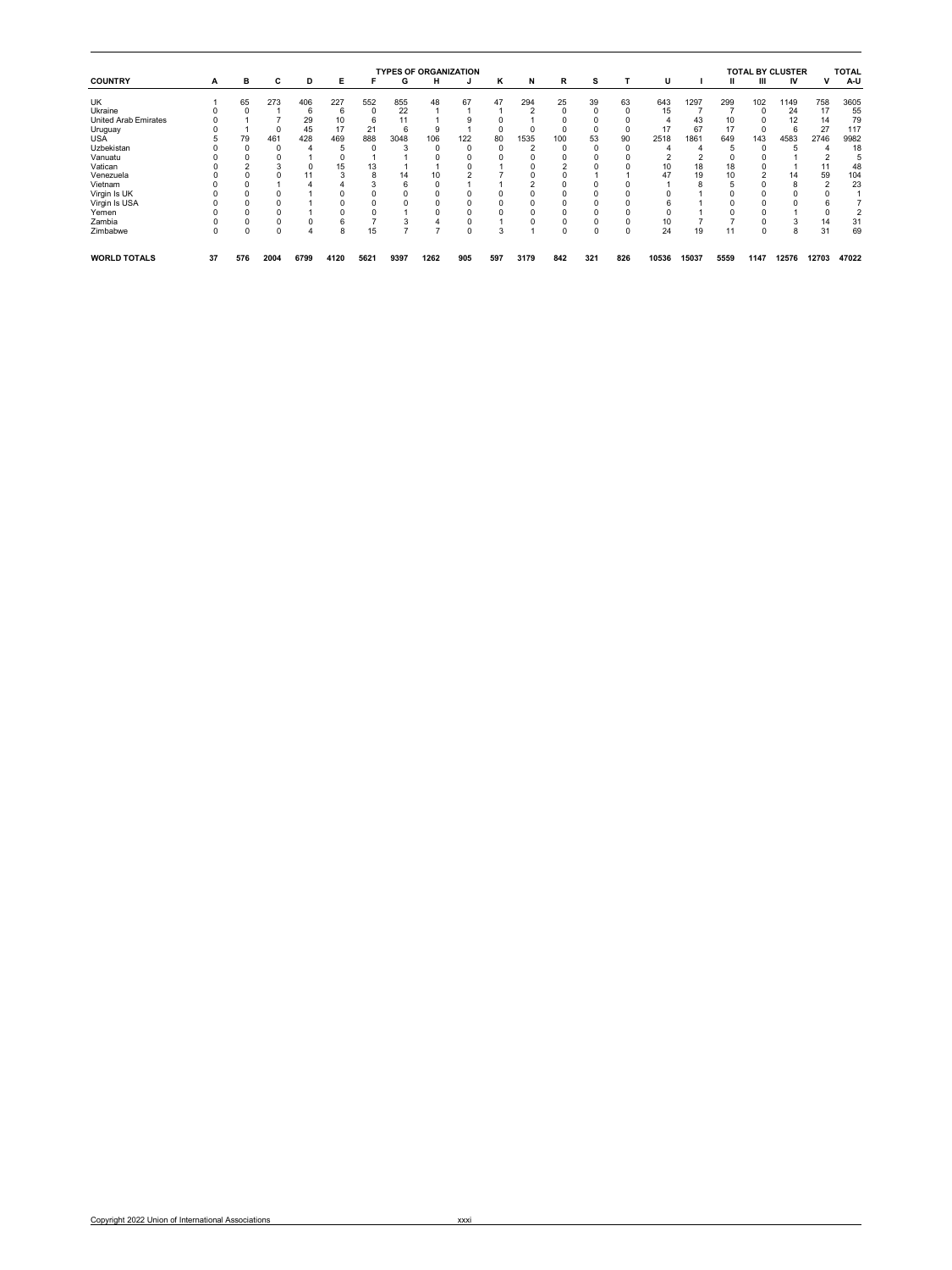|                      |    |     |      |      |      |          |      | <b>TYPES OF ORGANIZATION</b> |     |        |            |     |     |          |       |       |      |          | <b>TOTAL BY CLUSTER</b> |       | <b>TOTAL</b> |
|----------------------|----|-----|------|------|------|----------|------|------------------------------|-----|--------|------------|-----|-----|----------|-------|-------|------|----------|-------------------------|-------|--------------|
| <b>COUNTRY</b>       | А  | в   | С    | D    | Е    |          | G    | н                            |     | κ      | N          | R   | s   |          | U     |       |      | Ш        | IV                      |       | A-U          |
| UK                   |    | 65  | 273  | 406  | 227  | 552      | 855  | 48                           | 67  | 47     | 294        | 25  | 39  | 63       | 643   | 1297  | 299  | 102      | 1149                    | 758   | 3605         |
| Ukraine              |    |     |      | 6    | 6    | $\Omega$ | 22   |                              |     |        | $\sqrt{2}$ |     |     | 0        | 15    |       |      | $\Omega$ | 24                      | 17    | 55           |
| United Arab Emirates |    |     |      | 29   | 10   | 6        | 11   |                              |     |        |            |     |     |          |       | 43    | 10   |          | 12                      | 14    | 79           |
| Uruguay              |    |     |      | 45   | 17   | 21       | 6    |                              |     |        |            |     |     | 0        |       | 67    | 17   | C        | n                       | 27    | 117          |
| <b>USA</b>           |    | 79  | 461  | 428  | 469  | 888      | 3048 | 106                          | 122 | 80     | 1535       | 100 | 53  | 90       | 2518  | 1861  | 649  | 143      | 4583                    | 2746  | 9982         |
| Uzbekistan           |    |     |      |      |      | n        |      |                              |     |        |            |     |     | 0        |       |       |      |          |                         |       | 18           |
| Vanuatu              |    |     |      |      |      |          |      |                              |     |        |            |     |     |          |       |       |      |          |                         |       |              |
| Vatican              |    |     |      |      | 15   | 13       |      |                              |     |        |            |     |     |          | 10    | 18    | 18   |          |                         |       | 48           |
| Venezuela            |    |     |      |      |      |          | 14   | 10                           |     |        |            |     |     |          | 47    | 19    | 10   |          |                         | 59    | 104          |
| Vietnam              |    |     |      |      |      |          |      |                              |     |        |            |     |     |          |       |       |      |          |                         |       | 23           |
| Virgin Is UK         |    |     |      |      |      |          |      |                              |     |        |            |     |     |          |       |       |      |          |                         |       |              |
| Virgin Is USA        |    |     |      |      |      | $\Omega$ |      |                              |     |        |            |     |     |          |       |       |      |          |                         |       |              |
| Yemen                |    |     |      |      |      |          |      |                              |     |        |            |     |     |          |       |       |      |          |                         |       |              |
| Zambia               |    |     |      |      | 6    |          |      |                              |     |        |            |     |     |          | 10    |       |      |          |                         | 14    | 31           |
| Zimbabwe             | 0  |     |      |      | 8    | 15       |      |                              |     | $\sim$ |            |     |     | $\Omega$ | 24    | 19    | 11   |          | ж                       | 31    | 69           |
| <b>WORLD TOTALS</b>  | 37 | 576 | 2004 | 6799 | 4120 | 5621     | 9397 | 1262                         | 905 | 597    | 3179       | 842 | 321 | 826      | 10536 | 15037 | 5559 | 1147     | 12576                   | 12703 | 47022        |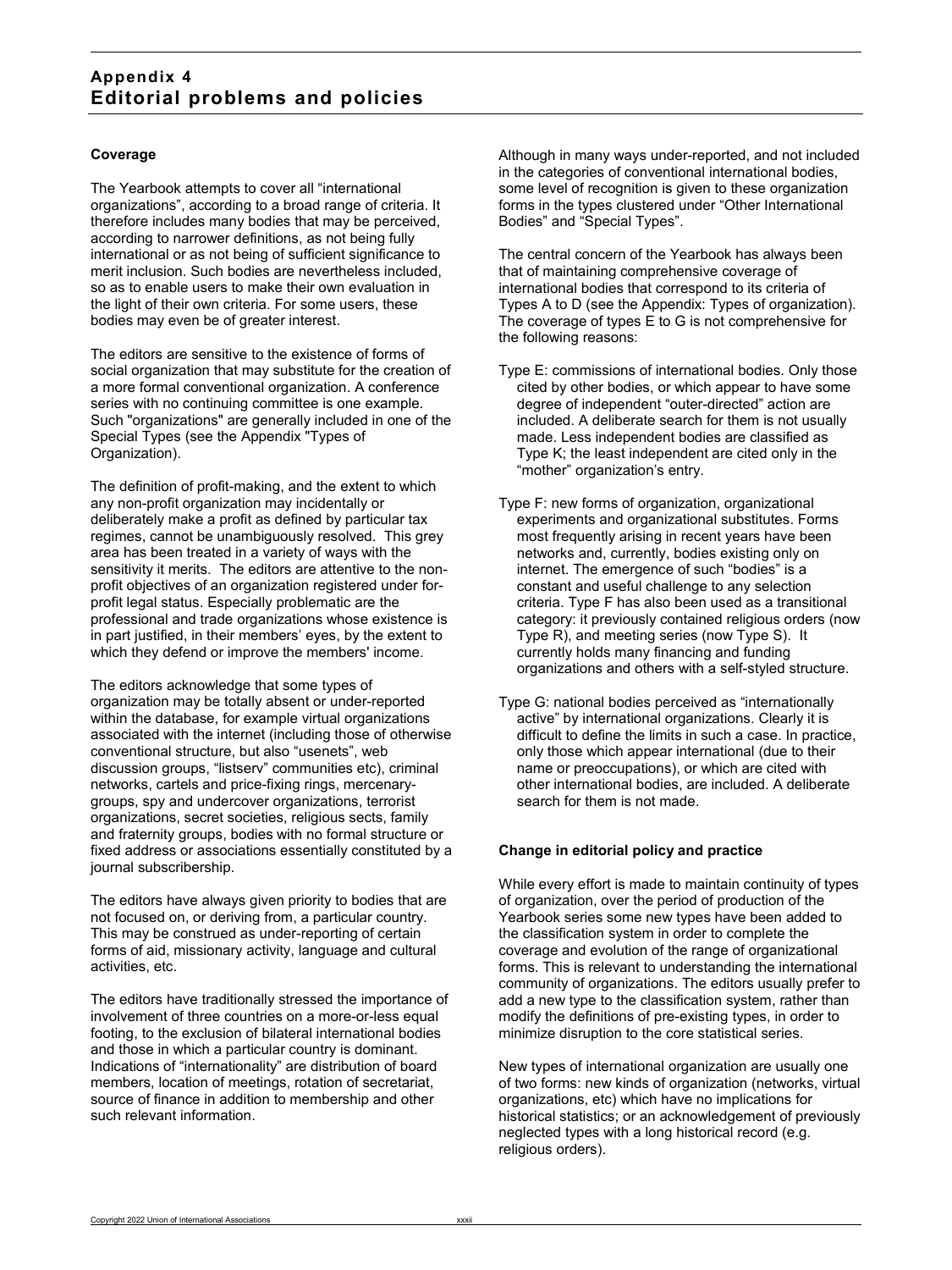## **Coverage**

The Yearbook attempts to cover all "international organizations", according to a broad range of criteria. It therefore includes many bodies that may be perceived, according to narrower definitions, as not being fully international or as not being of sufficient significance to merit inclusion. Such bodies are nevertheless included, so as to enable users to make their own evaluation in the light of their own criteria. For some users, these bodies may even be of greater interest.

The editors are sensitive to the existence of forms of social organization that may substitute for the creation of a more formal conventional organization. A conference series with no continuing committee is one example. Such "organizations" are generally included in one of the Special Types (see the Appendix "Types of Organization).

The definition of profit-making, and the extent to which any non-profit organization may incidentally or deliberately make a profit as defined by particular tax regimes, cannot be unambiguously resolved. This grey area has been treated in a variety of ways with the sensitivity it merits. The editors are attentive to the nonprofit objectives of an organization registered under forprofit legal status. Especially problematic are the professional and trade organizations whose existence is in part justified, in their members' eyes, by the extent to which they defend or improve the members' income.

The editors acknowledge that some types of organization may be totally absent or under-reported within the database, for example virtual organizations associated with the internet (including those of otherwise conventional structure, but also "usenets", web discussion groups, "listserv" communities etc), criminal networks, cartels and price-fixing rings, mercenarygroups, spy and undercover organizations, terrorist organizations, secret societies, religious sects, family and fraternity groups, bodies with no formal structure or fixed address or associations essentially constituted by a journal subscribership.

The editors have always given priority to bodies that are not focused on, or deriving from, a particular country. This may be construed as under-reporting of certain forms of aid, missionary activity, language and cultural activities, etc.

The editors have traditionally stressed the importance of involvement of three countries on a more-or-less equal footing, to the exclusion of bilateral international bodies and those in which a particular country is dominant. Indications of "internationality" are distribution of board members, location of meetings, rotation of secretariat, source of finance in addition to membership and other such relevant information.

Although in many ways under-reported, and not included in the categories of conventional international bodies, some level of recognition is given to these organization forms in the types clustered under "Other International Bodies" and "Special Types".

The central concern of the Yearbook has always been that of maintaining comprehensive coverage of international bodies that correspond to its criteria of Types A to D (see the Appendix: Types of organization). The coverage of types E to G is not comprehensive for the following reasons:

- Type E: commissions of international bodies. Only those cited by other bodies, or which appear to have some degree of independent "outer-directed" action are included. A deliberate search for them is not usually made. Less independent bodies are classified as Type K; the least independent are cited only in the "mother" organization's entry.
- Type F: new forms of organization, organizational experiments and organizational substitutes. Forms most frequently arising in recent years have been networks and, currently, bodies existing only on internet. The emergence of such "bodies" is a constant and useful challenge to any selection criteria. Type F has also been used as a transitional category: it previously contained religious orders (now Type R), and meeting series (now Type S). It currently holds many financing and funding organizations and others with a self-styled structure.
- Type G: national bodies perceived as "internationally active" by international organizations. Clearly it is difficult to define the limits in such a case. In practice, only those which appear international (due to their name or preoccupations), or which are cited with other international bodies, are included. A deliberate search for them is not made.

## **Change in editorial policy and practice**

While every effort is made to maintain continuity of types of organization, over the period of production of the Yearbook series some new types have been added to the classification system in order to complete the coverage and evolution of the range of organizational forms. This is relevant to understanding the international community of organizations. The editors usually prefer to add a new type to the classification system, rather than modify the definitions of pre-existing types, in order to minimize disruption to the core statistical series.

New types of international organization are usually one of two forms: new kinds of organization (networks, virtual organizations, etc) which have no implications for historical statistics; or an acknowledgement of previously neglected types with a long historical record (e.g. religious orders).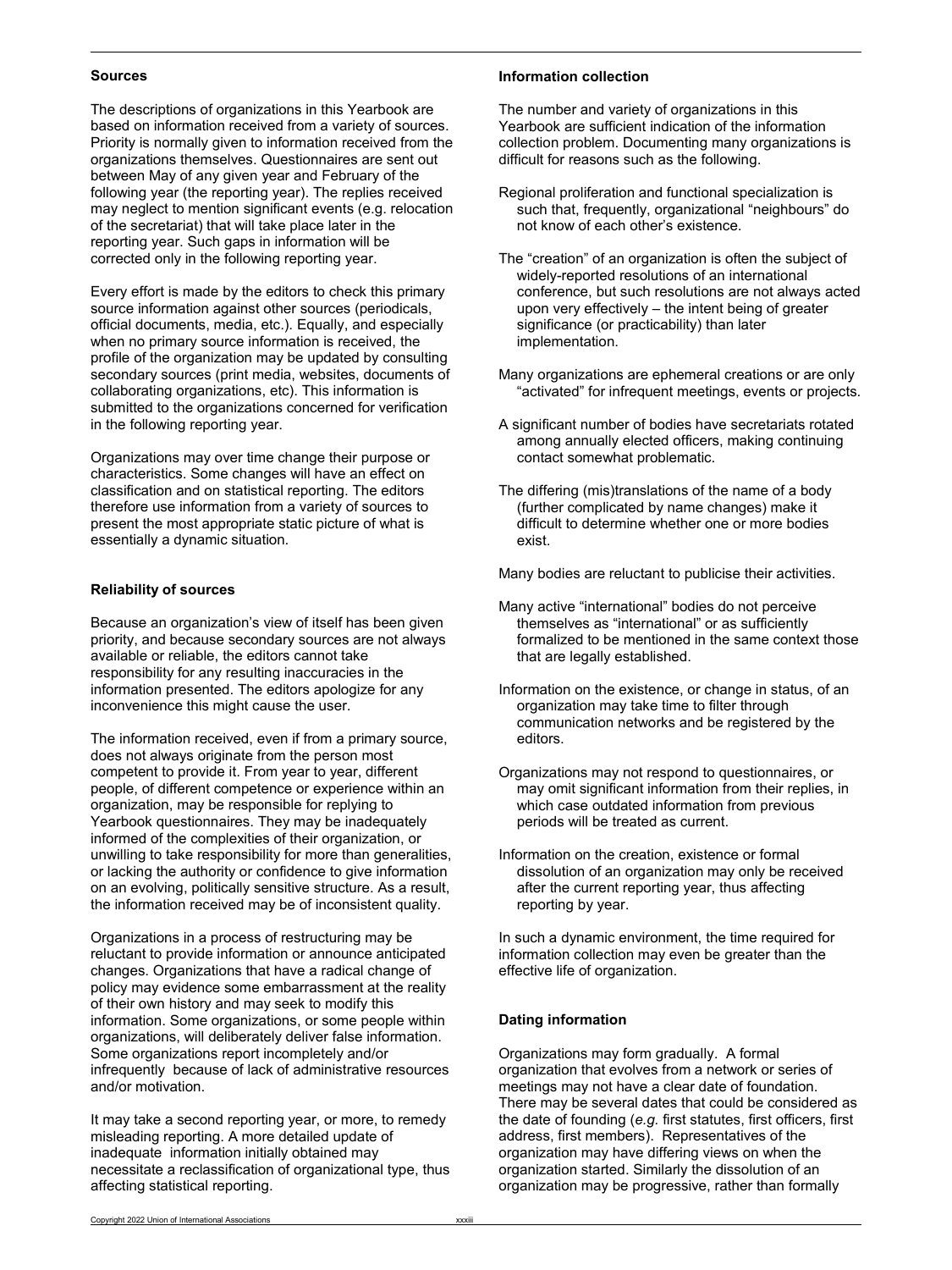## **Sources**

The descriptions of organizations in this Yearbook are based on information received from a variety of sources. Priority is normally given to information received from the organizations themselves. Questionnaires are sent out between May of any given year and February of the following year (the reporting year). The replies received may neglect to mention significant events (e.g. relocation of the secretariat) that will take place later in the reporting year. Such gaps in information will be corrected only in the following reporting year.

Every effort is made by the editors to check this primary source information against other sources (periodicals, official documents, media, etc.). Equally, and especially when no primary source information is received, the profile of the organization may be updated by consulting secondary sources (print media, websites, documents of collaborating organizations, etc). This information is submitted to the organizations concerned for verification in the following reporting year.

Organizations may over time change their purpose or characteristics. Some changes will have an effect on classification and on statistical reporting. The editors therefore use information from a variety of sources to present the most appropriate static picture of what is essentially a dynamic situation.

## **Reliability of sources**

Because an organization's view of itself has been given priority, and because secondary sources are not always available or reliable, the editors cannot take responsibility for any resulting inaccuracies in the information presented. The editors apologize for any inconvenience this might cause the user.

The information received, even if from a primary source, does not always originate from the person most competent to provide it. From year to year, different people, of different competence or experience within an organization, may be responsible for replying to Yearbook questionnaires. They may be inadequately informed of the complexities of their organization, or unwilling to take responsibility for more than generalities, or lacking the authority or confidence to give information on an evolving, politically sensitive structure. As a result, the information received may be of inconsistent quality.

Organizations in a process of restructuring may be reluctant to provide information or announce anticipated changes. Organizations that have a radical change of policy may evidence some embarrassment at the reality of their own history and may seek to modify this information. Some organizations, or some people within organizations, will deliberately deliver false information. Some organizations report incompletely and/or infrequently because of lack of administrative resources and/or motivation.

It may take a second reporting year, or more, to remedy misleading reporting. A more detailed update of inadequate information initially obtained may necessitate a reclassification of organizational type, thus affecting statistical reporting.

## **Information collection**

The number and variety of organizations in this Yearbook are sufficient indication of the information collection problem. Documenting many organizations is difficult for reasons such as the following.

- Regional proliferation and functional specialization is such that, frequently, organizational "neighbours" do not know of each other's existence.
- The "creation" of an organization is often the subject of widely-reported resolutions of an international conference, but such resolutions are not always acted upon very effectively – the intent being of greater significance (or practicability) than later implementation.
- Many organizations are ephemeral creations or are only "activated" for infrequent meetings, events or projects.
- A significant number of bodies have secretariats rotated among annually elected officers, making continuing contact somewhat problematic.
- The differing (mis)translations of the name of a body (further complicated by name changes) make it difficult to determine whether one or more bodies exist.

Many bodies are reluctant to publicise their activities.

- Many active "international" bodies do not perceive themselves as "international" or as sufficiently formalized to be mentioned in the same context those that are legally established.
- Information on the existence, or change in status, of an organization may take time to filter through communication networks and be registered by the editors.
- Organizations may not respond to questionnaires, or may omit significant information from their replies, in which case outdated information from previous periods will be treated as current.
- Information on the creation, existence or formal dissolution of an organization may only be received after the current reporting year, thus affecting reporting by year.

In such a dynamic environment, the time required for information collection may even be greater than the effective life of organization.

## **Dating information**

Organizations may form gradually. A formal organization that evolves from a network or series of meetings may not have a clear date of foundation. There may be several dates that could be considered as the date of founding (*e.g.* first statutes, first officers, first address, first members). Representatives of the organization may have differing views on when the organization started. Similarly the dissolution of an organization may be progressive, rather than formally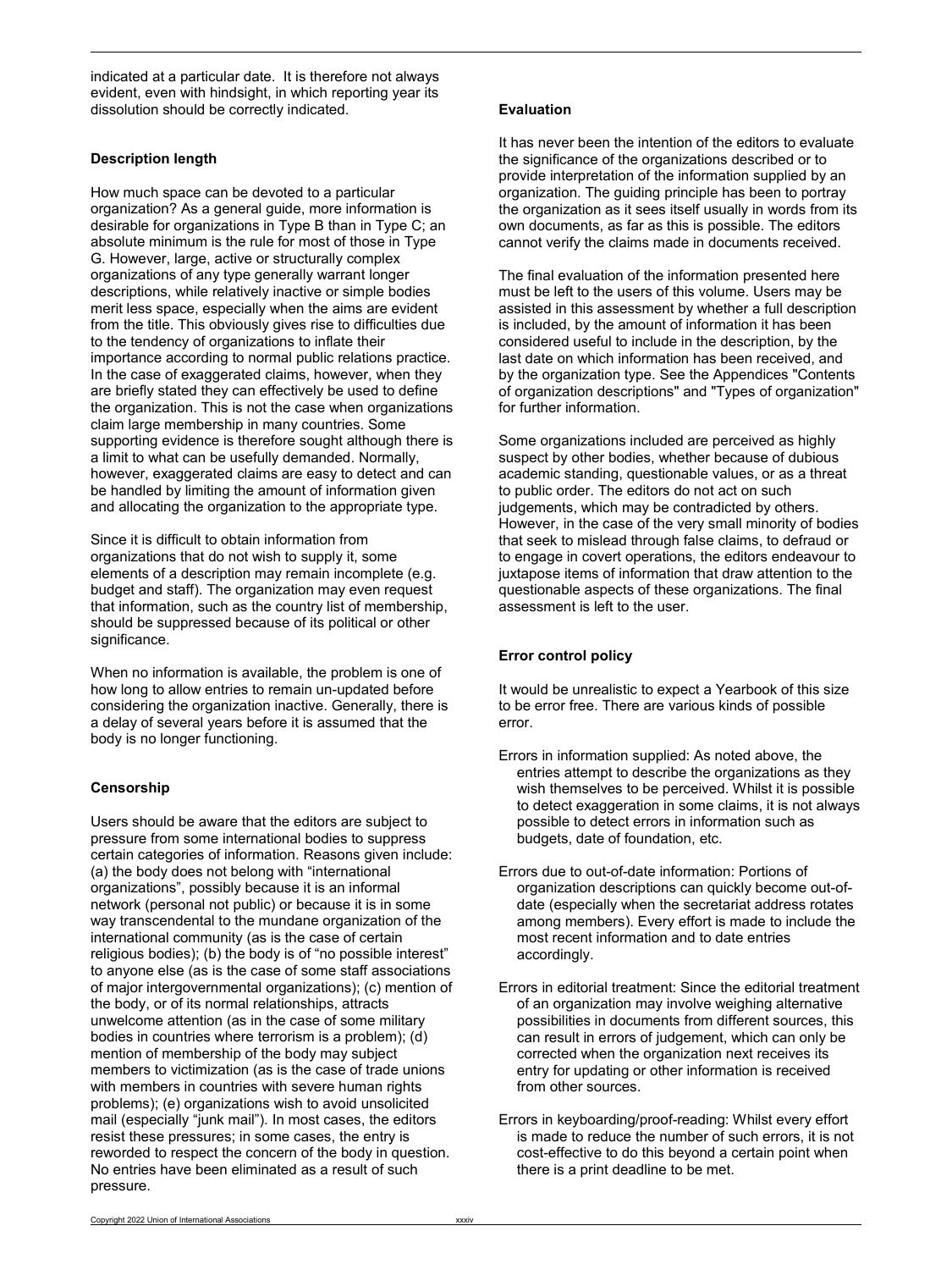indicated at a particular date. It is therefore not always evident, even with hindsight, in which reporting year its dissolution should be correctly indicated.

## **Description length**

How much space can be devoted to a particular organization? As a general guide, more information is desirable for organizations in Type B than in Type C; an absolute minimum is the rule for most of those in Type G. However, large, active or structurally complex organizations of any type generally warrant longer descriptions, while relatively inactive or simple bodies merit less space, especially when the aims are evident from the title. This obviously gives rise to difficulties due to the tendency of organizations to inflate their importance according to normal public relations practice. In the case of exaggerated claims, however, when they are briefly stated they can effectively be used to define the organization. This is not the case when organizations claim large membership in many countries. Some supporting evidence is therefore sought although there is a limit to what can be usefully demanded. Normally, however, exaggerated claims are easy to detect and can be handled by limiting the amount of information given and allocating the organization to the appropriate type.

Since it is difficult to obtain information from organizations that do not wish to supply it, some elements of a description may remain incomplete (e.g. budget and staff). The organization may even request that information, such as the country list of membership, should be suppressed because of its political or other significance.

When no information is available, the problem is one of how long to allow entries to remain un-updated before considering the organization inactive. Generally, there is a delay of several years before it is assumed that the body is no longer functioning.

## **Censorship**

Users should be aware that the editors are subject to pressure from some international bodies to suppress certain categories of information. Reasons given include: (a) the body does not belong with "international organizations", possibly because it is an informal network (personal not public) or because it is in some way transcendental to the mundane organization of the international community (as is the case of certain religious bodies); (b) the body is of "no possible interest" to anyone else (as is the case of some staff associations of major intergovernmental organizations); (c) mention of the body, or of its normal relationships, attracts unwelcome attention (as in the case of some military bodies in countries where terrorism is a problem); (d) mention of membership of the body may subject members to victimization (as is the case of trade unions with members in countries with severe human rights problems); (e) organizations wish to avoid unsolicited mail (especially "junk mail"). In most cases, the editors resist these pressures; in some cases, the entry is reworded to respect the concern of the body in question. No entries have been eliminated as a result of such pressure.

## **Evaluation**

It has never been the intention of the editors to evaluate the significance of the organizations described or to provide interpretation of the information supplied by an organization. The guiding principle has been to portray the organization as it sees itself usually in words from its own documents, as far as this is possible. The editors cannot verify the claims made in documents received.

The final evaluation of the information presented here must be left to the users of this volume. Users may be assisted in this assessment by whether a full description is included, by the amount of information it has been considered useful to include in the description, by the last date on which information has been received, and by the organization type. See the Appendices "Contents of organization descriptions" and "Types of organization" for further information.

Some organizations included are perceived as highly suspect by other bodies, whether because of dubious academic standing, questionable values, or as a threat to public order. The editors do not act on such judgements, which may be contradicted by others. However, in the case of the very small minority of bodies that seek to mislead through false claims, to defraud or to engage in covert operations, the editors endeavour to juxtapose items of information that draw attention to the questionable aspects of these organizations. The final assessment is left to the user.

## **Error control policy**

It would be unrealistic to expect a Yearbook of this size to be error free. There are various kinds of possible error.

- Errors in information supplied: As noted above, the entries attempt to describe the organizations as they wish themselves to be perceived. Whilst it is possible to detect exaggeration in some claims, it is not always possible to detect errors in information such as budgets, date of foundation, etc.
- Errors due to out-of-date information: Portions of organization descriptions can quickly become out-ofdate (especially when the secretariat address rotates among members). Every effort is made to include the most recent information and to date entries accordingly.
- Errors in editorial treatment: Since the editorial treatment of an organization may involve weighing alternative possibilities in documents from different sources, this can result in errors of judgement, which can only be corrected when the organization next receives its entry for updating or other information is received from other sources.
- Errors in keyboarding/proof-reading: Whilst every effort is made to reduce the number of such errors, it is not cost-effective to do this beyond a certain point when there is a print deadline to be met.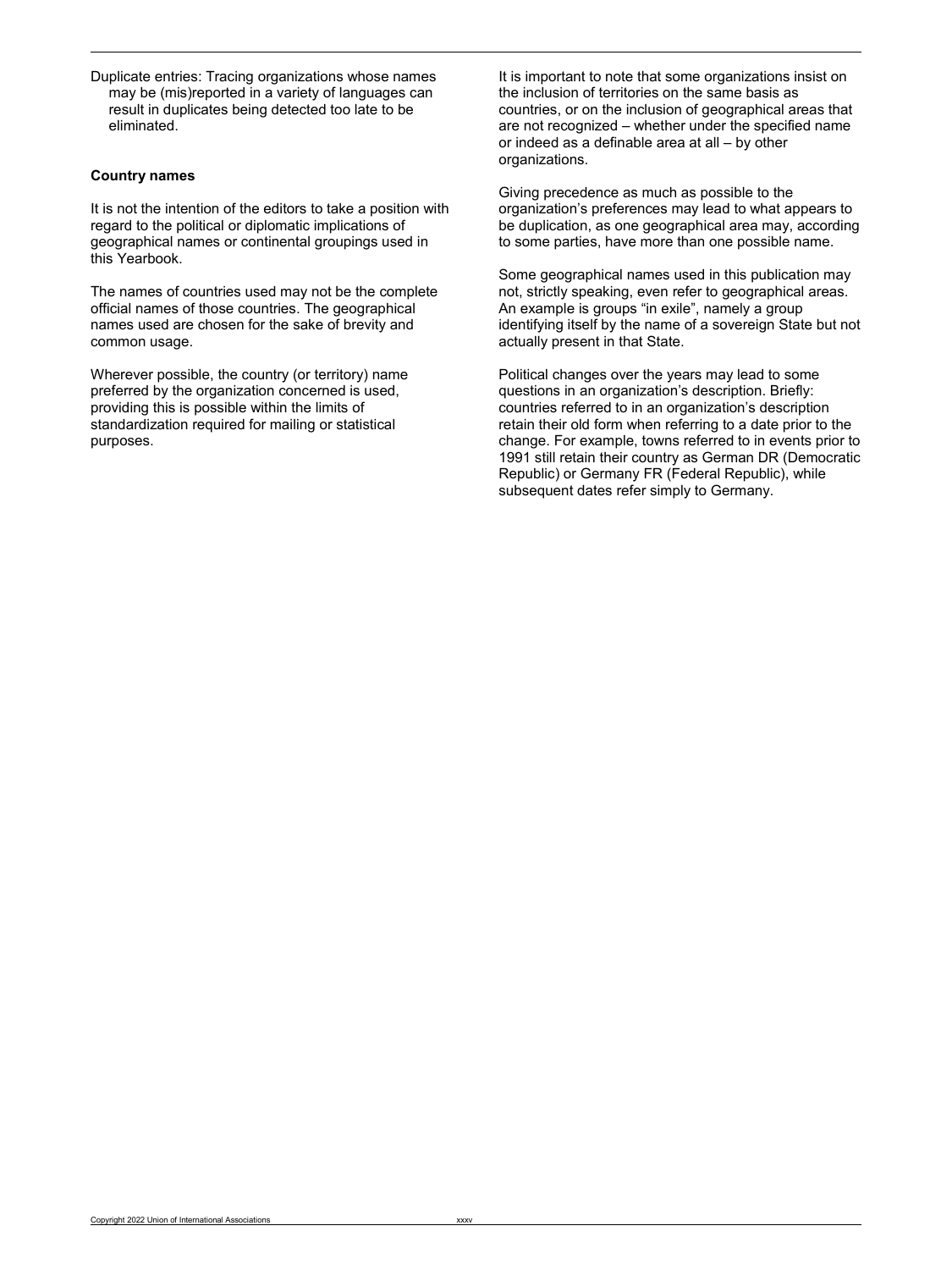Duplicate entries: Tracing organizations whose names may be (mis)reported in a variety of languages can result in duplicates being detected too late to be eliminated.

## **Country names**

It is not the intention of the editors to take a position with regard to the political or diplomatic implications of geographical names or continental groupings used in this Yearbook.

The names of countries used may not be the complete official names of those countries. The geographical names used are chosen for the sake of brevity and common usage.

Wherever possible, the country (or territory) name preferred by the organization concerned is used, providing this is possible within the limits of standardization required for mailing or statistical purposes.

It is important to note that some organizations insist on the inclusion of territories on the same basis as countries, or on the inclusion of geographical areas that are not recognized – whether under the specified name or indeed as a definable area at all – by other organizations.

Giving precedence as much as possible to the organization's preferences may lead to what appears to be duplication, as one geographical area may, according to some parties, have more than one possible name.

Some geographical names used in this publication may not, strictly speaking, even refer to geographical areas. An example is groups "in exile", namely a group identifying itself by the name of a sovereign State but not actually present in that State.

Political changes over the years may lead to some questions in an organization's description. Briefly: countries referred to in an organization's description retain their old form when referring to a date prior to the change. For example, towns referred to in events prior to 1991 still retain their country as German DR (Democratic Republic) or Germany FR (Federal Republic), while subsequent dates refer simply to Germany.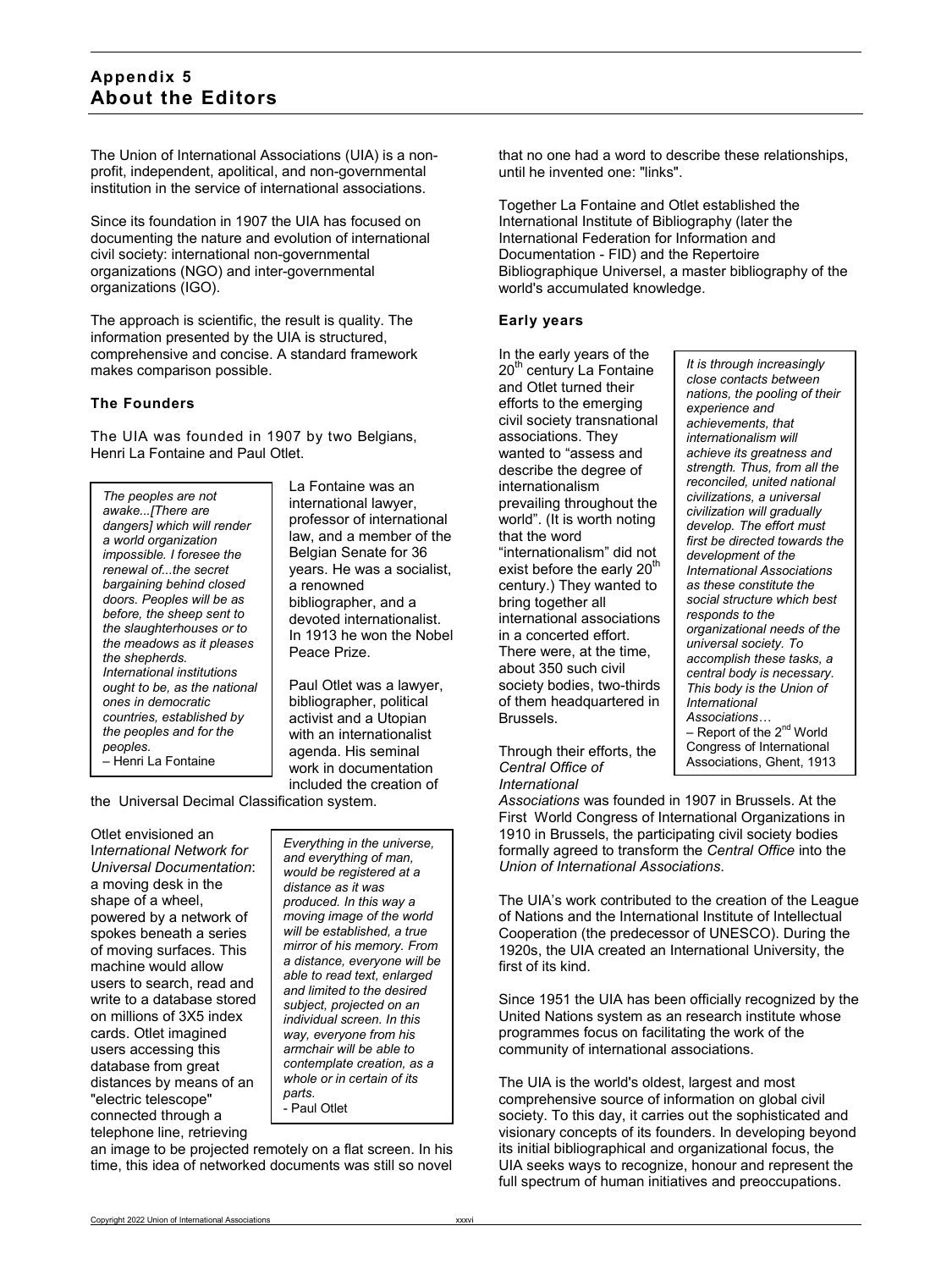The Union of International Associations (UIA) is a nonprofit, independent, apolitical, and non-governmental institution in the service of international associations.

Since its foundation in 1907 the UIA has focused on documenting the nature and evolution of international civil society: international non-governmental organizations (NGO) and inter-governmental organizations (IGO).

The approach is scientific, the result is quality. The information presented by the UIA is structured, comprehensive and concise. A standard framework makes comparison possible.

## **The Founders**

The UIA was founded in 1907 by two Belgians, Henri La Fontaine and Paul Otlet.

*The peoples are not awake...[There are dangers] which will render a world organization impossible. I foresee the renewal of...the secret bargaining behind closed doors. Peoples will be as before, the sheep sent to the slaughterhouses or to the meadows as it pleases the shepherds. International institutions ought to be, as the national ones in democratic countries, established by the peoples and for the peoples.* – Henri La Fontaine

La Fontaine was an international lawyer, professor of international law, and a member of the Belgian Senate for 36 years. He was a socialist, a renowned bibliographer, and a devoted internationalist. In 1913 he won the Nobel Peace Prize.

Paul Otlet was a lawyer, bibliographer, political activist and a Utopian with an internationalist agenda. His seminal work in documentation included the creation of

the Universal Decimal Classification system.

Otlet envisioned an I*nternational Network for Universal Documentation*: a moving desk in the shape of a wheel, powered by a network of spokes beneath a series of moving surfaces. This machine would allow users to search, read and write to a database stored on millions of 3X5 index cards. Otlet imagined users accessing this database from great distances by means of an "electric telescope" connected through a telephone line, retrieving

*Everything in the universe, and everything of man, would be registered at a distance as it was produced. In this way a moving image of the world will be established, a true mirror of his memory. From a distance, everyone will be able to read text, enlarged and limited to the desired subject, projected on an individual screen. In this way, everyone from his armchair will be able to contemplate creation, as a whole or in certain of its parts.* - Paul Otlet

an image to be projected remotely on a flat screen. In his time, this idea of networked documents was still so novel

that no one had a word to describe these relationships, until he invented one: "links".

Together La Fontaine and Otlet established the International Institute of Bibliography (later the International Federation for Information and Documentation - FID) and the Repertoire Bibliographique Universel, a master bibliography of the world's accumulated knowledge.

## **Early years**

In the early years of the 20<sup>th</sup> century La Fontaine and Otlet turned their efforts to the emerging civil society transnational associations. They wanted to "assess and describe the degree of internationalism prevailing throughout the world". (It is worth noting that the word "internationalism" did not exist before the early 20<sup>th</sup> century.) They wanted to bring together all international associations in a concerted effort. There were, at the time, about 350 such civil society bodies, two-thirds of them headquartered in Brussels.

Through their efforts, the *Central Office of International* 

*It is through increasingly close contacts between nations, the pooling of their experience and achievements, that internationalism will achieve its greatness and strength. Thus, from all the reconciled, united national civilizations, a universal civilization will gradually develop. The effort must first be directed towards the development of the International Associations as these constitute the social structure which best responds to the organizational needs of the universal society. To accomplish these tasks, a central body is necessary. This body is the Union of International Associations…* – Report of the  $2<sup>nd</sup>$  World Congress of International Associations, Ghent, 1913

*Associations* was founded in 1907 in Brussels. At the First World Congress of International Organizations in 1910 in Brussels, the participating civil society bodies formally agreed to transform the *Central Office* into the *Union of International Associations*.

The UIA's work contributed to the creation of the League of Nations and the International Institute of Intellectual Cooperation (the predecessor of UNESCO). During the 1920s, the UIA created an International University, the first of its kind.

Since 1951 the UIA has been officially recognized by the United Nations system as an research institute whose programmes focus on facilitating the work of the community of international associations.

The UIA is the world's oldest, largest and most comprehensive source of information on global civil society. To this day, it carries out the sophisticated and visionary concepts of its founders. In developing beyond its initial bibliographical and organizational focus, the UIA seeks ways to recognize, honour and represent the full spectrum of human initiatives and preoccupations.